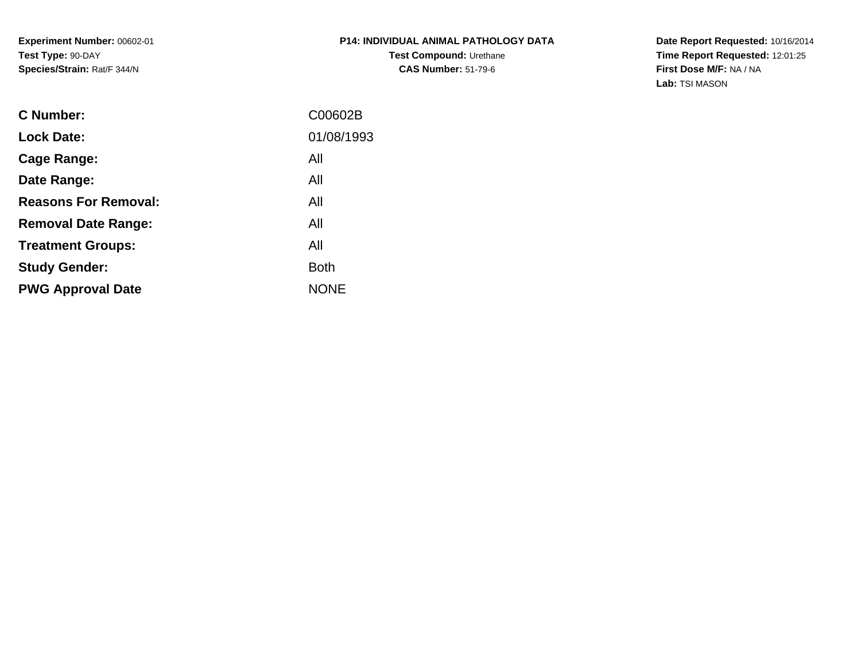**Experiment Number:** 00602-01**Test Type:** 90-DAY**Species/Strain:** Rat/F 344/N

**Date Report Requested:** 10/16/2014 **Time Report Requested:** 12:01:25**First Dose M/F:** NA / NA**Lab:** TSI MASON

| C00602B     |
|-------------|
| 01/08/1993  |
| All         |
| All         |
| All         |
| All         |
| All         |
| <b>Both</b> |
| <b>NONE</b> |
|             |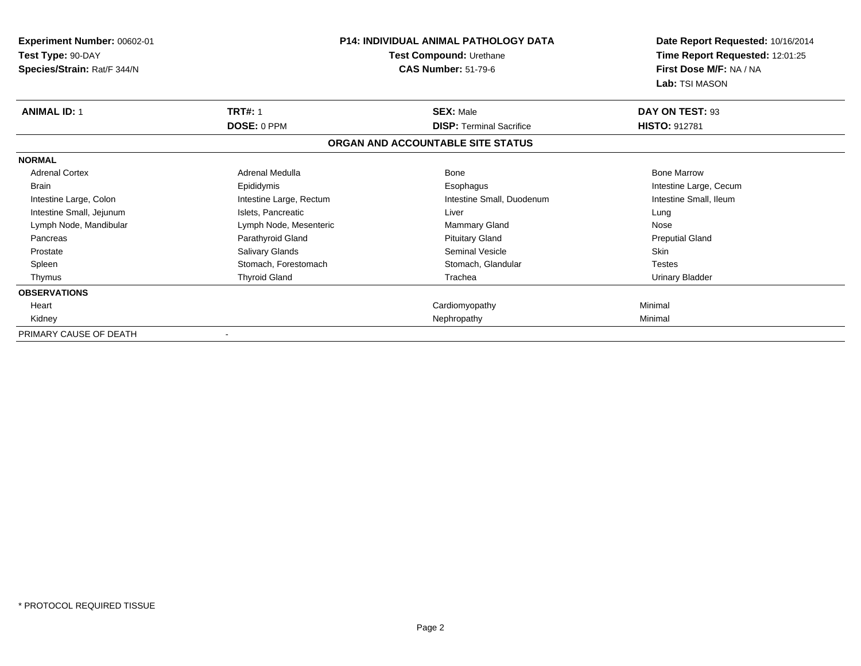| Experiment Number: 00602-01<br>Test Type: 90-DAY<br>Species/Strain: Rat/F 344/N |                         | <b>P14: INDIVIDUAL ANIMAL PATHOLOGY DATA</b><br>Test Compound: Urethane<br><b>CAS Number: 51-79-6</b> | Date Report Requested: 10/16/2014<br>Time Report Requested: 12:01:25<br>First Dose M/F: NA / NA<br>Lab: TSI MASON |
|---------------------------------------------------------------------------------|-------------------------|-------------------------------------------------------------------------------------------------------|-------------------------------------------------------------------------------------------------------------------|
| <b>ANIMAL ID: 1</b>                                                             | <b>TRT#: 1</b>          | <b>SEX: Male</b>                                                                                      | DAY ON TEST: 93                                                                                                   |
|                                                                                 | DOSE: 0 PPM             | <b>DISP: Terminal Sacrifice</b>                                                                       | <b>HISTO: 912781</b>                                                                                              |
|                                                                                 |                         | ORGAN AND ACCOUNTABLE SITE STATUS                                                                     |                                                                                                                   |
| <b>NORMAL</b>                                                                   |                         |                                                                                                       |                                                                                                                   |
| <b>Adrenal Cortex</b>                                                           | Adrenal Medulla         | Bone                                                                                                  | <b>Bone Marrow</b>                                                                                                |
| Brain                                                                           | Epididymis              | Esophagus                                                                                             | Intestine Large, Cecum                                                                                            |
| Intestine Large, Colon                                                          | Intestine Large, Rectum | Intestine Small, Duodenum                                                                             | Intestine Small, Ileum                                                                                            |
| Intestine Small, Jejunum                                                        | Islets, Pancreatic      | Liver                                                                                                 | Lung                                                                                                              |
| Lymph Node, Mandibular                                                          | Lymph Node, Mesenteric  | <b>Mammary Gland</b>                                                                                  | Nose                                                                                                              |
| Pancreas                                                                        | Parathyroid Gland       | <b>Pituitary Gland</b>                                                                                | <b>Preputial Gland</b>                                                                                            |
| Prostate                                                                        | <b>Salivary Glands</b>  | Seminal Vesicle                                                                                       | <b>Skin</b>                                                                                                       |
| Spleen                                                                          | Stomach, Forestomach    | Stomach, Glandular                                                                                    | <b>Testes</b>                                                                                                     |
| Thymus                                                                          | <b>Thyroid Gland</b>    | Trachea                                                                                               | Urinary Bladder                                                                                                   |
| <b>OBSERVATIONS</b>                                                             |                         |                                                                                                       |                                                                                                                   |
| Heart                                                                           |                         | Cardiomyopathy                                                                                        | Minimal                                                                                                           |
| Kidney                                                                          |                         | Nephropathy                                                                                           | Minimal                                                                                                           |
| PRIMARY CAUSE OF DEATH                                                          |                         |                                                                                                       |                                                                                                                   |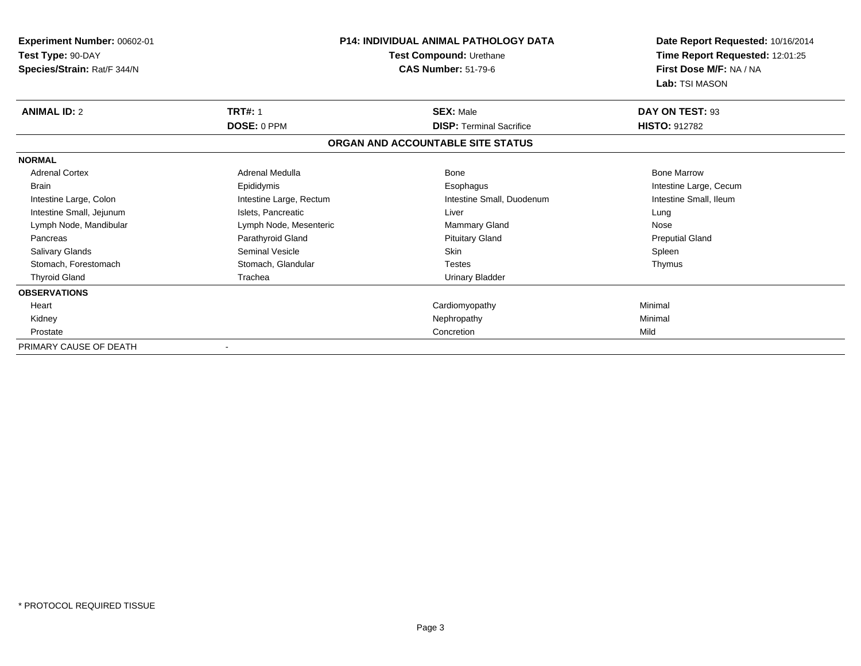| Experiment Number: 00602-01<br>Test Type: 90-DAY<br>Species/Strain: Rat/F 344/N |                         | <b>P14: INDIVIDUAL ANIMAL PATHOLOGY DATA</b><br>Test Compound: Urethane<br><b>CAS Number: 51-79-6</b> | Date Report Requested: 10/16/2014<br>Time Report Requested: 12:01:25<br>First Dose M/F: NA / NA<br>Lab: TSI MASON |
|---------------------------------------------------------------------------------|-------------------------|-------------------------------------------------------------------------------------------------------|-------------------------------------------------------------------------------------------------------------------|
| <b>ANIMAL ID: 2</b>                                                             | <b>TRT#: 1</b>          | <b>SEX: Male</b>                                                                                      | DAY ON TEST: 93                                                                                                   |
|                                                                                 | DOSE: 0 PPM             | <b>DISP: Terminal Sacrifice</b>                                                                       | <b>HISTO: 912782</b>                                                                                              |
|                                                                                 |                         | ORGAN AND ACCOUNTABLE SITE STATUS                                                                     |                                                                                                                   |
| <b>NORMAL</b>                                                                   |                         |                                                                                                       |                                                                                                                   |
| <b>Adrenal Cortex</b>                                                           | Adrenal Medulla         | Bone                                                                                                  | <b>Bone Marrow</b>                                                                                                |
| <b>Brain</b>                                                                    | Epididymis              | Esophagus                                                                                             | Intestine Large, Cecum                                                                                            |
| Intestine Large, Colon                                                          | Intestine Large, Rectum | Intestine Small, Duodenum                                                                             | Intestine Small, Ileum                                                                                            |
| Intestine Small, Jejunum                                                        | Islets, Pancreatic      | Liver                                                                                                 | Lung                                                                                                              |
| Lymph Node, Mandibular                                                          | Lymph Node, Mesenteric  | Mammary Gland                                                                                         | Nose                                                                                                              |
| Pancreas                                                                        | Parathyroid Gland       | <b>Pituitary Gland</b>                                                                                | <b>Preputial Gland</b>                                                                                            |
| Salivary Glands                                                                 | <b>Seminal Vesicle</b>  | Skin                                                                                                  | Spleen                                                                                                            |
| Stomach, Forestomach                                                            | Stomach, Glandular      | <b>Testes</b>                                                                                         | Thymus                                                                                                            |
| <b>Thyroid Gland</b>                                                            | Trachea                 | <b>Urinary Bladder</b>                                                                                |                                                                                                                   |
| <b>OBSERVATIONS</b>                                                             |                         |                                                                                                       |                                                                                                                   |
| Heart                                                                           |                         | Cardiomyopathy                                                                                        | Minimal                                                                                                           |
| Kidney                                                                          |                         | Nephropathy                                                                                           | Minimal                                                                                                           |
| Prostate                                                                        |                         | Concretion                                                                                            | Mild                                                                                                              |
| PRIMARY CAUSE OF DEATH                                                          |                         |                                                                                                       |                                                                                                                   |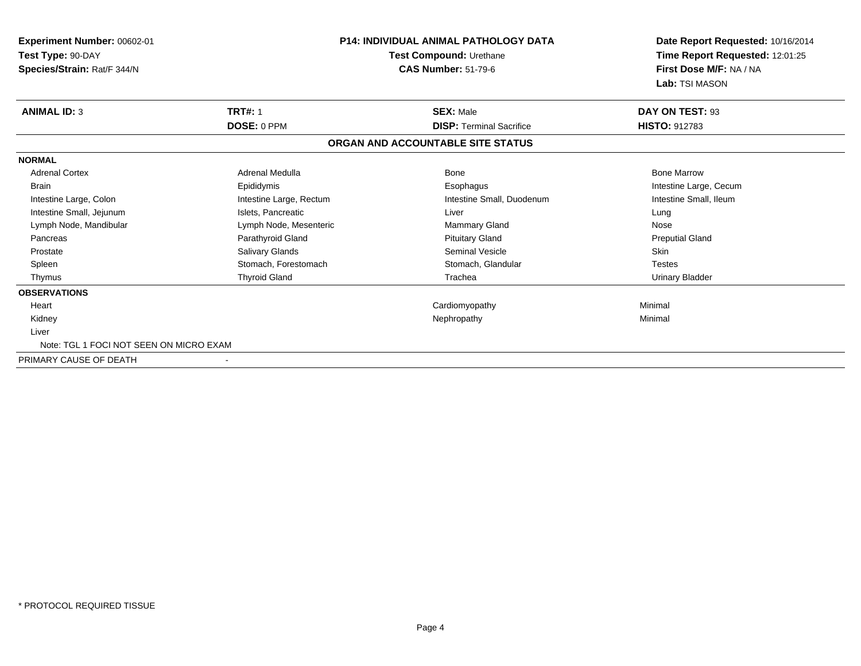| <b>Experiment Number: 00602-01</b>      | <b>P14: INDIVIDUAL ANIMAL PATHOLOGY DATA</b><br>Test Compound: Urethane |                                   | Date Report Requested: 10/16/2014         |
|-----------------------------------------|-------------------------------------------------------------------------|-----------------------------------|-------------------------------------------|
| Test Type: 90-DAY                       |                                                                         |                                   | Time Report Requested: 12:01:25           |
| Species/Strain: Rat/F 344/N             |                                                                         | <b>CAS Number: 51-79-6</b>        | First Dose M/F: NA / NA<br>Lab: TSI MASON |
| <b>ANIMAL ID: 3</b>                     | <b>TRT#: 1</b>                                                          | <b>SEX: Male</b>                  | DAY ON TEST: 93                           |
|                                         | DOSE: 0 PPM                                                             | <b>DISP: Terminal Sacrifice</b>   | <b>HISTO: 912783</b>                      |
|                                         |                                                                         | ORGAN AND ACCOUNTABLE SITE STATUS |                                           |
| <b>NORMAL</b>                           |                                                                         |                                   |                                           |
| <b>Adrenal Cortex</b>                   | Adrenal Medulla                                                         | Bone                              | <b>Bone Marrow</b>                        |
| <b>Brain</b>                            | Epididymis                                                              | Esophagus                         | Intestine Large, Cecum                    |
| Intestine Large, Colon                  | Intestine Large, Rectum                                                 | Intestine Small, Duodenum         | Intestine Small, Ileum                    |
| Intestine Small, Jejunum                | Islets, Pancreatic                                                      | Liver                             | Lung                                      |
| Lymph Node, Mandibular                  | Lymph Node, Mesenteric                                                  | Mammary Gland                     | Nose                                      |
| Pancreas                                | Parathyroid Gland                                                       | <b>Pituitary Gland</b>            | <b>Preputial Gland</b>                    |
| Prostate                                | <b>Salivary Glands</b>                                                  | Seminal Vesicle                   | <b>Skin</b>                               |
| Spleen                                  | Stomach, Forestomach                                                    | Stomach, Glandular                | <b>Testes</b>                             |
| Thymus                                  | <b>Thyroid Gland</b>                                                    | Trachea                           | <b>Urinary Bladder</b>                    |
| <b>OBSERVATIONS</b>                     |                                                                         |                                   |                                           |
| Heart                                   |                                                                         | Cardiomyopathy                    | Minimal                                   |
| Kidney                                  |                                                                         | Nephropathy                       | Minimal                                   |
| Liver                                   |                                                                         |                                   |                                           |
| Note: TGL 1 FOCI NOT SEEN ON MICRO EXAM |                                                                         |                                   |                                           |
| PRIMARY CAUSE OF DEATH                  |                                                                         |                                   |                                           |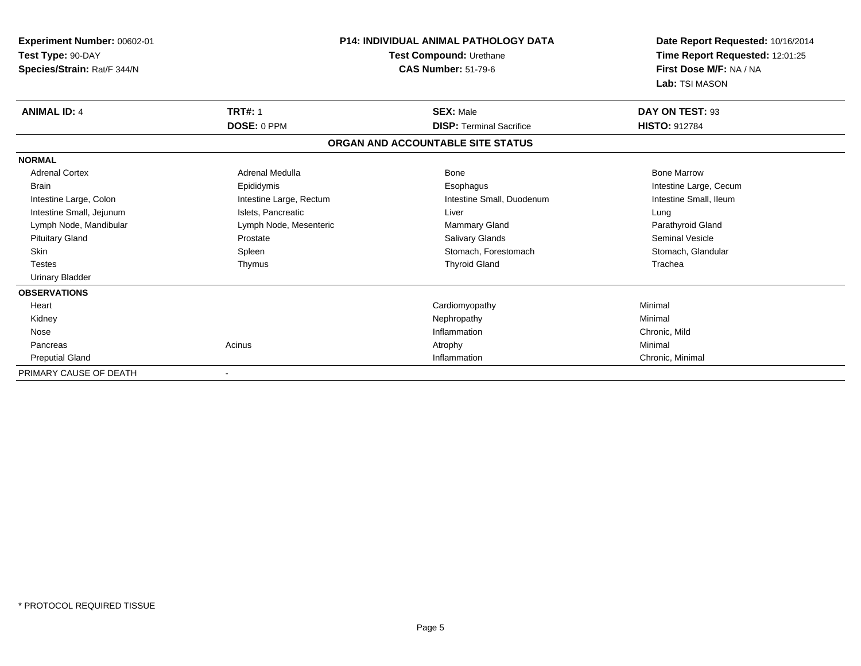| <b>Experiment Number: 00602-01</b> |                          | <b>P14: INDIVIDUAL ANIMAL PATHOLOGY DATA</b> | Date Report Requested: 10/16/2014 |
|------------------------------------|--------------------------|----------------------------------------------|-----------------------------------|
| Test Type: 90-DAY                  |                          | Test Compound: Urethane                      | Time Report Requested: 12:01:25   |
| Species/Strain: Rat/F 344/N        |                          | <b>CAS Number: 51-79-6</b>                   | First Dose M/F: NA / NA           |
|                                    |                          |                                              | Lab: TSI MASON                    |
| <b>ANIMAL ID: 4</b>                | <b>TRT#: 1</b>           | <b>SEX: Male</b>                             | DAY ON TEST: 93                   |
|                                    | DOSE: 0 PPM              | <b>DISP: Terminal Sacrifice</b>              | <b>HISTO: 912784</b>              |
|                                    |                          | ORGAN AND ACCOUNTABLE SITE STATUS            |                                   |
| <b>NORMAL</b>                      |                          |                                              |                                   |
| <b>Adrenal Cortex</b>              | <b>Adrenal Medulla</b>   | Bone                                         | <b>Bone Marrow</b>                |
| <b>Brain</b>                       | Epididymis               | Esophagus                                    | Intestine Large, Cecum            |
| Intestine Large, Colon             | Intestine Large, Rectum  | Intestine Small, Duodenum                    | Intestine Small, Ileum            |
| Intestine Small, Jejunum           | Islets, Pancreatic       | Liver                                        | Lung                              |
| Lymph Node, Mandibular             | Lymph Node, Mesenteric   | <b>Mammary Gland</b>                         | Parathyroid Gland                 |
| <b>Pituitary Gland</b>             | Prostate                 | <b>Salivary Glands</b>                       | <b>Seminal Vesicle</b>            |
| <b>Skin</b>                        | Spleen                   | Stomach, Forestomach                         | Stomach, Glandular                |
| <b>Testes</b>                      | Thymus                   | <b>Thyroid Gland</b>                         | Trachea                           |
| <b>Urinary Bladder</b>             |                          |                                              |                                   |
| <b>OBSERVATIONS</b>                |                          |                                              |                                   |
| Heart                              |                          | Cardiomyopathy                               | Minimal                           |
| Kidney                             |                          | Nephropathy                                  | Minimal                           |
| Nose                               |                          | Inflammation                                 | Chronic, Mild                     |
| Pancreas                           | Acinus                   | Atrophy                                      | Minimal                           |
| <b>Preputial Gland</b>             |                          | Inflammation                                 | Chronic, Minimal                  |
| PRIMARY CAUSE OF DEATH             | $\overline{\phantom{a}}$ |                                              |                                   |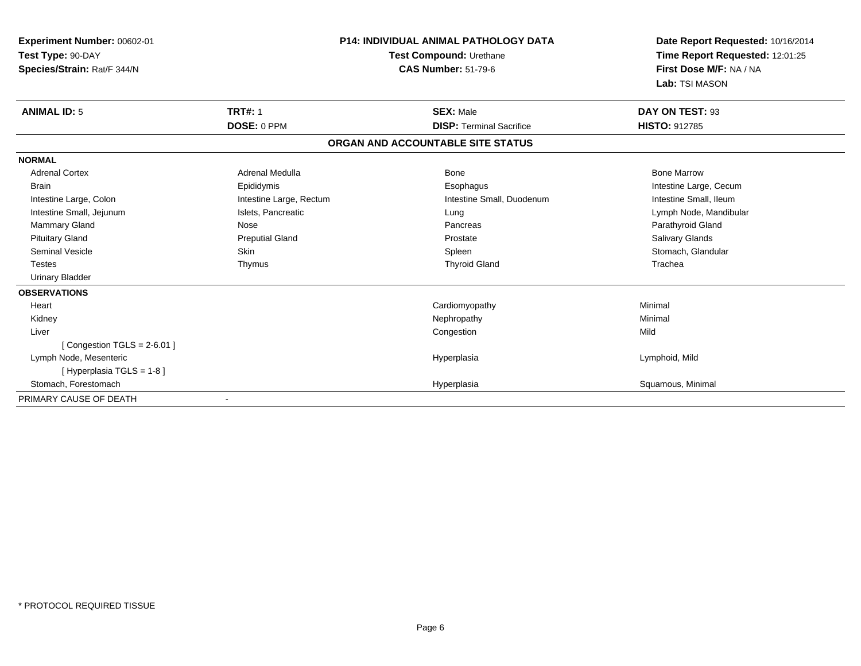| Experiment Number: 00602-01   | <b>P14: INDIVIDUAL ANIMAL PATHOLOGY DATA</b><br>Test Compound: Urethane |                                   |                                 | Date Report Requested: 10/16/2014 |
|-------------------------------|-------------------------------------------------------------------------|-----------------------------------|---------------------------------|-----------------------------------|
| Test Type: 90-DAY             |                                                                         |                                   | Time Report Requested: 12:01:25 |                                   |
| Species/Strain: Rat/F 344/N   |                                                                         | <b>CAS Number: 51-79-6</b>        | First Dose M/F: NA / NA         |                                   |
|                               |                                                                         |                                   | Lab: TSI MASON                  |                                   |
| <b>ANIMAL ID: 5</b>           | <b>TRT#: 1</b>                                                          | <b>SEX: Male</b>                  | DAY ON TEST: 93                 |                                   |
|                               | DOSE: 0 PPM                                                             | <b>DISP: Terminal Sacrifice</b>   | HISTO: 912785                   |                                   |
|                               |                                                                         | ORGAN AND ACCOUNTABLE SITE STATUS |                                 |                                   |
| <b>NORMAL</b>                 |                                                                         |                                   |                                 |                                   |
| <b>Adrenal Cortex</b>         | Adrenal Medulla                                                         | Bone                              | <b>Bone Marrow</b>              |                                   |
| Brain                         | Epididymis                                                              | Esophagus                         | Intestine Large, Cecum          |                                   |
| Intestine Large, Colon        | Intestine Large, Rectum                                                 | Intestine Small, Duodenum         | Intestine Small, Ileum          |                                   |
| Intestine Small, Jejunum      | Islets, Pancreatic                                                      | Lung                              | Lymph Node, Mandibular          |                                   |
| <b>Mammary Gland</b>          | Nose                                                                    | Pancreas                          | Parathyroid Gland               |                                   |
| <b>Pituitary Gland</b>        | <b>Preputial Gland</b>                                                  | Prostate                          | <b>Salivary Glands</b>          |                                   |
| <b>Seminal Vesicle</b>        | Skin                                                                    | Spleen                            | Stomach, Glandular              |                                   |
| <b>Testes</b>                 | Thymus                                                                  | <b>Thyroid Gland</b>              | Trachea                         |                                   |
| <b>Urinary Bladder</b>        |                                                                         |                                   |                                 |                                   |
| <b>OBSERVATIONS</b>           |                                                                         |                                   |                                 |                                   |
| Heart                         |                                                                         | Cardiomyopathy                    | Minimal                         |                                   |
| Kidney                        |                                                                         | Nephropathy                       | Minimal                         |                                   |
| Liver                         |                                                                         | Congestion                        | Mild                            |                                   |
| [Congestion TGLS = $2-6.01$ ] |                                                                         |                                   |                                 |                                   |
| Lymph Node, Mesenteric        |                                                                         | Hyperplasia                       | Lymphoid, Mild                  |                                   |
| [Hyperplasia TGLS = 1-8]      |                                                                         |                                   |                                 |                                   |
| Stomach, Forestomach          |                                                                         | Hyperplasia                       | Squamous, Minimal               |                                   |
| PRIMARY CAUSE OF DEATH        |                                                                         |                                   |                                 |                                   |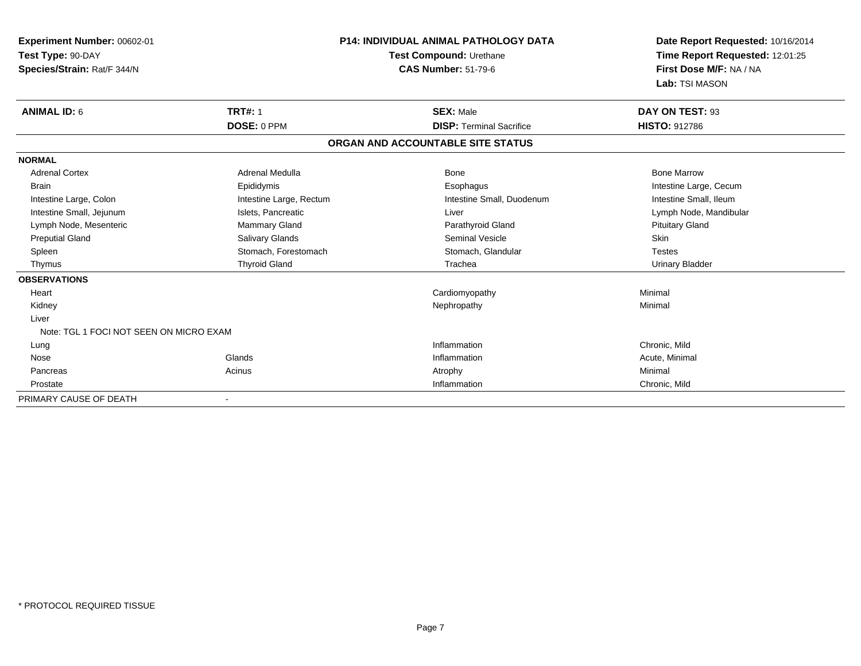| Experiment Number: 00602-01             | <b>P14: INDIVIDUAL ANIMAL PATHOLOGY DATA</b><br>Test Compound: Urethane |                                   | Date Report Requested: 10/16/2014 |
|-----------------------------------------|-------------------------------------------------------------------------|-----------------------------------|-----------------------------------|
| Test Type: 90-DAY                       |                                                                         |                                   | Time Report Requested: 12:01:25   |
| Species/Strain: Rat/F 344/N             |                                                                         | <b>CAS Number: 51-79-6</b>        | First Dose M/F: NA / NA           |
|                                         |                                                                         |                                   | Lab: TSI MASON                    |
| <b>ANIMAL ID: 6</b>                     | <b>TRT#: 1</b>                                                          | <b>SEX: Male</b>                  | DAY ON TEST: 93                   |
|                                         | DOSE: 0 PPM                                                             | <b>DISP: Terminal Sacrifice</b>   | <b>HISTO: 912786</b>              |
|                                         |                                                                         | ORGAN AND ACCOUNTABLE SITE STATUS |                                   |
| <b>NORMAL</b>                           |                                                                         |                                   |                                   |
| <b>Adrenal Cortex</b>                   | Adrenal Medulla                                                         | Bone                              | <b>Bone Marrow</b>                |
| Brain                                   | Epididymis                                                              | Esophagus                         | Intestine Large, Cecum            |
| Intestine Large, Colon                  | Intestine Large, Rectum                                                 | Intestine Small, Duodenum         | Intestine Small, Ileum            |
| Intestine Small, Jejunum                | Islets, Pancreatic                                                      | Liver                             | Lymph Node, Mandibular            |
| Lymph Node, Mesenteric                  | <b>Mammary Gland</b>                                                    | Parathyroid Gland                 | <b>Pituitary Gland</b>            |
| <b>Preputial Gland</b>                  | Salivary Glands                                                         | <b>Seminal Vesicle</b>            | <b>Skin</b>                       |
| Spleen                                  | Stomach, Forestomach                                                    | Stomach, Glandular                | Testes                            |
| Thymus                                  | <b>Thyroid Gland</b>                                                    | Trachea                           | <b>Urinary Bladder</b>            |
| <b>OBSERVATIONS</b>                     |                                                                         |                                   |                                   |
| Heart                                   |                                                                         | Cardiomyopathy                    | Minimal                           |
| Kidney                                  |                                                                         | Nephropathy                       | Minimal                           |
| Liver                                   |                                                                         |                                   |                                   |
| Note: TGL 1 FOCI NOT SEEN ON MICRO EXAM |                                                                         |                                   |                                   |
| Lung                                    |                                                                         | Inflammation                      | Chronic, Mild                     |
| Nose                                    | Glands                                                                  | Inflammation                      | Acute, Minimal                    |
| Pancreas                                | Acinus                                                                  | Atrophy                           | Minimal                           |
| Prostate                                |                                                                         | Inflammation                      | Chronic, Mild                     |
| PRIMARY CAUSE OF DEATH                  |                                                                         |                                   |                                   |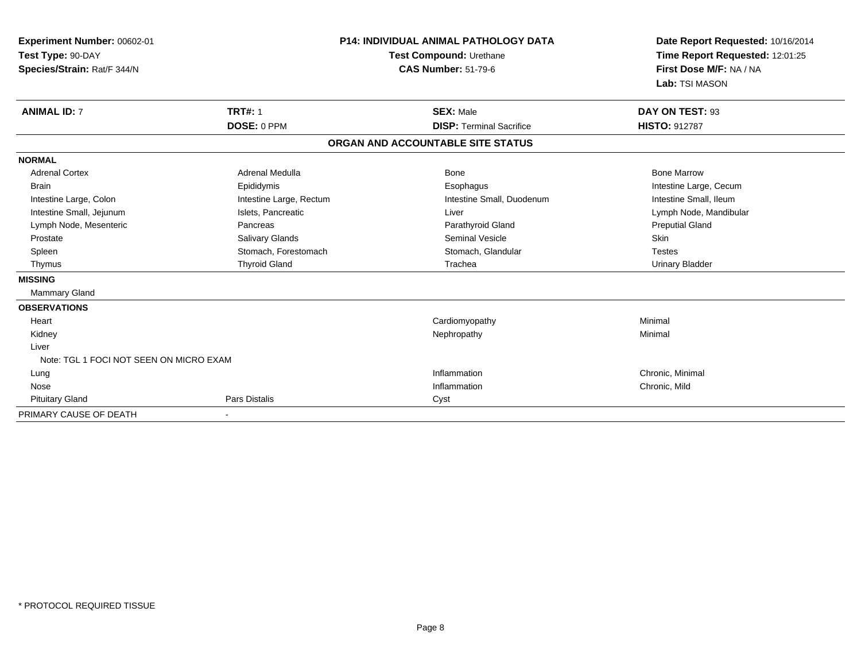| Experiment Number: 00602-01<br>Test Type: 90-DAY<br>Species/Strain: Rat/F 344/N |                          | <b>P14: INDIVIDUAL ANIMAL PATHOLOGY DATA</b><br>Test Compound: Urethane<br><b>CAS Number: 51-79-6</b> | Date Report Requested: 10/16/2014<br>Time Report Requested: 12:01:25<br>First Dose M/F: NA / NA<br>Lab: TSI MASON |
|---------------------------------------------------------------------------------|--------------------------|-------------------------------------------------------------------------------------------------------|-------------------------------------------------------------------------------------------------------------------|
| <b>ANIMAL ID: 7</b>                                                             | <b>TRT#: 1</b>           | <b>SEX: Male</b>                                                                                      | DAY ON TEST: 93                                                                                                   |
|                                                                                 | DOSE: 0 PPM              | <b>DISP: Terminal Sacrifice</b>                                                                       | <b>HISTO: 912787</b>                                                                                              |
|                                                                                 |                          | ORGAN AND ACCOUNTABLE SITE STATUS                                                                     |                                                                                                                   |
| <b>NORMAL</b>                                                                   |                          |                                                                                                       |                                                                                                                   |
| <b>Adrenal Cortex</b>                                                           | Adrenal Medulla          | <b>Bone</b>                                                                                           | <b>Bone Marrow</b>                                                                                                |
| <b>Brain</b>                                                                    | Epididymis               | Esophagus                                                                                             | Intestine Large, Cecum                                                                                            |
| Intestine Large, Colon                                                          | Intestine Large, Rectum  | Intestine Small, Duodenum                                                                             | Intestine Small, Ileum                                                                                            |
| Intestine Small, Jejunum                                                        | Islets, Pancreatic       | Liver                                                                                                 | Lymph Node, Mandibular                                                                                            |
| Lymph Node, Mesenteric                                                          | Pancreas                 | Parathyroid Gland                                                                                     | <b>Preputial Gland</b>                                                                                            |
| Prostate                                                                        | Salivary Glands          | <b>Seminal Vesicle</b>                                                                                | Skin                                                                                                              |
| Spleen                                                                          | Stomach, Forestomach     | Stomach, Glandular                                                                                    | <b>Testes</b>                                                                                                     |
| Thymus                                                                          | <b>Thyroid Gland</b>     | Trachea                                                                                               | <b>Urinary Bladder</b>                                                                                            |
| <b>MISSING</b>                                                                  |                          |                                                                                                       |                                                                                                                   |
| <b>Mammary Gland</b>                                                            |                          |                                                                                                       |                                                                                                                   |
| <b>OBSERVATIONS</b>                                                             |                          |                                                                                                       |                                                                                                                   |
| Heart                                                                           |                          | Cardiomyopathy                                                                                        | Minimal                                                                                                           |
| Kidney                                                                          |                          | Nephropathy                                                                                           | Minimal                                                                                                           |
| Liver                                                                           |                          |                                                                                                       |                                                                                                                   |
| Note: TGL 1 FOCI NOT SEEN ON MICRO EXAM                                         |                          |                                                                                                       |                                                                                                                   |
| Lung                                                                            |                          | Inflammation                                                                                          | Chronic, Minimal                                                                                                  |
| Nose                                                                            |                          | Inflammation                                                                                          | Chronic, Mild                                                                                                     |
| <b>Pituitary Gland</b>                                                          | Pars Distalis            | Cyst                                                                                                  |                                                                                                                   |
| PRIMARY CAUSE OF DEATH                                                          | $\overline{\phantom{a}}$ |                                                                                                       |                                                                                                                   |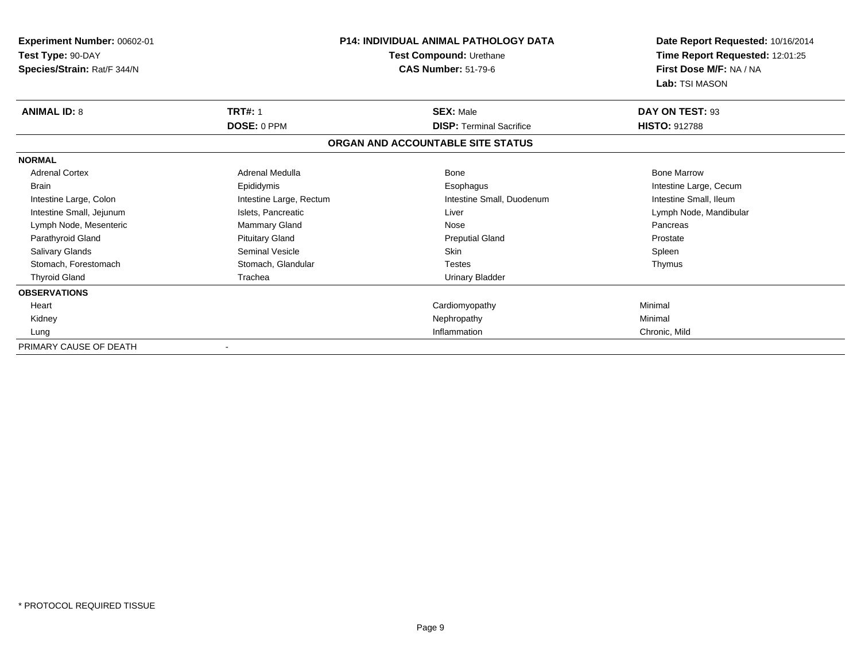| Experiment Number: 00602-01<br>Test Type: 90-DAY<br>Species/Strain: Rat/F 344/N |                         | <b>P14: INDIVIDUAL ANIMAL PATHOLOGY DATA</b><br>Test Compound: Urethane<br><b>CAS Number: 51-79-6</b> | Date Report Requested: 10/16/2014<br>Time Report Requested: 12:01:25<br>First Dose M/F: NA / NA |
|---------------------------------------------------------------------------------|-------------------------|-------------------------------------------------------------------------------------------------------|-------------------------------------------------------------------------------------------------|
| <b>ANIMAL ID: 8</b>                                                             | <b>TRT#: 1</b>          | <b>SEX: Male</b>                                                                                      | Lab: TSI MASON<br>DAY ON TEST: 93                                                               |
|                                                                                 | DOSE: 0 PPM             | <b>DISP: Terminal Sacrifice</b>                                                                       | <b>HISTO: 912788</b>                                                                            |
|                                                                                 |                         | ORGAN AND ACCOUNTABLE SITE STATUS                                                                     |                                                                                                 |
| <b>NORMAL</b>                                                                   |                         |                                                                                                       |                                                                                                 |
| <b>Adrenal Cortex</b>                                                           | Adrenal Medulla         | Bone                                                                                                  | <b>Bone Marrow</b>                                                                              |
| Brain                                                                           | Epididymis              | Esophagus                                                                                             | Intestine Large, Cecum                                                                          |
| Intestine Large, Colon                                                          | Intestine Large, Rectum | Intestine Small, Duodenum                                                                             | Intestine Small, Ileum                                                                          |
| Intestine Small, Jejunum                                                        | Islets, Pancreatic      | Liver                                                                                                 | Lymph Node, Mandibular                                                                          |
| Lymph Node, Mesenteric                                                          | Mammary Gland           | Nose                                                                                                  | Pancreas                                                                                        |
| Parathyroid Gland                                                               | <b>Pituitary Gland</b>  | <b>Preputial Gland</b>                                                                                | Prostate                                                                                        |
| Salivary Glands                                                                 | Seminal Vesicle         | <b>Skin</b>                                                                                           | Spleen                                                                                          |
| Stomach, Forestomach                                                            | Stomach, Glandular      | <b>Testes</b>                                                                                         | Thymus                                                                                          |
| <b>Thyroid Gland</b>                                                            | Trachea                 | <b>Urinary Bladder</b>                                                                                |                                                                                                 |
| <b>OBSERVATIONS</b>                                                             |                         |                                                                                                       |                                                                                                 |
| Heart                                                                           |                         | Cardiomyopathy                                                                                        | Minimal                                                                                         |
| Kidney                                                                          |                         | Nephropathy                                                                                           | Minimal                                                                                         |
| Lung                                                                            |                         | Inflammation                                                                                          | Chronic, Mild                                                                                   |
| PRIMARY CAUSE OF DEATH                                                          |                         |                                                                                                       |                                                                                                 |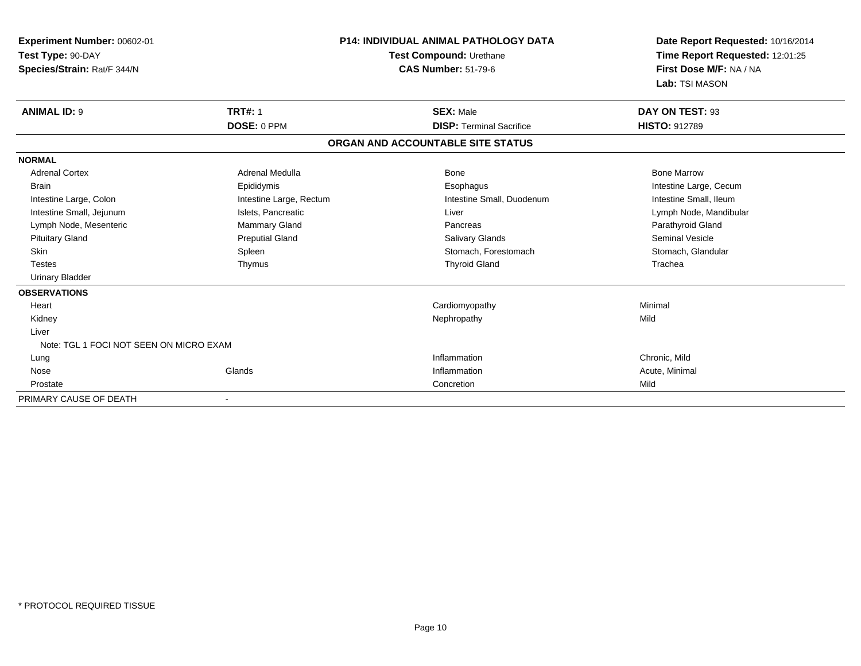| Experiment Number: 00602-01             |                         | <b>P14: INDIVIDUAL ANIMAL PATHOLOGY DATA</b> | Date Report Requested: 10/16/2014 |
|-----------------------------------------|-------------------------|----------------------------------------------|-----------------------------------|
| Test Type: 90-DAY                       | Test Compound: Urethane |                                              | Time Report Requested: 12:01:25   |
| Species/Strain: Rat/F 344/N             |                         | <b>CAS Number: 51-79-6</b>                   | First Dose M/F: NA / NA           |
|                                         |                         |                                              | Lab: TSI MASON                    |
| <b>ANIMAL ID: 9</b>                     | <b>TRT#: 1</b>          | <b>SEX: Male</b>                             | DAY ON TEST: 93                   |
|                                         | DOSE: 0 PPM             | <b>DISP: Terminal Sacrifice</b>              | <b>HISTO: 912789</b>              |
|                                         |                         | ORGAN AND ACCOUNTABLE SITE STATUS            |                                   |
| <b>NORMAL</b>                           |                         |                                              |                                   |
| <b>Adrenal Cortex</b>                   | Adrenal Medulla         | Bone                                         | <b>Bone Marrow</b>                |
| <b>Brain</b>                            | Epididymis              | Esophagus                                    | Intestine Large, Cecum            |
| Intestine Large, Colon                  | Intestine Large, Rectum | Intestine Small, Duodenum                    | Intestine Small, Ileum            |
| Intestine Small, Jejunum                | Islets, Pancreatic      | Liver                                        | Lymph Node, Mandibular            |
| Lymph Node, Mesenteric                  | <b>Mammary Gland</b>    | Pancreas                                     | Parathyroid Gland                 |
| <b>Pituitary Gland</b>                  | <b>Preputial Gland</b>  | <b>Salivary Glands</b>                       | <b>Seminal Vesicle</b>            |
| Skin                                    | Spleen                  | Stomach, Forestomach                         | Stomach, Glandular                |
| <b>Testes</b>                           | Thymus                  | <b>Thyroid Gland</b>                         | Trachea                           |
| <b>Urinary Bladder</b>                  |                         |                                              |                                   |
| <b>OBSERVATIONS</b>                     |                         |                                              |                                   |
| Heart                                   |                         | Cardiomyopathy                               | Minimal                           |
| Kidney                                  |                         | Nephropathy                                  | Mild                              |
| Liver                                   |                         |                                              |                                   |
| Note: TGL 1 FOCI NOT SEEN ON MICRO EXAM |                         |                                              |                                   |
| Lung                                    |                         | Inflammation                                 | Chronic, Mild                     |
| Nose                                    | Glands                  | Inflammation                                 | Acute, Minimal                    |
| Prostate                                |                         | Concretion                                   | Mild                              |
| PRIMARY CAUSE OF DEATH                  |                         |                                              |                                   |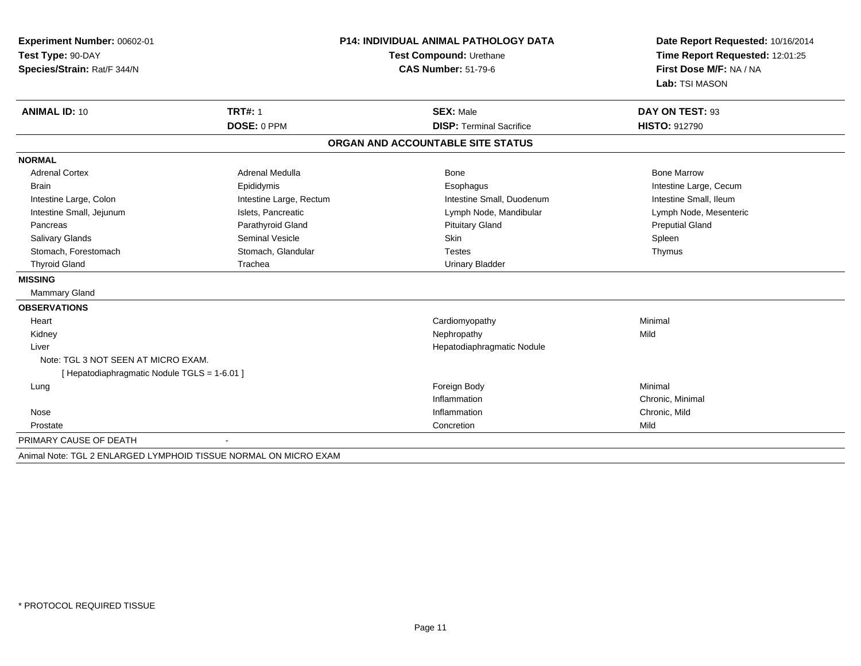| Experiment Number: 00602-01                                      | <b>P14: INDIVIDUAL ANIMAL PATHOLOGY DATA</b> |                                   | Date Report Requested: 10/16/2014 |
|------------------------------------------------------------------|----------------------------------------------|-----------------------------------|-----------------------------------|
| Test Type: 90-DAY                                                |                                              | Test Compound: Urethane           | Time Report Requested: 12:01:25   |
| Species/Strain: Rat/F 344/N                                      |                                              | <b>CAS Number: 51-79-6</b>        | First Dose M/F: NA / NA           |
|                                                                  |                                              |                                   | Lab: TSI MASON                    |
| <b>ANIMAL ID: 10</b>                                             | <b>TRT#: 1</b>                               | <b>SEX: Male</b>                  | DAY ON TEST: 93                   |
|                                                                  | DOSE: 0 PPM                                  | <b>DISP: Terminal Sacrifice</b>   | <b>HISTO: 912790</b>              |
|                                                                  |                                              | ORGAN AND ACCOUNTABLE SITE STATUS |                                   |
| <b>NORMAL</b>                                                    |                                              |                                   |                                   |
| <b>Adrenal Cortex</b>                                            | Adrenal Medulla                              | Bone                              | <b>Bone Marrow</b>                |
| <b>Brain</b>                                                     | Epididymis                                   | Esophagus                         | Intestine Large, Cecum            |
| Intestine Large, Colon                                           | Intestine Large, Rectum                      | Intestine Small, Duodenum         | Intestine Small, Ileum            |
| Intestine Small, Jejunum                                         | Islets, Pancreatic                           | Lymph Node, Mandibular            | Lymph Node, Mesenteric            |
| Pancreas                                                         | Parathyroid Gland                            | <b>Pituitary Gland</b>            | <b>Preputial Gland</b>            |
| <b>Salivary Glands</b>                                           | <b>Seminal Vesicle</b>                       | Skin                              | Spleen                            |
| Stomach, Forestomach                                             | Stomach, Glandular                           | <b>Testes</b>                     | Thymus                            |
| <b>Thyroid Gland</b>                                             | Trachea                                      | <b>Urinary Bladder</b>            |                                   |
| <b>MISSING</b>                                                   |                                              |                                   |                                   |
| <b>Mammary Gland</b>                                             |                                              |                                   |                                   |
| <b>OBSERVATIONS</b>                                              |                                              |                                   |                                   |
| Heart                                                            |                                              | Cardiomyopathy                    | Minimal                           |
| Kidney                                                           |                                              | Nephropathy                       | Mild                              |
| Liver                                                            |                                              | Hepatodiaphragmatic Nodule        |                                   |
| Note: TGL 3 NOT SEEN AT MICRO EXAM.                              |                                              |                                   |                                   |
| [ Hepatodiaphragmatic Nodule TGLS = 1-6.01 ]                     |                                              |                                   |                                   |
| Lung                                                             |                                              | Foreign Body                      | Minimal                           |
|                                                                  |                                              | Inflammation                      | Chronic, Minimal                  |
| Nose                                                             |                                              | Inflammation                      | Chronic, Mild                     |
| Prostate                                                         |                                              | Concretion                        | Mild                              |
| PRIMARY CAUSE OF DEATH                                           |                                              |                                   |                                   |
| Animal Note: TGL 2 ENLARGED LYMPHOID TISSUE NORMAL ON MICRO EXAM |                                              |                                   |                                   |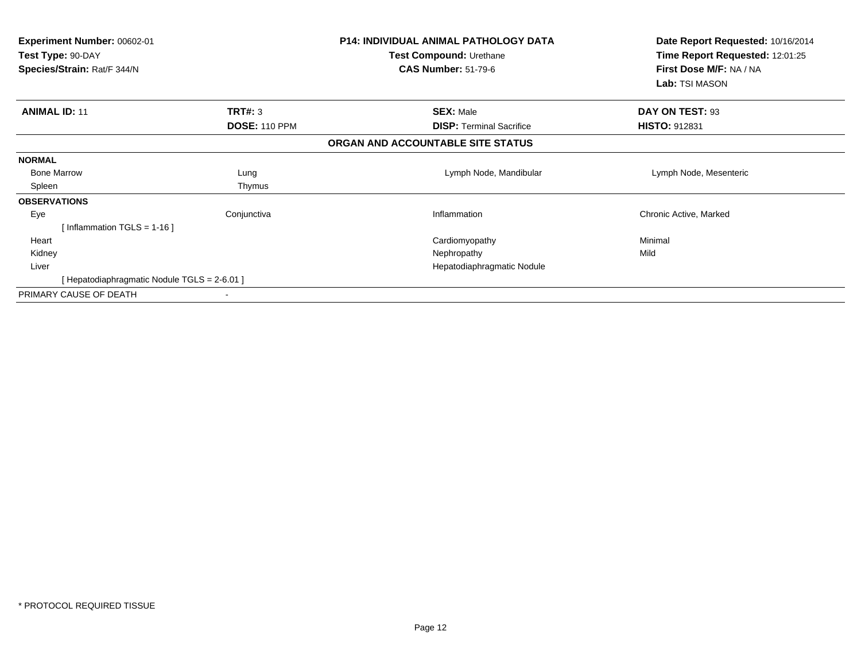| <b>Experiment Number: 00602-01</b><br>Test Type: 90-DAY<br>Species/Strain: Rat/F 344/N | <b>P14: INDIVIDUAL ANIMAL PATHOLOGY DATA</b><br>Test Compound: Urethane<br><b>CAS Number: 51-79-6</b> | Date Report Requested: 10/16/2014<br>Time Report Requested: 12:01:25<br>First Dose M/F: NA / NA<br>Lab: TSI MASON |
|----------------------------------------------------------------------------------------|-------------------------------------------------------------------------------------------------------|-------------------------------------------------------------------------------------------------------------------|
| TRT#: 3<br><b>ANIMAL ID: 11</b>                                                        | <b>SEX: Male</b>                                                                                      | DAY ON TEST: 93                                                                                                   |
| <b>DOSE: 110 PPM</b>                                                                   | <b>DISP:</b> Terminal Sacrifice                                                                       | <b>HISTO: 912831</b>                                                                                              |
|                                                                                        | ORGAN AND ACCOUNTABLE SITE STATUS                                                                     |                                                                                                                   |
| <b>NORMAL</b>                                                                          |                                                                                                       |                                                                                                                   |
| <b>Bone Marrow</b><br>Lung                                                             | Lymph Node, Mandibular                                                                                | Lymph Node, Mesenteric                                                                                            |
| Spleen<br>Thymus                                                                       |                                                                                                       |                                                                                                                   |
| <b>OBSERVATIONS</b>                                                                    |                                                                                                       |                                                                                                                   |
| Conjunctiva<br>Eye                                                                     | Inflammation                                                                                          | Chronic Active, Marked                                                                                            |
| [Inflammation TGLS = $1-16$ ]                                                          |                                                                                                       |                                                                                                                   |
| Heart                                                                                  | Cardiomyopathy                                                                                        | Minimal                                                                                                           |
| Kidney                                                                                 | Nephropathy                                                                                           | Mild                                                                                                              |
| Liver                                                                                  | Hepatodiaphragmatic Nodule                                                                            |                                                                                                                   |
| [ Hepatodiaphragmatic Nodule TGLS = 2-6.01 ]                                           |                                                                                                       |                                                                                                                   |
| PRIMARY CAUSE OF DEATH                                                                 |                                                                                                       |                                                                                                                   |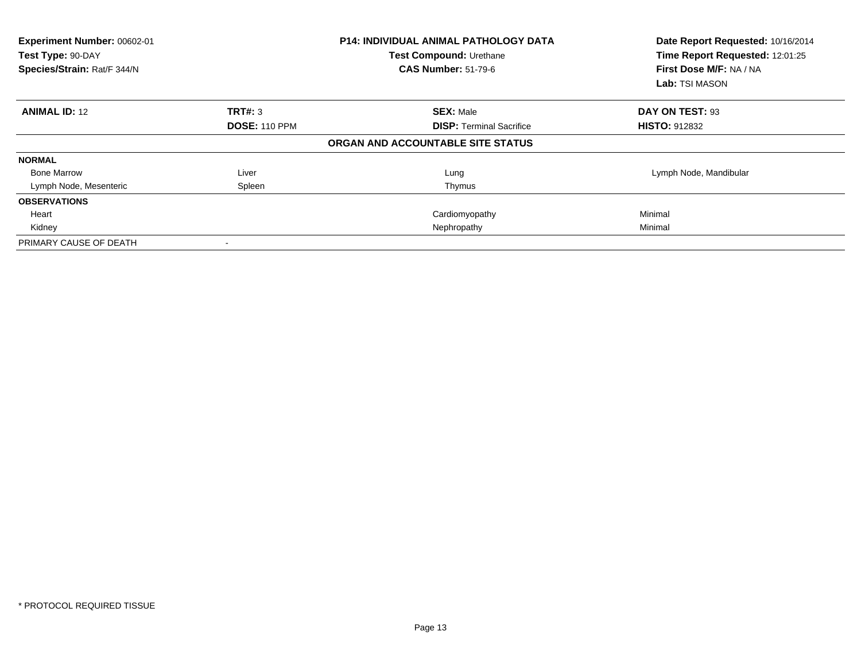| Experiment Number: 00602-01<br>Test Type: 90-DAY<br>Species/Strain: Rat/F 344/N |                      | <b>P14: INDIVIDUAL ANIMAL PATHOLOGY DATA</b><br>Test Compound: Urethane<br><b>CAS Number: 51-79-6</b> | Date Report Requested: 10/16/2014<br>Time Report Requested: 12:01:25<br>First Dose M/F: NA / NA<br>Lab: TSI MASON |
|---------------------------------------------------------------------------------|----------------------|-------------------------------------------------------------------------------------------------------|-------------------------------------------------------------------------------------------------------------------|
| <b>ANIMAL ID: 12</b>                                                            | <b>TRT#: 3</b>       | <b>SEX: Male</b>                                                                                      | DAY ON TEST: 93                                                                                                   |
|                                                                                 | <b>DOSE: 110 PPM</b> | <b>DISP: Terminal Sacrifice</b>                                                                       | <b>HISTO: 912832</b>                                                                                              |
|                                                                                 |                      | ORGAN AND ACCOUNTABLE SITE STATUS                                                                     |                                                                                                                   |
| <b>NORMAL</b>                                                                   |                      |                                                                                                       |                                                                                                                   |
| <b>Bone Marrow</b>                                                              | Liver                | Lung                                                                                                  | Lymph Node, Mandibular                                                                                            |
| Lymph Node, Mesenteric                                                          | Spleen               | Thymus                                                                                                |                                                                                                                   |
| <b>OBSERVATIONS</b>                                                             |                      |                                                                                                       |                                                                                                                   |
| Heart                                                                           |                      | Cardiomyopathy                                                                                        | Minimal                                                                                                           |
| Kidney                                                                          |                      | Nephropathy                                                                                           | Minimal                                                                                                           |
| PRIMARY CAUSE OF DEATH                                                          |                      |                                                                                                       |                                                                                                                   |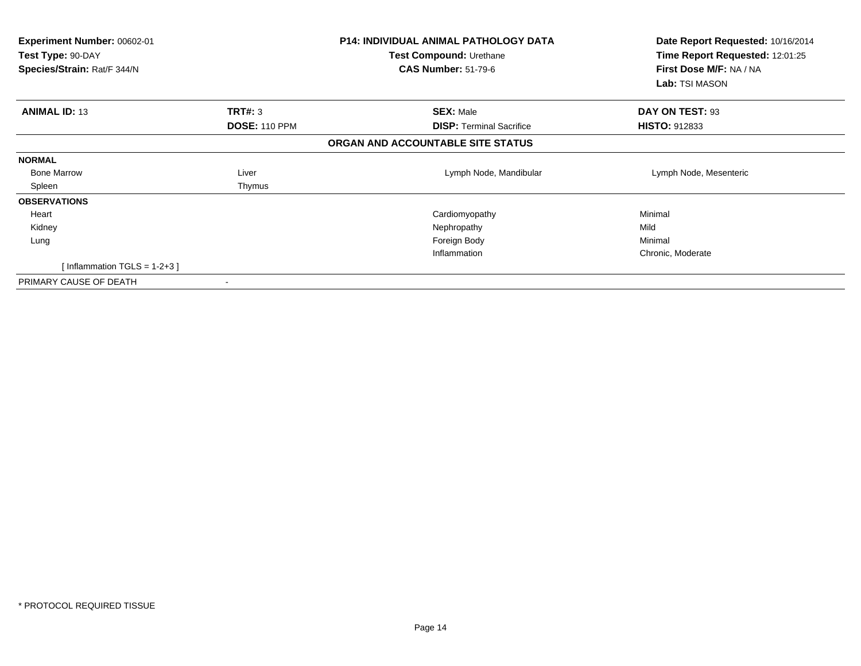| <b>Experiment Number: 00602-01</b><br>Test Type: 90-DAY<br>Species/Strain: Rat/F 344/N |                      | <b>P14: INDIVIDUAL ANIMAL PATHOLOGY DATA</b><br>Test Compound: Urethane<br><b>CAS Number: 51-79-6</b> | Date Report Requested: 10/16/2014<br>Time Report Requested: 12:01:25<br>First Dose M/F: NA / NA<br>Lab: TSI MASON |
|----------------------------------------------------------------------------------------|----------------------|-------------------------------------------------------------------------------------------------------|-------------------------------------------------------------------------------------------------------------------|
| <b>ANIMAL ID: 13</b>                                                                   | TRT#: 3              | <b>SEX: Male</b>                                                                                      | DAY ON TEST: 93                                                                                                   |
|                                                                                        | <b>DOSE: 110 PPM</b> | <b>DISP:</b> Terminal Sacrifice                                                                       | <b>HISTO: 912833</b>                                                                                              |
|                                                                                        |                      | ORGAN AND ACCOUNTABLE SITE STATUS                                                                     |                                                                                                                   |
| <b>NORMAL</b>                                                                          |                      |                                                                                                       |                                                                                                                   |
| <b>Bone Marrow</b>                                                                     | Liver                | Lymph Node, Mandibular                                                                                | Lymph Node, Mesenteric                                                                                            |
| Spleen                                                                                 | Thymus               |                                                                                                       |                                                                                                                   |
| <b>OBSERVATIONS</b>                                                                    |                      |                                                                                                       |                                                                                                                   |
| Heart                                                                                  |                      | Cardiomyopathy                                                                                        | Minimal                                                                                                           |
| Kidney                                                                                 |                      | Nephropathy                                                                                           | Mild                                                                                                              |
| Lung                                                                                   |                      | Foreign Body                                                                                          | Minimal                                                                                                           |
|                                                                                        |                      | Inflammation                                                                                          | Chronic, Moderate                                                                                                 |
| [Inflammation TGLS = $1-2+3$ ]                                                         |                      |                                                                                                       |                                                                                                                   |
| PRIMARY CAUSE OF DEATH                                                                 |                      |                                                                                                       |                                                                                                                   |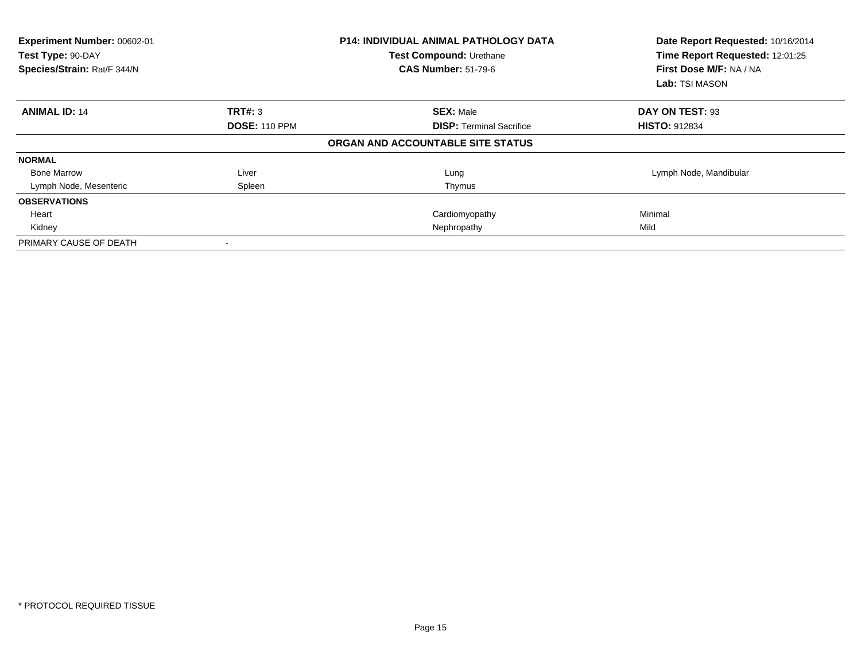| Experiment Number: 00602-01<br>Test Type: 90-DAY<br>Species/Strain: Rat/F 344/N |                      | <b>P14: INDIVIDUAL ANIMAL PATHOLOGY DATA</b><br>Test Compound: Urethane<br><b>CAS Number: 51-79-6</b> | Date Report Requested: 10/16/2014<br>Time Report Requested: 12:01:25<br>First Dose M/F: NA / NA<br>Lab: TSI MASON |
|---------------------------------------------------------------------------------|----------------------|-------------------------------------------------------------------------------------------------------|-------------------------------------------------------------------------------------------------------------------|
| <b>ANIMAL ID: 14</b>                                                            | <b>TRT#: 3</b>       | <b>SEX: Male</b>                                                                                      | DAY ON TEST: 93                                                                                                   |
|                                                                                 | <b>DOSE: 110 PPM</b> | <b>DISP: Terminal Sacrifice</b>                                                                       | <b>HISTO: 912834</b>                                                                                              |
|                                                                                 |                      | ORGAN AND ACCOUNTABLE SITE STATUS                                                                     |                                                                                                                   |
| <b>NORMAL</b>                                                                   |                      |                                                                                                       |                                                                                                                   |
| <b>Bone Marrow</b>                                                              | Liver                | Lung                                                                                                  | Lymph Node, Mandibular                                                                                            |
| Lymph Node, Mesenteric                                                          | Spleen               | Thymus                                                                                                |                                                                                                                   |
| <b>OBSERVATIONS</b>                                                             |                      |                                                                                                       |                                                                                                                   |
| Heart                                                                           |                      | Cardiomyopathy                                                                                        | Minimal                                                                                                           |
| Kidney                                                                          |                      | Nephropathy                                                                                           | Mild                                                                                                              |
| PRIMARY CAUSE OF DEATH                                                          |                      |                                                                                                       |                                                                                                                   |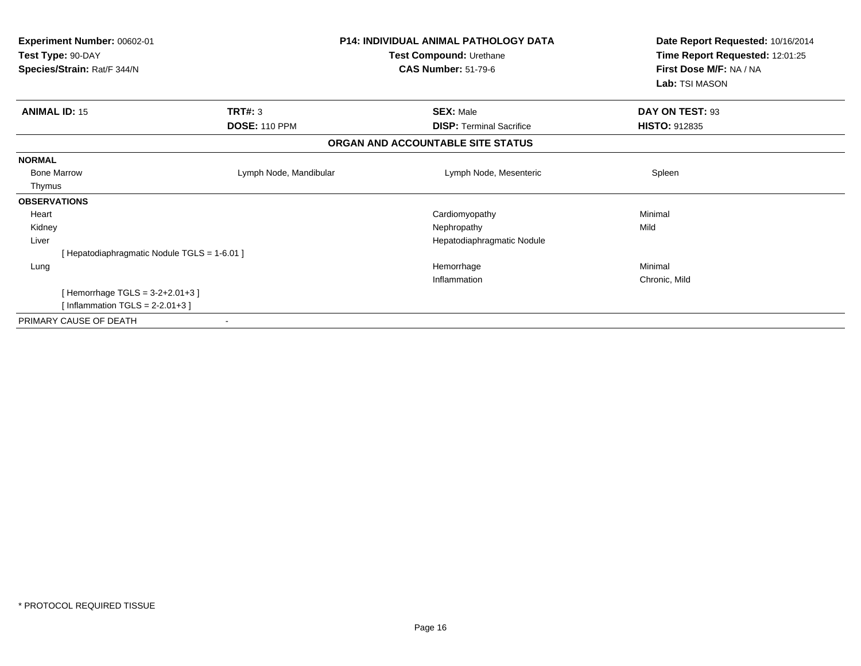| <b>Experiment Number: 00602-01</b><br>Test Type: 90-DAY<br>Species/Strain: Rat/F 344/N |                          | <b>P14: INDIVIDUAL ANIMAL PATHOLOGY DATA</b><br>Test Compound: Urethane<br><b>CAS Number: 51-79-6</b> | Date Report Requested: 10/16/2014<br>Time Report Requested: 12:01:25<br>First Dose M/F: NA / NA |
|----------------------------------------------------------------------------------------|--------------------------|-------------------------------------------------------------------------------------------------------|-------------------------------------------------------------------------------------------------|
|                                                                                        |                          |                                                                                                       | Lab: TSI MASON                                                                                  |
| <b>ANIMAL ID: 15</b>                                                                   | TRT#: 3                  | <b>SEX: Male</b>                                                                                      | DAY ON TEST: 93                                                                                 |
|                                                                                        | <b>DOSE: 110 PPM</b>     | <b>DISP: Terminal Sacrifice</b>                                                                       | HISTO: 912835                                                                                   |
|                                                                                        |                          | ORGAN AND ACCOUNTABLE SITE STATUS                                                                     |                                                                                                 |
| <b>NORMAL</b>                                                                          |                          |                                                                                                       |                                                                                                 |
| <b>Bone Marrow</b>                                                                     | Lymph Node, Mandibular   | Lymph Node, Mesenteric                                                                                | Spleen                                                                                          |
| Thymus                                                                                 |                          |                                                                                                       |                                                                                                 |
| <b>OBSERVATIONS</b>                                                                    |                          |                                                                                                       |                                                                                                 |
| Heart                                                                                  |                          | Cardiomyopathy                                                                                        | Minimal                                                                                         |
| Kidney                                                                                 |                          | Nephropathy                                                                                           | Mild                                                                                            |
| Liver                                                                                  |                          | Hepatodiaphragmatic Nodule                                                                            |                                                                                                 |
| [Hepatodiaphragmatic Nodule TGLS = 1-6.01]                                             |                          |                                                                                                       |                                                                                                 |
| Lung                                                                                   |                          | Hemorrhage                                                                                            | Minimal                                                                                         |
|                                                                                        |                          | Inflammation                                                                                          | Chronic, Mild                                                                                   |
| [Hemorrhage TGLS = $3-2+2.01+3$ ]                                                      |                          |                                                                                                       |                                                                                                 |
| [Inflammation TGLS = $2-2.01+3$ ]                                                      |                          |                                                                                                       |                                                                                                 |
| PRIMARY CAUSE OF DEATH                                                                 | $\overline{\phantom{a}}$ |                                                                                                       |                                                                                                 |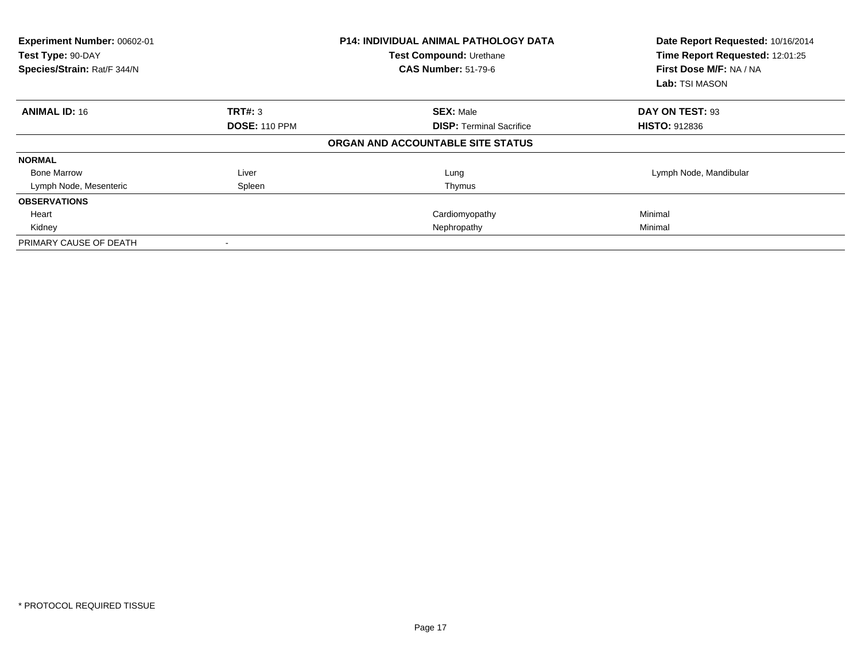| Experiment Number: 00602-01<br>Test Type: 90-DAY<br>Species/Strain: Rat/F 344/N |                      | <b>P14: INDIVIDUAL ANIMAL PATHOLOGY DATA</b><br>Test Compound: Urethane<br><b>CAS Number: 51-79-6</b> | Date Report Requested: 10/16/2014<br>Time Report Requested: 12:01:25<br>First Dose M/F: NA / NA<br>Lab: TSI MASON |
|---------------------------------------------------------------------------------|----------------------|-------------------------------------------------------------------------------------------------------|-------------------------------------------------------------------------------------------------------------------|
| <b>ANIMAL ID: 16</b>                                                            | <b>TRT#: 3</b>       | <b>SEX: Male</b>                                                                                      | DAY ON TEST: 93                                                                                                   |
|                                                                                 | <b>DOSE: 110 PPM</b> | <b>DISP: Terminal Sacrifice</b>                                                                       | <b>HISTO: 912836</b>                                                                                              |
|                                                                                 |                      | ORGAN AND ACCOUNTABLE SITE STATUS                                                                     |                                                                                                                   |
| <b>NORMAL</b>                                                                   |                      |                                                                                                       |                                                                                                                   |
| <b>Bone Marrow</b>                                                              | Liver                | Lung                                                                                                  | Lymph Node, Mandibular                                                                                            |
| Lymph Node, Mesenteric                                                          | Spleen               | Thymus                                                                                                |                                                                                                                   |
| <b>OBSERVATIONS</b>                                                             |                      |                                                                                                       |                                                                                                                   |
| Heart                                                                           |                      | Cardiomyopathy                                                                                        | Minimal                                                                                                           |
| Kidney                                                                          |                      | Nephropathy                                                                                           | Minimal                                                                                                           |
| PRIMARY CAUSE OF DEATH                                                          |                      |                                                                                                       |                                                                                                                   |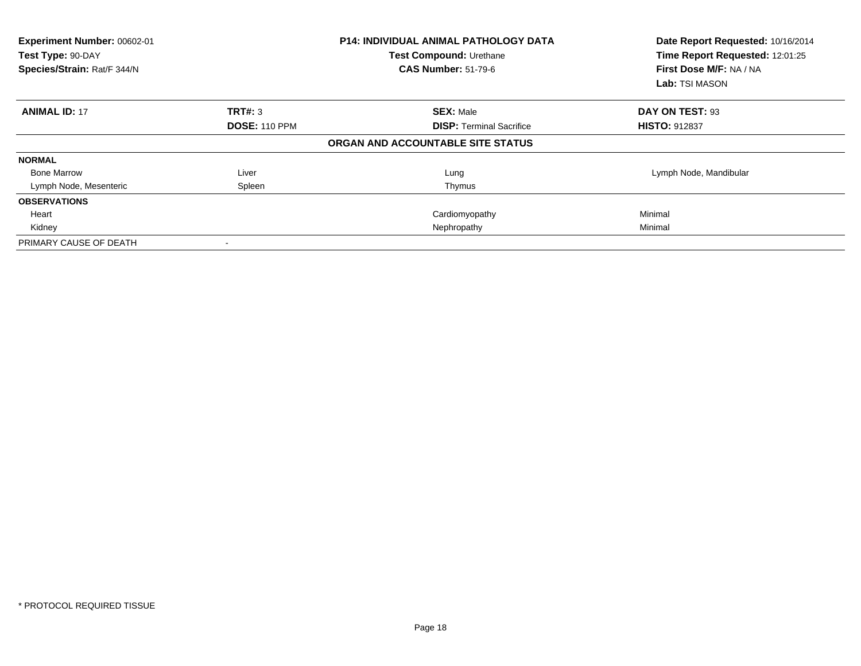| Experiment Number: 00602-01<br>Test Type: 90-DAY<br>Species/Strain: Rat/F 344/N |                      | <b>P14: INDIVIDUAL ANIMAL PATHOLOGY DATA</b><br>Test Compound: Urethane<br><b>CAS Number: 51-79-6</b> | Date Report Requested: 10/16/2014<br>Time Report Requested: 12:01:25<br>First Dose M/F: NA / NA<br>Lab: TSI MASON |
|---------------------------------------------------------------------------------|----------------------|-------------------------------------------------------------------------------------------------------|-------------------------------------------------------------------------------------------------------------------|
| <b>ANIMAL ID: 17</b>                                                            | <b>TRT#: 3</b>       | <b>SEX: Male</b>                                                                                      | DAY ON TEST: 93                                                                                                   |
|                                                                                 | <b>DOSE: 110 PPM</b> | <b>DISP: Terminal Sacrifice</b>                                                                       | <b>HISTO: 912837</b>                                                                                              |
|                                                                                 |                      | ORGAN AND ACCOUNTABLE SITE STATUS                                                                     |                                                                                                                   |
| <b>NORMAL</b>                                                                   |                      |                                                                                                       |                                                                                                                   |
| <b>Bone Marrow</b>                                                              | Liver                | Lung                                                                                                  | Lymph Node, Mandibular                                                                                            |
| Lymph Node, Mesenteric                                                          | Spleen               | Thymus                                                                                                |                                                                                                                   |
| <b>OBSERVATIONS</b>                                                             |                      |                                                                                                       |                                                                                                                   |
| Heart                                                                           |                      | Cardiomyopathy                                                                                        | Minimal                                                                                                           |
| Kidney                                                                          |                      | Nephropathy                                                                                           | Minimal                                                                                                           |
| PRIMARY CAUSE OF DEATH                                                          |                      |                                                                                                       |                                                                                                                   |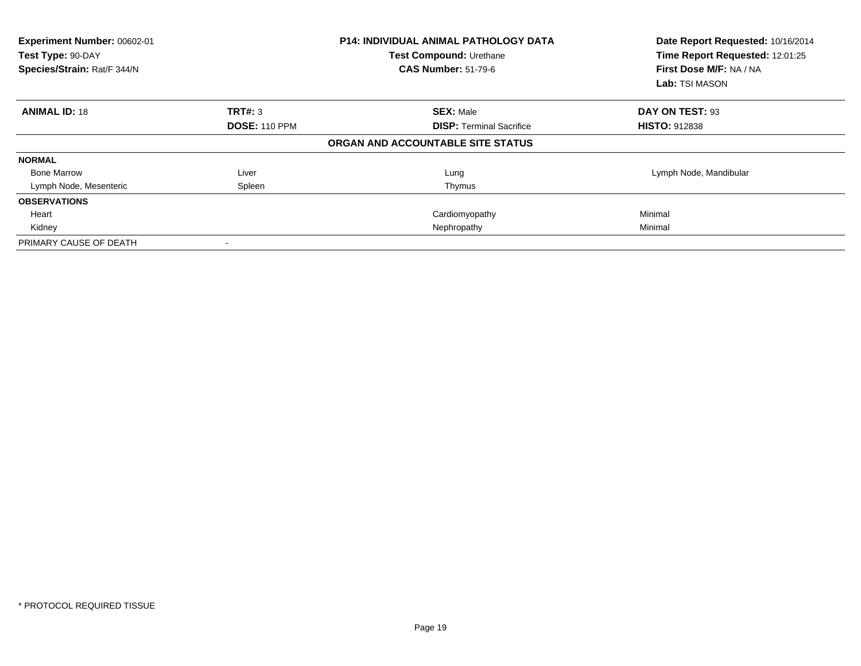| Experiment Number: 00602-01<br>Test Type: 90-DAY<br>Species/Strain: Rat/F 344/N |                      | <b>P14: INDIVIDUAL ANIMAL PATHOLOGY DATA</b><br>Test Compound: Urethane<br><b>CAS Number: 51-79-6</b> | Date Report Requested: 10/16/2014<br>Time Report Requested: 12:01:25<br>First Dose M/F: NA / NA<br>Lab: TSI MASON |
|---------------------------------------------------------------------------------|----------------------|-------------------------------------------------------------------------------------------------------|-------------------------------------------------------------------------------------------------------------------|
| <b>ANIMAL ID: 18</b>                                                            | <b>TRT#: 3</b>       | <b>SEX: Male</b>                                                                                      | DAY ON TEST: 93                                                                                                   |
|                                                                                 | <b>DOSE: 110 PPM</b> | <b>DISP: Terminal Sacrifice</b>                                                                       | <b>HISTO: 912838</b>                                                                                              |
|                                                                                 |                      | ORGAN AND ACCOUNTABLE SITE STATUS                                                                     |                                                                                                                   |
| <b>NORMAL</b>                                                                   |                      |                                                                                                       |                                                                                                                   |
| <b>Bone Marrow</b>                                                              | Liver                | Lung                                                                                                  | Lymph Node, Mandibular                                                                                            |
| Lymph Node, Mesenteric                                                          | Spleen               | Thymus                                                                                                |                                                                                                                   |
| <b>OBSERVATIONS</b>                                                             |                      |                                                                                                       |                                                                                                                   |
| Heart                                                                           |                      | Cardiomyopathy                                                                                        | Minimal                                                                                                           |
| Kidney                                                                          |                      | Nephropathy                                                                                           | Minimal                                                                                                           |
| PRIMARY CAUSE OF DEATH                                                          |                      |                                                                                                       |                                                                                                                   |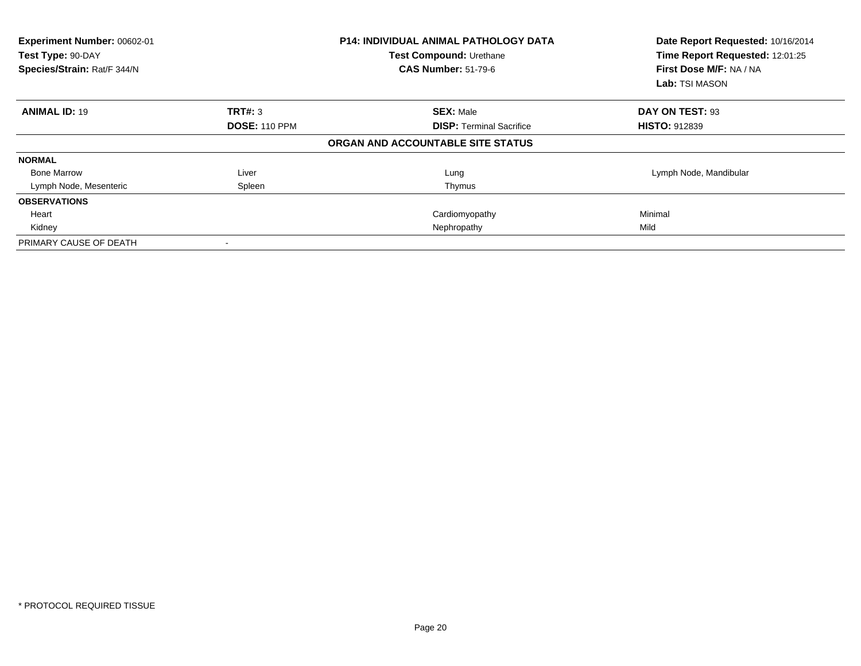| Experiment Number: 00602-01<br>Test Type: 90-DAY<br>Species/Strain: Rat/F 344/N |                      | <b>P14: INDIVIDUAL ANIMAL PATHOLOGY DATA</b><br>Test Compound: Urethane<br><b>CAS Number: 51-79-6</b> | Date Report Requested: 10/16/2014<br>Time Report Requested: 12:01:25<br>First Dose M/F: NA / NA<br>Lab: TSI MASON |
|---------------------------------------------------------------------------------|----------------------|-------------------------------------------------------------------------------------------------------|-------------------------------------------------------------------------------------------------------------------|
| <b>ANIMAL ID: 19</b>                                                            | <b>TRT#: 3</b>       | <b>SEX: Male</b>                                                                                      | DAY ON TEST: 93                                                                                                   |
|                                                                                 | <b>DOSE: 110 PPM</b> | <b>DISP: Terminal Sacrifice</b>                                                                       | <b>HISTO: 912839</b>                                                                                              |
|                                                                                 |                      | ORGAN AND ACCOUNTABLE SITE STATUS                                                                     |                                                                                                                   |
| <b>NORMAL</b>                                                                   |                      |                                                                                                       |                                                                                                                   |
| <b>Bone Marrow</b>                                                              | Liver                | Lung                                                                                                  | Lymph Node, Mandibular                                                                                            |
| Lymph Node, Mesenteric                                                          | Spleen               | Thymus                                                                                                |                                                                                                                   |
| <b>OBSERVATIONS</b>                                                             |                      |                                                                                                       |                                                                                                                   |
| Heart                                                                           |                      | Cardiomyopathy                                                                                        | Minimal                                                                                                           |
| Kidney                                                                          |                      | Nephropathy                                                                                           | Mild                                                                                                              |
| PRIMARY CAUSE OF DEATH                                                          |                      |                                                                                                       |                                                                                                                   |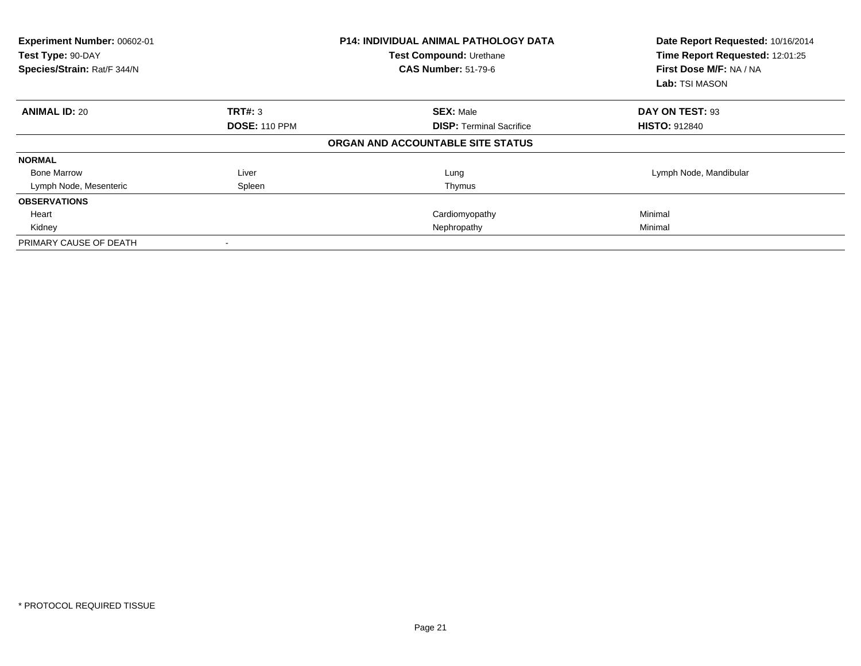| Experiment Number: 00602-01<br>Test Type: 90-DAY<br>Species/Strain: Rat/F 344/N |                      | <b>P14: INDIVIDUAL ANIMAL PATHOLOGY DATA</b><br>Test Compound: Urethane<br><b>CAS Number: 51-79-6</b> | Date Report Requested: 10/16/2014<br>Time Report Requested: 12:01:25<br>First Dose M/F: NA / NA<br>Lab: TSI MASON |
|---------------------------------------------------------------------------------|----------------------|-------------------------------------------------------------------------------------------------------|-------------------------------------------------------------------------------------------------------------------|
| <b>ANIMAL ID: 20</b>                                                            | <b>TRT#: 3</b>       | <b>SEX: Male</b>                                                                                      | DAY ON TEST: 93                                                                                                   |
|                                                                                 | <b>DOSE: 110 PPM</b> | <b>DISP: Terminal Sacrifice</b>                                                                       | <b>HISTO: 912840</b>                                                                                              |
|                                                                                 |                      | ORGAN AND ACCOUNTABLE SITE STATUS                                                                     |                                                                                                                   |
| <b>NORMAL</b>                                                                   |                      |                                                                                                       |                                                                                                                   |
| <b>Bone Marrow</b>                                                              | Liver                | Lung                                                                                                  | Lymph Node, Mandibular                                                                                            |
| Lymph Node, Mesenteric                                                          | Spleen               | Thymus                                                                                                |                                                                                                                   |
| <b>OBSERVATIONS</b>                                                             |                      |                                                                                                       |                                                                                                                   |
| Heart                                                                           |                      | Cardiomyopathy                                                                                        | Minimal                                                                                                           |
| Kidney                                                                          |                      | Nephropathy                                                                                           | Minimal                                                                                                           |
| PRIMARY CAUSE OF DEATH                                                          |                      |                                                                                                       |                                                                                                                   |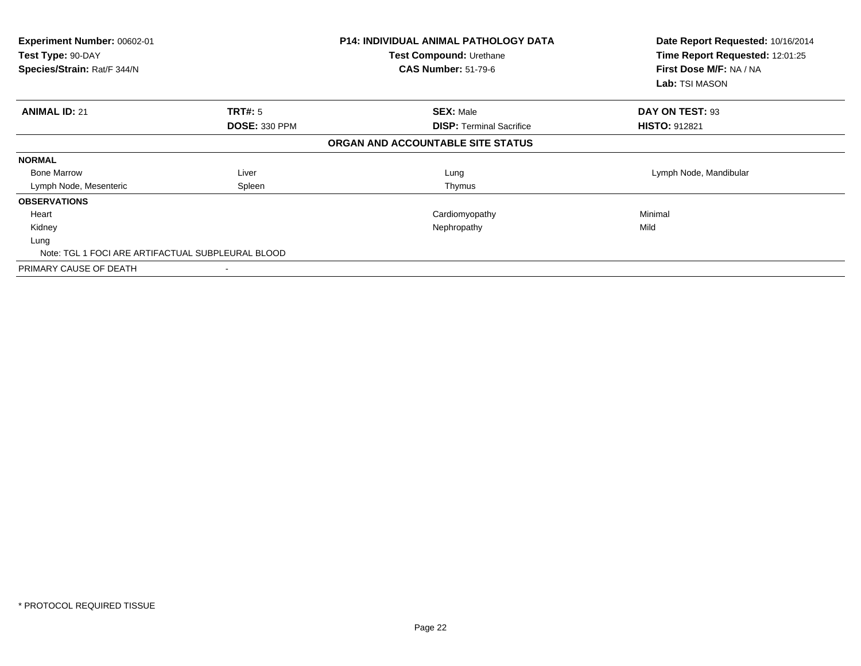| Experiment Number: 00602-01<br>Test Type: 90-DAY<br>Species/Strain: Rat/F 344/N |                      | <b>P14: INDIVIDUAL ANIMAL PATHOLOGY DATA</b><br>Test Compound: Urethane<br><b>CAS Number: 51-79-6</b> | Date Report Requested: 10/16/2014<br>Time Report Requested: 12:01:25<br>First Dose M/F: NA / NA<br>Lab: TSI MASON |
|---------------------------------------------------------------------------------|----------------------|-------------------------------------------------------------------------------------------------------|-------------------------------------------------------------------------------------------------------------------|
| <b>ANIMAL ID: 21</b>                                                            | TRT#: 5              | <b>SEX: Male</b>                                                                                      | DAY ON TEST: 93                                                                                                   |
|                                                                                 | <b>DOSE: 330 PPM</b> | <b>DISP:</b> Terminal Sacrifice                                                                       | <b>HISTO: 912821</b>                                                                                              |
|                                                                                 |                      | ORGAN AND ACCOUNTABLE SITE STATUS                                                                     |                                                                                                                   |
| <b>NORMAL</b>                                                                   |                      |                                                                                                       |                                                                                                                   |
| <b>Bone Marrow</b>                                                              | Liver                | Lung                                                                                                  | Lymph Node, Mandibular                                                                                            |
| Lymph Node, Mesenteric                                                          | Spleen               | Thymus                                                                                                |                                                                                                                   |
| <b>OBSERVATIONS</b>                                                             |                      |                                                                                                       |                                                                                                                   |
| Heart                                                                           |                      | Cardiomyopathy                                                                                        | Minimal                                                                                                           |
| Kidney                                                                          |                      | Nephropathy                                                                                           | Mild                                                                                                              |
| Lung                                                                            |                      |                                                                                                       |                                                                                                                   |
| Note: TGL 1 FOCI ARE ARTIFACTUAL SUBPLEURAL BLOOD                               |                      |                                                                                                       |                                                                                                                   |
| PRIMARY CAUSE OF DEATH                                                          |                      |                                                                                                       |                                                                                                                   |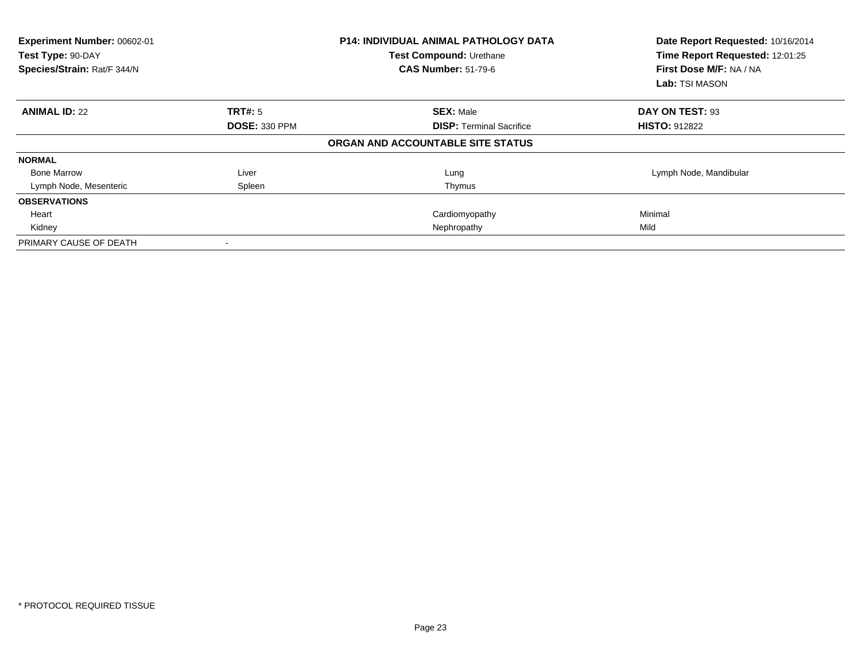| Experiment Number: 00602-01<br>Test Type: 90-DAY<br>Species/Strain: Rat/F 344/N |                      | <b>P14: INDIVIDUAL ANIMAL PATHOLOGY DATA</b><br>Test Compound: Urethane<br><b>CAS Number: 51-79-6</b> | Date Report Requested: 10/16/2014<br>Time Report Requested: 12:01:25<br>First Dose M/F: NA / NA<br>Lab: TSI MASON |
|---------------------------------------------------------------------------------|----------------------|-------------------------------------------------------------------------------------------------------|-------------------------------------------------------------------------------------------------------------------|
| <b>ANIMAL ID: 22</b>                                                            | TRT#: 5              | <b>SEX: Male</b>                                                                                      | DAY ON TEST: 93                                                                                                   |
|                                                                                 | <b>DOSE: 330 PPM</b> | <b>DISP:</b> Terminal Sacrifice                                                                       | <b>HISTO: 912822</b>                                                                                              |
|                                                                                 |                      | ORGAN AND ACCOUNTABLE SITE STATUS                                                                     |                                                                                                                   |
| <b>NORMAL</b>                                                                   |                      |                                                                                                       |                                                                                                                   |
| <b>Bone Marrow</b>                                                              | Liver                | Lung                                                                                                  | Lymph Node, Mandibular                                                                                            |
| Lymph Node, Mesenteric                                                          | Spleen               | Thymus                                                                                                |                                                                                                                   |
| <b>OBSERVATIONS</b>                                                             |                      |                                                                                                       |                                                                                                                   |
| Heart                                                                           |                      | Cardiomyopathy                                                                                        | Minimal                                                                                                           |
| Kidney                                                                          |                      | Nephropathy                                                                                           | Mild                                                                                                              |
| PRIMARY CAUSE OF DEATH                                                          |                      |                                                                                                       |                                                                                                                   |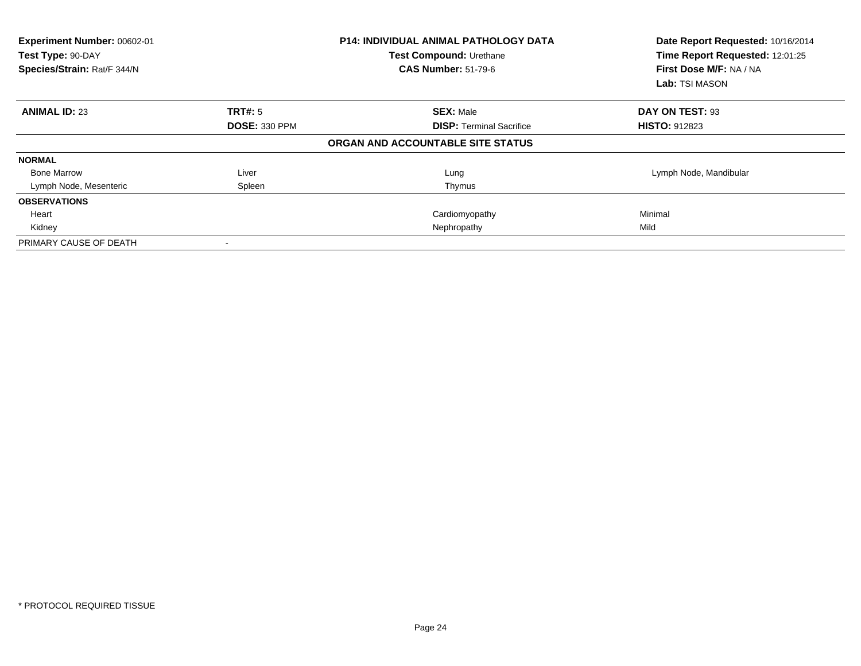| Experiment Number: 00602-01<br>Test Type: 90-DAY<br>Species/Strain: Rat/F 344/N |                      | <b>P14: INDIVIDUAL ANIMAL PATHOLOGY DATA</b><br>Test Compound: Urethane<br><b>CAS Number: 51-79-6</b> | Date Report Requested: 10/16/2014<br>Time Report Requested: 12:01:25<br>First Dose M/F: NA / NA<br>Lab: TSI MASON |
|---------------------------------------------------------------------------------|----------------------|-------------------------------------------------------------------------------------------------------|-------------------------------------------------------------------------------------------------------------------|
| <b>ANIMAL ID: 23</b>                                                            | <b>TRT#: 5</b>       | <b>SEX: Male</b>                                                                                      | DAY ON TEST: 93                                                                                                   |
|                                                                                 | <b>DOSE: 330 PPM</b> | <b>DISP: Terminal Sacrifice</b>                                                                       | <b>HISTO: 912823</b>                                                                                              |
|                                                                                 |                      | ORGAN AND ACCOUNTABLE SITE STATUS                                                                     |                                                                                                                   |
| <b>NORMAL</b>                                                                   |                      |                                                                                                       |                                                                                                                   |
| <b>Bone Marrow</b>                                                              | Liver                | Lung                                                                                                  | Lymph Node, Mandibular                                                                                            |
| Lymph Node, Mesenteric                                                          | Spleen               | Thymus                                                                                                |                                                                                                                   |
| <b>OBSERVATIONS</b>                                                             |                      |                                                                                                       |                                                                                                                   |
| Heart                                                                           |                      | Cardiomyopathy                                                                                        | Minimal                                                                                                           |
| Kidney                                                                          |                      | Nephropathy                                                                                           | Mild                                                                                                              |
| PRIMARY CAUSE OF DEATH                                                          |                      |                                                                                                       |                                                                                                                   |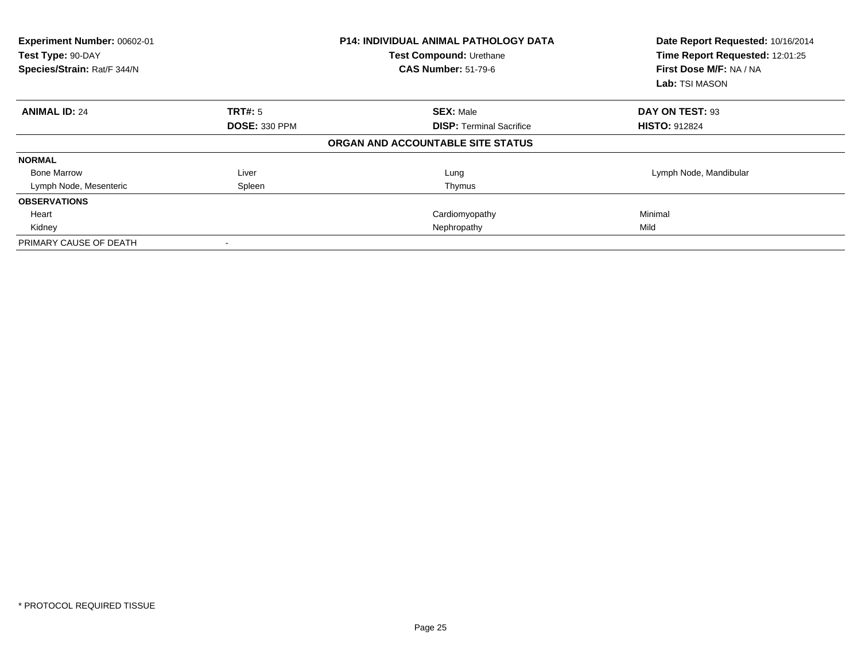| Experiment Number: 00602-01<br>Test Type: 90-DAY<br>Species/Strain: Rat/F 344/N |                      | <b>P14: INDIVIDUAL ANIMAL PATHOLOGY DATA</b><br>Test Compound: Urethane<br><b>CAS Number: 51-79-6</b> | Date Report Requested: 10/16/2014<br>Time Report Requested: 12:01:25<br>First Dose M/F: NA / NA<br>Lab: TSI MASON |
|---------------------------------------------------------------------------------|----------------------|-------------------------------------------------------------------------------------------------------|-------------------------------------------------------------------------------------------------------------------|
| <b>ANIMAL ID: 24</b>                                                            | TRT#: 5              | <b>SEX: Male</b>                                                                                      | DAY ON TEST: 93                                                                                                   |
|                                                                                 | <b>DOSE: 330 PPM</b> | <b>DISP:</b> Terminal Sacrifice                                                                       | <b>HISTO: 912824</b>                                                                                              |
|                                                                                 |                      | ORGAN AND ACCOUNTABLE SITE STATUS                                                                     |                                                                                                                   |
| <b>NORMAL</b>                                                                   |                      |                                                                                                       |                                                                                                                   |
| <b>Bone Marrow</b>                                                              | Liver                | Lung                                                                                                  | Lymph Node, Mandibular                                                                                            |
| Lymph Node, Mesenteric                                                          | Spleen               | Thymus                                                                                                |                                                                                                                   |
| <b>OBSERVATIONS</b>                                                             |                      |                                                                                                       |                                                                                                                   |
| Heart                                                                           |                      | Cardiomyopathy                                                                                        | Minimal                                                                                                           |
| Kidney                                                                          |                      | Nephropathy                                                                                           | Mild                                                                                                              |
| PRIMARY CAUSE OF DEATH                                                          |                      |                                                                                                       |                                                                                                                   |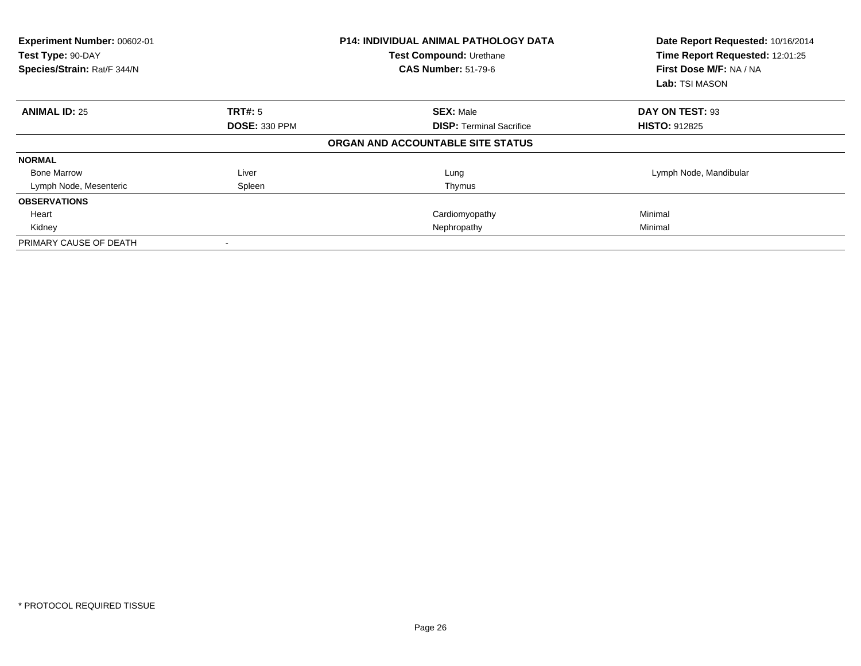| Experiment Number: 00602-01<br>Test Type: 90-DAY<br>Species/Strain: Rat/F 344/N |                      | <b>P14: INDIVIDUAL ANIMAL PATHOLOGY DATA</b><br>Test Compound: Urethane<br><b>CAS Number: 51-79-6</b> | Date Report Requested: 10/16/2014<br>Time Report Requested: 12:01:25<br>First Dose M/F: NA / NA<br>Lab: TSI MASON |
|---------------------------------------------------------------------------------|----------------------|-------------------------------------------------------------------------------------------------------|-------------------------------------------------------------------------------------------------------------------|
| <b>ANIMAL ID: 25</b>                                                            | <b>TRT#: 5</b>       | <b>SEX: Male</b>                                                                                      | DAY ON TEST: 93                                                                                                   |
|                                                                                 | <b>DOSE: 330 PPM</b> | <b>DISP: Terminal Sacrifice</b>                                                                       | <b>HISTO: 912825</b>                                                                                              |
|                                                                                 |                      | ORGAN AND ACCOUNTABLE SITE STATUS                                                                     |                                                                                                                   |
| <b>NORMAL</b>                                                                   |                      |                                                                                                       |                                                                                                                   |
| <b>Bone Marrow</b>                                                              | Liver                | Lung                                                                                                  | Lymph Node, Mandibular                                                                                            |
| Lymph Node, Mesenteric                                                          | Spleen               | Thymus                                                                                                |                                                                                                                   |
| <b>OBSERVATIONS</b>                                                             |                      |                                                                                                       |                                                                                                                   |
| Heart                                                                           |                      | Cardiomyopathy                                                                                        | Minimal                                                                                                           |
| Kidney                                                                          |                      | Nephropathy                                                                                           | Minimal                                                                                                           |
| PRIMARY CAUSE OF DEATH                                                          |                      |                                                                                                       |                                                                                                                   |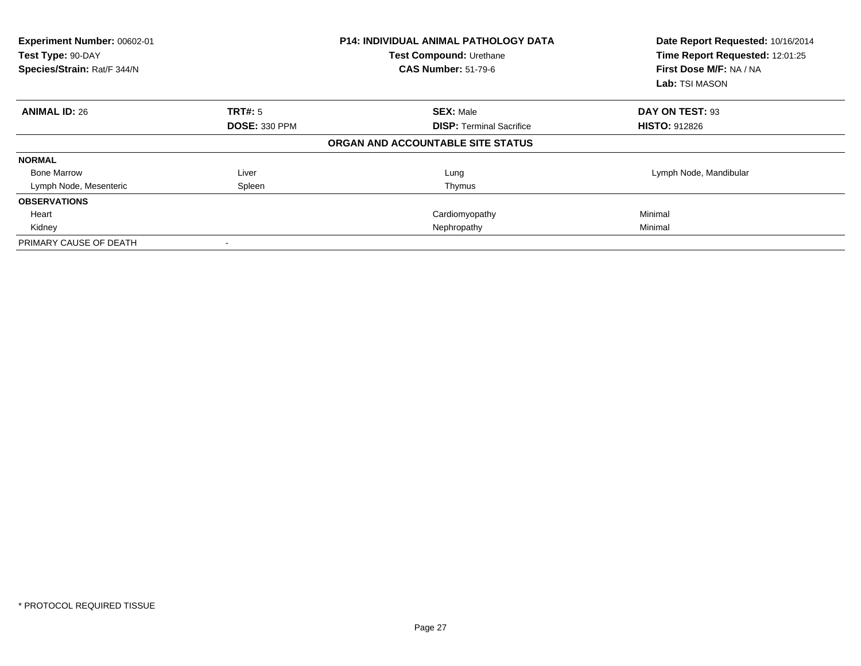| Experiment Number: 00602-01<br>Test Type: 90-DAY<br>Species/Strain: Rat/F 344/N |                      | <b>P14: INDIVIDUAL ANIMAL PATHOLOGY DATA</b><br>Test Compound: Urethane<br><b>CAS Number: 51-79-6</b> | Date Report Requested: 10/16/2014<br>Time Report Requested: 12:01:25<br>First Dose M/F: NA / NA<br>Lab: TSI MASON |
|---------------------------------------------------------------------------------|----------------------|-------------------------------------------------------------------------------------------------------|-------------------------------------------------------------------------------------------------------------------|
| <b>ANIMAL ID: 26</b>                                                            | <b>TRT#: 5</b>       | <b>SEX: Male</b>                                                                                      | DAY ON TEST: 93                                                                                                   |
|                                                                                 | <b>DOSE: 330 PPM</b> | <b>DISP: Terminal Sacrifice</b>                                                                       | <b>HISTO: 912826</b>                                                                                              |
|                                                                                 |                      | ORGAN AND ACCOUNTABLE SITE STATUS                                                                     |                                                                                                                   |
| <b>NORMAL</b>                                                                   |                      |                                                                                                       |                                                                                                                   |
| <b>Bone Marrow</b>                                                              | Liver                | Lung                                                                                                  | Lymph Node, Mandibular                                                                                            |
| Lymph Node, Mesenteric                                                          | Spleen               | Thymus                                                                                                |                                                                                                                   |
| <b>OBSERVATIONS</b>                                                             |                      |                                                                                                       |                                                                                                                   |
| Heart                                                                           |                      | Cardiomyopathy                                                                                        | Minimal                                                                                                           |
| Kidney                                                                          |                      | Nephropathy                                                                                           | Minimal                                                                                                           |
| PRIMARY CAUSE OF DEATH                                                          |                      |                                                                                                       |                                                                                                                   |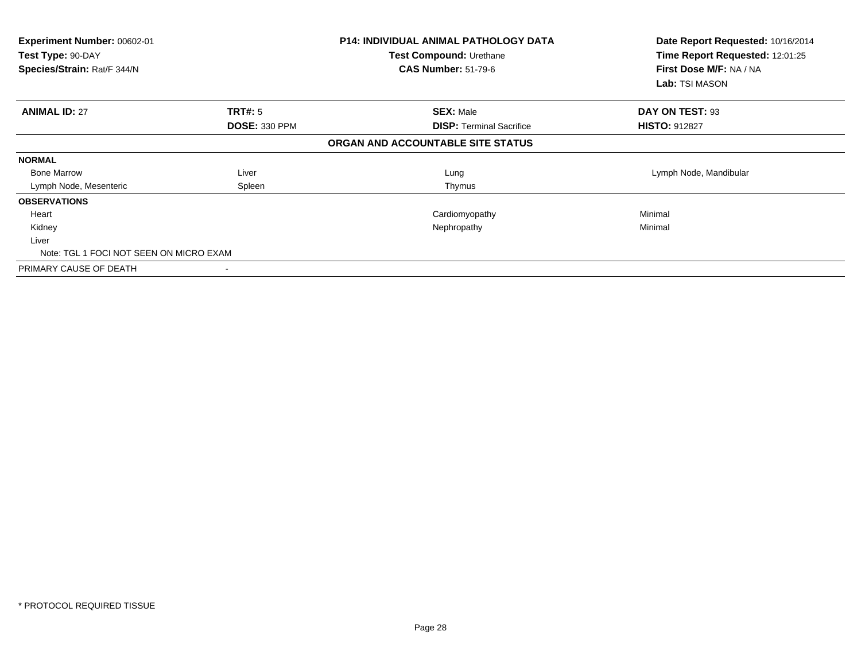| Experiment Number: 00602-01<br>Test Type: 90-DAY<br>Species/Strain: Rat/F 344/N |                      | <b>P14: INDIVIDUAL ANIMAL PATHOLOGY DATA</b><br>Test Compound: Urethane<br><b>CAS Number: 51-79-6</b> | Date Report Requested: 10/16/2014<br>Time Report Requested: 12:01:25<br>First Dose M/F: NA / NA<br>Lab: TSI MASON |
|---------------------------------------------------------------------------------|----------------------|-------------------------------------------------------------------------------------------------------|-------------------------------------------------------------------------------------------------------------------|
| <b>ANIMAL ID: 27</b>                                                            | TRT#: 5              | <b>SEX: Male</b>                                                                                      | DAY ON TEST: 93                                                                                                   |
|                                                                                 | <b>DOSE: 330 PPM</b> | <b>DISP:</b> Terminal Sacrifice                                                                       | <b>HISTO: 912827</b>                                                                                              |
|                                                                                 |                      | ORGAN AND ACCOUNTABLE SITE STATUS                                                                     |                                                                                                                   |
| <b>NORMAL</b>                                                                   |                      |                                                                                                       |                                                                                                                   |
| <b>Bone Marrow</b>                                                              | Liver                | Lung                                                                                                  | Lymph Node, Mandibular                                                                                            |
| Lymph Node, Mesenteric                                                          | Spleen               | Thymus                                                                                                |                                                                                                                   |
| <b>OBSERVATIONS</b>                                                             |                      |                                                                                                       |                                                                                                                   |
| Heart                                                                           |                      | Cardiomyopathy                                                                                        | Minimal                                                                                                           |
| Kidney                                                                          |                      | Nephropathy                                                                                           | Minimal                                                                                                           |
| Liver                                                                           |                      |                                                                                                       |                                                                                                                   |
| Note: TGL 1 FOCI NOT SEEN ON MICRO EXAM                                         |                      |                                                                                                       |                                                                                                                   |
| PRIMARY CAUSE OF DEATH                                                          |                      |                                                                                                       |                                                                                                                   |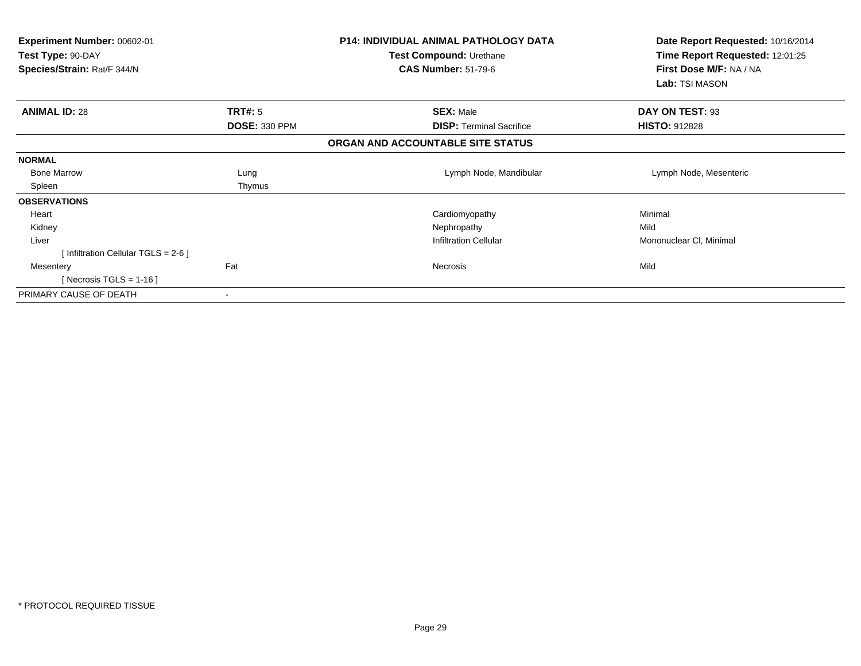| <b>Experiment Number: 00602-01</b><br>Test Type: 90-DAY<br>Species/Strain: Rat/F 344/N |                      | <b>P14: INDIVIDUAL ANIMAL PATHOLOGY DATA</b><br>Test Compound: Urethane<br><b>CAS Number: 51-79-6</b> | Date Report Requested: 10/16/2014<br>Time Report Requested: 12:01:25<br>First Dose M/F: NA / NA<br>Lab: TSI MASON |
|----------------------------------------------------------------------------------------|----------------------|-------------------------------------------------------------------------------------------------------|-------------------------------------------------------------------------------------------------------------------|
| <b>ANIMAL ID: 28</b>                                                                   | TRT#: 5              | <b>SEX: Male</b>                                                                                      | DAY ON TEST: 93                                                                                                   |
|                                                                                        | <b>DOSE: 330 PPM</b> | <b>DISP: Terminal Sacrifice</b>                                                                       | <b>HISTO: 912828</b>                                                                                              |
|                                                                                        |                      | ORGAN AND ACCOUNTABLE SITE STATUS                                                                     |                                                                                                                   |
| <b>NORMAL</b>                                                                          |                      |                                                                                                       |                                                                                                                   |
| <b>Bone Marrow</b>                                                                     | Lung                 | Lymph Node, Mandibular                                                                                | Lymph Node, Mesenteric                                                                                            |
| Spleen                                                                                 | Thymus               |                                                                                                       |                                                                                                                   |
| <b>OBSERVATIONS</b>                                                                    |                      |                                                                                                       |                                                                                                                   |
| Heart                                                                                  |                      | Cardiomyopathy                                                                                        | Minimal                                                                                                           |
| Kidney                                                                                 |                      | Nephropathy                                                                                           | Mild                                                                                                              |
| Liver                                                                                  |                      | <b>Infiltration Cellular</b>                                                                          | Mononuclear CI, Minimal                                                                                           |
| [Infiltration Cellular TGLS = $2-6$ ]                                                  |                      |                                                                                                       |                                                                                                                   |
| Mesentery                                                                              | Fat                  | <b>Necrosis</b>                                                                                       | Mild                                                                                                              |
| [Necrosis TGLS = $1-16$ ]                                                              |                      |                                                                                                       |                                                                                                                   |
| PRIMARY CAUSE OF DEATH                                                                 |                      |                                                                                                       |                                                                                                                   |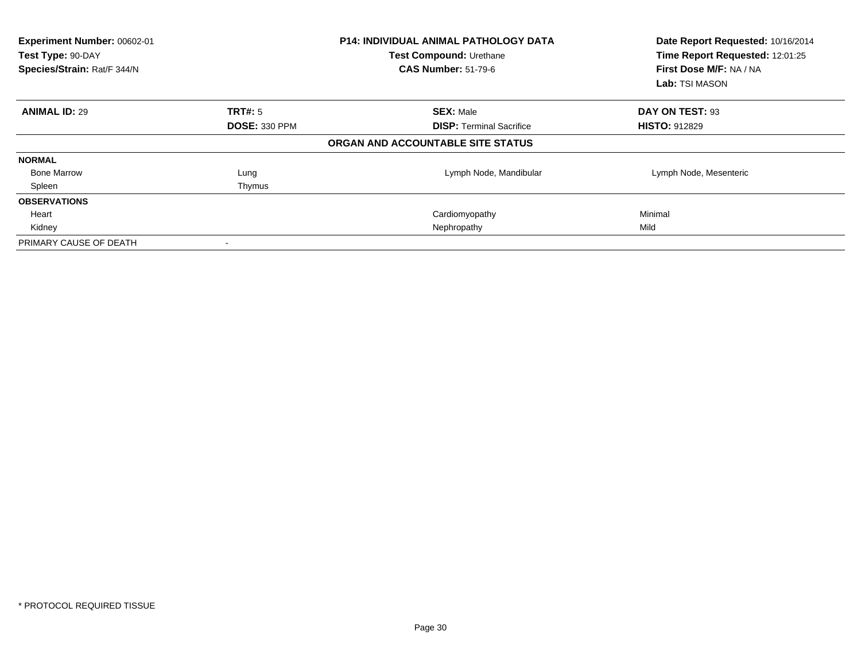| Experiment Number: 00602-01<br>Test Type: 90-DAY<br>Species/Strain: Rat/F 344/N |                      | <b>P14: INDIVIDUAL ANIMAL PATHOLOGY DATA</b><br>Test Compound: Urethane<br><b>CAS Number: 51-79-6</b> | Date Report Requested: 10/16/2014<br>Time Report Requested: 12:01:25<br>First Dose M/F: NA / NA<br>Lab: TSI MASON |
|---------------------------------------------------------------------------------|----------------------|-------------------------------------------------------------------------------------------------------|-------------------------------------------------------------------------------------------------------------------|
| <b>ANIMAL ID: 29</b>                                                            | TRT#: 5              | <b>SEX: Male</b>                                                                                      | DAY ON TEST: 93                                                                                                   |
|                                                                                 | <b>DOSE: 330 PPM</b> | <b>DISP: Terminal Sacrifice</b>                                                                       | <b>HISTO: 912829</b>                                                                                              |
|                                                                                 |                      | ORGAN AND ACCOUNTABLE SITE STATUS                                                                     |                                                                                                                   |
| <b>NORMAL</b>                                                                   |                      |                                                                                                       |                                                                                                                   |
| <b>Bone Marrow</b>                                                              | Lung                 | Lymph Node, Mandibular                                                                                | Lymph Node, Mesenteric                                                                                            |
| Spleen                                                                          | Thymus               |                                                                                                       |                                                                                                                   |
| <b>OBSERVATIONS</b>                                                             |                      |                                                                                                       |                                                                                                                   |
| Heart                                                                           |                      | Cardiomyopathy                                                                                        | Minimal                                                                                                           |
| Kidney                                                                          |                      | Nephropathy                                                                                           | Mild                                                                                                              |
| PRIMARY CAUSE OF DEATH                                                          | $\blacksquare$       |                                                                                                       |                                                                                                                   |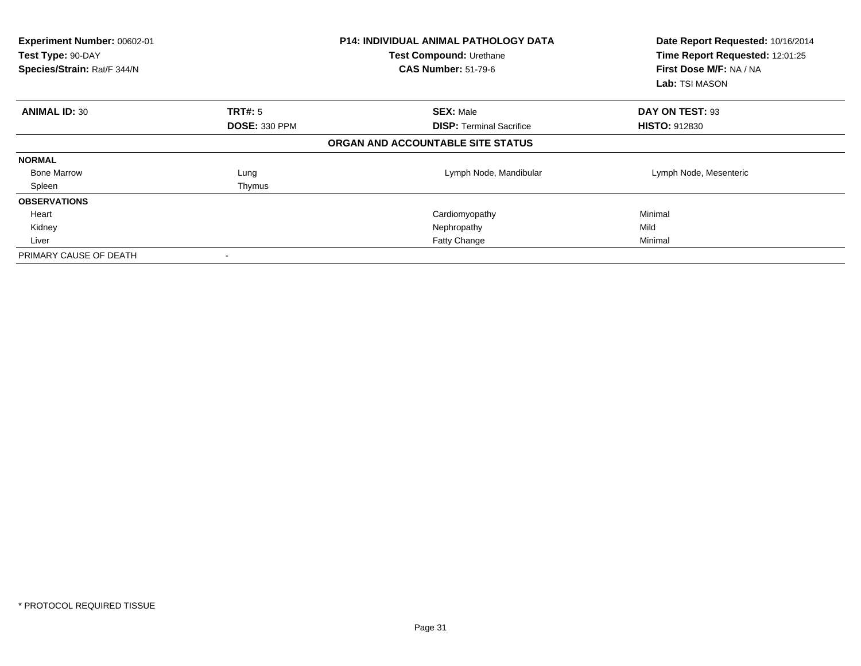| Experiment Number: 00602-01<br>Test Type: 90-DAY<br>Species/Strain: Rat/F 344/N |                      | <b>P14: INDIVIDUAL ANIMAL PATHOLOGY DATA</b><br>Test Compound: Urethane<br><b>CAS Number: 51-79-6</b> | Date Report Requested: 10/16/2014<br>Time Report Requested: 12:01:25<br>First Dose M/F: NA / NA<br>Lab: TSI MASON |
|---------------------------------------------------------------------------------|----------------------|-------------------------------------------------------------------------------------------------------|-------------------------------------------------------------------------------------------------------------------|
| <b>ANIMAL ID: 30</b>                                                            | <b>TRT#: 5</b>       | <b>SEX: Male</b>                                                                                      | DAY ON TEST: 93                                                                                                   |
|                                                                                 | <b>DOSE: 330 PPM</b> | <b>DISP: Terminal Sacrifice</b>                                                                       | <b>HISTO: 912830</b>                                                                                              |
|                                                                                 |                      | ORGAN AND ACCOUNTABLE SITE STATUS                                                                     |                                                                                                                   |
| <b>NORMAL</b>                                                                   |                      |                                                                                                       |                                                                                                                   |
| <b>Bone Marrow</b>                                                              | Lung                 | Lymph Node, Mandibular                                                                                | Lymph Node, Mesenteric                                                                                            |
| Spleen                                                                          | Thymus               |                                                                                                       |                                                                                                                   |
| <b>OBSERVATIONS</b>                                                             |                      |                                                                                                       |                                                                                                                   |
| Heart                                                                           |                      | Cardiomyopathy                                                                                        | Minimal                                                                                                           |
| Kidney                                                                          |                      | Nephropathy                                                                                           | Mild                                                                                                              |
| Liver                                                                           |                      | Fatty Change                                                                                          | Minimal                                                                                                           |
| PRIMARY CAUSE OF DEATH                                                          |                      |                                                                                                       |                                                                                                                   |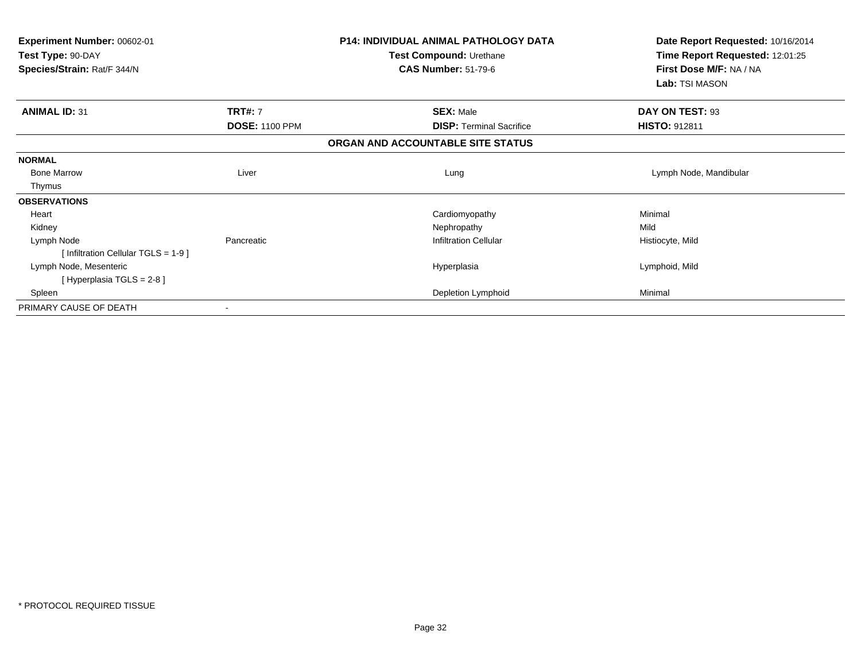| Experiment Number: 00602-01<br>Test Type: 90-DAY<br>Species/Strain: Rat/F 344/N |                       | <b>P14: INDIVIDUAL ANIMAL PATHOLOGY DATA</b><br>Test Compound: Urethane<br><b>CAS Number: 51-79-6</b> | Date Report Requested: 10/16/2014<br>Time Report Requested: 12:01:25<br>First Dose M/F: NA / NA<br>Lab: TSI MASON |
|---------------------------------------------------------------------------------|-----------------------|-------------------------------------------------------------------------------------------------------|-------------------------------------------------------------------------------------------------------------------|
| <b>ANIMAL ID: 31</b>                                                            | <b>TRT#: 7</b>        | <b>SEX: Male</b>                                                                                      | DAY ON TEST: 93                                                                                                   |
|                                                                                 | <b>DOSE: 1100 PPM</b> | <b>DISP: Terminal Sacrifice</b>                                                                       | <b>HISTO: 912811</b>                                                                                              |
|                                                                                 |                       | ORGAN AND ACCOUNTABLE SITE STATUS                                                                     |                                                                                                                   |
| <b>NORMAL</b>                                                                   |                       |                                                                                                       |                                                                                                                   |
| <b>Bone Marrow</b>                                                              | Liver                 | Lung                                                                                                  | Lymph Node, Mandibular                                                                                            |
| Thymus                                                                          |                       |                                                                                                       |                                                                                                                   |
| <b>OBSERVATIONS</b>                                                             |                       |                                                                                                       |                                                                                                                   |
| Heart                                                                           |                       | Cardiomyopathy                                                                                        | Minimal                                                                                                           |
| Kidney                                                                          |                       | Nephropathy                                                                                           | Mild                                                                                                              |
| Lymph Node                                                                      | Pancreatic            | <b>Infiltration Cellular</b>                                                                          | Histiocyte, Mild                                                                                                  |
| [Infiltration Cellular TGLS = 1-9]                                              |                       |                                                                                                       |                                                                                                                   |
| Lymph Node, Mesenteric                                                          |                       | Hyperplasia                                                                                           | Lymphoid, Mild                                                                                                    |
| [Hyperplasia TGLS = $2-8$ ]                                                     |                       |                                                                                                       |                                                                                                                   |
| Spleen                                                                          |                       | Depletion Lymphoid                                                                                    | Minimal                                                                                                           |
| PRIMARY CAUSE OF DEATH                                                          |                       |                                                                                                       |                                                                                                                   |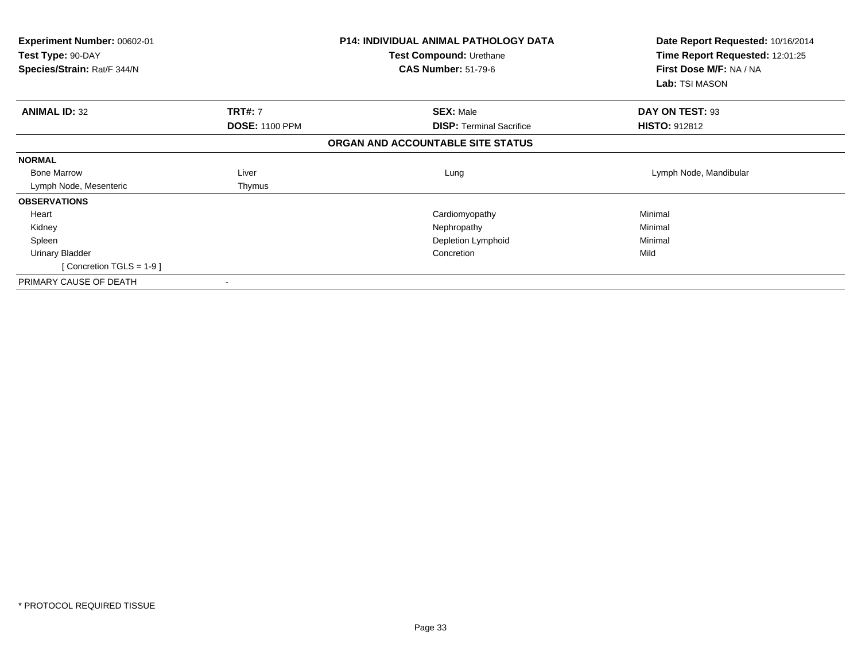| <b>Experiment Number: 00602-01</b><br>Test Type: 90-DAY<br>Species/Strain: Rat/F 344/N |                       | <b>P14: INDIVIDUAL ANIMAL PATHOLOGY DATA</b><br>Test Compound: Urethane<br><b>CAS Number: 51-79-6</b> | Date Report Requested: 10/16/2014<br>Time Report Requested: 12:01:25<br>First Dose M/F: NA / NA<br>Lab: TSI MASON |
|----------------------------------------------------------------------------------------|-----------------------|-------------------------------------------------------------------------------------------------------|-------------------------------------------------------------------------------------------------------------------|
| <b>ANIMAL ID: 32</b>                                                                   | <b>TRT#: 7</b>        | <b>SEX: Male</b>                                                                                      | DAY ON TEST: 93                                                                                                   |
|                                                                                        | <b>DOSE: 1100 PPM</b> | <b>DISP:</b> Terminal Sacrifice                                                                       | <b>HISTO: 912812</b>                                                                                              |
|                                                                                        |                       | ORGAN AND ACCOUNTABLE SITE STATUS                                                                     |                                                                                                                   |
| <b>NORMAL</b>                                                                          |                       |                                                                                                       |                                                                                                                   |
| <b>Bone Marrow</b>                                                                     | Liver                 | Lung                                                                                                  | Lymph Node, Mandibular                                                                                            |
| Lymph Node, Mesenteric                                                                 | Thymus                |                                                                                                       |                                                                                                                   |
| <b>OBSERVATIONS</b>                                                                    |                       |                                                                                                       |                                                                                                                   |
| Heart                                                                                  |                       | Cardiomyopathy                                                                                        | Minimal                                                                                                           |
| Kidney                                                                                 |                       | Nephropathy                                                                                           | Minimal                                                                                                           |
| Spleen                                                                                 |                       | Depletion Lymphoid                                                                                    | Minimal                                                                                                           |
| <b>Urinary Bladder</b>                                                                 |                       | Concretion                                                                                            | Mild                                                                                                              |
| [Concretion TGLS = $1-9$ ]                                                             |                       |                                                                                                       |                                                                                                                   |
| PRIMARY CAUSE OF DEATH                                                                 |                       |                                                                                                       |                                                                                                                   |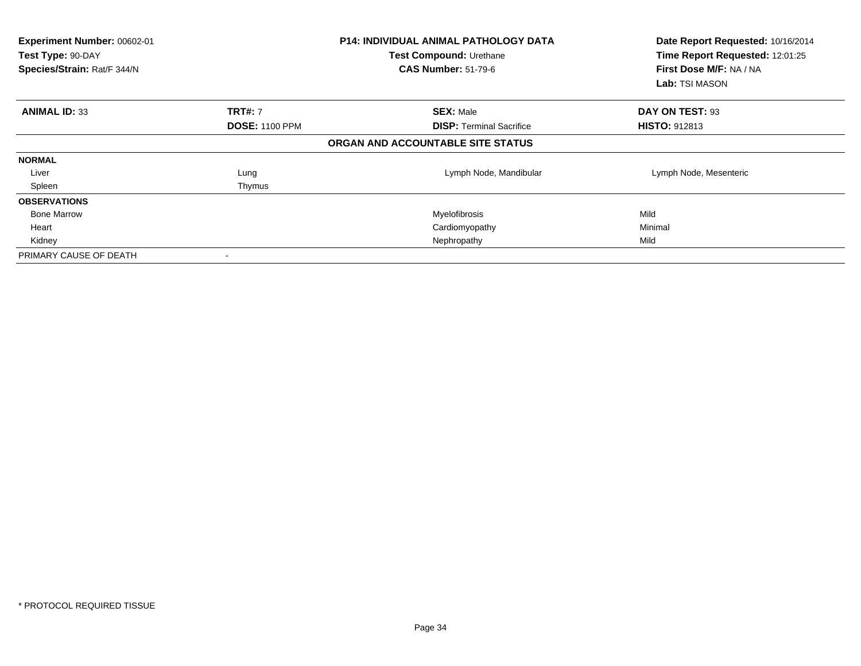| Experiment Number: 00602-01<br>Test Type: 90-DAY<br>Species/Strain: Rat/F 344/N |                       | <b>P14: INDIVIDUAL ANIMAL PATHOLOGY DATA</b><br>Test Compound: Urethane<br><b>CAS Number: 51-79-6</b> | Date Report Requested: 10/16/2014<br>Time Report Requested: 12:01:25<br>First Dose M/F: NA / NA<br>Lab: TSI MASON |
|---------------------------------------------------------------------------------|-----------------------|-------------------------------------------------------------------------------------------------------|-------------------------------------------------------------------------------------------------------------------|
| <b>ANIMAL ID: 33</b>                                                            | <b>TRT#: 7</b>        | <b>SEX: Male</b>                                                                                      | DAY ON TEST: 93                                                                                                   |
|                                                                                 | <b>DOSE: 1100 PPM</b> | <b>DISP: Terminal Sacrifice</b>                                                                       | <b>HISTO: 912813</b>                                                                                              |
|                                                                                 |                       | ORGAN AND ACCOUNTABLE SITE STATUS                                                                     |                                                                                                                   |
| <b>NORMAL</b>                                                                   |                       |                                                                                                       |                                                                                                                   |
| Liver                                                                           | Lung                  | Lymph Node, Mandibular                                                                                | Lymph Node, Mesenteric                                                                                            |
| Spleen                                                                          | Thymus                |                                                                                                       |                                                                                                                   |
| <b>OBSERVATIONS</b>                                                             |                       |                                                                                                       |                                                                                                                   |
| <b>Bone Marrow</b>                                                              |                       | Myelofibrosis                                                                                         | Mild                                                                                                              |
| Heart                                                                           |                       | Cardiomyopathy                                                                                        | Minimal                                                                                                           |
| Kidney                                                                          |                       | Nephropathy                                                                                           | Mild                                                                                                              |
| PRIMARY CAUSE OF DEATH                                                          |                       |                                                                                                       |                                                                                                                   |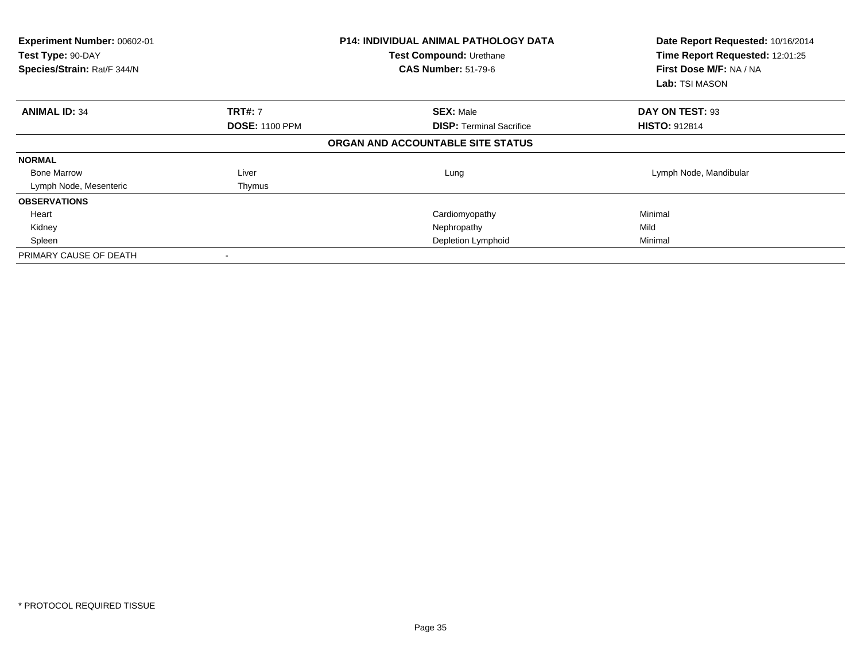| Experiment Number: 00602-01<br>Test Type: 90-DAY<br>Species/Strain: Rat/F 344/N |                       | <b>P14: INDIVIDUAL ANIMAL PATHOLOGY DATA</b><br>Test Compound: Urethane<br><b>CAS Number: 51-79-6</b> | Date Report Requested: 10/16/2014<br>Time Report Requested: 12:01:25<br>First Dose M/F: NA / NA<br>Lab: TSI MASON |
|---------------------------------------------------------------------------------|-----------------------|-------------------------------------------------------------------------------------------------------|-------------------------------------------------------------------------------------------------------------------|
| <b>ANIMAL ID: 34</b>                                                            | <b>TRT#: 7</b>        | <b>SEX: Male</b>                                                                                      | DAY ON TEST: 93                                                                                                   |
|                                                                                 | <b>DOSE: 1100 PPM</b> | <b>DISP: Terminal Sacrifice</b>                                                                       | <b>HISTO: 912814</b>                                                                                              |
|                                                                                 |                       | ORGAN AND ACCOUNTABLE SITE STATUS                                                                     |                                                                                                                   |
| <b>NORMAL</b>                                                                   |                       |                                                                                                       |                                                                                                                   |
| <b>Bone Marrow</b>                                                              | Liver                 | Lung                                                                                                  | Lymph Node, Mandibular                                                                                            |
| Lymph Node, Mesenteric                                                          | Thymus                |                                                                                                       |                                                                                                                   |
| <b>OBSERVATIONS</b>                                                             |                       |                                                                                                       |                                                                                                                   |
| Heart                                                                           |                       | Cardiomyopathy                                                                                        | Minimal                                                                                                           |
| Kidney                                                                          |                       | Nephropathy                                                                                           | Mild                                                                                                              |
| Spleen                                                                          |                       | Depletion Lymphoid                                                                                    | Minimal                                                                                                           |
| PRIMARY CAUSE OF DEATH                                                          |                       |                                                                                                       |                                                                                                                   |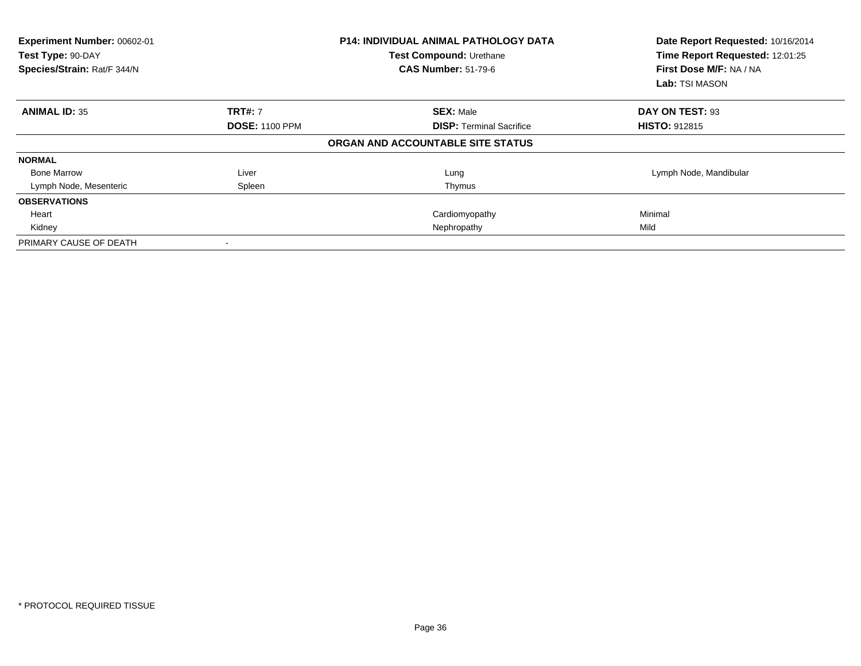| Experiment Number: 00602-01<br>Test Type: 90-DAY<br>Species/Strain: Rat/F 344/N |                       | <b>P14: INDIVIDUAL ANIMAL PATHOLOGY DATA</b><br>Test Compound: Urethane<br><b>CAS Number: 51-79-6</b> | Date Report Requested: 10/16/2014<br>Time Report Requested: 12:01:25<br>First Dose M/F: NA / NA<br>Lab: TSI MASON |
|---------------------------------------------------------------------------------|-----------------------|-------------------------------------------------------------------------------------------------------|-------------------------------------------------------------------------------------------------------------------|
| <b>ANIMAL ID: 35</b>                                                            | <b>TRT#: 7</b>        | <b>SEX: Male</b>                                                                                      | DAY ON TEST: 93                                                                                                   |
|                                                                                 | <b>DOSE: 1100 PPM</b> | <b>DISP: Terminal Sacrifice</b>                                                                       | <b>HISTO: 912815</b>                                                                                              |
|                                                                                 |                       | ORGAN AND ACCOUNTABLE SITE STATUS                                                                     |                                                                                                                   |
| <b>NORMAL</b>                                                                   |                       |                                                                                                       |                                                                                                                   |
| <b>Bone Marrow</b>                                                              | Liver                 | Lung                                                                                                  | Lymph Node, Mandibular                                                                                            |
| Lymph Node, Mesenteric                                                          | Spleen                | Thymus                                                                                                |                                                                                                                   |
| <b>OBSERVATIONS</b>                                                             |                       |                                                                                                       |                                                                                                                   |
| Heart                                                                           |                       | Cardiomyopathy                                                                                        | Minimal                                                                                                           |
| Kidney                                                                          |                       | Nephropathy                                                                                           | Mild                                                                                                              |
| PRIMARY CAUSE OF DEATH                                                          |                       |                                                                                                       |                                                                                                                   |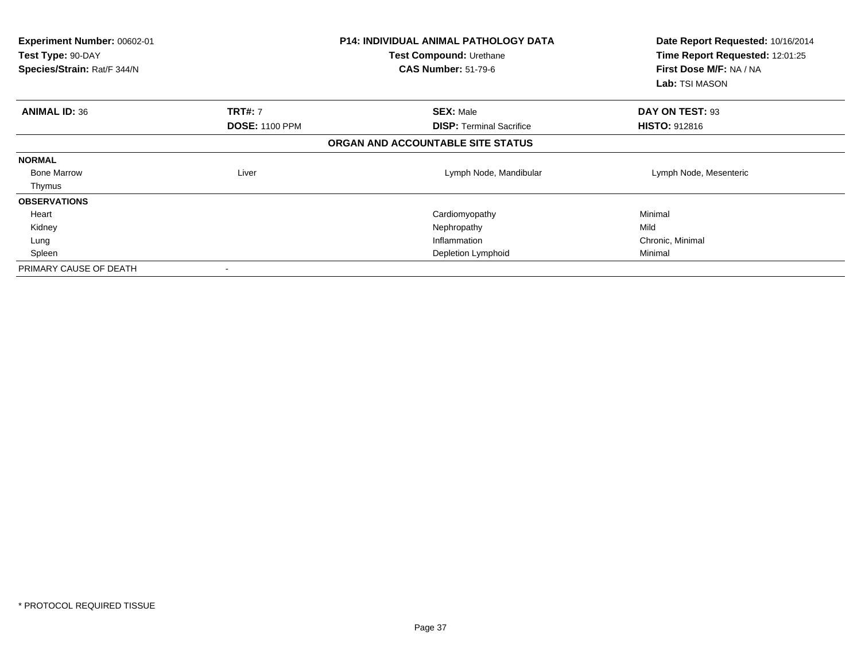| Experiment Number: 00602-01<br>Test Type: 90-DAY<br>Species/Strain: Rat/F 344/N |                       | <b>P14: INDIVIDUAL ANIMAL PATHOLOGY DATA</b><br><b>Test Compound: Urethane</b><br><b>CAS Number: 51-79-6</b> | Date Report Requested: 10/16/2014<br>Time Report Requested: 12:01:25<br>First Dose M/F: NA / NA<br><b>Lab:</b> TSI MASON |
|---------------------------------------------------------------------------------|-----------------------|--------------------------------------------------------------------------------------------------------------|--------------------------------------------------------------------------------------------------------------------------|
| <b>ANIMAL ID: 36</b>                                                            | <b>TRT#: 7</b>        | <b>SEX: Male</b>                                                                                             | DAY ON TEST: 93                                                                                                          |
|                                                                                 | <b>DOSE: 1100 PPM</b> | <b>DISP: Terminal Sacrifice</b>                                                                              | <b>HISTO: 912816</b>                                                                                                     |
|                                                                                 |                       | ORGAN AND ACCOUNTABLE SITE STATUS                                                                            |                                                                                                                          |
| <b>NORMAL</b>                                                                   |                       |                                                                                                              |                                                                                                                          |
| <b>Bone Marrow</b>                                                              | Liver                 | Lymph Node, Mandibular                                                                                       | Lymph Node, Mesenteric                                                                                                   |
| Thymus                                                                          |                       |                                                                                                              |                                                                                                                          |
| <b>OBSERVATIONS</b>                                                             |                       |                                                                                                              |                                                                                                                          |
| Heart                                                                           |                       | Cardiomyopathy                                                                                               | Minimal                                                                                                                  |
| Kidney                                                                          |                       | Nephropathy                                                                                                  | Mild                                                                                                                     |
| Lung                                                                            |                       | Inflammation                                                                                                 | Chronic, Minimal                                                                                                         |
| Spleen                                                                          |                       | Depletion Lymphoid                                                                                           | Minimal                                                                                                                  |
| PRIMARY CAUSE OF DEATH                                                          |                       |                                                                                                              |                                                                                                                          |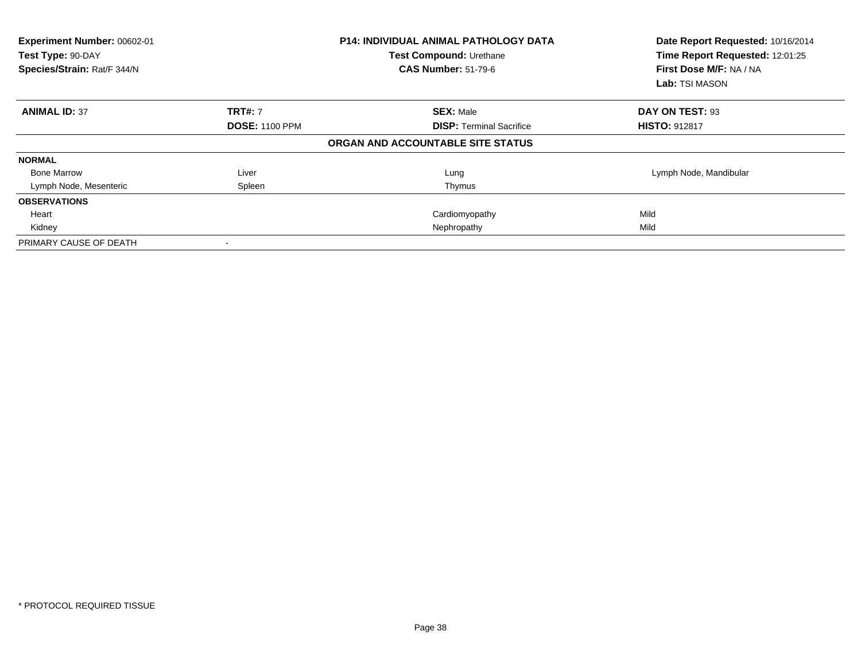| Experiment Number: 00602-01<br>Test Type: 90-DAY<br>Species/Strain: Rat/F 344/N |                       | <b>P14: INDIVIDUAL ANIMAL PATHOLOGY DATA</b><br>Test Compound: Urethane<br><b>CAS Number: 51-79-6</b> | Date Report Requested: 10/16/2014<br>Time Report Requested: 12:01:25<br>First Dose M/F: NA / NA<br>Lab: TSI MASON |
|---------------------------------------------------------------------------------|-----------------------|-------------------------------------------------------------------------------------------------------|-------------------------------------------------------------------------------------------------------------------|
| <b>ANIMAL ID: 37</b>                                                            | <b>TRT#: 7</b>        | <b>SEX: Male</b>                                                                                      | DAY ON TEST: 93                                                                                                   |
|                                                                                 | <b>DOSE: 1100 PPM</b> | <b>DISP: Terminal Sacrifice</b>                                                                       | <b>HISTO: 912817</b>                                                                                              |
|                                                                                 |                       | ORGAN AND ACCOUNTABLE SITE STATUS                                                                     |                                                                                                                   |
| <b>NORMAL</b>                                                                   |                       |                                                                                                       |                                                                                                                   |
| <b>Bone Marrow</b>                                                              | Liver                 | Lung                                                                                                  | Lymph Node, Mandibular                                                                                            |
| Lymph Node, Mesenteric                                                          | Spleen                | Thymus                                                                                                |                                                                                                                   |
| <b>OBSERVATIONS</b>                                                             |                       |                                                                                                       |                                                                                                                   |
| Heart                                                                           |                       | Cardiomyopathy                                                                                        | Mild                                                                                                              |
| Kidney                                                                          |                       | Nephropathy                                                                                           | Mild                                                                                                              |
| PRIMARY CAUSE OF DEATH                                                          |                       |                                                                                                       |                                                                                                                   |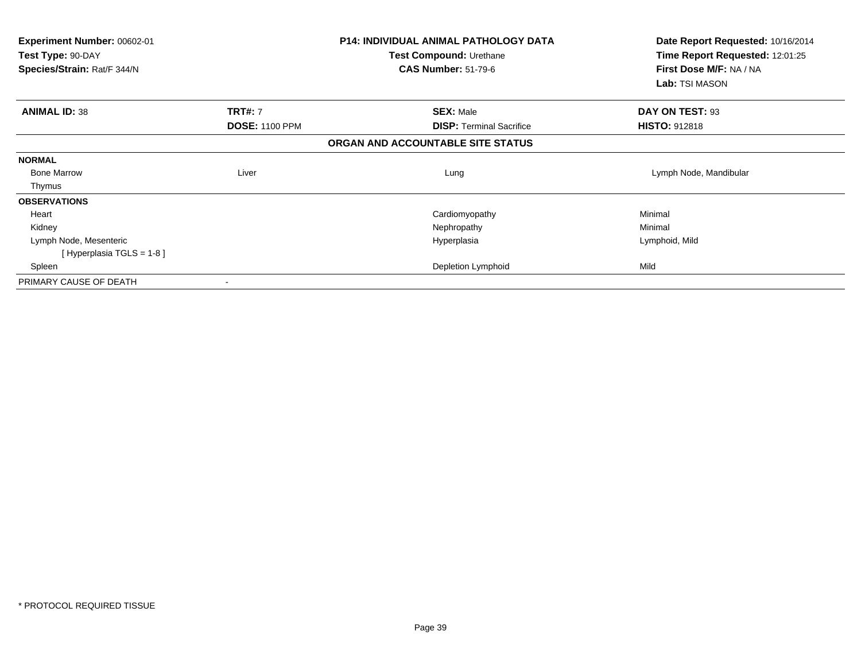| <b>Experiment Number: 00602-01</b><br>Test Type: 90-DAY<br>Species/Strain: Rat/F 344/N |                       | <b>P14: INDIVIDUAL ANIMAL PATHOLOGY DATA</b><br>Test Compound: Urethane<br><b>CAS Number: 51-79-6</b> | Date Report Requested: 10/16/2014<br>Time Report Requested: 12:01:25<br>First Dose M/F: NA / NA<br>Lab: TSI MASON |
|----------------------------------------------------------------------------------------|-----------------------|-------------------------------------------------------------------------------------------------------|-------------------------------------------------------------------------------------------------------------------|
| <b>ANIMAL ID: 38</b>                                                                   | <b>TRT#: 7</b>        | <b>SEX: Male</b>                                                                                      | DAY ON TEST: 93                                                                                                   |
|                                                                                        | <b>DOSE: 1100 PPM</b> | <b>DISP:</b> Terminal Sacrifice                                                                       | <b>HISTO: 912818</b>                                                                                              |
|                                                                                        |                       | ORGAN AND ACCOUNTABLE SITE STATUS                                                                     |                                                                                                                   |
| <b>NORMAL</b>                                                                          |                       |                                                                                                       |                                                                                                                   |
| <b>Bone Marrow</b>                                                                     | Liver                 | Lung                                                                                                  | Lymph Node, Mandibular                                                                                            |
| Thymus                                                                                 |                       |                                                                                                       |                                                                                                                   |
| <b>OBSERVATIONS</b>                                                                    |                       |                                                                                                       |                                                                                                                   |
| Heart                                                                                  |                       | Cardiomyopathy                                                                                        | Minimal                                                                                                           |
| Kidney                                                                                 |                       | Nephropathy                                                                                           | Minimal                                                                                                           |
| Lymph Node, Mesenteric                                                                 |                       | Hyperplasia                                                                                           | Lymphoid, Mild                                                                                                    |
| [Hyperplasia TGLS = $1-8$ ]                                                            |                       |                                                                                                       |                                                                                                                   |
| Spleen                                                                                 |                       | Depletion Lymphoid                                                                                    | Mild                                                                                                              |
| PRIMARY CAUSE OF DEATH                                                                 |                       |                                                                                                       |                                                                                                                   |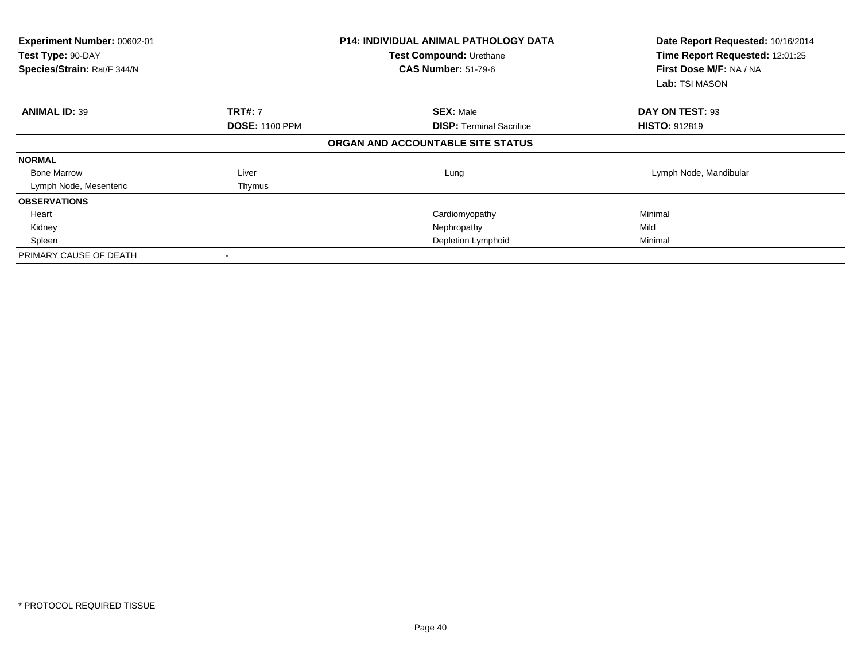| Experiment Number: 00602-01<br>Test Type: 90-DAY<br>Species/Strain: Rat/F 344/N |                       | <b>P14: INDIVIDUAL ANIMAL PATHOLOGY DATA</b><br>Test Compound: Urethane<br><b>CAS Number: 51-79-6</b> | Date Report Requested: 10/16/2014<br>Time Report Requested: 12:01:25<br>First Dose M/F: NA / NA<br>Lab: TSI MASON |
|---------------------------------------------------------------------------------|-----------------------|-------------------------------------------------------------------------------------------------------|-------------------------------------------------------------------------------------------------------------------|
| <b>ANIMAL ID: 39</b>                                                            | <b>TRT#: 7</b>        | <b>SEX: Male</b>                                                                                      | DAY ON TEST: 93                                                                                                   |
|                                                                                 | <b>DOSE: 1100 PPM</b> | <b>DISP:</b> Terminal Sacrifice                                                                       | <b>HISTO: 912819</b>                                                                                              |
|                                                                                 |                       | ORGAN AND ACCOUNTABLE SITE STATUS                                                                     |                                                                                                                   |
| <b>NORMAL</b>                                                                   |                       |                                                                                                       |                                                                                                                   |
| <b>Bone Marrow</b>                                                              | Liver                 | Lung                                                                                                  | Lymph Node, Mandibular                                                                                            |
| Lymph Node, Mesenteric                                                          | Thymus                |                                                                                                       |                                                                                                                   |
| <b>OBSERVATIONS</b>                                                             |                       |                                                                                                       |                                                                                                                   |
| Heart                                                                           |                       | Cardiomyopathy                                                                                        | Minimal                                                                                                           |
| Kidney                                                                          |                       | Nephropathy                                                                                           | Mild                                                                                                              |
| Spleen                                                                          |                       | Depletion Lymphoid                                                                                    | Minimal                                                                                                           |
| PRIMARY CAUSE OF DEATH                                                          |                       |                                                                                                       |                                                                                                                   |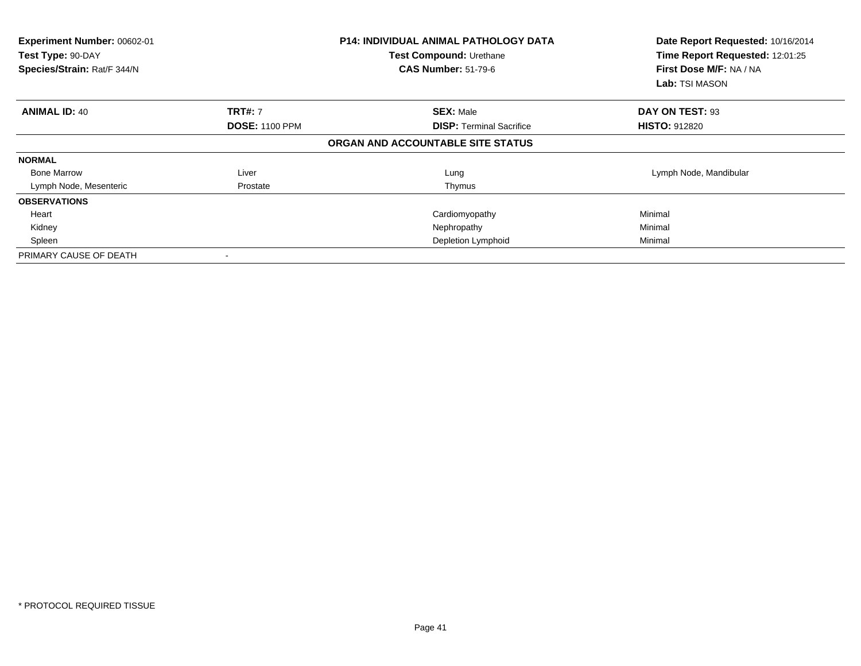| Experiment Number: 00602-01<br>Test Type: 90-DAY<br>Species/Strain: Rat/F 344/N |                       | <b>P14: INDIVIDUAL ANIMAL PATHOLOGY DATA</b><br>Test Compound: Urethane<br><b>CAS Number: 51-79-6</b> | Date Report Requested: 10/16/2014<br>Time Report Requested: 12:01:25<br>First Dose M/F: NA / NA<br>Lab: TSI MASON |
|---------------------------------------------------------------------------------|-----------------------|-------------------------------------------------------------------------------------------------------|-------------------------------------------------------------------------------------------------------------------|
| <b>ANIMAL ID: 40</b>                                                            | <b>TRT#: 7</b>        | <b>SEX: Male</b>                                                                                      | DAY ON TEST: 93                                                                                                   |
|                                                                                 | <b>DOSE: 1100 PPM</b> | <b>DISP:</b> Terminal Sacrifice                                                                       | <b>HISTO: 912820</b>                                                                                              |
|                                                                                 |                       | ORGAN AND ACCOUNTABLE SITE STATUS                                                                     |                                                                                                                   |
| <b>NORMAL</b>                                                                   |                       |                                                                                                       |                                                                                                                   |
| <b>Bone Marrow</b>                                                              | Liver                 | Lung                                                                                                  | Lymph Node, Mandibular                                                                                            |
| Lymph Node, Mesenteric                                                          | Prostate              | Thymus                                                                                                |                                                                                                                   |
| <b>OBSERVATIONS</b>                                                             |                       |                                                                                                       |                                                                                                                   |
| Heart                                                                           |                       | Cardiomyopathy                                                                                        | Minimal                                                                                                           |
| Kidney                                                                          |                       | Nephropathy                                                                                           | Minimal                                                                                                           |
| Spleen                                                                          |                       | Depletion Lymphoid                                                                                    | Minimal                                                                                                           |
| PRIMARY CAUSE OF DEATH                                                          |                       |                                                                                                       |                                                                                                                   |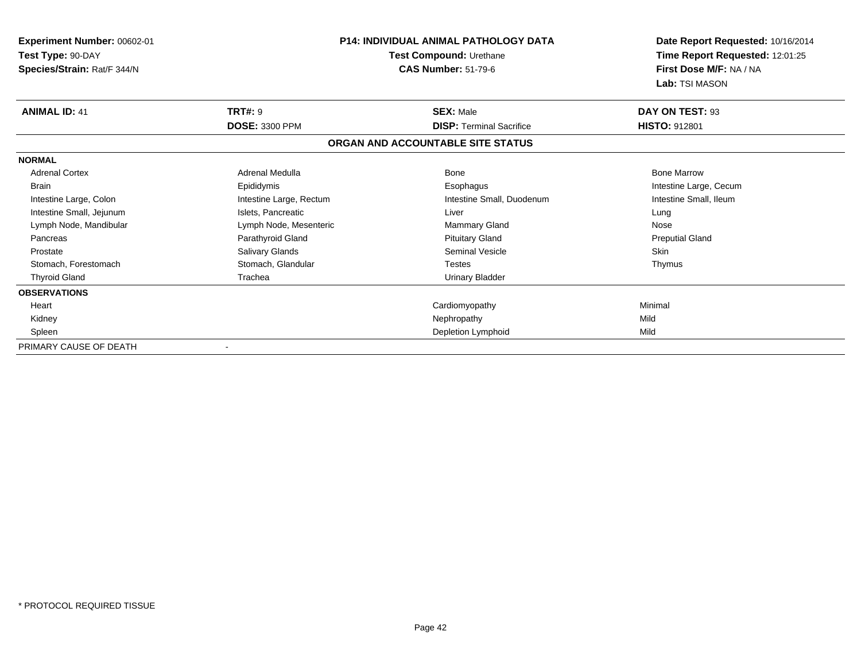| Experiment Number: 00602-01<br>Test Type: 90-DAY<br>Species/Strain: Rat/F 344/N | <b>P14: INDIVIDUAL ANIMAL PATHOLOGY DATA</b><br>Test Compound: Urethane<br><b>CAS Number: 51-79-6</b> |                                                     | Date Report Requested: 10/16/2014<br>Time Report Requested: 12:01:25<br>First Dose M/F: NA / NA |
|---------------------------------------------------------------------------------|-------------------------------------------------------------------------------------------------------|-----------------------------------------------------|-------------------------------------------------------------------------------------------------|
|                                                                                 |                                                                                                       |                                                     | Lab: TSI MASON                                                                                  |
| <b>ANIMAL ID: 41</b>                                                            | <b>TRT#: 9</b><br><b>DOSE: 3300 PPM</b>                                                               | <b>SEX: Male</b><br><b>DISP: Terminal Sacrifice</b> | DAY ON TEST: 93<br><b>HISTO: 912801</b>                                                         |
|                                                                                 |                                                                                                       | ORGAN AND ACCOUNTABLE SITE STATUS                   |                                                                                                 |
| <b>NORMAL</b>                                                                   |                                                                                                       |                                                     |                                                                                                 |
| <b>Adrenal Cortex</b>                                                           | Adrenal Medulla                                                                                       | <b>Bone</b>                                         | <b>Bone Marrow</b>                                                                              |
| Brain                                                                           | Epididymis                                                                                            | Esophagus                                           | Intestine Large, Cecum                                                                          |
| Intestine Large, Colon                                                          | Intestine Large, Rectum                                                                               | Intestine Small, Duodenum                           | Intestine Small, Ileum                                                                          |
| Intestine Small, Jejunum                                                        | Islets, Pancreatic                                                                                    | Liver                                               | Lung                                                                                            |
| Lymph Node, Mandibular                                                          | Lymph Node, Mesenteric                                                                                | Mammary Gland                                       | Nose                                                                                            |
| Pancreas                                                                        | Parathyroid Gland                                                                                     | <b>Pituitary Gland</b>                              | <b>Preputial Gland</b>                                                                          |
| Prostate                                                                        | Salivary Glands                                                                                       | Seminal Vesicle                                     | <b>Skin</b>                                                                                     |
| Stomach, Forestomach                                                            | Stomach, Glandular                                                                                    | <b>Testes</b>                                       | Thymus                                                                                          |
| <b>Thyroid Gland</b>                                                            | Trachea                                                                                               | <b>Urinary Bladder</b>                              |                                                                                                 |
| <b>OBSERVATIONS</b>                                                             |                                                                                                       |                                                     |                                                                                                 |
| Heart                                                                           |                                                                                                       | Cardiomyopathy                                      | Minimal                                                                                         |
| Kidney                                                                          |                                                                                                       | Nephropathy                                         | Mild                                                                                            |
| Spleen                                                                          |                                                                                                       | Depletion Lymphoid                                  | Mild                                                                                            |
| PRIMARY CAUSE OF DEATH                                                          |                                                                                                       |                                                     |                                                                                                 |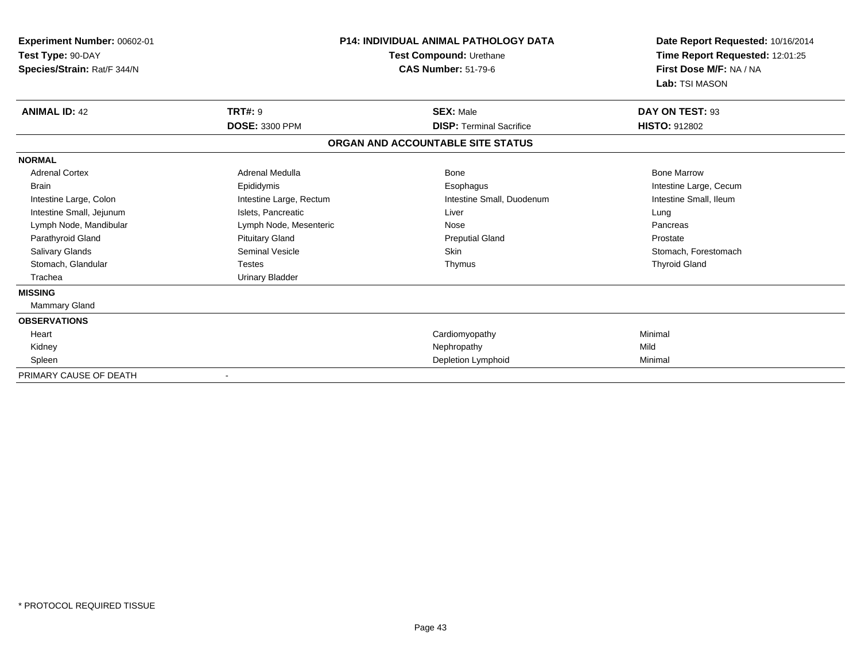| <b>Experiment Number: 00602-01</b><br>Test Type: 90-DAY<br>Species/Strain: Rat/F 344/N |                         | <b>P14: INDIVIDUAL ANIMAL PATHOLOGY DATA</b><br>Test Compound: Urethane<br><b>CAS Number: 51-79-6</b> |                        |
|----------------------------------------------------------------------------------------|-------------------------|-------------------------------------------------------------------------------------------------------|------------------------|
| <b>ANIMAL ID: 42</b>                                                                   | <b>TRT#: 9</b>          | <b>SEX: Male</b>                                                                                      | DAY ON TEST: 93        |
|                                                                                        | <b>DOSE: 3300 PPM</b>   | <b>DISP: Terminal Sacrifice</b>                                                                       | <b>HISTO: 912802</b>   |
|                                                                                        |                         | ORGAN AND ACCOUNTABLE SITE STATUS                                                                     |                        |
| <b>NORMAL</b>                                                                          |                         |                                                                                                       |                        |
| <b>Adrenal Cortex</b>                                                                  | Adrenal Medulla         | <b>Bone</b>                                                                                           | <b>Bone Marrow</b>     |
| <b>Brain</b>                                                                           | Epididymis              | Esophagus                                                                                             | Intestine Large, Cecum |
| Intestine Large, Colon                                                                 | Intestine Large, Rectum | Intestine Small, Duodenum                                                                             | Intestine Small, Ileum |
| Intestine Small, Jejunum                                                               | Islets, Pancreatic      | Liver                                                                                                 | Lung                   |
| Lymph Node, Mandibular                                                                 | Lymph Node, Mesenteric  | Nose                                                                                                  | Pancreas               |
| Parathyroid Gland                                                                      | <b>Pituitary Gland</b>  | <b>Preputial Gland</b>                                                                                | Prostate               |
| <b>Salivary Glands</b>                                                                 | <b>Seminal Vesicle</b>  | <b>Skin</b>                                                                                           | Stomach, Forestomach   |
| Stomach, Glandular                                                                     | Testes                  | Thymus                                                                                                | <b>Thyroid Gland</b>   |
| Trachea                                                                                | <b>Urinary Bladder</b>  |                                                                                                       |                        |
| <b>MISSING</b>                                                                         |                         |                                                                                                       |                        |
| Mammary Gland                                                                          |                         |                                                                                                       |                        |
| <b>OBSERVATIONS</b>                                                                    |                         |                                                                                                       |                        |
| Heart                                                                                  |                         | Cardiomyopathy                                                                                        | Minimal                |
| Kidney                                                                                 |                         | Nephropathy                                                                                           | Mild                   |
| Spleen                                                                                 |                         | Depletion Lymphoid                                                                                    | Minimal                |
| PRIMARY CAUSE OF DEATH                                                                 |                         |                                                                                                       |                        |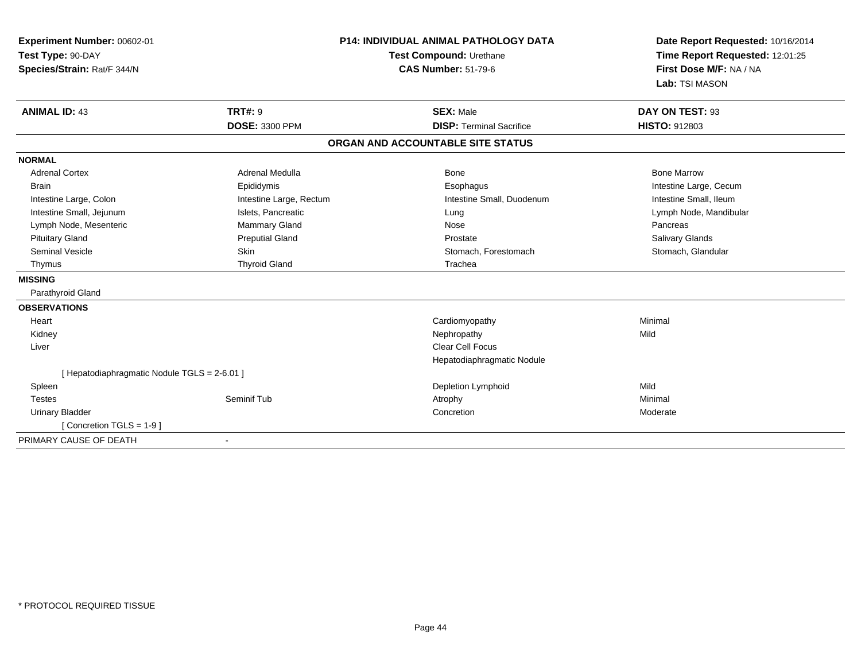| Experiment Number: 00602-01<br>Test Type: 90-DAY<br>Species/Strain: Rat/F 344/N |                                         | <b>P14: INDIVIDUAL ANIMAL PATHOLOGY DATA</b><br>Test Compound: Urethane<br><b>CAS Number: 51-79-6</b> | Date Report Requested: 10/16/2014<br>Time Report Requested: 12:01:25<br>First Dose M/F: NA / NA<br>Lab: TSI MASON |
|---------------------------------------------------------------------------------|-----------------------------------------|-------------------------------------------------------------------------------------------------------|-------------------------------------------------------------------------------------------------------------------|
| <b>ANIMAL ID: 43</b>                                                            | <b>TRT#: 9</b><br><b>DOSE: 3300 PPM</b> | <b>SEX: Male</b><br><b>DISP: Terminal Sacrifice</b>                                                   | DAY ON TEST: 93<br><b>HISTO: 912803</b>                                                                           |
|                                                                                 |                                         |                                                                                                       |                                                                                                                   |
|                                                                                 |                                         | ORGAN AND ACCOUNTABLE SITE STATUS                                                                     |                                                                                                                   |
| <b>NORMAL</b>                                                                   |                                         |                                                                                                       |                                                                                                                   |
| <b>Adrenal Cortex</b>                                                           | Adrenal Medulla                         | Bone                                                                                                  | <b>Bone Marrow</b>                                                                                                |
| <b>Brain</b>                                                                    | Epididymis                              | Esophagus                                                                                             | Intestine Large, Cecum                                                                                            |
| Intestine Large, Colon                                                          | Intestine Large, Rectum                 | Intestine Small, Duodenum                                                                             | Intestine Small, Ileum                                                                                            |
| Intestine Small, Jejunum                                                        | Islets, Pancreatic                      | Lung                                                                                                  | Lymph Node, Mandibular                                                                                            |
| Lymph Node, Mesenteric                                                          | Mammary Gland                           | Nose                                                                                                  | Pancreas                                                                                                          |
| <b>Pituitary Gland</b>                                                          | <b>Preputial Gland</b>                  | Prostate                                                                                              | <b>Salivary Glands</b>                                                                                            |
| Seminal Vesicle                                                                 | <b>Skin</b>                             | Stomach, Forestomach                                                                                  | Stomach, Glandular                                                                                                |
| Thymus                                                                          | <b>Thyroid Gland</b>                    | Trachea                                                                                               |                                                                                                                   |
| <b>MISSING</b>                                                                  |                                         |                                                                                                       |                                                                                                                   |
| Parathyroid Gland                                                               |                                         |                                                                                                       |                                                                                                                   |
| <b>OBSERVATIONS</b>                                                             |                                         |                                                                                                       |                                                                                                                   |
| Heart                                                                           |                                         | Cardiomyopathy                                                                                        | Minimal                                                                                                           |
| Kidney                                                                          |                                         | Nephropathy                                                                                           | Mild                                                                                                              |
| Liver                                                                           |                                         | <b>Clear Cell Focus</b>                                                                               |                                                                                                                   |
|                                                                                 |                                         | Hepatodiaphragmatic Nodule                                                                            |                                                                                                                   |
| [ Hepatodiaphragmatic Nodule TGLS = 2-6.01 ]                                    |                                         |                                                                                                       |                                                                                                                   |
| Spleen                                                                          |                                         | Depletion Lymphoid                                                                                    | Mild                                                                                                              |
| <b>Testes</b>                                                                   | Seminif Tub                             | Atrophy                                                                                               | Minimal                                                                                                           |
| <b>Urinary Bladder</b>                                                          |                                         | Concretion                                                                                            | Moderate                                                                                                          |
| [Concretion TGLS = 1-9]                                                         |                                         |                                                                                                       |                                                                                                                   |
| PRIMARY CAUSE OF DEATH                                                          |                                         |                                                                                                       |                                                                                                                   |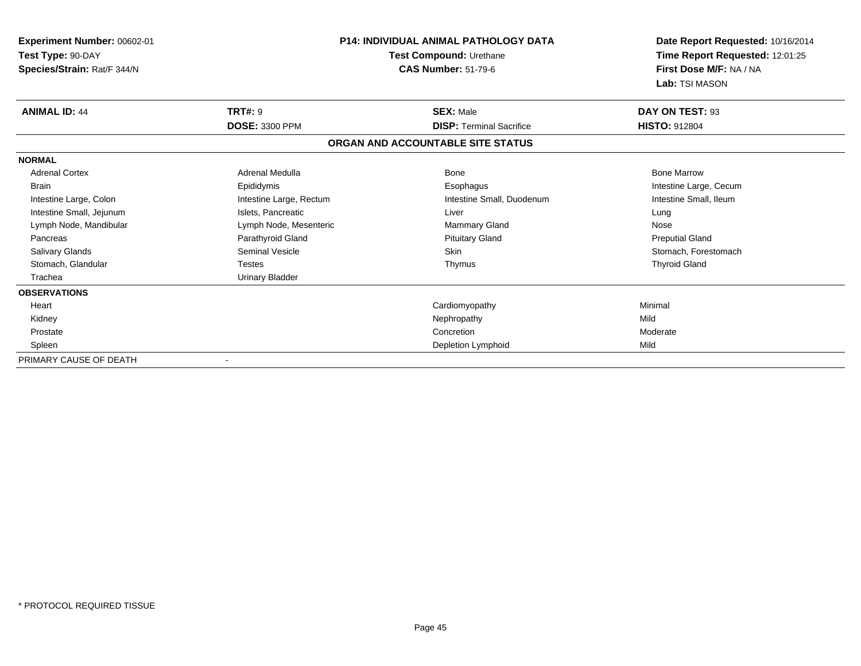| Experiment Number: 00602-01 |                          | <b>P14: INDIVIDUAL ANIMAL PATHOLOGY DATA</b>          | Date Report Requested: 10/16/2014                          |
|-----------------------------|--------------------------|-------------------------------------------------------|------------------------------------------------------------|
| Test Type: 90-DAY           |                          | Test Compound: Urethane<br><b>CAS Number: 51-79-6</b> | Time Report Requested: 12:01:25<br>First Dose M/F: NA / NA |
| Species/Strain: Rat/F 344/N |                          |                                                       | Lab: TSI MASON                                             |
| <b>ANIMAL ID: 44</b>        | <b>TRT#: 9</b>           | <b>SEX: Male</b>                                      | DAY ON TEST: 93                                            |
|                             | <b>DOSE: 3300 PPM</b>    | <b>DISP: Terminal Sacrifice</b>                       | <b>HISTO: 912804</b>                                       |
|                             |                          | ORGAN AND ACCOUNTABLE SITE STATUS                     |                                                            |
| <b>NORMAL</b>               |                          |                                                       |                                                            |
| <b>Adrenal Cortex</b>       | <b>Adrenal Medulla</b>   | <b>Bone</b>                                           | <b>Bone Marrow</b>                                         |
| <b>Brain</b>                | Epididymis               | Esophagus                                             | Intestine Large, Cecum                                     |
| Intestine Large, Colon      | Intestine Large, Rectum  | Intestine Small, Duodenum                             | Intestine Small, Ileum                                     |
| Intestine Small, Jejunum    | Islets, Pancreatic       | Liver                                                 | Lung                                                       |
| Lymph Node, Mandibular      | Lymph Node, Mesenteric   | Mammary Gland                                         | Nose                                                       |
| Pancreas                    | Parathyroid Gland        | <b>Pituitary Gland</b>                                | <b>Preputial Gland</b>                                     |
| Salivary Glands             | <b>Seminal Vesicle</b>   | <b>Skin</b>                                           | Stomach, Forestomach                                       |
| Stomach, Glandular          | <b>Testes</b>            | Thymus                                                | <b>Thyroid Gland</b>                                       |
| Trachea                     | Urinary Bladder          |                                                       |                                                            |
| <b>OBSERVATIONS</b>         |                          |                                                       |                                                            |
| Heart                       |                          | Cardiomyopathy                                        | Minimal                                                    |
| Kidney                      |                          | Nephropathy                                           | Mild                                                       |
| Prostate                    |                          | Concretion                                            | Moderate                                                   |
| Spleen                      |                          | Depletion Lymphoid                                    | Mild                                                       |
| PRIMARY CAUSE OF DEATH      | $\overline{\phantom{a}}$ |                                                       |                                                            |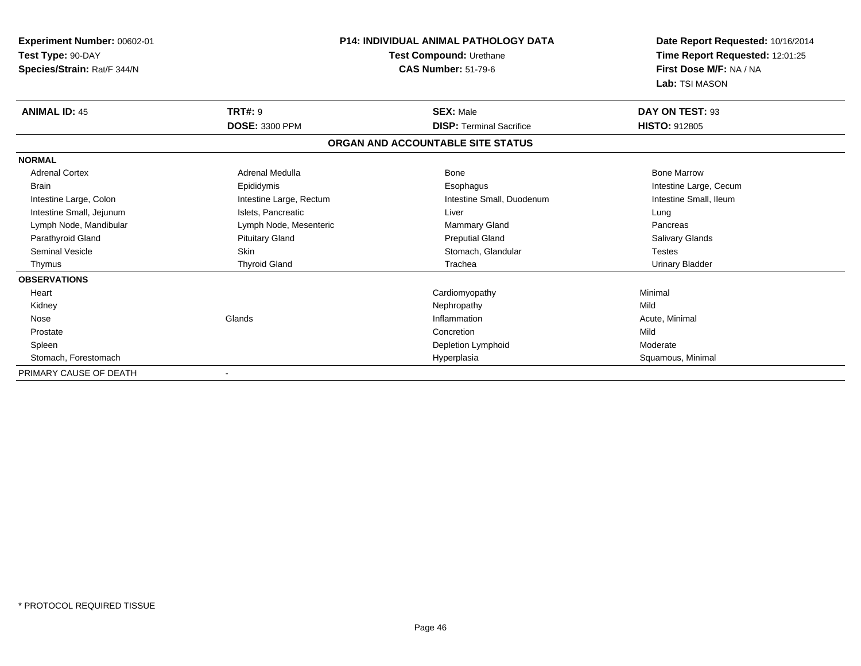| <b>Experiment Number: 00602-01</b>               |                          | <b>P14: INDIVIDUAL ANIMAL PATHOLOGY DATA</b>          | Date Report Requested: 10/16/2014                                            |
|--------------------------------------------------|--------------------------|-------------------------------------------------------|------------------------------------------------------------------------------|
| Test Type: 90-DAY<br>Species/Strain: Rat/F 344/N |                          | Test Compound: Urethane<br><b>CAS Number: 51-79-6</b> | Time Report Requested: 12:01:25<br>First Dose M/F: NA / NA<br>Lab: TSI MASON |
| <b>ANIMAL ID: 45</b>                             | <b>TRT#: 9</b>           | <b>SEX: Male</b>                                      | DAY ON TEST: 93                                                              |
|                                                  | <b>DOSE: 3300 PPM</b>    | <b>DISP: Terminal Sacrifice</b>                       | <b>HISTO: 912805</b>                                                         |
|                                                  |                          | ORGAN AND ACCOUNTABLE SITE STATUS                     |                                                                              |
| <b>NORMAL</b>                                    |                          |                                                       |                                                                              |
| <b>Adrenal Cortex</b>                            | <b>Adrenal Medulla</b>   | <b>Bone</b>                                           | <b>Bone Marrow</b>                                                           |
| <b>Brain</b>                                     | Epididymis               | Esophagus                                             | Intestine Large, Cecum                                                       |
| Intestine Large, Colon                           | Intestine Large, Rectum  | Intestine Small, Duodenum                             | Intestine Small, Ileum                                                       |
| Intestine Small, Jejunum                         | Islets, Pancreatic       | Liver                                                 | Lung                                                                         |
| Lymph Node, Mandibular                           | Lymph Node, Mesenteric   | <b>Mammary Gland</b>                                  | Pancreas                                                                     |
| Parathyroid Gland                                | <b>Pituitary Gland</b>   | <b>Preputial Gland</b>                                | <b>Salivary Glands</b>                                                       |
| <b>Seminal Vesicle</b>                           | Skin                     | Stomach, Glandular                                    | <b>Testes</b>                                                                |
| Thymus                                           | <b>Thyroid Gland</b>     | Trachea                                               | <b>Urinary Bladder</b>                                                       |
| <b>OBSERVATIONS</b>                              |                          |                                                       |                                                                              |
| Heart                                            |                          | Cardiomyopathy                                        | Minimal                                                                      |
| Kidney                                           |                          | Nephropathy                                           | Mild                                                                         |
| Nose                                             | Glands                   | Inflammation                                          | Acute, Minimal                                                               |
| Prostate                                         |                          | Concretion                                            | Mild                                                                         |
| Spleen                                           |                          | <b>Depletion Lymphoid</b>                             | Moderate                                                                     |
| Stomach, Forestomach                             |                          | Hyperplasia                                           | Squamous, Minimal                                                            |
| PRIMARY CAUSE OF DEATH                           | $\overline{\phantom{a}}$ |                                                       |                                                                              |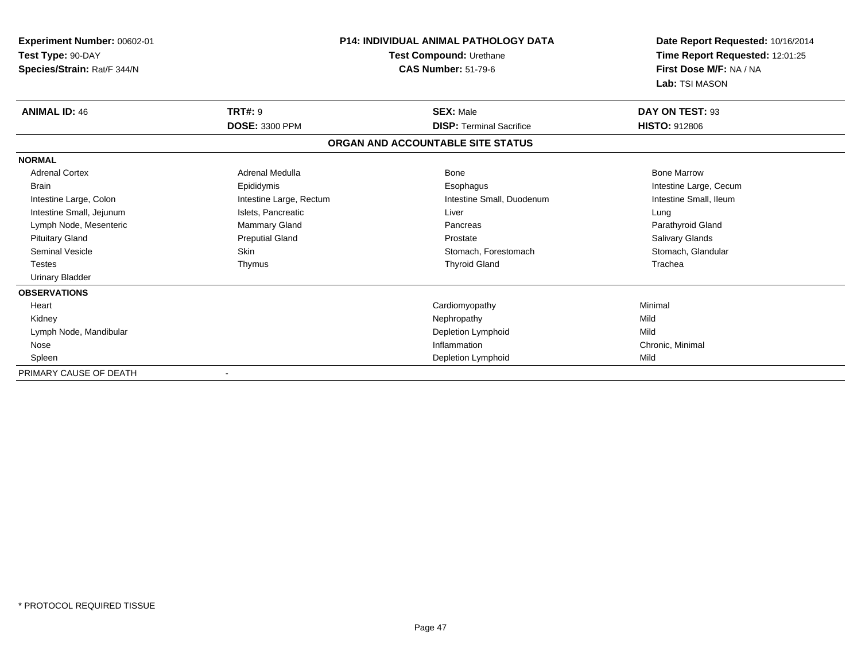| Experiment Number: 00602-01<br>Test Type: 90-DAY |                          | <b>P14: INDIVIDUAL ANIMAL PATHOLOGY DATA</b><br>Test Compound: Urethane | Date Report Requested: 10/16/2014<br>Time Report Requested: 12:01:25 |
|--------------------------------------------------|--------------------------|-------------------------------------------------------------------------|----------------------------------------------------------------------|
| Species/Strain: Rat/F 344/N                      |                          | <b>CAS Number: 51-79-6</b>                                              | First Dose M/F: NA / NA                                              |
|                                                  |                          |                                                                         | Lab: TSI MASON                                                       |
| <b>ANIMAL ID: 46</b>                             | <b>TRT#: 9</b>           | <b>SEX: Male</b>                                                        | DAY ON TEST: 93                                                      |
|                                                  | <b>DOSE: 3300 PPM</b>    | <b>DISP: Terminal Sacrifice</b>                                         | <b>HISTO: 912806</b>                                                 |
|                                                  |                          | ORGAN AND ACCOUNTABLE SITE STATUS                                       |                                                                      |
| <b>NORMAL</b>                                    |                          |                                                                         |                                                                      |
| <b>Adrenal Cortex</b>                            | Adrenal Medulla          | <b>Bone</b>                                                             | <b>Bone Marrow</b>                                                   |
| <b>Brain</b>                                     | Epididymis               | Esophagus                                                               | Intestine Large, Cecum                                               |
| Intestine Large, Colon                           | Intestine Large, Rectum  | Intestine Small, Duodenum                                               | Intestine Small, Ileum                                               |
| Intestine Small, Jejunum                         | Islets, Pancreatic       | Liver                                                                   | Lung                                                                 |
| Lymph Node, Mesenteric                           | <b>Mammary Gland</b>     | Pancreas                                                                | Parathyroid Gland                                                    |
| <b>Pituitary Gland</b>                           | <b>Preputial Gland</b>   | Prostate                                                                | Salivary Glands                                                      |
| <b>Seminal Vesicle</b>                           | <b>Skin</b>              | Stomach, Forestomach                                                    | Stomach, Glandular                                                   |
| Testes                                           | Thymus                   | <b>Thyroid Gland</b>                                                    | Trachea                                                              |
| <b>Urinary Bladder</b>                           |                          |                                                                         |                                                                      |
| <b>OBSERVATIONS</b>                              |                          |                                                                         |                                                                      |
| Heart                                            |                          | Cardiomyopathy                                                          | Minimal                                                              |
| Kidney                                           |                          | Nephropathy                                                             | Mild                                                                 |
| Lymph Node, Mandibular                           |                          | Depletion Lymphoid                                                      | Mild                                                                 |
| Nose                                             |                          | Inflammation                                                            | Chronic, Minimal                                                     |
| Spleen                                           |                          | Depletion Lymphoid                                                      | Mild                                                                 |
| PRIMARY CAUSE OF DEATH                           | $\overline{\phantom{a}}$ |                                                                         |                                                                      |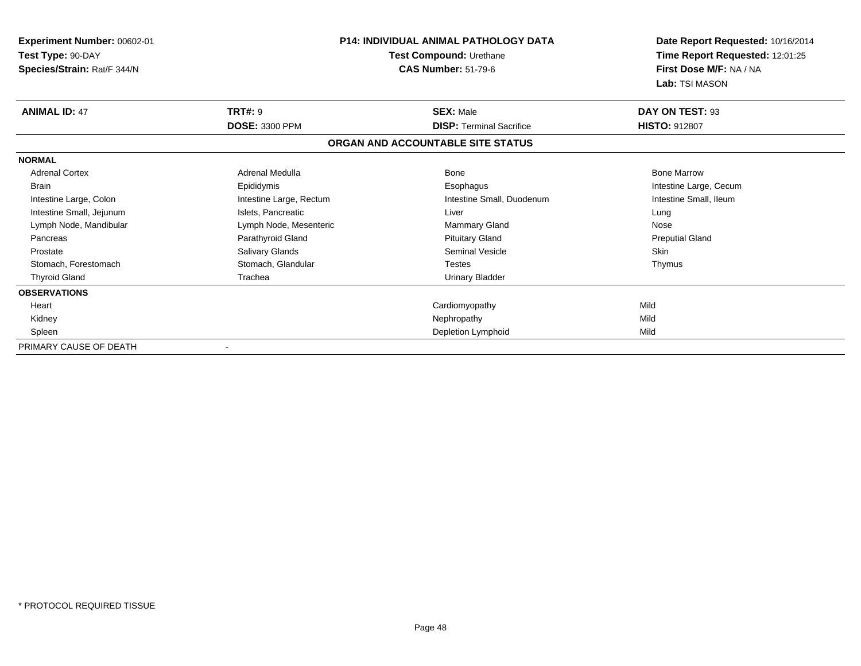| Experiment Number: 00602-01<br>Test Type: 90-DAY<br>Species/Strain: Rat/F 344/N | <b>P14: INDIVIDUAL ANIMAL PATHOLOGY DATA</b><br>Test Compound: Urethane<br><b>CAS Number: 51-79-6</b> |                                   | Date Report Requested: 10/16/2014<br>Time Report Requested: 12:01:25<br>First Dose M/F: NA / NA |
|---------------------------------------------------------------------------------|-------------------------------------------------------------------------------------------------------|-----------------------------------|-------------------------------------------------------------------------------------------------|
|                                                                                 |                                                                                                       |                                   | Lab: TSI MASON                                                                                  |
| <b>ANIMAL ID: 47</b>                                                            | <b>TRT#: 9</b>                                                                                        | <b>SEX: Male</b>                  | DAY ON TEST: 93                                                                                 |
|                                                                                 | <b>DOSE: 3300 PPM</b>                                                                                 | <b>DISP: Terminal Sacrifice</b>   | <b>HISTO: 912807</b>                                                                            |
|                                                                                 |                                                                                                       | ORGAN AND ACCOUNTABLE SITE STATUS |                                                                                                 |
| <b>NORMAL</b>                                                                   |                                                                                                       |                                   |                                                                                                 |
| <b>Adrenal Cortex</b>                                                           | Adrenal Medulla                                                                                       | Bone                              | <b>Bone Marrow</b>                                                                              |
| Brain                                                                           | Epididymis                                                                                            | Esophagus                         | Intestine Large, Cecum                                                                          |
| Intestine Large, Colon                                                          | Intestine Large, Rectum                                                                               | Intestine Small, Duodenum         | Intestine Small, Ileum                                                                          |
| Intestine Small, Jejunum                                                        | Islets, Pancreatic                                                                                    | Liver                             | Lung                                                                                            |
| Lymph Node, Mandibular                                                          | Lymph Node, Mesenteric                                                                                | <b>Mammary Gland</b>              | Nose                                                                                            |
| Pancreas                                                                        | Parathyroid Gland                                                                                     | <b>Pituitary Gland</b>            | <b>Preputial Gland</b>                                                                          |
| Prostate                                                                        | <b>Salivary Glands</b>                                                                                | Seminal Vesicle                   | <b>Skin</b>                                                                                     |
| Stomach, Forestomach                                                            | Stomach, Glandular                                                                                    | <b>Testes</b>                     | Thymus                                                                                          |
| <b>Thyroid Gland</b>                                                            | Trachea                                                                                               | <b>Urinary Bladder</b>            |                                                                                                 |
| <b>OBSERVATIONS</b>                                                             |                                                                                                       |                                   |                                                                                                 |
| Heart                                                                           |                                                                                                       | Cardiomyopathy                    | Mild                                                                                            |
| Kidney                                                                          |                                                                                                       | Nephropathy                       | Mild                                                                                            |
| Spleen                                                                          |                                                                                                       | Depletion Lymphoid                | Mild                                                                                            |
| PRIMARY CAUSE OF DEATH                                                          |                                                                                                       |                                   |                                                                                                 |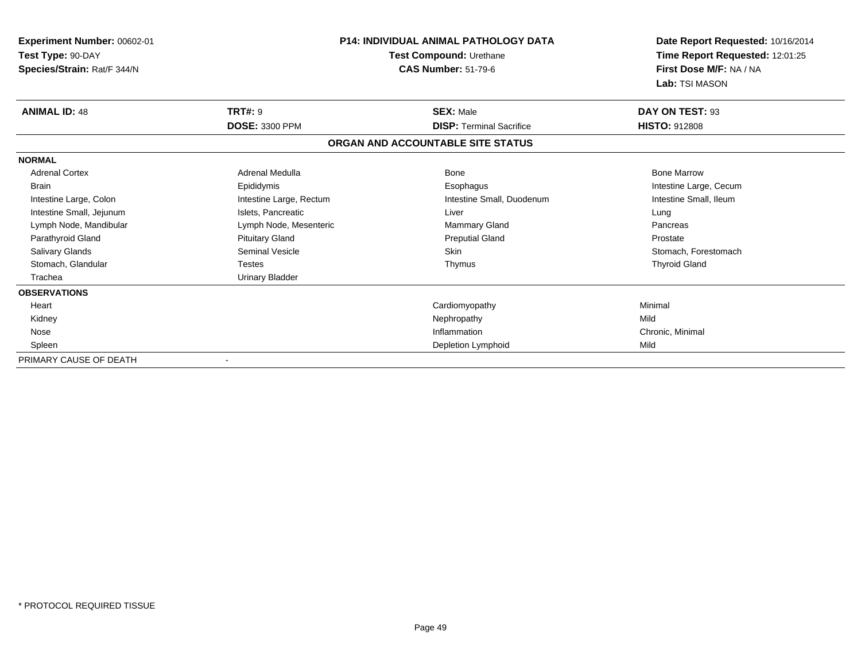| Experiment Number: 00602-01                      |                          | <b>P14: INDIVIDUAL ANIMAL PATHOLOGY DATA</b>          | Date Report Requested: 10/16/2014                          |
|--------------------------------------------------|--------------------------|-------------------------------------------------------|------------------------------------------------------------|
| Test Type: 90-DAY<br>Species/Strain: Rat/F 344/N |                          | Test Compound: Urethane<br><b>CAS Number: 51-79-6</b> | Time Report Requested: 12:01:25<br>First Dose M/F: NA / NA |
|                                                  |                          |                                                       | Lab: TSI MASON                                             |
| <b>ANIMAL ID: 48</b>                             | <b>TRT#: 9</b>           | <b>SEX: Male</b>                                      | DAY ON TEST: 93                                            |
|                                                  | <b>DOSE: 3300 PPM</b>    | <b>DISP: Terminal Sacrifice</b>                       | <b>HISTO: 912808</b>                                       |
|                                                  |                          | ORGAN AND ACCOUNTABLE SITE STATUS                     |                                                            |
| <b>NORMAL</b>                                    |                          |                                                       |                                                            |
| <b>Adrenal Cortex</b>                            | <b>Adrenal Medulla</b>   | Bone                                                  | <b>Bone Marrow</b>                                         |
| <b>Brain</b>                                     | Epididymis               | Esophagus                                             | Intestine Large, Cecum                                     |
| Intestine Large, Colon                           | Intestine Large, Rectum  | Intestine Small, Duodenum                             | Intestine Small, Ileum                                     |
| Intestine Small, Jejunum                         | Islets, Pancreatic       | Liver                                                 | Lung                                                       |
| Lymph Node, Mandibular                           | Lymph Node, Mesenteric   | Mammary Gland                                         | Pancreas                                                   |
| Parathyroid Gland                                | <b>Pituitary Gland</b>   | <b>Preputial Gland</b>                                | Prostate                                                   |
| Salivary Glands                                  | <b>Seminal Vesicle</b>   | <b>Skin</b>                                           | Stomach, Forestomach                                       |
| Stomach, Glandular                               | <b>Testes</b>            | Thymus                                                | <b>Thyroid Gland</b>                                       |
| Trachea                                          | Urinary Bladder          |                                                       |                                                            |
| <b>OBSERVATIONS</b>                              |                          |                                                       |                                                            |
| Heart                                            |                          | Cardiomyopathy                                        | Minimal                                                    |
| Kidney                                           |                          | Nephropathy                                           | Mild                                                       |
| Nose                                             |                          | Inflammation                                          | Chronic, Minimal                                           |
| Spleen                                           |                          | Depletion Lymphoid                                    | Mild                                                       |
| PRIMARY CAUSE OF DEATH                           | $\overline{\phantom{a}}$ |                                                       |                                                            |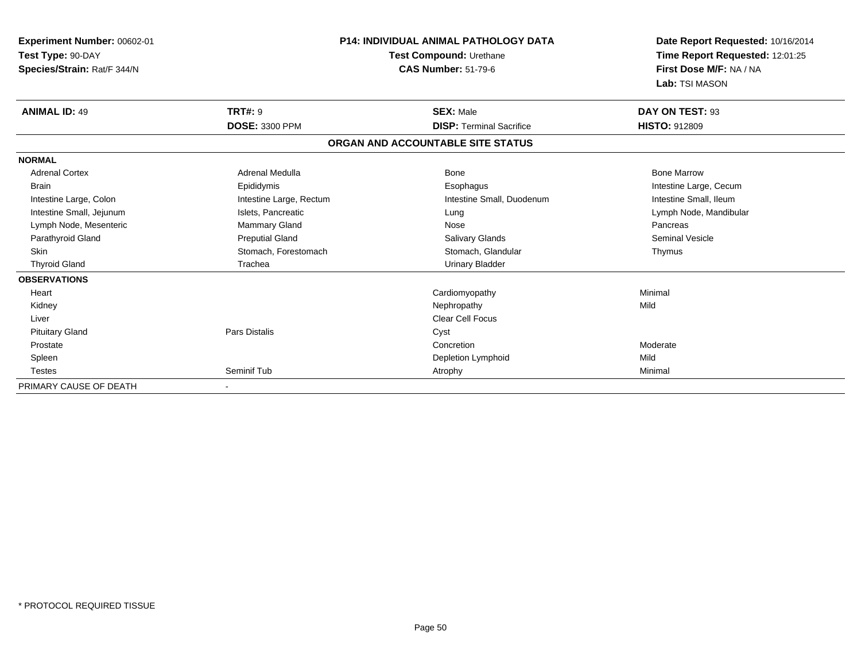| Experiment Number: 00602-01 |                         | <b>P14: INDIVIDUAL ANIMAL PATHOLOGY DATA</b> | Date Report Requested: 10/16/2014 |
|-----------------------------|-------------------------|----------------------------------------------|-----------------------------------|
| Test Type: 90-DAY           |                         | Test Compound: Urethane                      | Time Report Requested: 12:01:25   |
| Species/Strain: Rat/F 344/N |                         | <b>CAS Number: 51-79-6</b>                   | First Dose M/F: NA / NA           |
|                             |                         |                                              | Lab: TSI MASON                    |
| <b>ANIMAL ID: 49</b>        | <b>TRT#: 9</b>          | <b>SEX: Male</b>                             | DAY ON TEST: 93                   |
|                             | <b>DOSE: 3300 PPM</b>   | <b>DISP: Terminal Sacrifice</b>              | <b>HISTO: 912809</b>              |
|                             |                         | ORGAN AND ACCOUNTABLE SITE STATUS            |                                   |
| <b>NORMAL</b>               |                         |                                              |                                   |
| <b>Adrenal Cortex</b>       | Adrenal Medulla         | <b>Bone</b>                                  | <b>Bone Marrow</b>                |
| <b>Brain</b>                | Epididymis              | Esophagus                                    | Intestine Large, Cecum            |
| Intestine Large, Colon      | Intestine Large, Rectum | Intestine Small, Duodenum                    | Intestine Small, Ileum            |
| Intestine Small, Jejunum    | Islets, Pancreatic      | Lung                                         | Lymph Node, Mandibular            |
| Lymph Node, Mesenteric      | Mammary Gland           | Nose                                         | Pancreas                          |
| Parathyroid Gland           | <b>Preputial Gland</b>  | Salivary Glands                              | <b>Seminal Vesicle</b>            |
| <b>Skin</b>                 | Stomach, Forestomach    | Stomach, Glandular                           | Thymus                            |
| <b>Thyroid Gland</b>        | Trachea                 | <b>Urinary Bladder</b>                       |                                   |
| <b>OBSERVATIONS</b>         |                         |                                              |                                   |
| Heart                       |                         | Cardiomyopathy                               | Minimal                           |
| Kidney                      |                         | Nephropathy                                  | Mild                              |
| Liver                       |                         | Clear Cell Focus                             |                                   |
| <b>Pituitary Gland</b>      | <b>Pars Distalis</b>    | Cyst                                         |                                   |
| Prostate                    |                         | Concretion                                   | Moderate                          |
| Spleen                      |                         | Depletion Lymphoid                           | Mild                              |
| <b>Testes</b>               | Seminif Tub             | Atrophy                                      | Minimal                           |
| PRIMARY CAUSE OF DEATH      |                         |                                              |                                   |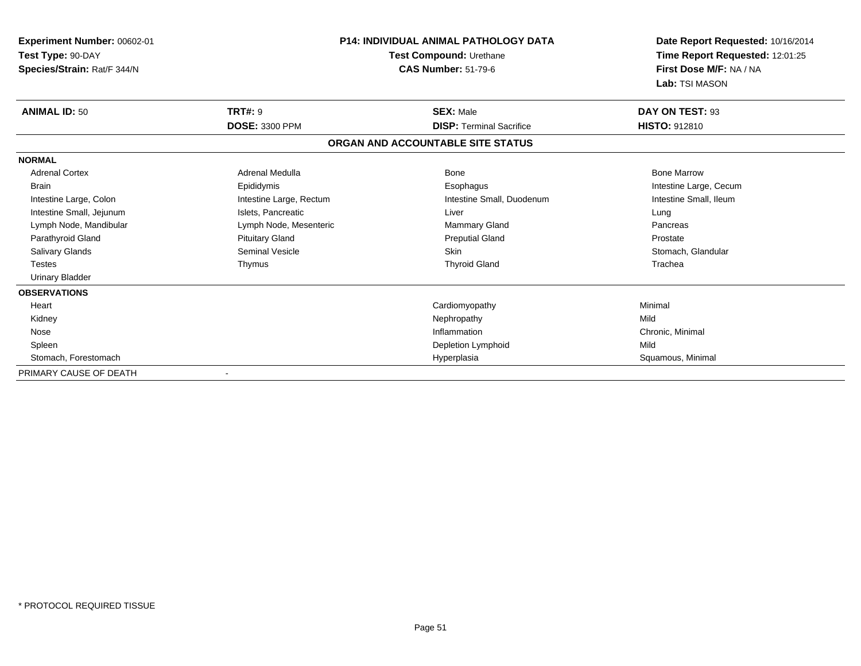| Experiment Number: 00602-01<br>Test Type: 90-DAY<br>Species/Strain: Rat/F 344/N | <b>P14: INDIVIDUAL ANIMAL PATHOLOGY DATA</b><br>Test Compound: Urethane<br><b>CAS Number: 51-79-6</b> |                                   | Date Report Requested: 10/16/2014<br>Time Report Requested: 12:01:25<br>First Dose M/F: NA / NA |  |
|---------------------------------------------------------------------------------|-------------------------------------------------------------------------------------------------------|-----------------------------------|-------------------------------------------------------------------------------------------------|--|
|                                                                                 |                                                                                                       |                                   | Lab: TSI MASON                                                                                  |  |
| <b>ANIMAL ID: 50</b>                                                            | <b>TRT#: 9</b>                                                                                        | <b>SEX: Male</b>                  | DAY ON TEST: 93                                                                                 |  |
|                                                                                 | <b>DOSE: 3300 PPM</b>                                                                                 | <b>DISP: Terminal Sacrifice</b>   | <b>HISTO: 912810</b>                                                                            |  |
|                                                                                 |                                                                                                       | ORGAN AND ACCOUNTABLE SITE STATUS |                                                                                                 |  |
| <b>NORMAL</b>                                                                   |                                                                                                       |                                   |                                                                                                 |  |
| <b>Adrenal Cortex</b>                                                           | Adrenal Medulla                                                                                       | Bone                              | <b>Bone Marrow</b>                                                                              |  |
| <b>Brain</b>                                                                    | Epididymis                                                                                            | Esophagus                         | Intestine Large, Cecum                                                                          |  |
| Intestine Large, Colon                                                          | Intestine Large, Rectum                                                                               | Intestine Small, Duodenum         | Intestine Small, Ileum                                                                          |  |
| Intestine Small, Jejunum                                                        | Islets, Pancreatic                                                                                    | Liver                             | Lung                                                                                            |  |
| Lymph Node, Mandibular                                                          | Lymph Node, Mesenteric                                                                                | Mammary Gland                     | Pancreas                                                                                        |  |
| Parathyroid Gland                                                               | <b>Pituitary Gland</b>                                                                                | <b>Preputial Gland</b>            | Prostate                                                                                        |  |
| Salivary Glands                                                                 | Seminal Vesicle                                                                                       | Skin                              | Stomach, Glandular                                                                              |  |
| <b>Testes</b>                                                                   | Thymus                                                                                                | <b>Thyroid Gland</b>              | Trachea                                                                                         |  |
| <b>Urinary Bladder</b>                                                          |                                                                                                       |                                   |                                                                                                 |  |
| <b>OBSERVATIONS</b>                                                             |                                                                                                       |                                   |                                                                                                 |  |
| Heart                                                                           |                                                                                                       | Cardiomyopathy                    | Minimal                                                                                         |  |
| Kidney                                                                          |                                                                                                       | Nephropathy                       | Mild                                                                                            |  |
| Nose                                                                            |                                                                                                       | Inflammation                      | Chronic, Minimal                                                                                |  |
| Spleen                                                                          |                                                                                                       | Depletion Lymphoid                | Mild                                                                                            |  |
| Stomach, Forestomach                                                            |                                                                                                       | Hyperplasia                       | Squamous, Minimal                                                                               |  |
| PRIMARY CAUSE OF DEATH                                                          | $\overline{\phantom{a}}$                                                                              |                                   |                                                                                                 |  |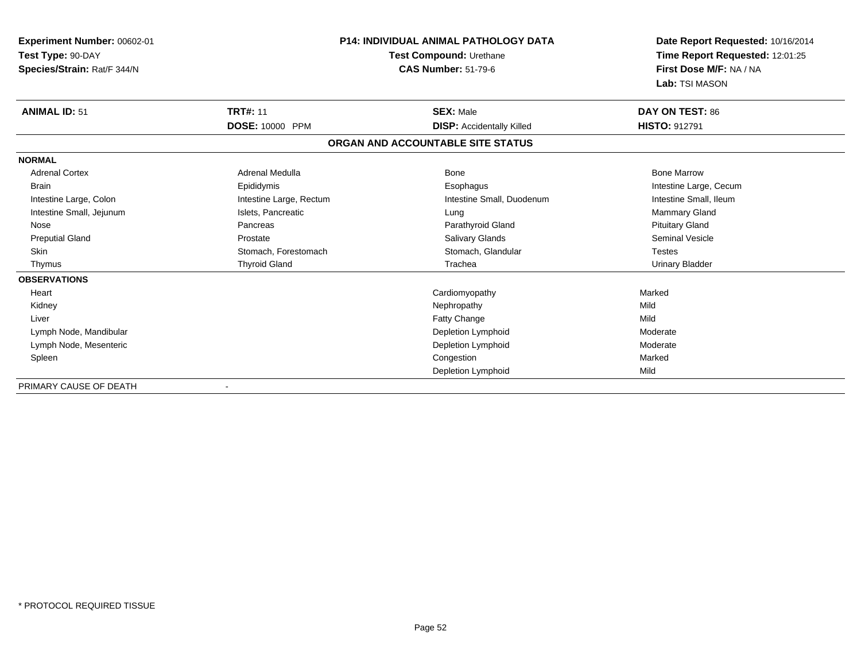| Experiment Number: 00602-01 | <b>P14: INDIVIDUAL ANIMAL PATHOLOGY DATA</b> |                                   | Date Report Requested: 10/16/2014                          |  |
|-----------------------------|----------------------------------------------|-----------------------------------|------------------------------------------------------------|--|
| Test Type: 90-DAY           |                                              | Test Compound: Urethane           | Time Report Requested: 12:01:25<br>First Dose M/F: NA / NA |  |
| Species/Strain: Rat/F 344/N |                                              | <b>CAS Number: 51-79-6</b>        |                                                            |  |
|                             |                                              |                                   | Lab: TSI MASON                                             |  |
| <b>ANIMAL ID: 51</b>        | <b>TRT#: 11</b>                              | <b>SEX: Male</b>                  | <b>DAY ON TEST: 86</b>                                     |  |
|                             | DOSE: 10000 PPM                              | <b>DISP:</b> Accidentally Killed  | <b>HISTO: 912791</b>                                       |  |
|                             |                                              | ORGAN AND ACCOUNTABLE SITE STATUS |                                                            |  |
| <b>NORMAL</b>               |                                              |                                   |                                                            |  |
| <b>Adrenal Cortex</b>       | Adrenal Medulla                              | Bone                              | <b>Bone Marrow</b>                                         |  |
| <b>Brain</b>                | Epididymis                                   | Esophagus                         | Intestine Large, Cecum                                     |  |
| Intestine Large, Colon      | Intestine Large, Rectum                      | Intestine Small, Duodenum         | Intestine Small, Ileum                                     |  |
| Intestine Small, Jejunum    | Islets, Pancreatic                           | Lung                              | Mammary Gland                                              |  |
| Nose                        | Pancreas                                     | Parathyroid Gland                 | <b>Pituitary Gland</b>                                     |  |
| <b>Preputial Gland</b>      | Prostate                                     | <b>Salivary Glands</b>            | <b>Seminal Vesicle</b>                                     |  |
| <b>Skin</b>                 | Stomach, Forestomach                         | Stomach, Glandular                | <b>Testes</b>                                              |  |
| Thymus                      | <b>Thyroid Gland</b>                         | Trachea                           | <b>Urinary Bladder</b>                                     |  |
| <b>OBSERVATIONS</b>         |                                              |                                   |                                                            |  |
| Heart                       |                                              | Cardiomyopathy                    | Marked                                                     |  |
| Kidney                      |                                              | Nephropathy                       | Mild                                                       |  |
| Liver                       |                                              | Fatty Change                      | Mild                                                       |  |
| Lymph Node, Mandibular      |                                              | Depletion Lymphoid                | Moderate                                                   |  |
| Lymph Node, Mesenteric      |                                              | Depletion Lymphoid                | Moderate                                                   |  |
| Spleen                      |                                              | Congestion                        | Marked                                                     |  |
|                             |                                              | Depletion Lymphoid                | Mild                                                       |  |
| PRIMARY CAUSE OF DEATH      |                                              |                                   |                                                            |  |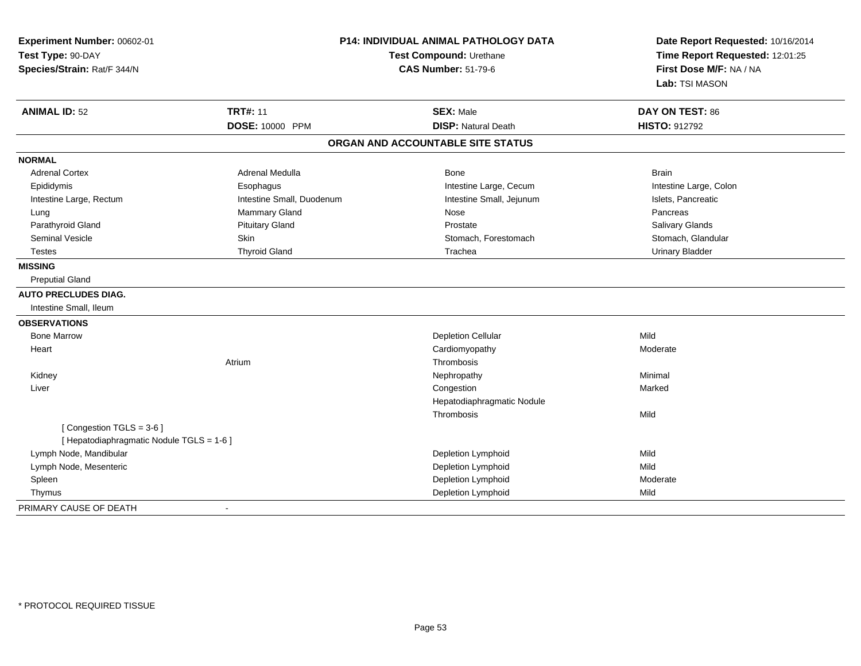| Experiment Number: 00602-01<br>Test Type: 90-DAY<br>Species/Strain: Rat/F 344/N | P14: INDIVIDUAL ANIMAL PATHOLOGY DATA<br>Test Compound: Urethane<br><b>CAS Number: 51-79-6</b> |                                   | Date Report Requested: 10/16/2014<br>Time Report Requested: 12:01:25<br>First Dose M/F: NA / NA<br>Lab: TSI MASON |
|---------------------------------------------------------------------------------|------------------------------------------------------------------------------------------------|-----------------------------------|-------------------------------------------------------------------------------------------------------------------|
| <b>ANIMAL ID: 52</b>                                                            | <b>TRT#: 11</b>                                                                                | <b>SEX: Male</b>                  | DAY ON TEST: 86                                                                                                   |
|                                                                                 | DOSE: 10000 PPM                                                                                | <b>DISP: Natural Death</b>        | HISTO: 912792                                                                                                     |
|                                                                                 |                                                                                                | ORGAN AND ACCOUNTABLE SITE STATUS |                                                                                                                   |
| <b>NORMAL</b>                                                                   |                                                                                                |                                   |                                                                                                                   |
| <b>Adrenal Cortex</b>                                                           | Adrenal Medulla                                                                                | Bone                              | <b>Brain</b>                                                                                                      |
| Epididymis                                                                      | Esophagus                                                                                      | Intestine Large, Cecum            | Intestine Large, Colon                                                                                            |
| Intestine Large, Rectum                                                         | Intestine Small, Duodenum                                                                      | Intestine Small, Jejunum          | Islets, Pancreatic                                                                                                |
| Lung                                                                            | Mammary Gland                                                                                  | Nose                              | Pancreas                                                                                                          |
| Parathyroid Gland                                                               | <b>Pituitary Gland</b>                                                                         | Prostate                          | Salivary Glands                                                                                                   |
| Seminal Vesicle                                                                 | Skin                                                                                           | Stomach, Forestomach              | Stomach, Glandular                                                                                                |
| <b>Testes</b>                                                                   | <b>Thyroid Gland</b>                                                                           | Trachea                           | <b>Urinary Bladder</b>                                                                                            |
| <b>MISSING</b>                                                                  |                                                                                                |                                   |                                                                                                                   |
| <b>Preputial Gland</b>                                                          |                                                                                                |                                   |                                                                                                                   |
| <b>AUTO PRECLUDES DIAG.</b>                                                     |                                                                                                |                                   |                                                                                                                   |
| Intestine Small, Ileum                                                          |                                                                                                |                                   |                                                                                                                   |
| <b>OBSERVATIONS</b>                                                             |                                                                                                |                                   |                                                                                                                   |
| <b>Bone Marrow</b>                                                              |                                                                                                | <b>Depletion Cellular</b>         | Mild                                                                                                              |
| Heart                                                                           |                                                                                                | Cardiomyopathy                    | Moderate                                                                                                          |
|                                                                                 | Atrium                                                                                         | Thrombosis                        |                                                                                                                   |
| Kidney                                                                          |                                                                                                | Nephropathy                       | Minimal                                                                                                           |
| Liver                                                                           |                                                                                                | Congestion                        | Marked                                                                                                            |
|                                                                                 |                                                                                                | Hepatodiaphragmatic Nodule        |                                                                                                                   |
|                                                                                 |                                                                                                | Thrombosis                        | Mild                                                                                                              |
| [Congestion TGLS = 3-6]                                                         |                                                                                                |                                   |                                                                                                                   |
| [ Hepatodiaphragmatic Nodule TGLS = 1-6 ]                                       |                                                                                                |                                   |                                                                                                                   |
| Lymph Node, Mandibular                                                          |                                                                                                | Depletion Lymphoid                | Mild                                                                                                              |
| Lymph Node, Mesenteric                                                          |                                                                                                | Depletion Lymphoid                | Mild                                                                                                              |
| Spleen                                                                          |                                                                                                | Depletion Lymphoid                | Moderate                                                                                                          |
| Thymus                                                                          |                                                                                                | Depletion Lymphoid                | Mild                                                                                                              |
| PRIMARY CAUSE OF DEATH                                                          | $\blacksquare$                                                                                 |                                   |                                                                                                                   |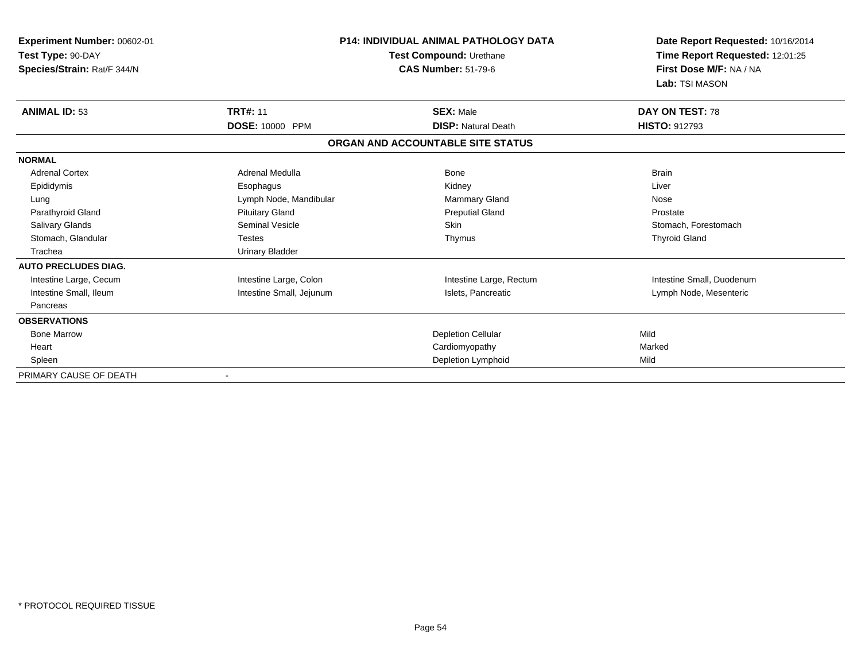| Experiment Number: 00602-01<br>Test Type: 90-DAY<br>Species/Strain: Rat/F 344/N | <b>P14: INDIVIDUAL ANIMAL PATHOLOGY DATA</b><br>Test Compound: Urethane<br><b>CAS Number: 51-79-6</b> |                                   | Date Report Requested: 10/16/2014<br>Time Report Requested: 12:01:25<br>First Dose M/F: NA / NA<br>Lab: TSI MASON |
|---------------------------------------------------------------------------------|-------------------------------------------------------------------------------------------------------|-----------------------------------|-------------------------------------------------------------------------------------------------------------------|
| <b>ANIMAL ID: 53</b>                                                            | <b>TRT#: 11</b>                                                                                       | <b>SEX: Male</b>                  | DAY ON TEST: 78                                                                                                   |
|                                                                                 | <b>DOSE: 10000 PPM</b>                                                                                | <b>DISP: Natural Death</b>        | <b>HISTO: 912793</b>                                                                                              |
|                                                                                 |                                                                                                       | ORGAN AND ACCOUNTABLE SITE STATUS |                                                                                                                   |
| <b>NORMAL</b>                                                                   |                                                                                                       |                                   |                                                                                                                   |
| <b>Adrenal Cortex</b>                                                           | Adrenal Medulla                                                                                       | Bone                              | <b>Brain</b>                                                                                                      |
| Epididymis                                                                      | Esophagus                                                                                             | Kidney                            | Liver                                                                                                             |
| Lung                                                                            | Lymph Node, Mandibular                                                                                | <b>Mammary Gland</b>              | Nose                                                                                                              |
| Parathyroid Gland                                                               | <b>Pituitary Gland</b>                                                                                | <b>Preputial Gland</b>            | Prostate                                                                                                          |
| Salivary Glands                                                                 | <b>Seminal Vesicle</b>                                                                                | <b>Skin</b>                       | Stomach, Forestomach                                                                                              |
| Stomach, Glandular                                                              | <b>Testes</b>                                                                                         | Thymus                            | <b>Thyroid Gland</b>                                                                                              |
| Trachea                                                                         | <b>Urinary Bladder</b>                                                                                |                                   |                                                                                                                   |
| <b>AUTO PRECLUDES DIAG.</b>                                                     |                                                                                                       |                                   |                                                                                                                   |
| Intestine Large, Cecum                                                          | Intestine Large, Colon                                                                                | Intestine Large, Rectum           | Intestine Small, Duodenum                                                                                         |
| Intestine Small, Ileum                                                          | Intestine Small, Jejunum                                                                              | Islets, Pancreatic                | Lymph Node, Mesenteric                                                                                            |
| Pancreas                                                                        |                                                                                                       |                                   |                                                                                                                   |
| <b>OBSERVATIONS</b>                                                             |                                                                                                       |                                   |                                                                                                                   |
| <b>Bone Marrow</b>                                                              |                                                                                                       | <b>Depletion Cellular</b>         | Mild                                                                                                              |
| Heart                                                                           |                                                                                                       | Cardiomyopathy                    | Marked                                                                                                            |
| Spleen                                                                          |                                                                                                       | Depletion Lymphoid                | Mild                                                                                                              |
| PRIMARY CAUSE OF DEATH                                                          | $\overline{\phantom{a}}$                                                                              |                                   |                                                                                                                   |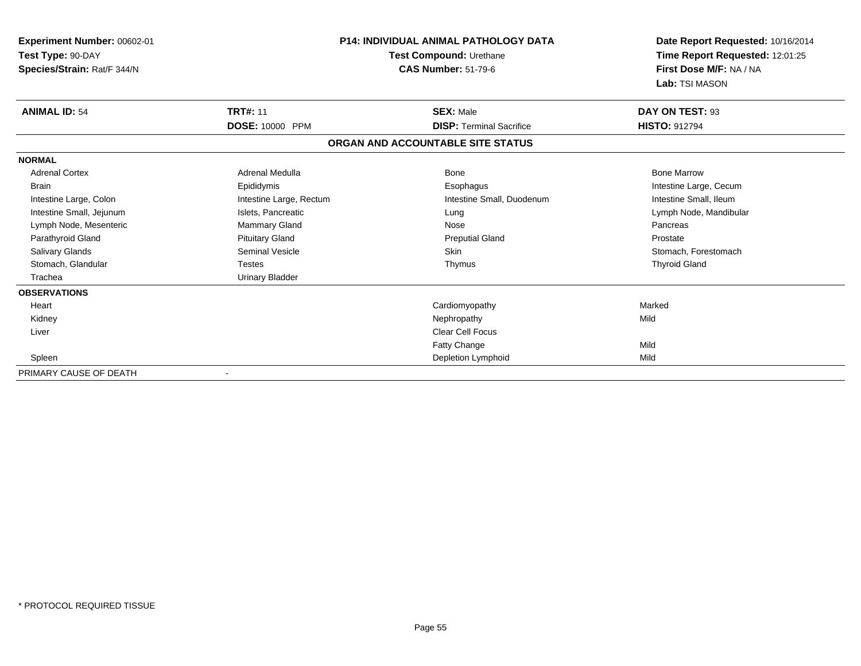| <b>Experiment Number: 00602-01</b><br>Test Type: 90-DAY<br>Species/Strain: Rat/F 344/N |                          | <b>P14: INDIVIDUAL ANIMAL PATHOLOGY DATA</b><br>Test Compound: Urethane<br><b>CAS Number: 51-79-6</b> | Date Report Requested: 10/16/2014<br>Time Report Requested: 12:01:25<br>First Dose M/F: NA / NA<br>Lab: TSI MASON |
|----------------------------------------------------------------------------------------|--------------------------|-------------------------------------------------------------------------------------------------------|-------------------------------------------------------------------------------------------------------------------|
| <b>ANIMAL ID: 54</b>                                                                   | <b>TRT#: 11</b>          | <b>SEX: Male</b>                                                                                      | DAY ON TEST: 93                                                                                                   |
|                                                                                        | DOSE: 10000 PPM          | <b>DISP: Terminal Sacrifice</b>                                                                       | <b>HISTO: 912794</b>                                                                                              |
|                                                                                        |                          | ORGAN AND ACCOUNTABLE SITE STATUS                                                                     |                                                                                                                   |
| <b>NORMAL</b>                                                                          |                          |                                                                                                       |                                                                                                                   |
| <b>Adrenal Cortex</b>                                                                  | Adrenal Medulla          | Bone                                                                                                  | <b>Bone Marrow</b>                                                                                                |
| <b>Brain</b>                                                                           | Epididymis               | Esophagus                                                                                             | Intestine Large, Cecum                                                                                            |
| Intestine Large, Colon                                                                 | Intestine Large, Rectum  | Intestine Small, Duodenum                                                                             | Intestine Small, Ileum                                                                                            |
| Intestine Small, Jejunum                                                               | Islets, Pancreatic       | Lung                                                                                                  | Lymph Node, Mandibular                                                                                            |
| Lymph Node, Mesenteric                                                                 | <b>Mammary Gland</b>     | Nose                                                                                                  | Pancreas                                                                                                          |
| Parathyroid Gland                                                                      | <b>Pituitary Gland</b>   | <b>Preputial Gland</b>                                                                                | Prostate                                                                                                          |
| Salivary Glands                                                                        | <b>Seminal Vesicle</b>   | Skin                                                                                                  | Stomach, Forestomach                                                                                              |
| Stomach, Glandular                                                                     | Testes                   | Thymus                                                                                                | <b>Thyroid Gland</b>                                                                                              |
| Trachea                                                                                | <b>Urinary Bladder</b>   |                                                                                                       |                                                                                                                   |
| <b>OBSERVATIONS</b>                                                                    |                          |                                                                                                       |                                                                                                                   |
| Heart                                                                                  |                          | Cardiomyopathy                                                                                        | Marked                                                                                                            |
| Kidney                                                                                 |                          | Nephropathy                                                                                           | Mild                                                                                                              |
| Liver                                                                                  |                          | <b>Clear Cell Focus</b>                                                                               |                                                                                                                   |
|                                                                                        |                          | Fatty Change                                                                                          | Mild                                                                                                              |
| Spleen                                                                                 |                          | Depletion Lymphoid                                                                                    | Mild                                                                                                              |
| PRIMARY CAUSE OF DEATH                                                                 | $\overline{\phantom{a}}$ |                                                                                                       |                                                                                                                   |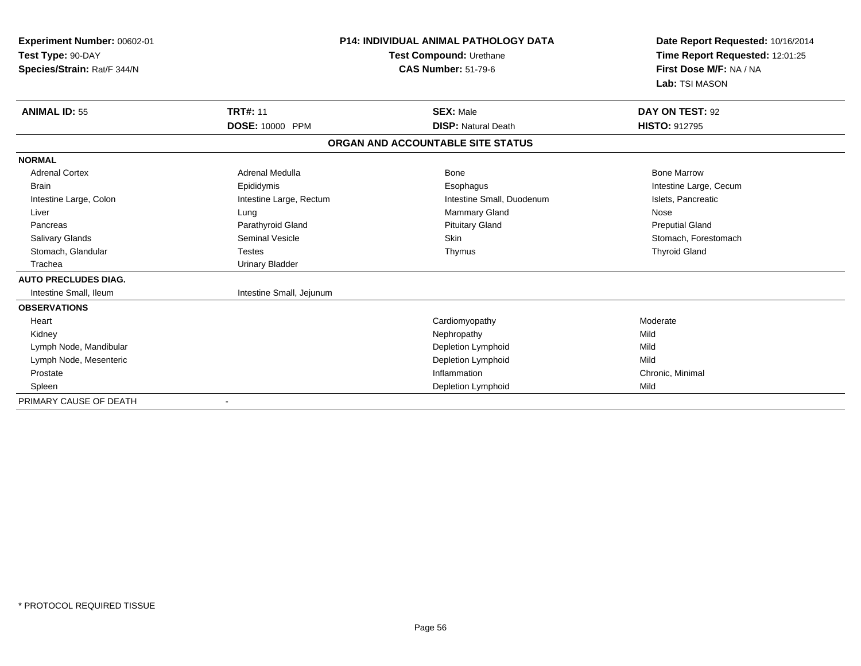| Experiment Number: 00602-01 |                          | <b>P14: INDIVIDUAL ANIMAL PATHOLOGY DATA</b> |                                 |
|-----------------------------|--------------------------|----------------------------------------------|---------------------------------|
| Test Type: 90-DAY           |                          | Test Compound: Urethane                      | Time Report Requested: 12:01:25 |
| Species/Strain: Rat/F 344/N |                          | <b>CAS Number: 51-79-6</b>                   | First Dose M/F: NA / NA         |
|                             |                          |                                              | Lab: TSI MASON                  |
| <b>ANIMAL ID: 55</b>        | <b>TRT#: 11</b>          | <b>SEX: Male</b>                             | DAY ON TEST: 92                 |
|                             | DOSE: 10000 PPM          | <b>DISP: Natural Death</b>                   | <b>HISTO: 912795</b>            |
|                             |                          | ORGAN AND ACCOUNTABLE SITE STATUS            |                                 |
| <b>NORMAL</b>               |                          |                                              |                                 |
| <b>Adrenal Cortex</b>       | Adrenal Medulla          | Bone                                         | <b>Bone Marrow</b>              |
| <b>Brain</b>                | Epididymis               | Esophagus                                    | Intestine Large, Cecum          |
| Intestine Large, Colon      | Intestine Large, Rectum  | Intestine Small, Duodenum                    | Islets, Pancreatic              |
| Liver                       | Lung                     | Mammary Gland                                | Nose                            |
| Pancreas                    | Parathyroid Gland        | <b>Pituitary Gland</b>                       | <b>Preputial Gland</b>          |
| <b>Salivary Glands</b>      | <b>Seminal Vesicle</b>   | <b>Skin</b>                                  | Stomach, Forestomach            |
| Stomach, Glandular          | <b>Testes</b>            | Thymus                                       | <b>Thyroid Gland</b>            |
| Trachea                     | <b>Urinary Bladder</b>   |                                              |                                 |
| <b>AUTO PRECLUDES DIAG.</b> |                          |                                              |                                 |
| Intestine Small, Ileum      | Intestine Small, Jejunum |                                              |                                 |
| <b>OBSERVATIONS</b>         |                          |                                              |                                 |
| Heart                       |                          | Cardiomyopathy                               | Moderate                        |
| Kidney                      |                          | Nephropathy                                  | Mild                            |
| Lymph Node, Mandibular      |                          | Depletion Lymphoid                           | Mild                            |
| Lymph Node, Mesenteric      |                          | Depletion Lymphoid                           | Mild                            |
| Prostate                    |                          | Inflammation                                 | Chronic, Minimal                |
| Spleen                      |                          | Depletion Lymphoid                           | Mild                            |
| PRIMARY CAUSE OF DEATH      |                          |                                              |                                 |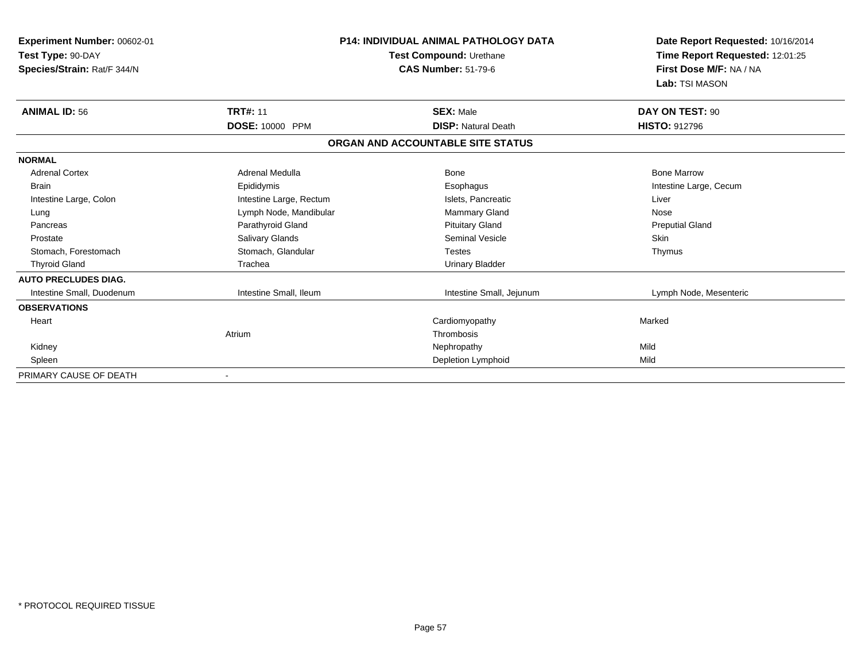| Experiment Number: 00602-01<br>Test Type: 90-DAY<br>Species/Strain: Rat/F 344/N |                          | <b>P14: INDIVIDUAL ANIMAL PATHOLOGY DATA</b><br>Test Compound: Urethane<br><b>CAS Number: 51-79-6</b> | Date Report Requested: 10/16/2014<br>Time Report Requested: 12:01:25<br>First Dose M/F: NA / NA<br>Lab: TSI MASON |
|---------------------------------------------------------------------------------|--------------------------|-------------------------------------------------------------------------------------------------------|-------------------------------------------------------------------------------------------------------------------|
| <b>ANIMAL ID: 56</b>                                                            | <b>TRT#: 11</b>          | <b>SEX: Male</b>                                                                                      | DAY ON TEST: 90                                                                                                   |
|                                                                                 | DOSE: 10000 PPM          | <b>DISP: Natural Death</b>                                                                            | <b>HISTO: 912796</b>                                                                                              |
|                                                                                 |                          | ORGAN AND ACCOUNTABLE SITE STATUS                                                                     |                                                                                                                   |
| <b>NORMAL</b>                                                                   |                          |                                                                                                       |                                                                                                                   |
| <b>Adrenal Cortex</b>                                                           | Adrenal Medulla          | Bone                                                                                                  | <b>Bone Marrow</b>                                                                                                |
| <b>Brain</b>                                                                    | Epididymis               | Esophagus                                                                                             | Intestine Large, Cecum                                                                                            |
| Intestine Large, Colon                                                          | Intestine Large, Rectum  | Islets, Pancreatic                                                                                    | Liver                                                                                                             |
| Lung                                                                            | Lymph Node, Mandibular   | <b>Mammary Gland</b>                                                                                  | Nose                                                                                                              |
| Pancreas                                                                        | Parathyroid Gland        | <b>Pituitary Gland</b>                                                                                | <b>Preputial Gland</b>                                                                                            |
| Prostate                                                                        | <b>Salivary Glands</b>   | <b>Seminal Vesicle</b>                                                                                | <b>Skin</b>                                                                                                       |
| Stomach, Forestomach                                                            | Stomach, Glandular       | <b>Testes</b>                                                                                         | Thymus                                                                                                            |
| <b>Thyroid Gland</b>                                                            | Trachea                  | <b>Urinary Bladder</b>                                                                                |                                                                                                                   |
| <b>AUTO PRECLUDES DIAG.</b>                                                     |                          |                                                                                                       |                                                                                                                   |
| Intestine Small, Duodenum                                                       | Intestine Small, Ileum   | Intestine Small, Jejunum                                                                              | Lymph Node, Mesenteric                                                                                            |
| <b>OBSERVATIONS</b>                                                             |                          |                                                                                                       |                                                                                                                   |
| Heart                                                                           |                          | Cardiomyopathy                                                                                        | Marked                                                                                                            |
|                                                                                 | Atrium                   | Thrombosis                                                                                            |                                                                                                                   |
| Kidney                                                                          |                          | Nephropathy                                                                                           | Mild                                                                                                              |
| Spleen                                                                          |                          | Depletion Lymphoid                                                                                    | Mild                                                                                                              |
| PRIMARY CAUSE OF DEATH                                                          | $\overline{\phantom{a}}$ |                                                                                                       |                                                                                                                   |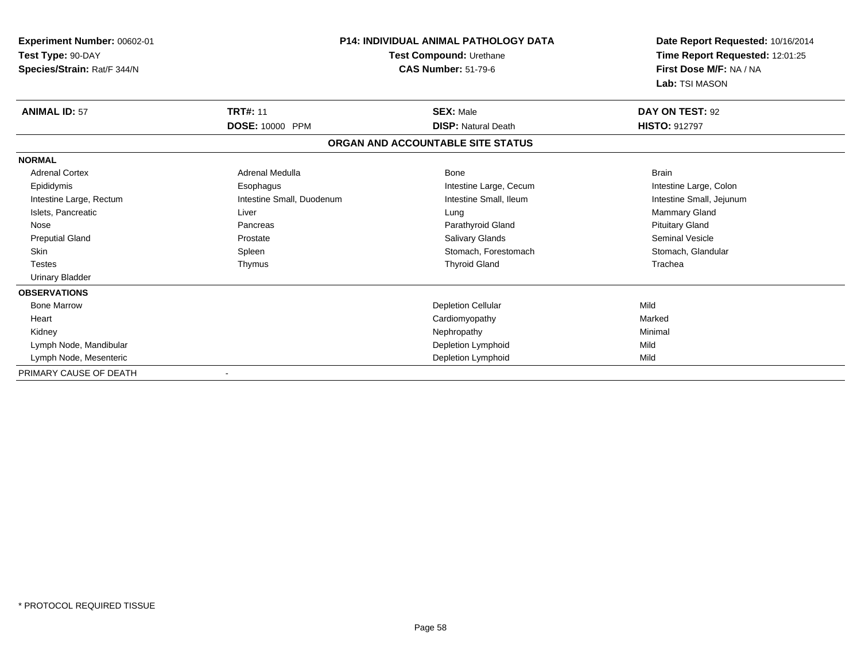| Experiment Number: 00602-01<br>Test Type: 90-DAY |                           | <b>P14: INDIVIDUAL ANIMAL PATHOLOGY DATA</b><br>Test Compound: Urethane | Date Report Requested: 10/16/2014<br>Time Report Requested: 12:01:25 |
|--------------------------------------------------|---------------------------|-------------------------------------------------------------------------|----------------------------------------------------------------------|
| Species/Strain: Rat/F 344/N                      |                           | <b>CAS Number: 51-79-6</b>                                              | First Dose M/F: NA / NA<br>Lab: TSI MASON                            |
| <b>ANIMAL ID: 57</b>                             | <b>TRT#: 11</b>           | <b>SEX: Male</b>                                                        | DAY ON TEST: 92                                                      |
|                                                  | DOSE: 10000 PPM           | <b>DISP: Natural Death</b>                                              | <b>HISTO: 912797</b>                                                 |
|                                                  |                           | ORGAN AND ACCOUNTABLE SITE STATUS                                       |                                                                      |
| <b>NORMAL</b>                                    |                           |                                                                         |                                                                      |
| <b>Adrenal Cortex</b>                            | Adrenal Medulla           | Bone                                                                    | <b>Brain</b>                                                         |
| Epididymis                                       | Esophagus                 | Intestine Large, Cecum                                                  | Intestine Large, Colon                                               |
| Intestine Large, Rectum                          | Intestine Small, Duodenum | Intestine Small, Ileum                                                  | Intestine Small, Jejunum                                             |
| Islets, Pancreatic                               | Liver                     | Lung                                                                    | <b>Mammary Gland</b>                                                 |
| Nose                                             | Pancreas                  | Parathyroid Gland                                                       | <b>Pituitary Gland</b>                                               |
| <b>Preputial Gland</b>                           | Prostate                  | Salivary Glands                                                         | <b>Seminal Vesicle</b>                                               |
| <b>Skin</b>                                      | Spleen                    | Stomach, Forestomach                                                    | Stomach, Glandular                                                   |
| <b>Testes</b>                                    | Thymus                    | <b>Thyroid Gland</b>                                                    | Trachea                                                              |
| <b>Urinary Bladder</b>                           |                           |                                                                         |                                                                      |
| <b>OBSERVATIONS</b>                              |                           |                                                                         |                                                                      |
| <b>Bone Marrow</b>                               |                           | <b>Depletion Cellular</b>                                               | Mild                                                                 |
| Heart                                            |                           | Cardiomyopathy                                                          | Marked                                                               |
| Kidney                                           |                           | Nephropathy                                                             | Minimal                                                              |
| Lymph Node, Mandibular                           |                           | Depletion Lymphoid                                                      | Mild                                                                 |
| Lymph Node, Mesenteric                           |                           | Depletion Lymphoid                                                      | Mild                                                                 |
| PRIMARY CAUSE OF DEATH                           | $\overline{\phantom{a}}$  |                                                                         |                                                                      |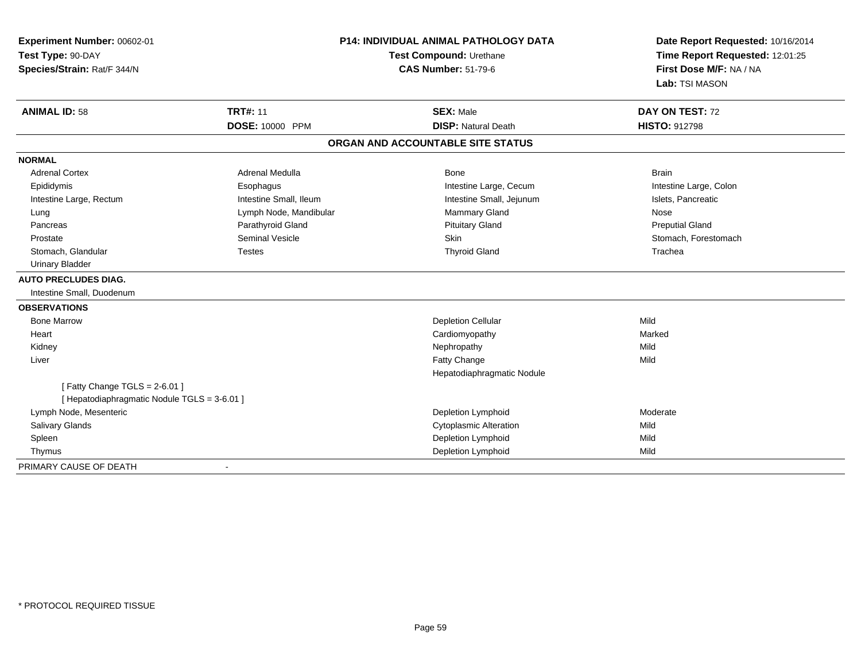| Experiment Number: 00602-01                  | <b>P14: INDIVIDUAL ANIMAL PATHOLOGY DATA</b><br>Test Compound: Urethane<br><b>CAS Number: 51-79-6</b> |                                   | Date Report Requested: 10/16/2014<br>Time Report Requested: 12:01:25<br>First Dose M/F: NA / NA |
|----------------------------------------------|-------------------------------------------------------------------------------------------------------|-----------------------------------|-------------------------------------------------------------------------------------------------|
| Test Type: 90-DAY                            |                                                                                                       |                                   |                                                                                                 |
| Species/Strain: Rat/F 344/N                  |                                                                                                       |                                   |                                                                                                 |
|                                              |                                                                                                       |                                   | Lab: TSI MASON                                                                                  |
| <b>ANIMAL ID: 58</b>                         | <b>TRT#: 11</b>                                                                                       | <b>SEX: Male</b>                  | DAY ON TEST: 72                                                                                 |
|                                              | DOSE: 10000 PPM                                                                                       | <b>DISP: Natural Death</b>        | <b>HISTO: 912798</b>                                                                            |
|                                              |                                                                                                       | ORGAN AND ACCOUNTABLE SITE STATUS |                                                                                                 |
| <b>NORMAL</b>                                |                                                                                                       |                                   |                                                                                                 |
| <b>Adrenal Cortex</b>                        | Adrenal Medulla                                                                                       | <b>Bone</b>                       | <b>Brain</b>                                                                                    |
| Epididymis                                   | Esophagus                                                                                             | Intestine Large, Cecum            | Intestine Large, Colon                                                                          |
| Intestine Large, Rectum                      | Intestine Small, Ileum                                                                                | Intestine Small, Jejunum          | Islets, Pancreatic                                                                              |
| Lung                                         | Lymph Node, Mandibular                                                                                | Mammary Gland                     | Nose                                                                                            |
| Pancreas                                     | Parathyroid Gland                                                                                     | <b>Pituitary Gland</b>            | <b>Preputial Gland</b>                                                                          |
| Prostate                                     | <b>Seminal Vesicle</b>                                                                                | <b>Skin</b>                       | Stomach, Forestomach                                                                            |
| Stomach, Glandular                           | <b>Testes</b>                                                                                         | <b>Thyroid Gland</b>              | Trachea                                                                                         |
| <b>Urinary Bladder</b>                       |                                                                                                       |                                   |                                                                                                 |
| <b>AUTO PRECLUDES DIAG.</b>                  |                                                                                                       |                                   |                                                                                                 |
| Intestine Small, Duodenum                    |                                                                                                       |                                   |                                                                                                 |
| <b>OBSERVATIONS</b>                          |                                                                                                       |                                   |                                                                                                 |
| <b>Bone Marrow</b>                           |                                                                                                       | <b>Depletion Cellular</b>         | Mild                                                                                            |
| Heart                                        |                                                                                                       | Cardiomyopathy                    | Marked                                                                                          |
| Kidney                                       |                                                                                                       | Nephropathy                       | Mild                                                                                            |
| Liver                                        |                                                                                                       | Fatty Change                      | Mild                                                                                            |
|                                              |                                                                                                       | Hepatodiaphragmatic Nodule        |                                                                                                 |
| [Fatty Change TGLS = 2-6.01]                 |                                                                                                       |                                   |                                                                                                 |
| [ Hepatodiaphragmatic Nodule TGLS = 3-6.01 ] |                                                                                                       |                                   |                                                                                                 |
| Lymph Node, Mesenteric                       |                                                                                                       | Depletion Lymphoid                | Moderate                                                                                        |
| Salivary Glands                              |                                                                                                       | <b>Cytoplasmic Alteration</b>     | Mild                                                                                            |
| Spleen                                       |                                                                                                       | Depletion Lymphoid                | Mild                                                                                            |
| Thymus                                       |                                                                                                       | Depletion Lymphoid                | Mild                                                                                            |
| PRIMARY CAUSE OF DEATH                       |                                                                                                       |                                   |                                                                                                 |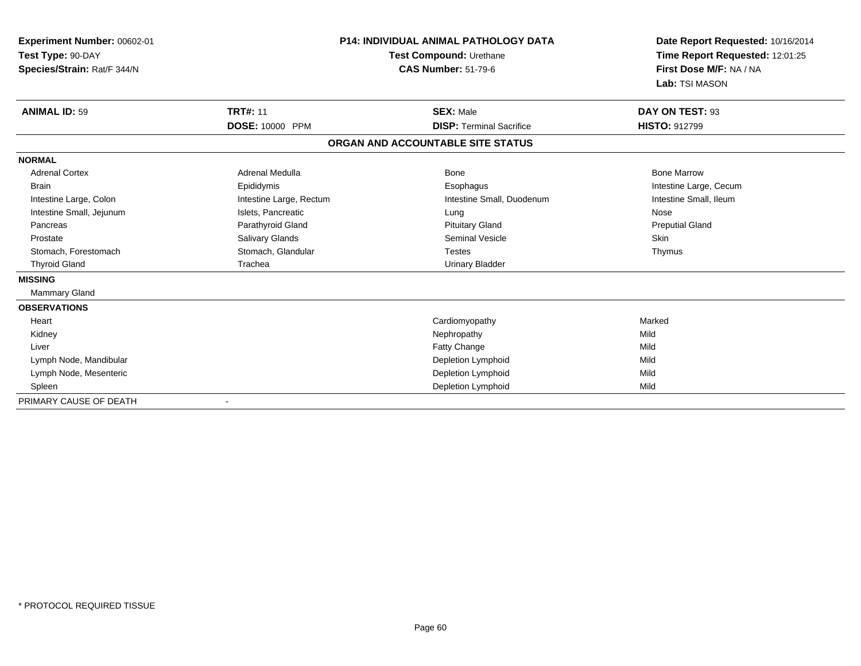| <b>Experiment Number: 00602-01</b><br>Test Type: 90-DAY<br>Species/Strain: Rat/F 344/N |                         | <b>P14: INDIVIDUAL ANIMAL PATHOLOGY DATA</b><br>Test Compound: Urethane<br><b>CAS Number: 51-79-6</b> | Date Report Requested: 10/16/2014<br>Time Report Requested: 12:01:25<br>First Dose M/F: NA / NA<br>Lab: TSI MASON |
|----------------------------------------------------------------------------------------|-------------------------|-------------------------------------------------------------------------------------------------------|-------------------------------------------------------------------------------------------------------------------|
| <b>ANIMAL ID: 59</b>                                                                   | <b>TRT#: 11</b>         | <b>SEX: Male</b>                                                                                      | DAY ON TEST: 93                                                                                                   |
|                                                                                        | DOSE: 10000 PPM         | <b>DISP: Terminal Sacrifice</b>                                                                       | <b>HISTO: 912799</b>                                                                                              |
|                                                                                        |                         | ORGAN AND ACCOUNTABLE SITE STATUS                                                                     |                                                                                                                   |
| <b>NORMAL</b>                                                                          |                         |                                                                                                       |                                                                                                                   |
| <b>Adrenal Cortex</b>                                                                  | Adrenal Medulla         | <b>Bone</b>                                                                                           | <b>Bone Marrow</b>                                                                                                |
| <b>Brain</b>                                                                           | Epididymis              | Esophagus                                                                                             | Intestine Large, Cecum                                                                                            |
| Intestine Large, Colon                                                                 | Intestine Large, Rectum | Intestine Small, Duodenum                                                                             | Intestine Small, Ileum                                                                                            |
| Intestine Small, Jejunum                                                               | Islets, Pancreatic      | Lung                                                                                                  | Nose                                                                                                              |
| Pancreas                                                                               | Parathyroid Gland       | <b>Pituitary Gland</b>                                                                                | <b>Preputial Gland</b>                                                                                            |
| Prostate                                                                               | Salivary Glands         | <b>Seminal Vesicle</b>                                                                                | <b>Skin</b>                                                                                                       |
| Stomach, Forestomach                                                                   | Stomach, Glandular      | <b>Testes</b>                                                                                         | Thymus                                                                                                            |
| <b>Thyroid Gland</b>                                                                   | Trachea                 | <b>Urinary Bladder</b>                                                                                |                                                                                                                   |
| <b>MISSING</b>                                                                         |                         |                                                                                                       |                                                                                                                   |
| <b>Mammary Gland</b>                                                                   |                         |                                                                                                       |                                                                                                                   |
| <b>OBSERVATIONS</b>                                                                    |                         |                                                                                                       |                                                                                                                   |
| Heart                                                                                  |                         | Cardiomyopathy                                                                                        | Marked                                                                                                            |
| Kidney                                                                                 |                         | Nephropathy                                                                                           | Mild                                                                                                              |
| Liver                                                                                  |                         | <b>Fatty Change</b>                                                                                   | Mild                                                                                                              |
| Lymph Node, Mandibular                                                                 |                         | Depletion Lymphoid                                                                                    | Mild                                                                                                              |
| Lymph Node, Mesenteric                                                                 |                         | Depletion Lymphoid                                                                                    | Mild                                                                                                              |
| Spleen                                                                                 |                         | Depletion Lymphoid                                                                                    | Mild                                                                                                              |
| PRIMARY CAUSE OF DEATH                                                                 |                         |                                                                                                       |                                                                                                                   |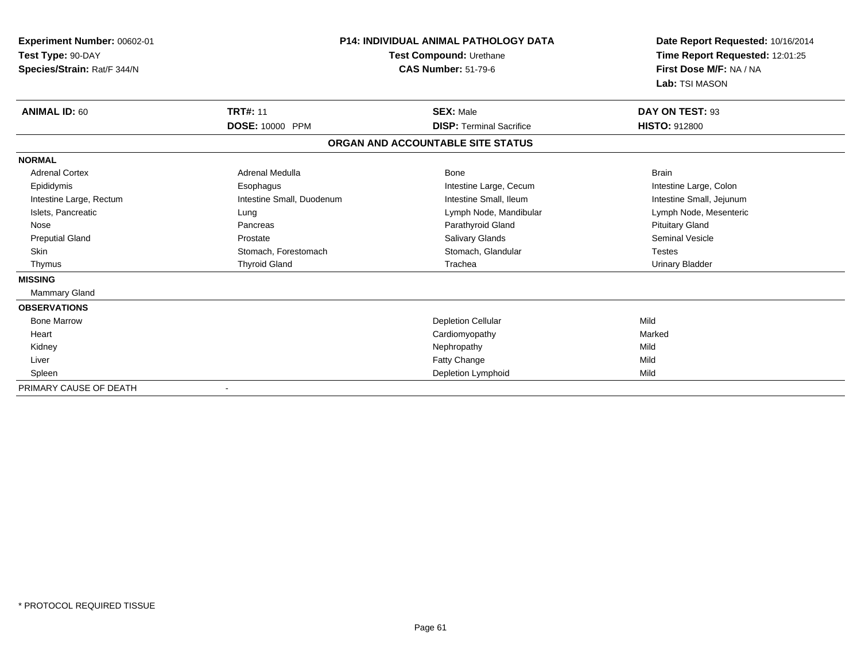| Experiment Number: 00602-01<br>Test Type: 90-DAY |                           | <b>P14: INDIVIDUAL ANIMAL PATHOLOGY DATA</b><br>Test Compound: Urethane | Date Report Requested: 10/16/2014<br>Time Report Requested: 12:01:25<br>First Dose M/F: NA / NA<br>Lab: TSI MASON |
|--------------------------------------------------|---------------------------|-------------------------------------------------------------------------|-------------------------------------------------------------------------------------------------------------------|
| Species/Strain: Rat/F 344/N                      |                           | <b>CAS Number: 51-79-6</b>                                              |                                                                                                                   |
| <b>ANIMAL ID: 60</b>                             | <b>TRT#: 11</b>           | <b>SEX: Male</b>                                                        | DAY ON TEST: 93                                                                                                   |
|                                                  | DOSE: 10000 PPM           | <b>DISP: Terminal Sacrifice</b>                                         | <b>HISTO: 912800</b>                                                                                              |
|                                                  |                           | ORGAN AND ACCOUNTABLE SITE STATUS                                       |                                                                                                                   |
| <b>NORMAL</b>                                    |                           |                                                                         |                                                                                                                   |
| <b>Adrenal Cortex</b>                            | Adrenal Medulla           | Bone                                                                    | <b>Brain</b>                                                                                                      |
| Epididymis                                       | Esophagus                 | Intestine Large, Cecum                                                  | Intestine Large, Colon                                                                                            |
| Intestine Large, Rectum                          | Intestine Small, Duodenum | Intestine Small, Ileum                                                  | Intestine Small, Jejunum                                                                                          |
| Islets, Pancreatic                               | Lung                      | Lymph Node, Mandibular                                                  | Lymph Node, Mesenteric                                                                                            |
| Nose                                             | Pancreas                  | Parathyroid Gland                                                       | <b>Pituitary Gland</b>                                                                                            |
| <b>Preputial Gland</b>                           | Prostate                  | <b>Salivary Glands</b>                                                  | <b>Seminal Vesicle</b>                                                                                            |
| <b>Skin</b>                                      | Stomach, Forestomach      | Stomach, Glandular                                                      | <b>Testes</b>                                                                                                     |
| Thymus                                           | <b>Thyroid Gland</b>      | Trachea                                                                 | <b>Urinary Bladder</b>                                                                                            |
| <b>MISSING</b>                                   |                           |                                                                         |                                                                                                                   |
| <b>Mammary Gland</b>                             |                           |                                                                         |                                                                                                                   |
| <b>OBSERVATIONS</b>                              |                           |                                                                         |                                                                                                                   |
| <b>Bone Marrow</b>                               |                           | <b>Depletion Cellular</b>                                               | Mild                                                                                                              |
| Heart                                            |                           | Cardiomyopathy                                                          | Marked                                                                                                            |
| Kidney                                           |                           | Nephropathy                                                             | Mild                                                                                                              |
| Liver                                            |                           | Fatty Change                                                            | Mild                                                                                                              |
| Spleen                                           |                           | Depletion Lymphoid                                                      | Mild                                                                                                              |
| PRIMARY CAUSE OF DEATH                           |                           |                                                                         |                                                                                                                   |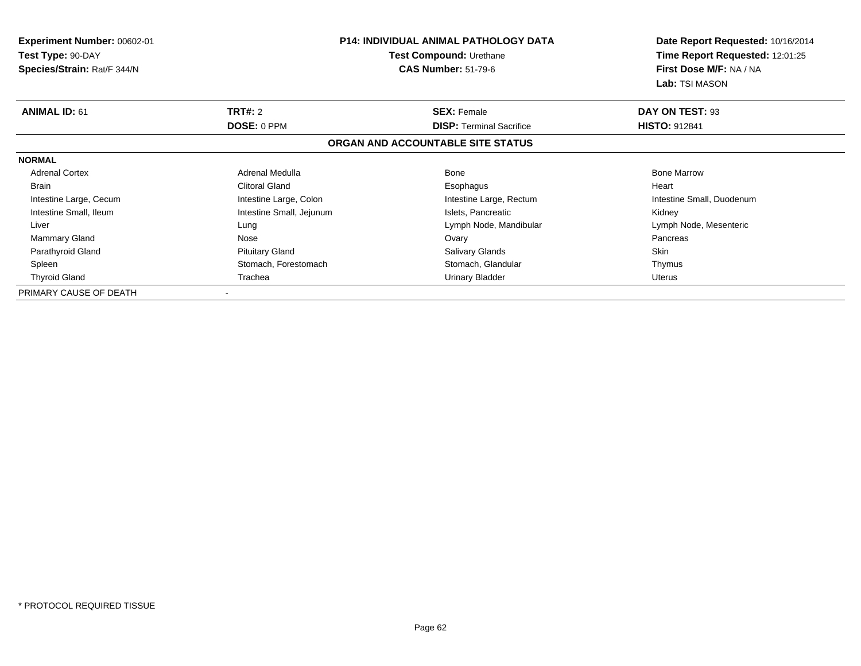| <b>Experiment Number: 00602-01</b><br>Test Type: 90-DAY<br>Species/Strain: Rat/F 344/N | <b>P14: INDIVIDUAL ANIMAL PATHOLOGY DATA</b><br>Test Compound: Urethane<br><b>CAS Number: 51-79-6</b> |                                   | Date Report Requested: 10/16/2014<br>Time Report Requested: 12:01:25<br>First Dose M/F: NA / NA |
|----------------------------------------------------------------------------------------|-------------------------------------------------------------------------------------------------------|-----------------------------------|-------------------------------------------------------------------------------------------------|
| <b>ANIMAL ID: 61</b>                                                                   | <b>TRT#: 2</b>                                                                                        | <b>SEX: Female</b>                | Lab: TSI MASON<br>DAY ON TEST: 93                                                               |
|                                                                                        | DOSE: 0 PPM                                                                                           | <b>DISP:</b> Terminal Sacrifice   | <b>HISTO: 912841</b>                                                                            |
|                                                                                        |                                                                                                       | ORGAN AND ACCOUNTABLE SITE STATUS |                                                                                                 |
| <b>NORMAL</b>                                                                          |                                                                                                       |                                   |                                                                                                 |
| <b>Adrenal Cortex</b>                                                                  | Adrenal Medulla                                                                                       | Bone                              | <b>Bone Marrow</b>                                                                              |
| <b>Brain</b>                                                                           | <b>Clitoral Gland</b>                                                                                 | Esophagus                         | Heart                                                                                           |
| Intestine Large, Cecum                                                                 | Intestine Large, Colon                                                                                | Intestine Large, Rectum           | Intestine Small, Duodenum                                                                       |
| Intestine Small, Ileum                                                                 | Intestine Small, Jejunum                                                                              | Islets, Pancreatic                | Kidney                                                                                          |
| Liver                                                                                  | Lung                                                                                                  | Lymph Node, Mandibular            | Lymph Node, Mesenteric                                                                          |
| Mammary Gland                                                                          | Nose                                                                                                  | Ovary                             | Pancreas                                                                                        |
| Parathyroid Gland                                                                      | <b>Pituitary Gland</b>                                                                                | Salivary Glands                   | <b>Skin</b>                                                                                     |
| Spleen                                                                                 | Stomach, Forestomach                                                                                  | Stomach, Glandular                | Thymus                                                                                          |
| <b>Thyroid Gland</b>                                                                   | Trachea                                                                                               | <b>Urinary Bladder</b>            | Uterus                                                                                          |
| PRIMARY CAUSE OF DEATH                                                                 |                                                                                                       |                                   |                                                                                                 |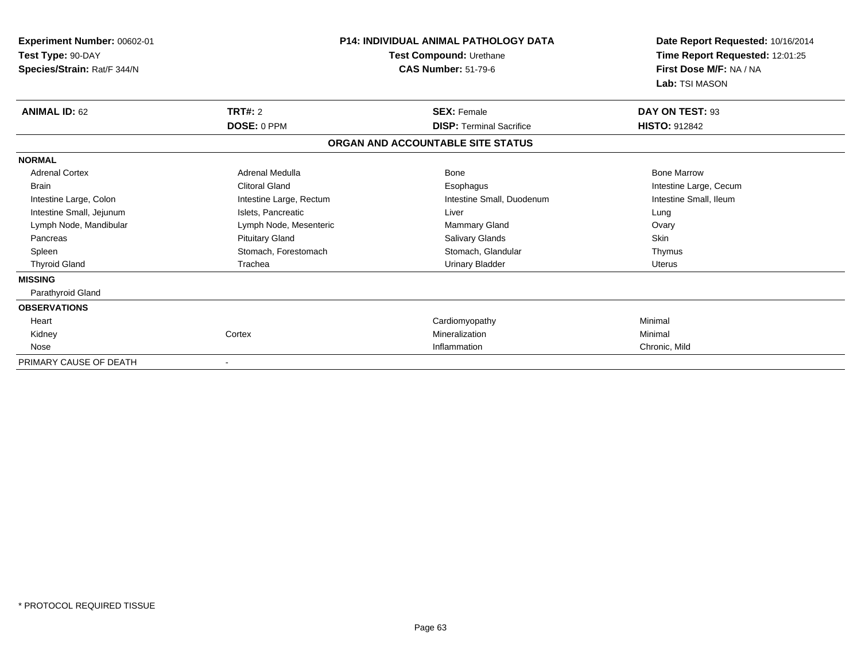| <b>Experiment Number: 00602-01</b><br>Test Type: 90-DAY<br>Species/Strain: Rat/F 344/N | <b>P14: INDIVIDUAL ANIMAL PATHOLOGY DATA</b><br>Test Compound: Urethane<br><b>CAS Number: 51-79-6</b> |                                   | Date Report Requested: 10/16/2014<br>Time Report Requested: 12:01:25<br>First Dose M/F: NA / NA<br>Lab: TSI MASON |
|----------------------------------------------------------------------------------------|-------------------------------------------------------------------------------------------------------|-----------------------------------|-------------------------------------------------------------------------------------------------------------------|
| <b>ANIMAL ID: 62</b>                                                                   | TRT#: 2                                                                                               | <b>SEX: Female</b>                | DAY ON TEST: 93                                                                                                   |
|                                                                                        | DOSE: 0 PPM                                                                                           | <b>DISP: Terminal Sacrifice</b>   | <b>HISTO: 912842</b>                                                                                              |
|                                                                                        |                                                                                                       | ORGAN AND ACCOUNTABLE SITE STATUS |                                                                                                                   |
| <b>NORMAL</b>                                                                          |                                                                                                       |                                   |                                                                                                                   |
| <b>Adrenal Cortex</b>                                                                  | Adrenal Medulla                                                                                       | Bone                              | <b>Bone Marrow</b>                                                                                                |
| <b>Brain</b>                                                                           | <b>Clitoral Gland</b>                                                                                 | Esophagus                         | Intestine Large, Cecum                                                                                            |
| Intestine Large, Colon                                                                 | Intestine Large, Rectum                                                                               | Intestine Small, Duodenum         | Intestine Small, Ileum                                                                                            |
| Intestine Small, Jejunum                                                               | Islets, Pancreatic                                                                                    | Liver                             | Lung                                                                                                              |
| Lymph Node, Mandibular                                                                 | Lymph Node, Mesenteric                                                                                | Mammary Gland                     | Ovary                                                                                                             |
| Pancreas                                                                               | <b>Pituitary Gland</b>                                                                                | Salivary Glands                   | Skin                                                                                                              |
| Spleen                                                                                 | Stomach, Forestomach                                                                                  | Stomach, Glandular                | Thymus                                                                                                            |
| <b>Thyroid Gland</b>                                                                   | Trachea                                                                                               | <b>Urinary Bladder</b>            | <b>Uterus</b>                                                                                                     |
| <b>MISSING</b>                                                                         |                                                                                                       |                                   |                                                                                                                   |
| Parathyroid Gland                                                                      |                                                                                                       |                                   |                                                                                                                   |
| <b>OBSERVATIONS</b>                                                                    |                                                                                                       |                                   |                                                                                                                   |
| Heart                                                                                  |                                                                                                       | Cardiomyopathy                    | Minimal                                                                                                           |
| Kidney                                                                                 | Cortex                                                                                                | Mineralization                    | Minimal                                                                                                           |
| Nose                                                                                   |                                                                                                       | Inflammation                      | Chronic, Mild                                                                                                     |
| PRIMARY CAUSE OF DEATH                                                                 |                                                                                                       |                                   |                                                                                                                   |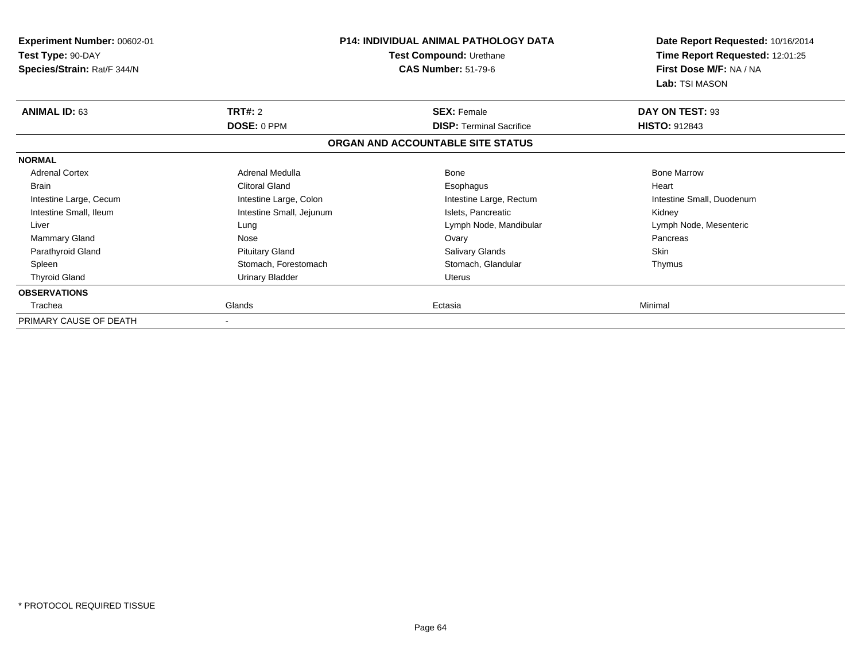| <b>Experiment Number: 00602-01</b><br>Test Type: 90-DAY<br>Species/Strain: Rat/F 344/N |                          | <b>P14: INDIVIDUAL ANIMAL PATHOLOGY DATA</b><br>Test Compound: Urethane<br><b>CAS Number: 51-79-6</b> | Date Report Requested: 10/16/2014<br>Time Report Requested: 12:01:25<br>First Dose M/F: NA / NA<br>Lab: TSI MASON |
|----------------------------------------------------------------------------------------|--------------------------|-------------------------------------------------------------------------------------------------------|-------------------------------------------------------------------------------------------------------------------|
| <b>ANIMAL ID: 63</b>                                                                   | TRT#: 2                  | <b>SEX: Female</b>                                                                                    | DAY ON TEST: 93                                                                                                   |
|                                                                                        | DOSE: 0 PPM              | <b>DISP: Terminal Sacrifice</b>                                                                       | <b>HISTO: 912843</b>                                                                                              |
|                                                                                        |                          | ORGAN AND ACCOUNTABLE SITE STATUS                                                                     |                                                                                                                   |
| <b>NORMAL</b>                                                                          |                          |                                                                                                       |                                                                                                                   |
| <b>Adrenal Cortex</b>                                                                  | Adrenal Medulla          | <b>Bone</b>                                                                                           | <b>Bone Marrow</b>                                                                                                |
| <b>Brain</b>                                                                           | Clitoral Gland           | Esophagus                                                                                             | Heart                                                                                                             |
| Intestine Large, Cecum                                                                 | Intestine Large, Colon   | Intestine Large, Rectum                                                                               | Intestine Small, Duodenum                                                                                         |
| Intestine Small, Ileum                                                                 | Intestine Small, Jejunum | Islets, Pancreatic                                                                                    | Kidney                                                                                                            |
| Liver                                                                                  | Lung                     | Lymph Node, Mandibular                                                                                | Lymph Node, Mesenteric                                                                                            |
| <b>Mammary Gland</b>                                                                   | Nose                     | Ovary                                                                                                 | Pancreas                                                                                                          |
| Parathyroid Gland                                                                      | <b>Pituitary Gland</b>   | <b>Salivary Glands</b>                                                                                | Skin                                                                                                              |
| Spleen                                                                                 | Stomach, Forestomach     | Stomach, Glandular                                                                                    | Thymus                                                                                                            |
| <b>Thyroid Gland</b>                                                                   | Urinary Bladder          | <b>Uterus</b>                                                                                         |                                                                                                                   |
| <b>OBSERVATIONS</b>                                                                    |                          |                                                                                                       |                                                                                                                   |
| Trachea                                                                                | Glands                   | Ectasia                                                                                               | Minimal                                                                                                           |
| PRIMARY CAUSE OF DEATH                                                                 |                          |                                                                                                       |                                                                                                                   |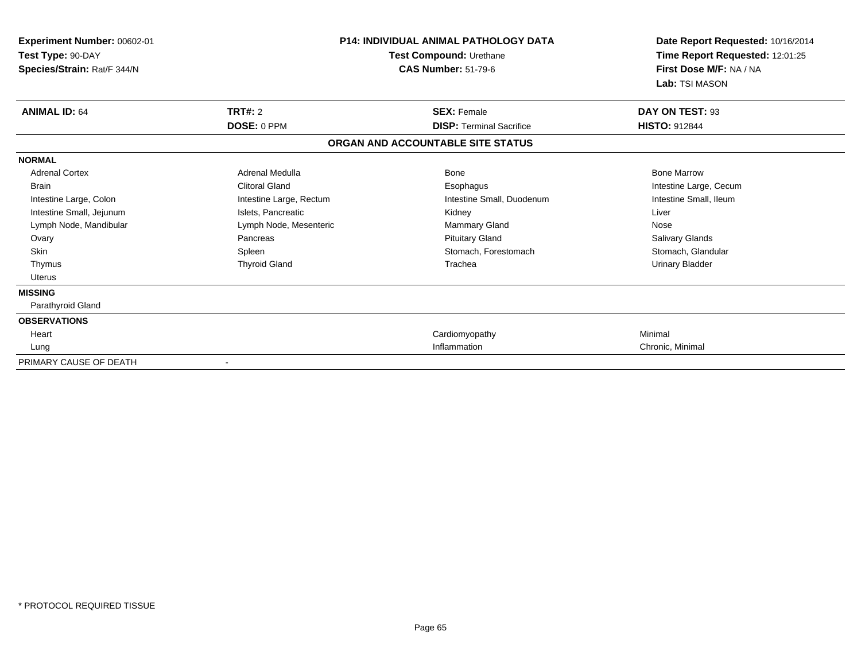| <b>Experiment Number: 00602-01</b><br>Test Type: 90-DAY<br>Species/Strain: Rat/F 344/N | P14: INDIVIDUAL ANIMAL PATHOLOGY DATA<br>Test Compound: Urethane<br><b>CAS Number: 51-79-6</b> |                                   | Date Report Requested: 10/16/2014<br>Time Report Requested: 12:01:25<br>First Dose M/F: NA / NA |
|----------------------------------------------------------------------------------------|------------------------------------------------------------------------------------------------|-----------------------------------|-------------------------------------------------------------------------------------------------|
|                                                                                        |                                                                                                |                                   | Lab: TSI MASON                                                                                  |
| <b>ANIMAL ID: 64</b>                                                                   | <b>TRT#: 2</b>                                                                                 | <b>SEX: Female</b>                | DAY ON TEST: 93                                                                                 |
|                                                                                        | DOSE: 0 PPM                                                                                    | <b>DISP: Terminal Sacrifice</b>   | <b>HISTO: 912844</b>                                                                            |
|                                                                                        |                                                                                                | ORGAN AND ACCOUNTABLE SITE STATUS |                                                                                                 |
| <b>NORMAL</b>                                                                          |                                                                                                |                                   |                                                                                                 |
| <b>Adrenal Cortex</b>                                                                  | Adrenal Medulla                                                                                | <b>Bone</b>                       | <b>Bone Marrow</b>                                                                              |
| <b>Brain</b>                                                                           | <b>Clitoral Gland</b>                                                                          | Esophagus                         | Intestine Large, Cecum                                                                          |
| Intestine Large, Colon                                                                 | Intestine Large, Rectum                                                                        | Intestine Small, Duodenum         | Intestine Small, Ileum                                                                          |
| Intestine Small, Jejunum                                                               | Islets, Pancreatic                                                                             | Kidney                            | Liver                                                                                           |
| Lymph Node, Mandibular                                                                 | Lymph Node, Mesenteric                                                                         | Mammary Gland                     | Nose                                                                                            |
| Ovary                                                                                  | Pancreas                                                                                       | <b>Pituitary Gland</b>            | Salivary Glands                                                                                 |
| Skin                                                                                   | Spleen                                                                                         | Stomach, Forestomach              | Stomach, Glandular                                                                              |
| Thymus                                                                                 | <b>Thyroid Gland</b>                                                                           | Trachea                           | <b>Urinary Bladder</b>                                                                          |
| <b>Uterus</b>                                                                          |                                                                                                |                                   |                                                                                                 |
| <b>MISSING</b>                                                                         |                                                                                                |                                   |                                                                                                 |
| Parathyroid Gland                                                                      |                                                                                                |                                   |                                                                                                 |
| <b>OBSERVATIONS</b>                                                                    |                                                                                                |                                   |                                                                                                 |
| Heart                                                                                  |                                                                                                | Cardiomyopathy                    | Minimal                                                                                         |
| Lung                                                                                   |                                                                                                | Inflammation                      | Chronic, Minimal                                                                                |
| PRIMARY CAUSE OF DEATH                                                                 | $\blacksquare$                                                                                 |                                   |                                                                                                 |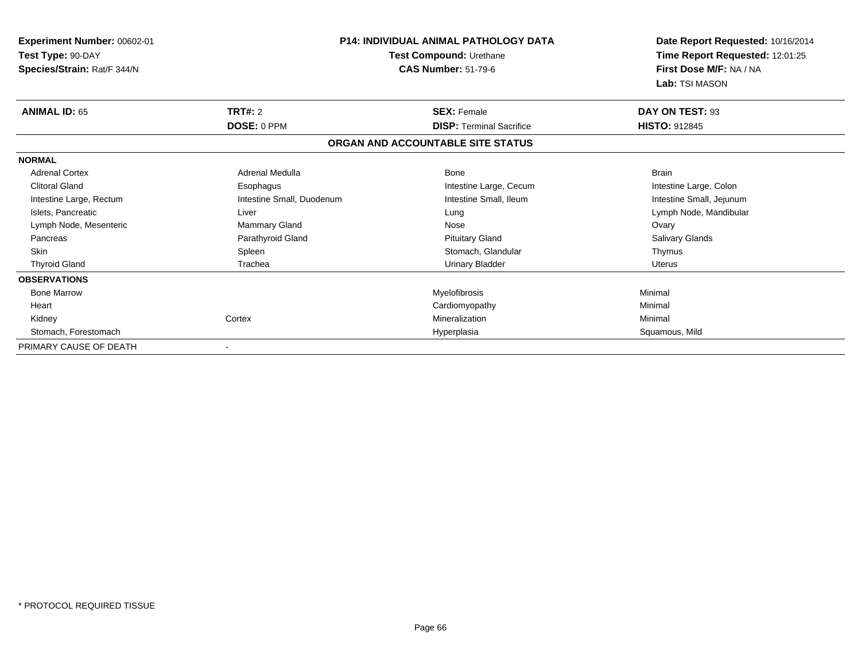| Experiment Number: 00602-01<br>Test Type: 90-DAY<br>Species/Strain: Rat/F 344/N | <b>P14: INDIVIDUAL ANIMAL PATHOLOGY DATA</b><br>Test Compound: Urethane<br><b>CAS Number: 51-79-6</b> |                                   | Date Report Requested: 10/16/2014<br>Time Report Requested: 12:01:25<br>First Dose M/F: NA / NA<br>Lab: TSI MASON |
|---------------------------------------------------------------------------------|-------------------------------------------------------------------------------------------------------|-----------------------------------|-------------------------------------------------------------------------------------------------------------------|
| <b>ANIMAL ID: 65</b>                                                            | <b>TRT#: 2</b>                                                                                        | <b>SEX: Female</b>                | DAY ON TEST: 93                                                                                                   |
|                                                                                 | DOSE: 0 PPM                                                                                           | <b>DISP: Terminal Sacrifice</b>   | <b>HISTO: 912845</b>                                                                                              |
|                                                                                 |                                                                                                       | ORGAN AND ACCOUNTABLE SITE STATUS |                                                                                                                   |
| <b>NORMAL</b>                                                                   |                                                                                                       |                                   |                                                                                                                   |
| <b>Adrenal Cortex</b>                                                           | Adrenal Medulla                                                                                       | <b>Bone</b>                       | <b>Brain</b>                                                                                                      |
| <b>Clitoral Gland</b>                                                           | Esophagus                                                                                             | Intestine Large, Cecum            | Intestine Large, Colon                                                                                            |
| Intestine Large, Rectum                                                         | Intestine Small, Duodenum                                                                             | Intestine Small, Ileum            | Intestine Small, Jejunum                                                                                          |
| Islets, Pancreatic                                                              | Liver                                                                                                 | Lung                              | Lymph Node, Mandibular                                                                                            |
| Lymph Node, Mesenteric                                                          | <b>Mammary Gland</b>                                                                                  | Nose                              | Ovary                                                                                                             |
| Pancreas                                                                        | Parathyroid Gland                                                                                     | <b>Pituitary Gland</b>            | Salivary Glands                                                                                                   |
| Skin                                                                            | Spleen                                                                                                | Stomach, Glandular                | Thymus                                                                                                            |
| <b>Thyroid Gland</b>                                                            | Trachea                                                                                               | <b>Urinary Bladder</b>            | <b>Uterus</b>                                                                                                     |
| <b>OBSERVATIONS</b>                                                             |                                                                                                       |                                   |                                                                                                                   |
| <b>Bone Marrow</b>                                                              |                                                                                                       | Myelofibrosis                     | Minimal                                                                                                           |
| Heart                                                                           |                                                                                                       | Cardiomyopathy                    | Minimal                                                                                                           |
| Kidney                                                                          | Cortex                                                                                                | Mineralization                    | Minimal                                                                                                           |
| Stomach, Forestomach                                                            |                                                                                                       | Hyperplasia                       | Squamous, Mild                                                                                                    |
| PRIMARY CAUSE OF DEATH                                                          |                                                                                                       |                                   |                                                                                                                   |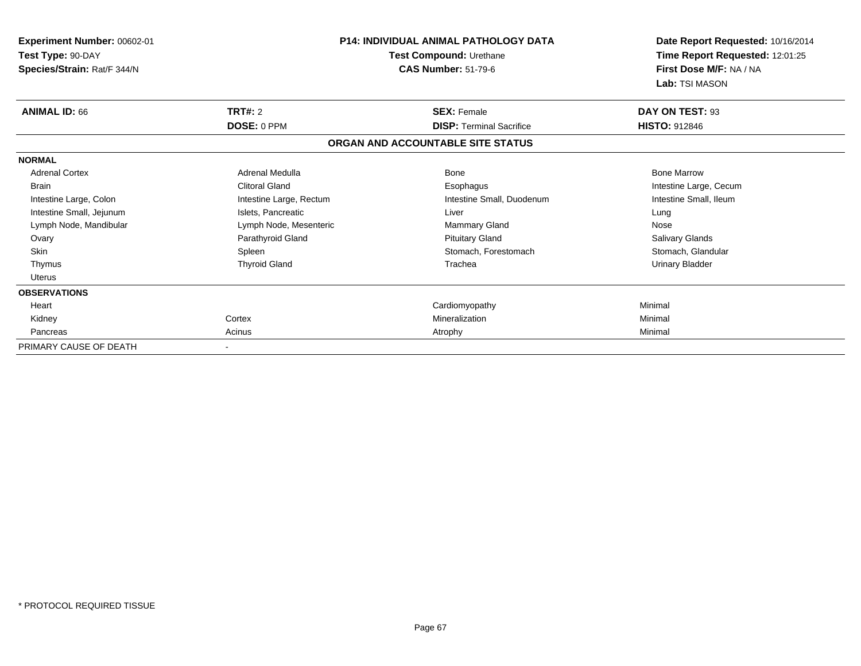| Experiment Number: 00602-01<br>Test Type: 90-DAY<br>Species/Strain: Rat/F 344/N | <b>P14: INDIVIDUAL ANIMAL PATHOLOGY DATA</b><br>Test Compound: Urethane<br><b>CAS Number: 51-79-6</b> |                                   | Date Report Requested: 10/16/2014<br>Time Report Requested: 12:01:25<br>First Dose M/F: NA / NA<br>Lab: TSI MASON |
|---------------------------------------------------------------------------------|-------------------------------------------------------------------------------------------------------|-----------------------------------|-------------------------------------------------------------------------------------------------------------------|
| <b>ANIMAL ID: 66</b>                                                            | TRT#: 2                                                                                               | <b>SEX: Female</b>                | DAY ON TEST: 93                                                                                                   |
|                                                                                 | DOSE: 0 PPM                                                                                           | <b>DISP: Terminal Sacrifice</b>   | <b>HISTO: 912846</b>                                                                                              |
|                                                                                 |                                                                                                       | ORGAN AND ACCOUNTABLE SITE STATUS |                                                                                                                   |
| <b>NORMAL</b>                                                                   |                                                                                                       |                                   |                                                                                                                   |
| <b>Adrenal Cortex</b>                                                           | Adrenal Medulla                                                                                       | Bone                              | <b>Bone Marrow</b>                                                                                                |
| <b>Brain</b>                                                                    | <b>Clitoral Gland</b>                                                                                 | Esophagus                         | Intestine Large, Cecum                                                                                            |
| Intestine Large, Colon                                                          | Intestine Large, Rectum                                                                               | Intestine Small, Duodenum         | Intestine Small, Ileum                                                                                            |
| Intestine Small, Jejunum                                                        | Islets, Pancreatic                                                                                    | Liver                             | Lung                                                                                                              |
| Lymph Node, Mandibular                                                          | Lymph Node, Mesenteric                                                                                | Mammary Gland                     | Nose                                                                                                              |
| Ovary                                                                           | Parathyroid Gland                                                                                     | <b>Pituitary Gland</b>            | Salivary Glands                                                                                                   |
| <b>Skin</b>                                                                     | Spleen                                                                                                | Stomach, Forestomach              | Stomach, Glandular                                                                                                |
| Thymus                                                                          | <b>Thyroid Gland</b>                                                                                  | Trachea                           | <b>Urinary Bladder</b>                                                                                            |
| Uterus                                                                          |                                                                                                       |                                   |                                                                                                                   |
| <b>OBSERVATIONS</b>                                                             |                                                                                                       |                                   |                                                                                                                   |
| Heart                                                                           |                                                                                                       | Cardiomyopathy                    | Minimal                                                                                                           |
| Kidney                                                                          | Cortex                                                                                                | Mineralization                    | Minimal                                                                                                           |
| Pancreas                                                                        | Acinus                                                                                                | Atrophy                           | Minimal                                                                                                           |
| PRIMARY CAUSE OF DEATH                                                          |                                                                                                       |                                   |                                                                                                                   |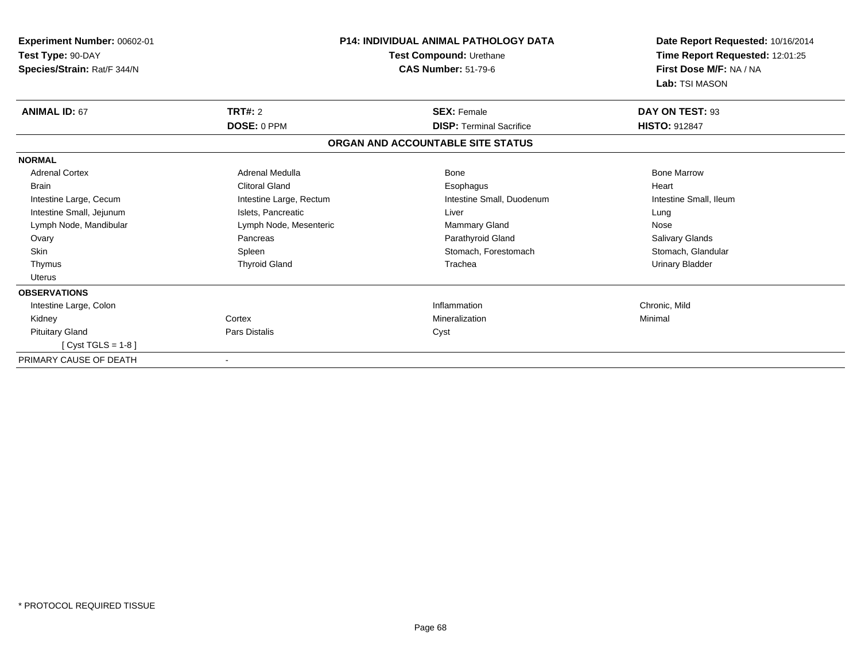| <b>Experiment Number: 00602-01</b><br>Test Type: 90-DAY<br>Species/Strain: Rat/F 344/N | <b>P14: INDIVIDUAL ANIMAL PATHOLOGY DATA</b><br>Test Compound: Urethane<br><b>CAS Number: 51-79-6</b> |                                   | Date Report Requested: 10/16/2014<br>Time Report Requested: 12:01:25<br>First Dose M/F: NA / NA |
|----------------------------------------------------------------------------------------|-------------------------------------------------------------------------------------------------------|-----------------------------------|-------------------------------------------------------------------------------------------------|
| <b>ANIMAL ID: 67</b>                                                                   | <b>TRT#: 2</b>                                                                                        | <b>SEX: Female</b>                | Lab: TSI MASON<br>DAY ON TEST: 93                                                               |
|                                                                                        | DOSE: 0 PPM                                                                                           | <b>DISP: Terminal Sacrifice</b>   | <b>HISTO: 912847</b>                                                                            |
|                                                                                        |                                                                                                       | ORGAN AND ACCOUNTABLE SITE STATUS |                                                                                                 |
| <b>NORMAL</b>                                                                          |                                                                                                       |                                   |                                                                                                 |
| <b>Adrenal Cortex</b>                                                                  | Adrenal Medulla                                                                                       | Bone                              | <b>Bone Marrow</b>                                                                              |
| <b>Brain</b>                                                                           | <b>Clitoral Gland</b>                                                                                 | Esophagus                         | Heart                                                                                           |
| Intestine Large, Cecum                                                                 | Intestine Large, Rectum                                                                               | Intestine Small, Duodenum         | Intestine Small, Ileum                                                                          |
| Intestine Small, Jejunum                                                               | Islets, Pancreatic                                                                                    | Liver                             | Lung                                                                                            |
| Lymph Node, Mandibular                                                                 | Lymph Node, Mesenteric                                                                                | Mammary Gland                     | Nose                                                                                            |
| Ovary                                                                                  | Pancreas                                                                                              | Parathyroid Gland                 | Salivary Glands                                                                                 |
| Skin                                                                                   | Spleen                                                                                                | Stomach, Forestomach              | Stomach, Glandular                                                                              |
| Thymus                                                                                 | <b>Thyroid Gland</b>                                                                                  | Trachea                           | Urinary Bladder                                                                                 |
| <b>Uterus</b>                                                                          |                                                                                                       |                                   |                                                                                                 |
| <b>OBSERVATIONS</b>                                                                    |                                                                                                       |                                   |                                                                                                 |
| Intestine Large, Colon                                                                 |                                                                                                       | Inflammation                      | Chronic, Mild                                                                                   |
| Kidney                                                                                 | Cortex                                                                                                | Mineralization                    | Minimal                                                                                         |
| <b>Pituitary Gland</b>                                                                 | Pars Distalis                                                                                         | Cyst                              |                                                                                                 |
| [ $Cyst TGLS = 1-8$ ]                                                                  |                                                                                                       |                                   |                                                                                                 |
| PRIMARY CAUSE OF DEATH                                                                 |                                                                                                       |                                   |                                                                                                 |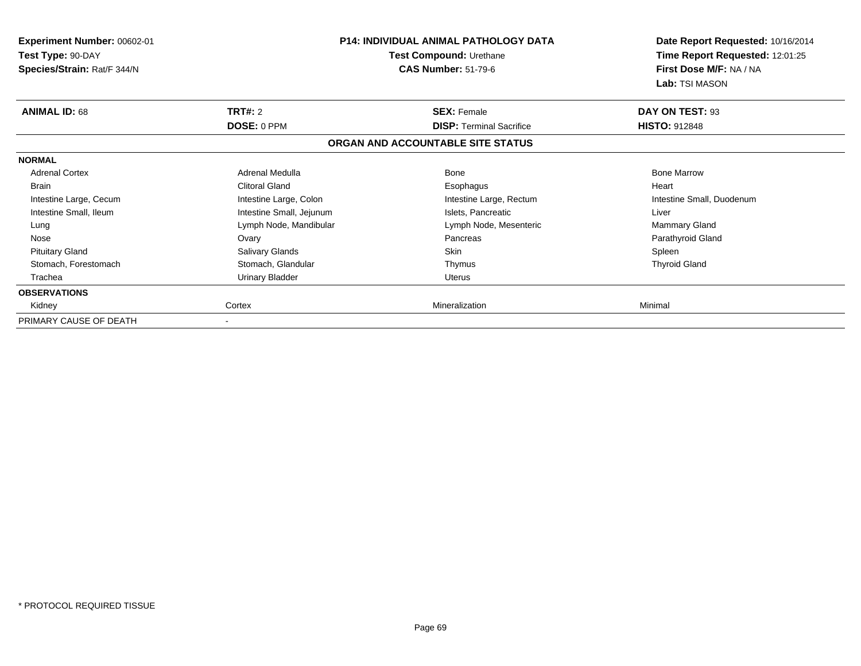| Experiment Number: 00602-01<br>Test Type: 90-DAY<br>Species/Strain: Rat/F 344/N |                          | <b>P14: INDIVIDUAL ANIMAL PATHOLOGY DATA</b><br>Test Compound: Urethane<br><b>CAS Number: 51-79-6</b> | Date Report Requested: 10/16/2014<br>Time Report Requested: 12:01:25<br>First Dose M/F: NA / NA<br>Lab: TSI MASON |
|---------------------------------------------------------------------------------|--------------------------|-------------------------------------------------------------------------------------------------------|-------------------------------------------------------------------------------------------------------------------|
| <b>ANIMAL ID: 68</b>                                                            | <b>TRT#: 2</b>           | <b>SEX: Female</b>                                                                                    | DAY ON TEST: 93                                                                                                   |
|                                                                                 | DOSE: 0 PPM              | <b>DISP: Terminal Sacrifice</b>                                                                       | <b>HISTO: 912848</b>                                                                                              |
|                                                                                 |                          | ORGAN AND ACCOUNTABLE SITE STATUS                                                                     |                                                                                                                   |
| <b>NORMAL</b>                                                                   |                          |                                                                                                       |                                                                                                                   |
| <b>Adrenal Cortex</b>                                                           | Adrenal Medulla          | <b>Bone</b>                                                                                           | <b>Bone Marrow</b>                                                                                                |
| <b>Brain</b>                                                                    | <b>Clitoral Gland</b>    | Esophagus                                                                                             | Heart                                                                                                             |
| Intestine Large, Cecum                                                          | Intestine Large, Colon   | Intestine Large, Rectum                                                                               | Intestine Small, Duodenum                                                                                         |
| Intestine Small, Ileum                                                          | Intestine Small, Jejunum | Islets, Pancreatic                                                                                    | Liver                                                                                                             |
| Lung                                                                            | Lymph Node, Mandibular   | Lymph Node, Mesenteric                                                                                | Mammary Gland                                                                                                     |
| Nose                                                                            | Ovary                    | Pancreas                                                                                              | Parathyroid Gland                                                                                                 |
| <b>Pituitary Gland</b>                                                          | Salivary Glands          | <b>Skin</b>                                                                                           | Spleen                                                                                                            |
| Stomach, Forestomach                                                            | Stomach, Glandular       | Thymus                                                                                                | <b>Thyroid Gland</b>                                                                                              |
| Trachea                                                                         | Urinary Bladder          | Uterus                                                                                                |                                                                                                                   |
| <b>OBSERVATIONS</b>                                                             |                          |                                                                                                       |                                                                                                                   |
| Kidney                                                                          | Cortex                   | Mineralization                                                                                        | Minimal                                                                                                           |
| PRIMARY CAUSE OF DEATH                                                          |                          |                                                                                                       |                                                                                                                   |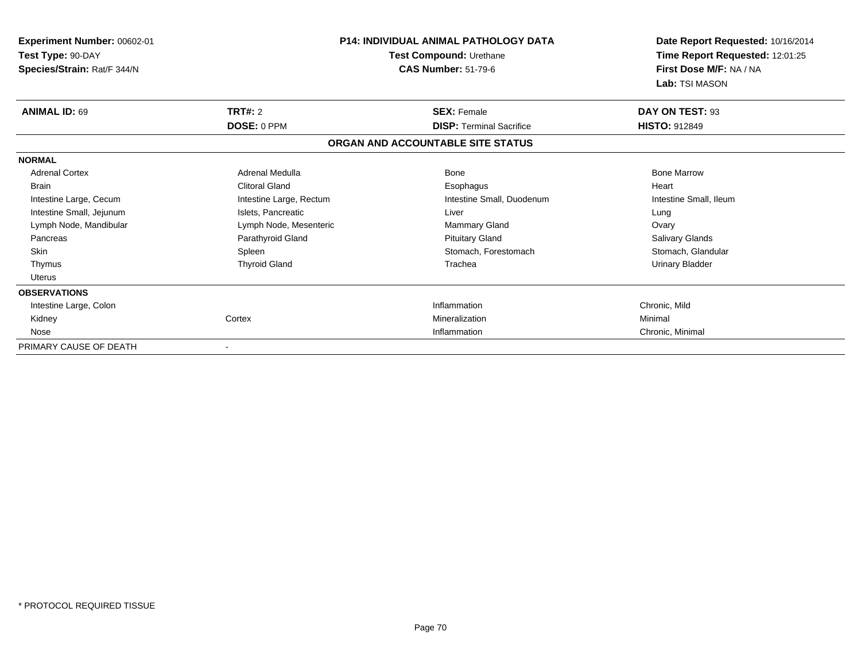| Experiment Number: 00602-01<br>Test Type: 90-DAY<br>Species/Strain: Rat/F 344/N |                         | <b>P14: INDIVIDUAL ANIMAL PATHOLOGY DATA</b><br>Test Compound: Urethane<br><b>CAS Number: 51-79-6</b> | Date Report Requested: 10/16/2014<br>Time Report Requested: 12:01:25<br>First Dose M/F: NA / NA<br>Lab: TSI MASON |
|---------------------------------------------------------------------------------|-------------------------|-------------------------------------------------------------------------------------------------------|-------------------------------------------------------------------------------------------------------------------|
| <b>ANIMAL ID: 69</b>                                                            | TRT#: 2                 | <b>SEX: Female</b>                                                                                    | DAY ON TEST: 93                                                                                                   |
|                                                                                 | DOSE: 0 PPM             | <b>DISP: Terminal Sacrifice</b>                                                                       | <b>HISTO: 912849</b>                                                                                              |
|                                                                                 |                         | ORGAN AND ACCOUNTABLE SITE STATUS                                                                     |                                                                                                                   |
| <b>NORMAL</b>                                                                   |                         |                                                                                                       |                                                                                                                   |
| <b>Adrenal Cortex</b>                                                           | Adrenal Medulla         | Bone                                                                                                  | <b>Bone Marrow</b>                                                                                                |
| Brain                                                                           | <b>Clitoral Gland</b>   | Esophagus                                                                                             | Heart                                                                                                             |
| Intestine Large, Cecum                                                          | Intestine Large, Rectum | Intestine Small, Duodenum                                                                             | Intestine Small, Ileum                                                                                            |
| Intestine Small, Jejunum                                                        | Islets, Pancreatic      | Liver                                                                                                 | Lung                                                                                                              |
| Lymph Node, Mandibular                                                          | Lymph Node, Mesenteric  | Mammary Gland                                                                                         | Ovary                                                                                                             |
| Pancreas                                                                        | Parathyroid Gland       | <b>Pituitary Gland</b>                                                                                | Salivary Glands                                                                                                   |
| <b>Skin</b>                                                                     | Spleen                  | Stomach, Forestomach                                                                                  | Stomach, Glandular                                                                                                |
| Thymus                                                                          | <b>Thyroid Gland</b>    | Trachea                                                                                               | Urinary Bladder                                                                                                   |
| Uterus                                                                          |                         |                                                                                                       |                                                                                                                   |
| <b>OBSERVATIONS</b>                                                             |                         |                                                                                                       |                                                                                                                   |
| Intestine Large, Colon                                                          |                         | Inflammation                                                                                          | Chronic, Mild                                                                                                     |
| Kidney                                                                          | Cortex                  | Mineralization                                                                                        | Minimal                                                                                                           |
| Nose                                                                            |                         | Inflammation                                                                                          | Chronic, Minimal                                                                                                  |
| PRIMARY CAUSE OF DEATH                                                          |                         |                                                                                                       |                                                                                                                   |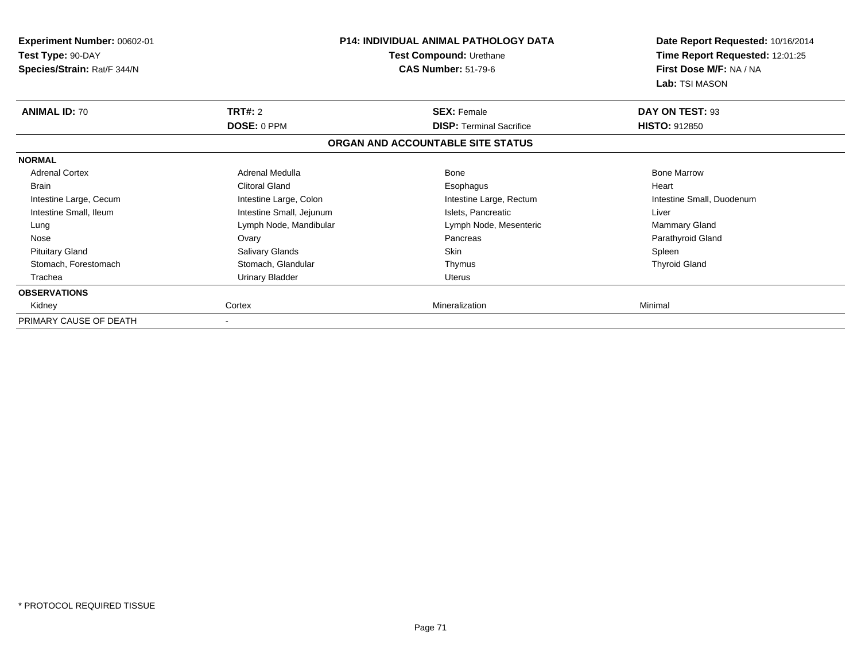| Experiment Number: 00602-01<br>Test Type: 90-DAY<br>Species/Strain: Rat/F 344/N |                          | <b>P14: INDIVIDUAL ANIMAL PATHOLOGY DATA</b><br>Test Compound: Urethane<br><b>CAS Number: 51-79-6</b> | Date Report Requested: 10/16/2014<br>Time Report Requested: 12:01:25<br>First Dose M/F: NA / NA<br>Lab: TSI MASON |
|---------------------------------------------------------------------------------|--------------------------|-------------------------------------------------------------------------------------------------------|-------------------------------------------------------------------------------------------------------------------|
| <b>ANIMAL ID: 70</b>                                                            | <b>TRT#: 2</b>           | <b>SEX: Female</b>                                                                                    | DAY ON TEST: 93                                                                                                   |
|                                                                                 | DOSE: 0 PPM              | <b>DISP: Terminal Sacrifice</b>                                                                       | <b>HISTO: 912850</b>                                                                                              |
|                                                                                 |                          | ORGAN AND ACCOUNTABLE SITE STATUS                                                                     |                                                                                                                   |
| <b>NORMAL</b>                                                                   |                          |                                                                                                       |                                                                                                                   |
| <b>Adrenal Cortex</b>                                                           | Adrenal Medulla          | <b>Bone</b>                                                                                           | <b>Bone Marrow</b>                                                                                                |
| <b>Brain</b>                                                                    | <b>Clitoral Gland</b>    | Esophagus                                                                                             | Heart                                                                                                             |
| Intestine Large, Cecum                                                          | Intestine Large, Colon   | Intestine Large, Rectum                                                                               | Intestine Small, Duodenum                                                                                         |
| Intestine Small, Ileum                                                          | Intestine Small, Jejunum | Islets, Pancreatic                                                                                    | Liver                                                                                                             |
| Lung                                                                            | Lymph Node, Mandibular   | Lymph Node, Mesenteric                                                                                | Mammary Gland                                                                                                     |
| Nose                                                                            | Ovary                    | Pancreas                                                                                              | Parathyroid Gland                                                                                                 |
| <b>Pituitary Gland</b>                                                          | Salivary Glands          | <b>Skin</b>                                                                                           | Spleen                                                                                                            |
| Stomach, Forestomach                                                            | Stomach, Glandular       | Thymus                                                                                                | <b>Thyroid Gland</b>                                                                                              |
| Trachea                                                                         | Urinary Bladder          | Uterus                                                                                                |                                                                                                                   |
| <b>OBSERVATIONS</b>                                                             |                          |                                                                                                       |                                                                                                                   |
| Kidney                                                                          | Cortex                   | Mineralization                                                                                        | Minimal                                                                                                           |
| PRIMARY CAUSE OF DEATH                                                          |                          |                                                                                                       |                                                                                                                   |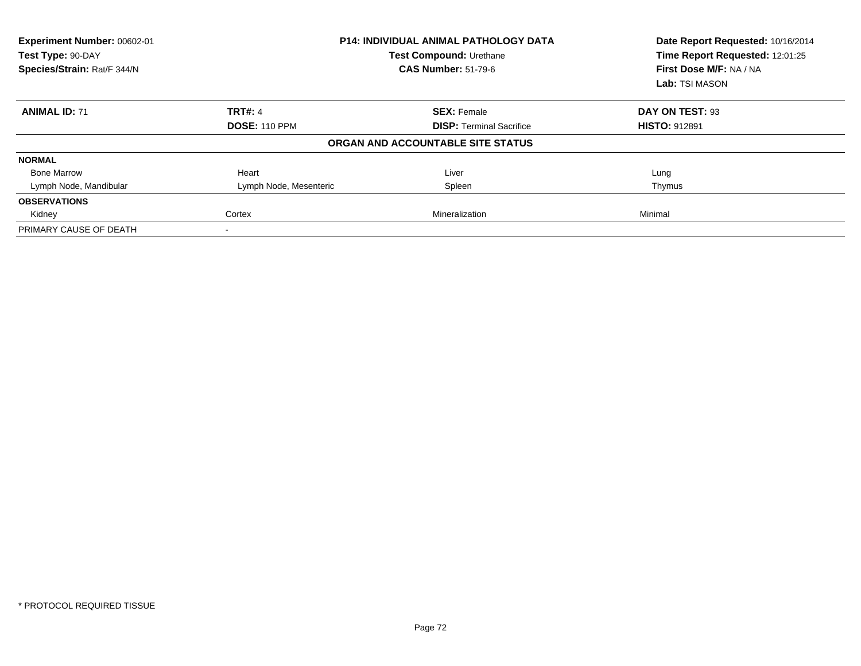| Experiment Number: 00602-01<br>Test Type: 90-DAY<br>Species/Strain: Rat/F 344/N | <b>P14: INDIVIDUAL ANIMAL PATHOLOGY DATA</b><br><b>Test Compound: Urethane</b><br><b>CAS Number: 51-79-6</b> |                                   | Date Report Requested: 10/16/2014<br>Time Report Requested: 12:01:25<br>First Dose M/F: NA / NA<br><b>Lab: TSI MASON</b> |
|---------------------------------------------------------------------------------|--------------------------------------------------------------------------------------------------------------|-----------------------------------|--------------------------------------------------------------------------------------------------------------------------|
| <b>ANIMAL ID: 71</b>                                                            | <b>TRT#: 4</b>                                                                                               | <b>SEX: Female</b>                | DAY ON TEST: 93                                                                                                          |
|                                                                                 | <b>DOSE: 110 PPM</b>                                                                                         | <b>DISP: Terminal Sacrifice</b>   | <b>HISTO: 912891</b>                                                                                                     |
|                                                                                 |                                                                                                              | ORGAN AND ACCOUNTABLE SITE STATUS |                                                                                                                          |
| <b>NORMAL</b>                                                                   |                                                                                                              |                                   |                                                                                                                          |
| <b>Bone Marrow</b>                                                              | Heart                                                                                                        | Liver                             | Lung                                                                                                                     |
| Lymph Node, Mandibular                                                          | Lymph Node, Mesenteric                                                                                       | Spleen                            | Thymus                                                                                                                   |
| <b>OBSERVATIONS</b>                                                             |                                                                                                              |                                   |                                                                                                                          |
| Kidney                                                                          | Cortex                                                                                                       | Mineralization                    | Minimal                                                                                                                  |
| PRIMARY CAUSE OF DEATH                                                          |                                                                                                              |                                   |                                                                                                                          |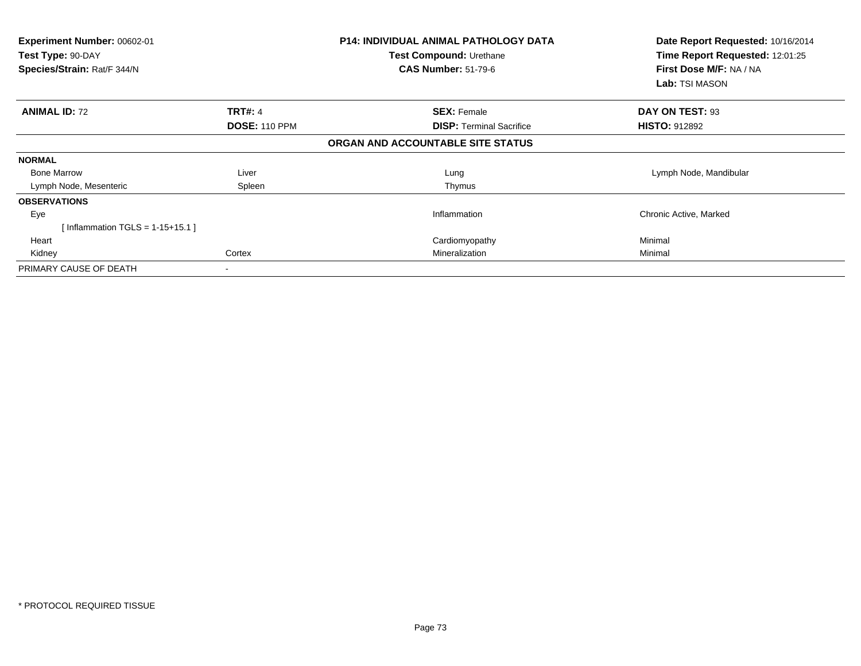| Experiment Number: 00602-01<br>Test Type: 90-DAY<br>Species/Strain: Rat/F 344/N |                      | <b>P14: INDIVIDUAL ANIMAL PATHOLOGY DATA</b><br>Test Compound: Urethane<br><b>CAS Number: 51-79-6</b> | Date Report Requested: 10/16/2014<br>Time Report Requested: 12:01:25<br>First Dose M/F: NA / NA<br>Lab: TSI MASON |
|---------------------------------------------------------------------------------|----------------------|-------------------------------------------------------------------------------------------------------|-------------------------------------------------------------------------------------------------------------------|
| <b>ANIMAL ID: 72</b>                                                            | <b>TRT#: 4</b>       | <b>SEX: Female</b>                                                                                    | DAY ON TEST: 93                                                                                                   |
|                                                                                 | <b>DOSE: 110 PPM</b> | <b>DISP:</b> Terminal Sacrifice                                                                       | <b>HISTO: 912892</b>                                                                                              |
|                                                                                 |                      | ORGAN AND ACCOUNTABLE SITE STATUS                                                                     |                                                                                                                   |
| <b>NORMAL</b>                                                                   |                      |                                                                                                       |                                                                                                                   |
| <b>Bone Marrow</b>                                                              | Liver                | Lung                                                                                                  | Lymph Node, Mandibular                                                                                            |
| Lymph Node, Mesenteric                                                          | Spleen               | Thymus                                                                                                |                                                                                                                   |
| <b>OBSERVATIONS</b>                                                             |                      |                                                                                                       |                                                                                                                   |
| Eye                                                                             |                      | Inflammation                                                                                          | Chronic Active, Marked                                                                                            |
| [Inflammation TGLS = $1 - 15 + 15.1$ ]                                          |                      |                                                                                                       |                                                                                                                   |
| Heart                                                                           |                      | Cardiomyopathy                                                                                        | Minimal                                                                                                           |
| Kidney                                                                          | Cortex               | Mineralization                                                                                        | Minimal                                                                                                           |
| PRIMARY CAUSE OF DEATH                                                          |                      |                                                                                                       |                                                                                                                   |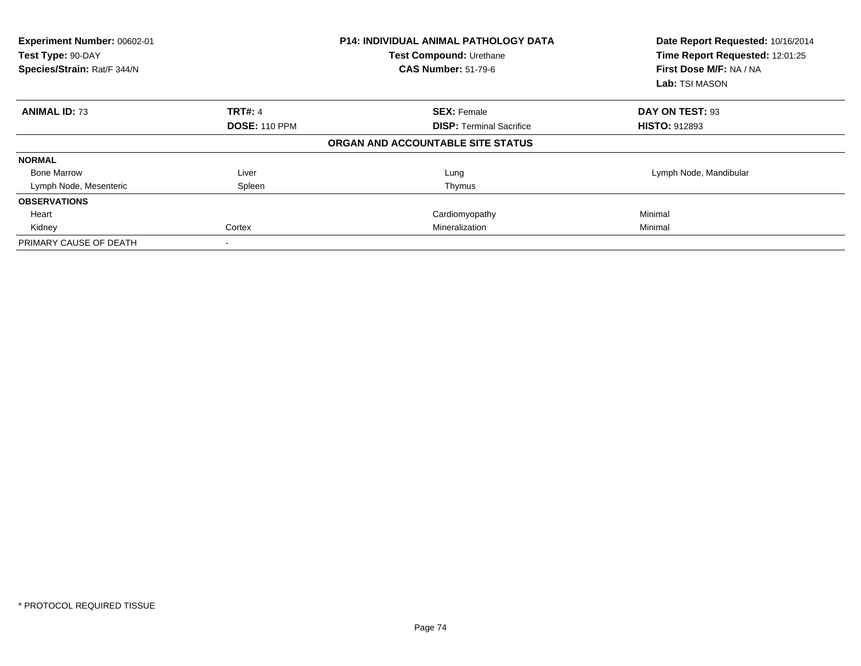| Experiment Number: 00602-01<br>Test Type: 90-DAY<br>Species/Strain: Rat/F 344/N |                      | <b>P14: INDIVIDUAL ANIMAL PATHOLOGY DATA</b><br>Test Compound: Urethane<br><b>CAS Number: 51-79-6</b> | Date Report Requested: 10/16/2014<br>Time Report Requested: 12:01:25<br>First Dose M/F: NA / NA<br>Lab: TSI MASON |
|---------------------------------------------------------------------------------|----------------------|-------------------------------------------------------------------------------------------------------|-------------------------------------------------------------------------------------------------------------------|
| <b>ANIMAL ID: 73</b>                                                            | <b>TRT#: 4</b>       | <b>SEX: Female</b>                                                                                    | DAY ON TEST: 93                                                                                                   |
|                                                                                 | <b>DOSE: 110 PPM</b> | <b>DISP:</b> Terminal Sacrifice                                                                       | <b>HISTO: 912893</b>                                                                                              |
|                                                                                 |                      | ORGAN AND ACCOUNTABLE SITE STATUS                                                                     |                                                                                                                   |
| <b>NORMAL</b>                                                                   |                      |                                                                                                       |                                                                                                                   |
| <b>Bone Marrow</b>                                                              | Liver                | Lung                                                                                                  | Lymph Node, Mandibular                                                                                            |
| Lymph Node, Mesenteric                                                          | Spleen               | Thymus                                                                                                |                                                                                                                   |
| <b>OBSERVATIONS</b>                                                             |                      |                                                                                                       |                                                                                                                   |
| Heart                                                                           |                      | Cardiomyopathy                                                                                        | Minimal                                                                                                           |
| Kidney                                                                          | Cortex               | Mineralization                                                                                        | Minimal                                                                                                           |
| PRIMARY CAUSE OF DEATH                                                          |                      |                                                                                                       |                                                                                                                   |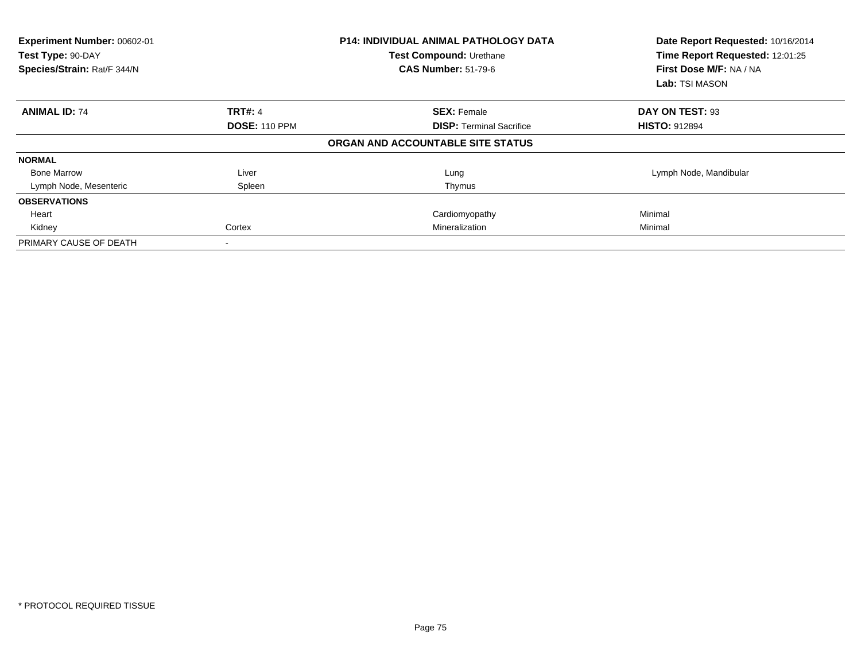| Experiment Number: 00602-01<br>Test Type: 90-DAY<br>Species/Strain: Rat/F 344/N |                      | <b>P14: INDIVIDUAL ANIMAL PATHOLOGY DATA</b><br>Test Compound: Urethane<br><b>CAS Number: 51-79-6</b> | Date Report Requested: 10/16/2014<br>Time Report Requested: 12:01:25<br>First Dose M/F: NA / NA<br>Lab: TSI MASON |
|---------------------------------------------------------------------------------|----------------------|-------------------------------------------------------------------------------------------------------|-------------------------------------------------------------------------------------------------------------------|
| <b>ANIMAL ID: 74</b>                                                            | <b>TRT#: 4</b>       | <b>SEX: Female</b>                                                                                    | DAY ON TEST: 93                                                                                                   |
|                                                                                 | <b>DOSE: 110 PPM</b> | <b>DISP:</b> Terminal Sacrifice                                                                       | <b>HISTO: 912894</b>                                                                                              |
|                                                                                 |                      | ORGAN AND ACCOUNTABLE SITE STATUS                                                                     |                                                                                                                   |
| <b>NORMAL</b>                                                                   |                      |                                                                                                       |                                                                                                                   |
| <b>Bone Marrow</b>                                                              | Liver                | Lung                                                                                                  | Lymph Node, Mandibular                                                                                            |
| Lymph Node, Mesenteric                                                          | Spleen               | Thymus                                                                                                |                                                                                                                   |
| <b>OBSERVATIONS</b>                                                             |                      |                                                                                                       |                                                                                                                   |
| Heart                                                                           |                      | Cardiomyopathy                                                                                        | Minimal                                                                                                           |
| Kidney                                                                          | Cortex               | Mineralization                                                                                        | Minimal                                                                                                           |
| PRIMARY CAUSE OF DEATH                                                          |                      |                                                                                                       |                                                                                                                   |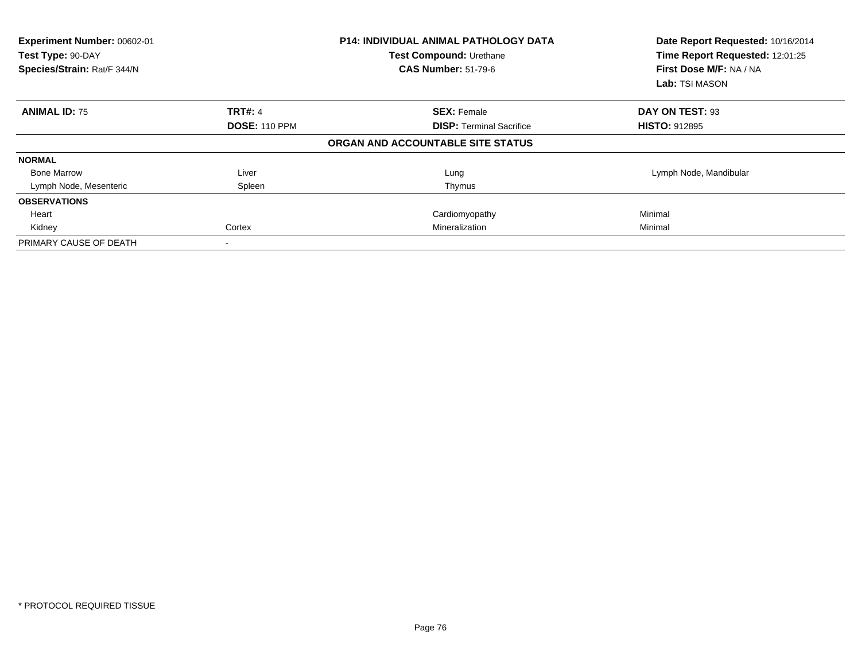| Experiment Number: 00602-01<br>Test Type: 90-DAY<br>Species/Strain: Rat/F 344/N |                      | <b>P14: INDIVIDUAL ANIMAL PATHOLOGY DATA</b><br>Test Compound: Urethane<br><b>CAS Number: 51-79-6</b> | Date Report Requested: 10/16/2014<br>Time Report Requested: 12:01:25<br>First Dose M/F: NA / NA<br>Lab: TSI MASON |
|---------------------------------------------------------------------------------|----------------------|-------------------------------------------------------------------------------------------------------|-------------------------------------------------------------------------------------------------------------------|
| <b>ANIMAL ID: 75</b>                                                            | <b>TRT#: 4</b>       | <b>SEX: Female</b>                                                                                    | DAY ON TEST: 93                                                                                                   |
|                                                                                 | <b>DOSE: 110 PPM</b> | <b>DISP:</b> Terminal Sacrifice                                                                       | <b>HISTO: 912895</b>                                                                                              |
|                                                                                 |                      | ORGAN AND ACCOUNTABLE SITE STATUS                                                                     |                                                                                                                   |
| <b>NORMAL</b>                                                                   |                      |                                                                                                       |                                                                                                                   |
| <b>Bone Marrow</b>                                                              | Liver                | Lung                                                                                                  | Lymph Node, Mandibular                                                                                            |
| Lymph Node, Mesenteric                                                          | Spleen               | Thymus                                                                                                |                                                                                                                   |
| <b>OBSERVATIONS</b>                                                             |                      |                                                                                                       |                                                                                                                   |
| Heart                                                                           |                      | Cardiomyopathy                                                                                        | Minimal                                                                                                           |
| Kidney                                                                          | Cortex               | Mineralization                                                                                        | Minimal                                                                                                           |
| PRIMARY CAUSE OF DEATH                                                          |                      |                                                                                                       |                                                                                                                   |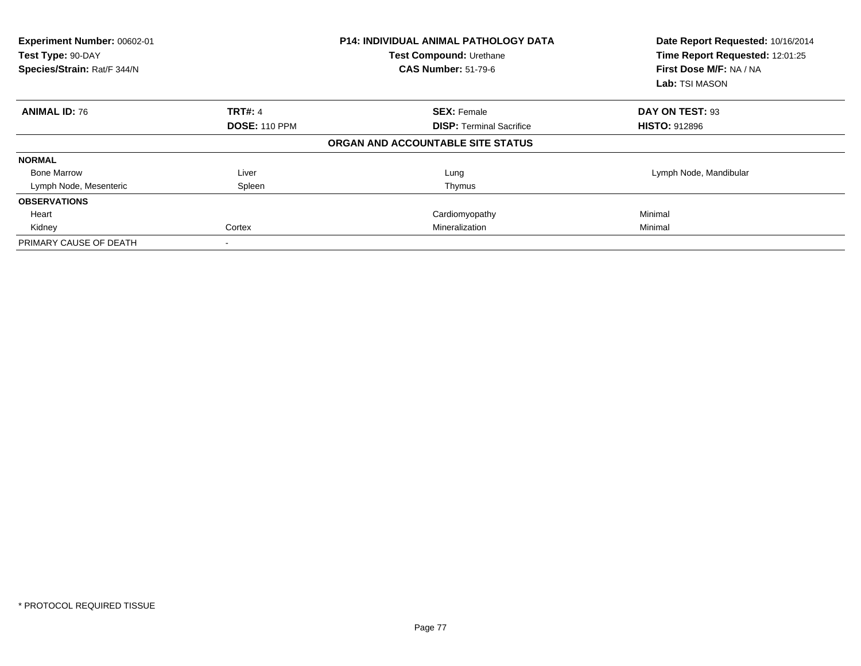| Experiment Number: 00602-01<br>Test Type: 90-DAY<br>Species/Strain: Rat/F 344/N |                      | <b>P14: INDIVIDUAL ANIMAL PATHOLOGY DATA</b><br>Test Compound: Urethane<br><b>CAS Number: 51-79-6</b> | Date Report Requested: 10/16/2014<br>Time Report Requested: 12:01:25<br>First Dose M/F: NA / NA<br>Lab: TSI MASON |
|---------------------------------------------------------------------------------|----------------------|-------------------------------------------------------------------------------------------------------|-------------------------------------------------------------------------------------------------------------------|
| <b>ANIMAL ID: 76</b>                                                            | <b>TRT#: 4</b>       | <b>SEX: Female</b>                                                                                    | DAY ON TEST: 93                                                                                                   |
|                                                                                 | <b>DOSE: 110 PPM</b> | <b>DISP:</b> Terminal Sacrifice                                                                       | <b>HISTO: 912896</b>                                                                                              |
|                                                                                 |                      | ORGAN AND ACCOUNTABLE SITE STATUS                                                                     |                                                                                                                   |
| <b>NORMAL</b>                                                                   |                      |                                                                                                       |                                                                                                                   |
| <b>Bone Marrow</b>                                                              | Liver                | Lung                                                                                                  | Lymph Node, Mandibular                                                                                            |
| Lymph Node, Mesenteric                                                          | Spleen               | Thymus                                                                                                |                                                                                                                   |
| <b>OBSERVATIONS</b>                                                             |                      |                                                                                                       |                                                                                                                   |
| Heart                                                                           |                      | Cardiomyopathy                                                                                        | Minimal                                                                                                           |
| Kidney                                                                          | Cortex               | Mineralization                                                                                        | Minimal                                                                                                           |
| PRIMARY CAUSE OF DEATH                                                          |                      |                                                                                                       |                                                                                                                   |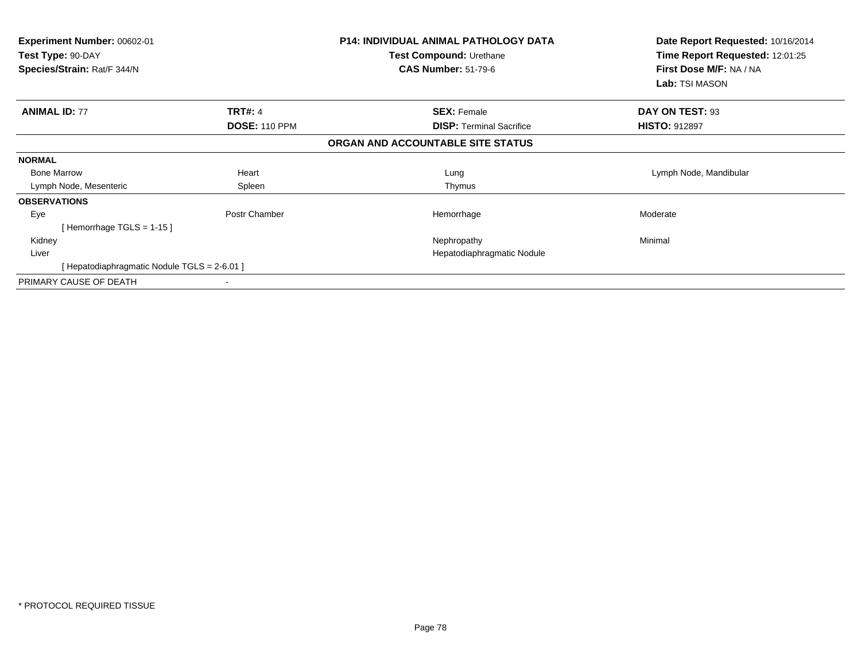| <b>Experiment Number: 00602-01</b><br>Test Type: 90-DAY<br>Species/Strain: Rat/F 344/N |                      | <b>P14: INDIVIDUAL ANIMAL PATHOLOGY DATA</b><br>Test Compound: Urethane<br><b>CAS Number: 51-79-6</b> | Date Report Requested: 10/16/2014<br>Time Report Requested: 12:01:25<br>First Dose M/F: NA / NA<br>Lab: TSI MASON |
|----------------------------------------------------------------------------------------|----------------------|-------------------------------------------------------------------------------------------------------|-------------------------------------------------------------------------------------------------------------------|
| <b>ANIMAL ID: 77</b>                                                                   | <b>TRT#: 4</b>       | <b>SEX: Female</b>                                                                                    | DAY ON TEST: 93                                                                                                   |
|                                                                                        | <b>DOSE: 110 PPM</b> | <b>DISP:</b> Terminal Sacrifice                                                                       | <b>HISTO: 912897</b>                                                                                              |
|                                                                                        |                      | ORGAN AND ACCOUNTABLE SITE STATUS                                                                     |                                                                                                                   |
| <b>NORMAL</b>                                                                          |                      |                                                                                                       |                                                                                                                   |
| <b>Bone Marrow</b>                                                                     | Heart                | Lung                                                                                                  | Lymph Node, Mandibular                                                                                            |
| Lymph Node, Mesenteric                                                                 | Spleen               | Thymus                                                                                                |                                                                                                                   |
| <b>OBSERVATIONS</b>                                                                    |                      |                                                                                                       |                                                                                                                   |
| Eye                                                                                    | Postr Chamber        | Hemorrhage                                                                                            | Moderate                                                                                                          |
| [Hemorrhage TGLS = $1-15$ ]                                                            |                      |                                                                                                       |                                                                                                                   |
| Kidney                                                                                 |                      | Nephropathy                                                                                           | Minimal                                                                                                           |
| Liver                                                                                  |                      | Hepatodiaphragmatic Nodule                                                                            |                                                                                                                   |
| [ Hepatodiaphragmatic Nodule TGLS = 2-6.01 ]                                           |                      |                                                                                                       |                                                                                                                   |
| PRIMARY CAUSE OF DEATH                                                                 |                      |                                                                                                       |                                                                                                                   |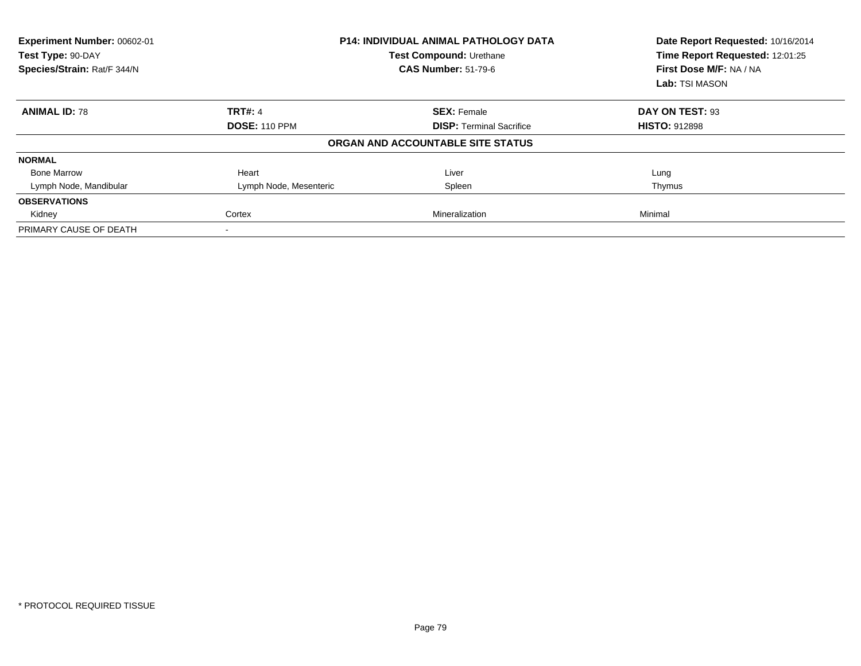| Experiment Number: 00602-01<br>Test Type: 90-DAY<br>Species/Strain: Rat/F 344/N | <b>P14: INDIVIDUAL ANIMAL PATHOLOGY DATA</b><br>Test Compound: Urethane<br><b>CAS Number: 51-79-6</b> |                                   | Date Report Requested: 10/16/2014<br>Time Report Requested: 12:01:25<br>First Dose M/F: NA / NA<br><b>Lab: TSI MASON</b> |
|---------------------------------------------------------------------------------|-------------------------------------------------------------------------------------------------------|-----------------------------------|--------------------------------------------------------------------------------------------------------------------------|
| <b>ANIMAL ID: 78</b>                                                            | <b>TRT#: 4</b>                                                                                        | <b>SEX: Female</b>                | DAY ON TEST: 93                                                                                                          |
|                                                                                 | <b>DOSE: 110 PPM</b>                                                                                  | <b>DISP: Terminal Sacrifice</b>   | <b>HISTO: 912898</b>                                                                                                     |
|                                                                                 |                                                                                                       | ORGAN AND ACCOUNTABLE SITE STATUS |                                                                                                                          |
| <b>NORMAL</b>                                                                   |                                                                                                       |                                   |                                                                                                                          |
| <b>Bone Marrow</b>                                                              | Heart                                                                                                 | Liver                             | Lung                                                                                                                     |
| Lymph Node, Mandibular                                                          | Lymph Node, Mesenteric                                                                                | Spleen                            | Thymus                                                                                                                   |
| <b>OBSERVATIONS</b>                                                             |                                                                                                       |                                   |                                                                                                                          |
| Kidney                                                                          | Cortex                                                                                                | Mineralization                    | Minimal                                                                                                                  |
| PRIMARY CAUSE OF DEATH                                                          |                                                                                                       |                                   |                                                                                                                          |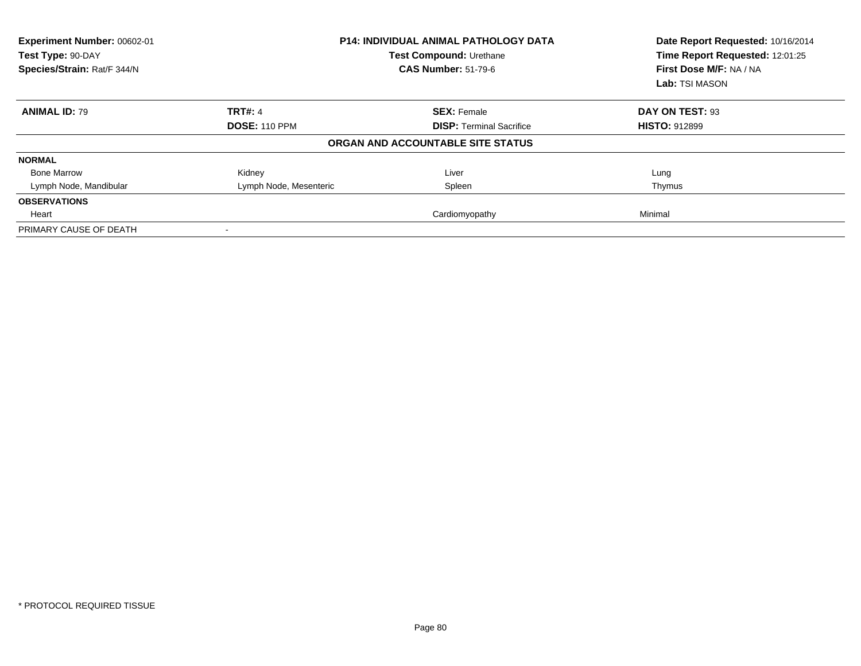| Experiment Number: 00602-01<br>Test Type: 90-DAY<br>Species/Strain: Rat/F 344/N |                        | <b>P14: INDIVIDUAL ANIMAL PATHOLOGY DATA</b><br><b>Test Compound: Urethane</b><br><b>CAS Number: 51-79-6</b> | Date Report Requested: 10/16/2014<br>Time Report Requested: 12:01:25<br>First Dose M/F: NA / NA<br>Lab: TSI MASON |  |
|---------------------------------------------------------------------------------|------------------------|--------------------------------------------------------------------------------------------------------------|-------------------------------------------------------------------------------------------------------------------|--|
| <b>ANIMAL ID: 79</b>                                                            | <b>TRT#: 4</b>         | <b>SEX: Female</b>                                                                                           | DAY ON TEST: 93                                                                                                   |  |
|                                                                                 | <b>DOSE: 110 PPM</b>   | <b>DISP: Terminal Sacrifice</b>                                                                              | <b>HISTO: 912899</b>                                                                                              |  |
|                                                                                 |                        | ORGAN AND ACCOUNTABLE SITE STATUS                                                                            |                                                                                                                   |  |
| <b>NORMAL</b>                                                                   |                        |                                                                                                              |                                                                                                                   |  |
| <b>Bone Marrow</b>                                                              | Kidney                 | Liver                                                                                                        | Lung                                                                                                              |  |
| Lymph Node, Mandibular                                                          | Lymph Node, Mesenteric | Spleen                                                                                                       | Thymus                                                                                                            |  |
| <b>OBSERVATIONS</b>                                                             |                        |                                                                                                              |                                                                                                                   |  |
| Heart                                                                           |                        | Cardiomyopathy                                                                                               | Minimal                                                                                                           |  |
| PRIMARY CAUSE OF DEATH                                                          | $\,$                   |                                                                                                              |                                                                                                                   |  |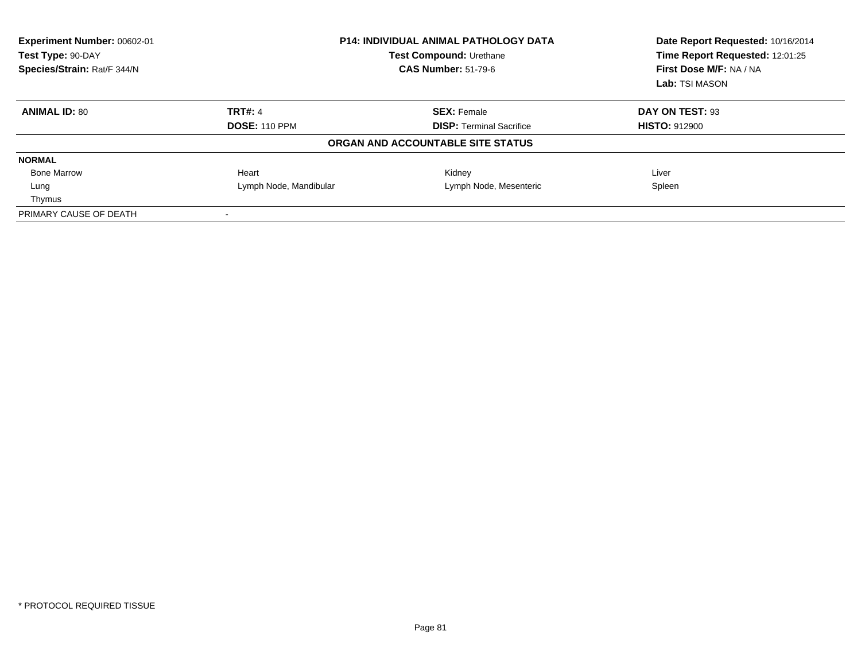| Experiment Number: 00602-01<br>Test Type: 90-DAY<br>Species/Strain: Rat/F 344/N |                        | <b>P14: INDIVIDUAL ANIMAL PATHOLOGY DATA</b><br>Test Compound: Urethane<br><b>CAS Number: 51-79-6</b> | Date Report Requested: 10/16/2014<br>Time Report Requested: 12:01:25<br>First Dose M/F: NA / NA<br>Lab: TSI MASON |
|---------------------------------------------------------------------------------|------------------------|-------------------------------------------------------------------------------------------------------|-------------------------------------------------------------------------------------------------------------------|
| <b>ANIMAL ID: 80</b>                                                            | <b>TRT#: 4</b>         | <b>SEX: Female</b>                                                                                    | DAY ON TEST: 93                                                                                                   |
|                                                                                 | <b>DOSE: 110 PPM</b>   | <b>DISP: Terminal Sacrifice</b>                                                                       | <b>HISTO: 912900</b>                                                                                              |
|                                                                                 |                        | ORGAN AND ACCOUNTABLE SITE STATUS                                                                     |                                                                                                                   |
| <b>NORMAL</b>                                                                   |                        |                                                                                                       |                                                                                                                   |
| <b>Bone Marrow</b>                                                              | Heart                  | Kidney                                                                                                | Liver                                                                                                             |
| Lung                                                                            | Lymph Node, Mandibular | Lymph Node, Mesenteric                                                                                | Spleen                                                                                                            |
| Thymus                                                                          |                        |                                                                                                       |                                                                                                                   |
| PRIMARY CAUSE OF DEATH                                                          |                        |                                                                                                       |                                                                                                                   |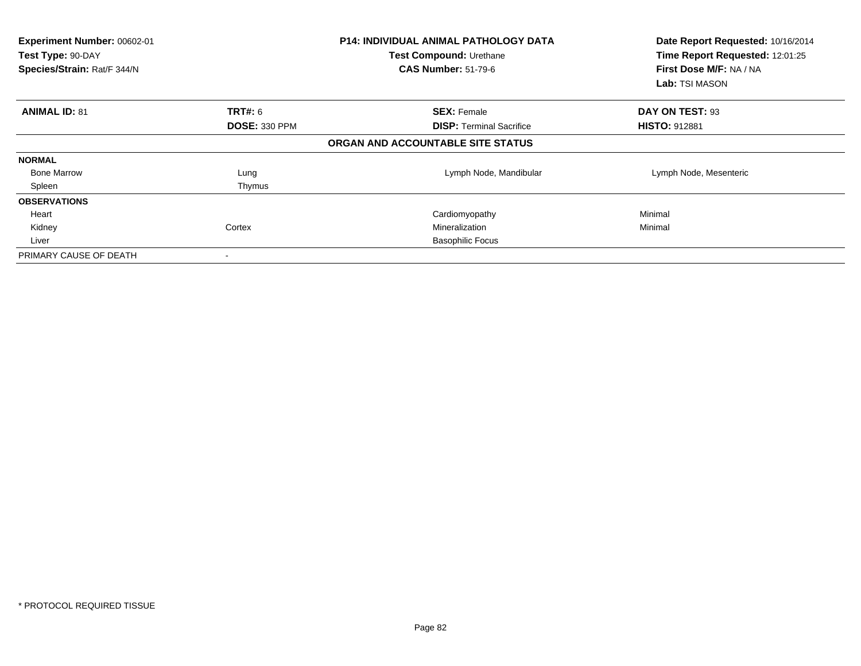| Experiment Number: 00602-01<br>Test Type: 90-DAY<br>Species/Strain: Rat/F 344/N |                      | <b>P14: INDIVIDUAL ANIMAL PATHOLOGY DATA</b><br>Test Compound: Urethane<br><b>CAS Number: 51-79-6</b> | Date Report Requested: 10/16/2014<br>Time Report Requested: 12:01:25<br>First Dose M/F: NA / NA<br>Lab: TSI MASON |
|---------------------------------------------------------------------------------|----------------------|-------------------------------------------------------------------------------------------------------|-------------------------------------------------------------------------------------------------------------------|
| <b>ANIMAL ID: 81</b>                                                            | <b>TRT#: 6</b>       | <b>SEX: Female</b>                                                                                    | DAY ON TEST: 93                                                                                                   |
|                                                                                 | <b>DOSE: 330 PPM</b> | <b>DISP:</b> Terminal Sacrifice                                                                       | <b>HISTO: 912881</b>                                                                                              |
|                                                                                 |                      | ORGAN AND ACCOUNTABLE SITE STATUS                                                                     |                                                                                                                   |
| <b>NORMAL</b>                                                                   |                      |                                                                                                       |                                                                                                                   |
| <b>Bone Marrow</b>                                                              | Lung                 | Lymph Node, Mandibular                                                                                | Lymph Node, Mesenteric                                                                                            |
| Spleen                                                                          | Thymus               |                                                                                                       |                                                                                                                   |
| <b>OBSERVATIONS</b>                                                             |                      |                                                                                                       |                                                                                                                   |
| Heart                                                                           |                      | Cardiomyopathy                                                                                        | Minimal                                                                                                           |
| Kidney                                                                          | Cortex               | Mineralization                                                                                        | Minimal                                                                                                           |
| Liver                                                                           |                      | <b>Basophilic Focus</b>                                                                               |                                                                                                                   |
| PRIMARY CAUSE OF DEATH                                                          |                      |                                                                                                       |                                                                                                                   |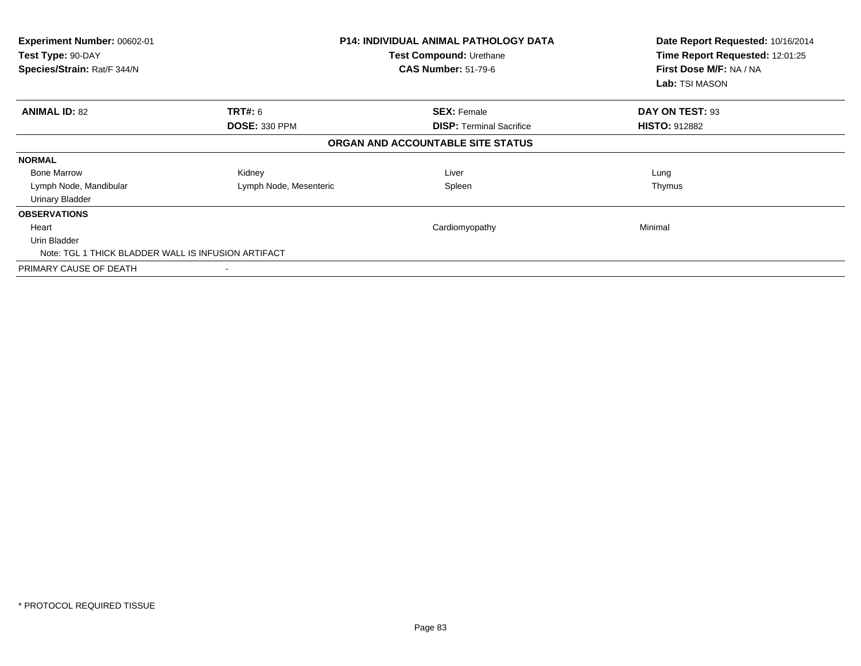| Experiment Number: 00602-01<br>Test Type: 90-DAY<br>Species/Strain: Rat/F 344/N |                        | <b>P14: INDIVIDUAL ANIMAL PATHOLOGY DATA</b><br>Test Compound: Urethane<br><b>CAS Number: 51-79-6</b> | Date Report Requested: 10/16/2014<br>Time Report Requested: 12:01:25<br>First Dose M/F: NA / NA<br>Lab: TSI MASON |
|---------------------------------------------------------------------------------|------------------------|-------------------------------------------------------------------------------------------------------|-------------------------------------------------------------------------------------------------------------------|
| <b>ANIMAL ID: 82</b>                                                            | <b>TRT#: 6</b>         | <b>SEX: Female</b>                                                                                    | DAY ON TEST: 93                                                                                                   |
|                                                                                 | <b>DOSE: 330 PPM</b>   | <b>DISP:</b> Terminal Sacrifice                                                                       | <b>HISTO: 912882</b>                                                                                              |
|                                                                                 |                        | ORGAN AND ACCOUNTABLE SITE STATUS                                                                     |                                                                                                                   |
| <b>NORMAL</b>                                                                   |                        |                                                                                                       |                                                                                                                   |
| <b>Bone Marrow</b>                                                              | Kidney                 | Liver                                                                                                 | Lung                                                                                                              |
| Lymph Node, Mandibular<br><b>Urinary Bladder</b>                                | Lymph Node, Mesenteric | Spleen                                                                                                | Thymus                                                                                                            |
| <b>OBSERVATIONS</b>                                                             |                        |                                                                                                       |                                                                                                                   |
| Heart                                                                           |                        | Cardiomyopathy                                                                                        | Minimal                                                                                                           |
| Urin Bladder                                                                    |                        |                                                                                                       |                                                                                                                   |
| Note: TGL 1 THICK BLADDER WALL IS INFUSION ARTIFACT                             |                        |                                                                                                       |                                                                                                                   |
| PRIMARY CAUSE OF DEATH                                                          |                        |                                                                                                       |                                                                                                                   |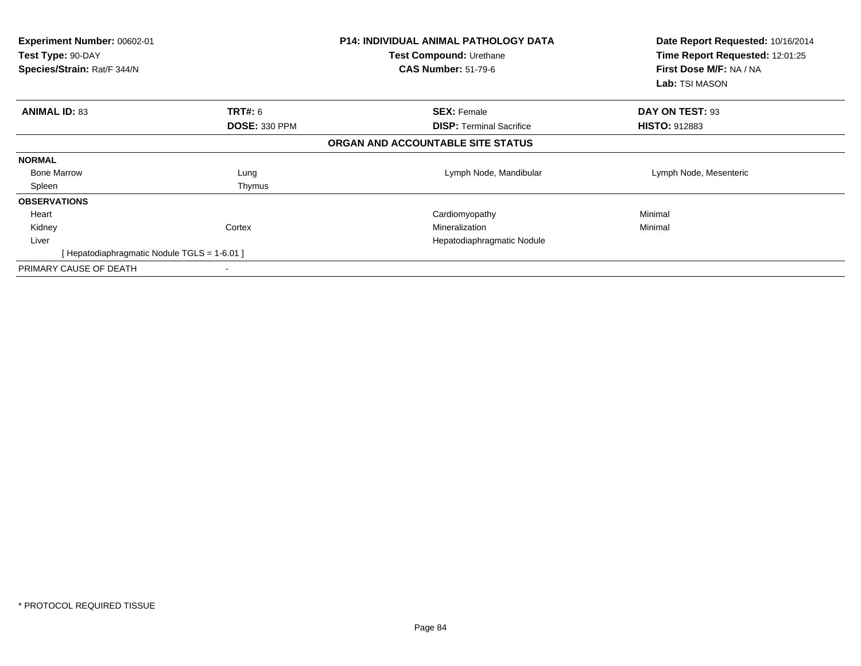| Experiment Number: 00602-01<br>Test Type: 90-DAY<br>Species/Strain: Rat/F 344/N |                      | <b>P14: INDIVIDUAL ANIMAL PATHOLOGY DATA</b><br>Test Compound: Urethane<br><b>CAS Number: 51-79-6</b> | Date Report Requested: 10/16/2014<br>Time Report Requested: 12:01:25<br>First Dose M/F: NA / NA<br>Lab: TSI MASON |
|---------------------------------------------------------------------------------|----------------------|-------------------------------------------------------------------------------------------------------|-------------------------------------------------------------------------------------------------------------------|
| <b>ANIMAL ID: 83</b>                                                            | <b>TRT#: 6</b>       | <b>SEX: Female</b>                                                                                    | DAY ON TEST: 93                                                                                                   |
|                                                                                 | <b>DOSE: 330 PPM</b> | <b>DISP:</b> Terminal Sacrifice                                                                       | <b>HISTO: 912883</b>                                                                                              |
|                                                                                 |                      | ORGAN AND ACCOUNTABLE SITE STATUS                                                                     |                                                                                                                   |
| <b>NORMAL</b>                                                                   |                      |                                                                                                       |                                                                                                                   |
| <b>Bone Marrow</b>                                                              | Lung                 | Lymph Node, Mandibular                                                                                | Lymph Node, Mesenteric                                                                                            |
| Spleen                                                                          | Thymus               |                                                                                                       |                                                                                                                   |
| <b>OBSERVATIONS</b>                                                             |                      |                                                                                                       |                                                                                                                   |
| Heart                                                                           |                      | Cardiomyopathy                                                                                        | Minimal                                                                                                           |
| Kidney                                                                          | Cortex               | Mineralization                                                                                        | Minimal                                                                                                           |
| Liver                                                                           |                      | Hepatodiaphragmatic Nodule                                                                            |                                                                                                                   |
| [ Hepatodiaphragmatic Nodule TGLS = 1-6.01 ]                                    |                      |                                                                                                       |                                                                                                                   |
| PRIMARY CAUSE OF DEATH                                                          |                      |                                                                                                       |                                                                                                                   |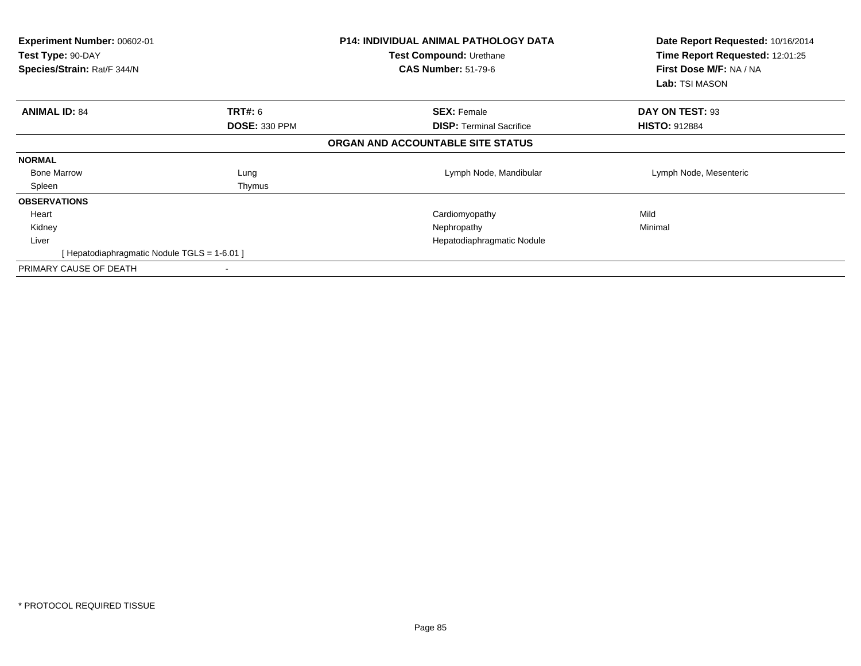| Experiment Number: 00602-01<br>Test Type: 90-DAY<br>Species/Strain: Rat/F 344/N |                      | <b>P14: INDIVIDUAL ANIMAL PATHOLOGY DATA</b><br>Test Compound: Urethane<br><b>CAS Number: 51-79-6</b> | Date Report Requested: 10/16/2014<br>Time Report Requested: 12:01:25<br>First Dose M/F: NA / NA<br>Lab: TSI MASON |
|---------------------------------------------------------------------------------|----------------------|-------------------------------------------------------------------------------------------------------|-------------------------------------------------------------------------------------------------------------------|
| <b>ANIMAL ID: 84</b>                                                            | <b>TRT#: 6</b>       | <b>SEX: Female</b>                                                                                    | DAY ON TEST: 93                                                                                                   |
|                                                                                 | <b>DOSE: 330 PPM</b> | <b>DISP:</b> Terminal Sacrifice                                                                       | <b>HISTO: 912884</b>                                                                                              |
|                                                                                 |                      | ORGAN AND ACCOUNTABLE SITE STATUS                                                                     |                                                                                                                   |
| <b>NORMAL</b>                                                                   |                      |                                                                                                       |                                                                                                                   |
| <b>Bone Marrow</b>                                                              | Lung                 | Lymph Node, Mandibular                                                                                | Lymph Node, Mesenteric                                                                                            |
| Spleen                                                                          | Thymus               |                                                                                                       |                                                                                                                   |
| <b>OBSERVATIONS</b>                                                             |                      |                                                                                                       |                                                                                                                   |
| Heart                                                                           |                      | Cardiomyopathy                                                                                        | Mild                                                                                                              |
| Kidney                                                                          |                      | Nephropathy                                                                                           | Minimal                                                                                                           |
| Liver                                                                           |                      | Hepatodiaphragmatic Nodule                                                                            |                                                                                                                   |
| [ Hepatodiaphragmatic Nodule TGLS = 1-6.01 ]                                    |                      |                                                                                                       |                                                                                                                   |
| PRIMARY CAUSE OF DEATH                                                          |                      |                                                                                                       |                                                                                                                   |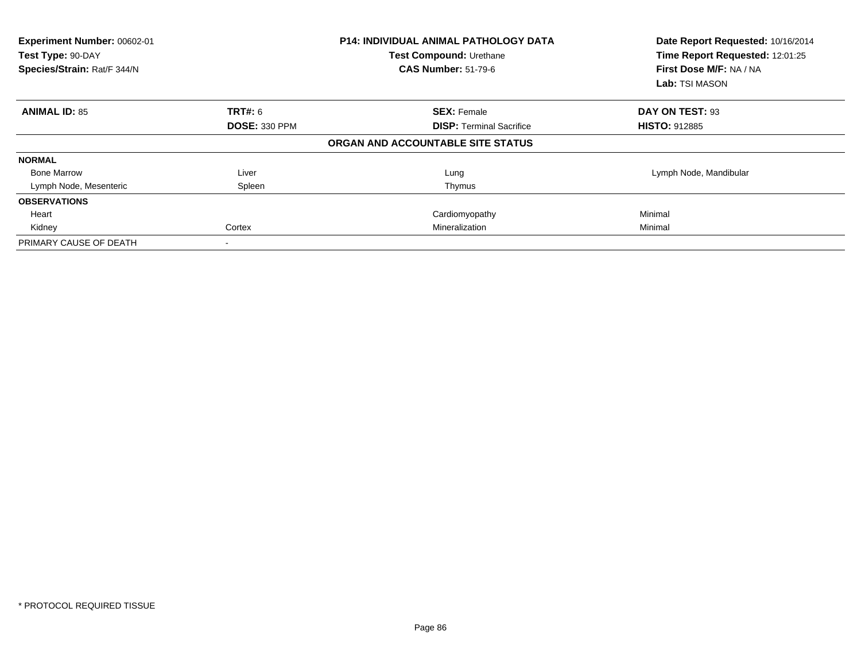| Experiment Number: 00602-01<br>Test Type: 90-DAY<br>Species/Strain: Rat/F 344/N |                      | <b>P14: INDIVIDUAL ANIMAL PATHOLOGY DATA</b><br>Test Compound: Urethane<br><b>CAS Number: 51-79-6</b> | Date Report Requested: 10/16/2014<br>Time Report Requested: 12:01:25<br>First Dose M/F: NA / NA<br>Lab: TSI MASON |
|---------------------------------------------------------------------------------|----------------------|-------------------------------------------------------------------------------------------------------|-------------------------------------------------------------------------------------------------------------------|
| <b>ANIMAL ID: 85</b>                                                            | TRT#: 6              | <b>SEX: Female</b>                                                                                    | DAY ON TEST: 93                                                                                                   |
|                                                                                 | <b>DOSE: 330 PPM</b> | <b>DISP:</b> Terminal Sacrifice                                                                       | <b>HISTO: 912885</b>                                                                                              |
|                                                                                 |                      | ORGAN AND ACCOUNTABLE SITE STATUS                                                                     |                                                                                                                   |
| <b>NORMAL</b>                                                                   |                      |                                                                                                       |                                                                                                                   |
| <b>Bone Marrow</b>                                                              | Liver                | Lung                                                                                                  | Lymph Node, Mandibular                                                                                            |
| Lymph Node, Mesenteric                                                          | Spleen               | Thymus                                                                                                |                                                                                                                   |
| <b>OBSERVATIONS</b>                                                             |                      |                                                                                                       |                                                                                                                   |
| Heart                                                                           |                      | Cardiomyopathy                                                                                        | Minimal                                                                                                           |
| Kidney                                                                          | Cortex               | Mineralization                                                                                        | Minimal                                                                                                           |
| PRIMARY CAUSE OF DEATH                                                          |                      |                                                                                                       |                                                                                                                   |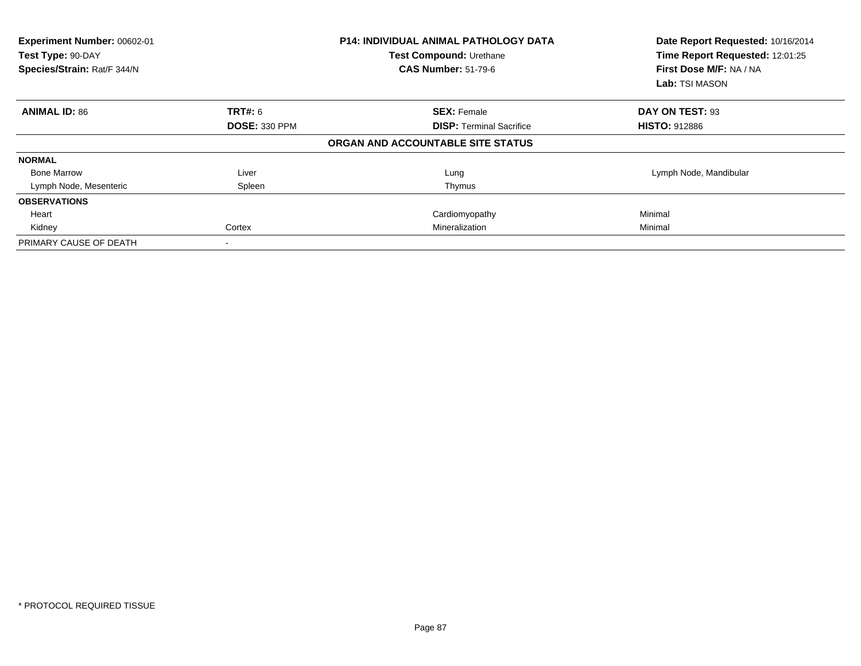| Experiment Number: 00602-01<br>Test Type: 90-DAY<br>Species/Strain: Rat/F 344/N |                      | <b>P14: INDIVIDUAL ANIMAL PATHOLOGY DATA</b><br>Test Compound: Urethane<br><b>CAS Number: 51-79-6</b> | Date Report Requested: 10/16/2014<br>Time Report Requested: 12:01:25<br>First Dose M/F: NA / NA<br>Lab: TSI MASON |
|---------------------------------------------------------------------------------|----------------------|-------------------------------------------------------------------------------------------------------|-------------------------------------------------------------------------------------------------------------------|
| <b>ANIMAL ID: 86</b>                                                            | TRT#: 6              | <b>SEX: Female</b>                                                                                    | DAY ON TEST: 93                                                                                                   |
|                                                                                 | <b>DOSE: 330 PPM</b> | <b>DISP:</b> Terminal Sacrifice                                                                       | <b>HISTO: 912886</b>                                                                                              |
|                                                                                 |                      | ORGAN AND ACCOUNTABLE SITE STATUS                                                                     |                                                                                                                   |
| <b>NORMAL</b>                                                                   |                      |                                                                                                       |                                                                                                                   |
| <b>Bone Marrow</b>                                                              | Liver                | Lung                                                                                                  | Lymph Node, Mandibular                                                                                            |
| Lymph Node, Mesenteric                                                          | Spleen               | Thymus                                                                                                |                                                                                                                   |
| <b>OBSERVATIONS</b>                                                             |                      |                                                                                                       |                                                                                                                   |
| Heart                                                                           |                      | Cardiomyopathy                                                                                        | Minimal                                                                                                           |
| Kidney                                                                          | Cortex               | Mineralization                                                                                        | Minimal                                                                                                           |
| PRIMARY CAUSE OF DEATH                                                          |                      |                                                                                                       |                                                                                                                   |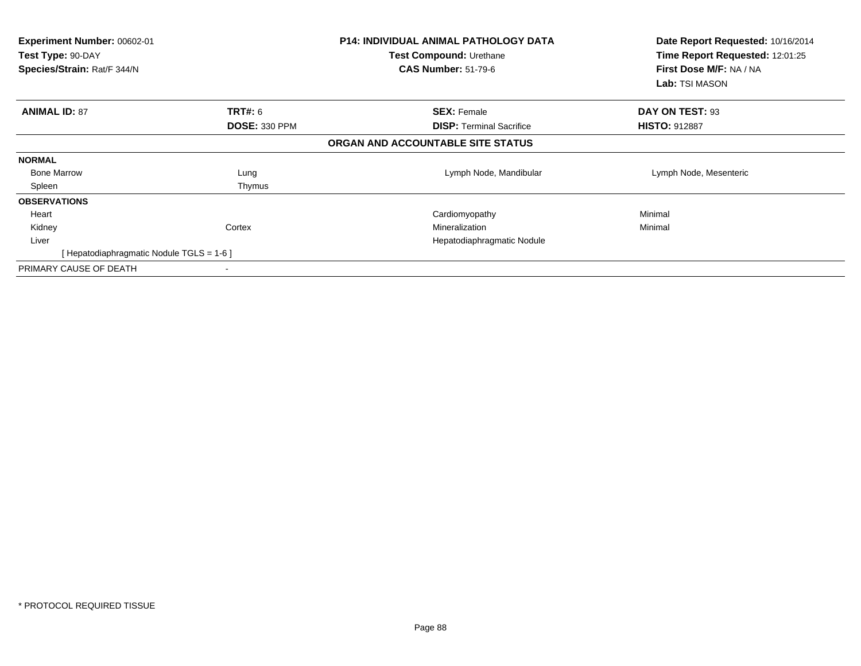| Experiment Number: 00602-01<br>Test Type: 90-DAY<br>Species/Strain: Rat/F 344/N |                          | <b>P14: INDIVIDUAL ANIMAL PATHOLOGY DATA</b><br>Test Compound: Urethane<br><b>CAS Number: 51-79-6</b> | Date Report Requested: 10/16/2014<br>Time Report Requested: 12:01:25<br>First Dose M/F: NA / NA<br>Lab: TSI MASON |
|---------------------------------------------------------------------------------|--------------------------|-------------------------------------------------------------------------------------------------------|-------------------------------------------------------------------------------------------------------------------|
| <b>ANIMAL ID: 87</b>                                                            | <b>TRT#: 6</b>           | <b>SEX: Female</b>                                                                                    | DAY ON TEST: 93                                                                                                   |
|                                                                                 | <b>DOSE: 330 PPM</b>     | <b>DISP:</b> Terminal Sacrifice                                                                       | <b>HISTO: 912887</b>                                                                                              |
|                                                                                 |                          | ORGAN AND ACCOUNTABLE SITE STATUS                                                                     |                                                                                                                   |
| <b>NORMAL</b>                                                                   |                          |                                                                                                       |                                                                                                                   |
| <b>Bone Marrow</b>                                                              | Lung                     | Lymph Node, Mandibular                                                                                | Lymph Node, Mesenteric                                                                                            |
| Spleen                                                                          | Thymus                   |                                                                                                       |                                                                                                                   |
| <b>OBSERVATIONS</b>                                                             |                          |                                                                                                       |                                                                                                                   |
| Heart                                                                           |                          | Cardiomyopathy                                                                                        | Minimal                                                                                                           |
| Kidney                                                                          | Cortex                   | Mineralization                                                                                        | Minimal                                                                                                           |
| Liver                                                                           |                          | Hepatodiaphragmatic Nodule                                                                            |                                                                                                                   |
| [Hepatodiaphragmatic Nodule TGLS = 1-6]                                         |                          |                                                                                                       |                                                                                                                   |
| PRIMARY CAUSE OF DEATH                                                          | $\overline{\phantom{a}}$ |                                                                                                       |                                                                                                                   |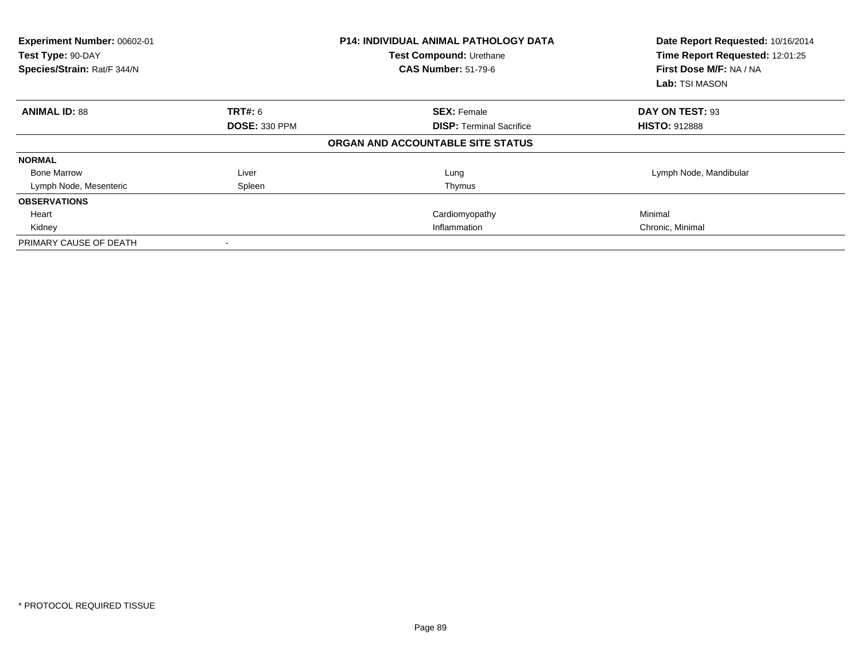| Experiment Number: 00602-01<br>Test Type: 90-DAY<br>Species/Strain: Rat/F 344/N |                      | <b>P14: INDIVIDUAL ANIMAL PATHOLOGY DATA</b><br><b>Test Compound: Urethane</b><br><b>CAS Number: 51-79-6</b> | Date Report Requested: 10/16/2014<br>Time Report Requested: 12:01:25<br>First Dose M/F: NA / NA<br>Lab: TSI MASON |
|---------------------------------------------------------------------------------|----------------------|--------------------------------------------------------------------------------------------------------------|-------------------------------------------------------------------------------------------------------------------|
| <b>ANIMAL ID: 88</b>                                                            | <b>TRT#: 6</b>       | <b>SEX: Female</b>                                                                                           | DAY ON TEST: 93                                                                                                   |
|                                                                                 | <b>DOSE: 330 PPM</b> | <b>DISP: Terminal Sacrifice</b>                                                                              | <b>HISTO: 912888</b>                                                                                              |
|                                                                                 |                      | ORGAN AND ACCOUNTABLE SITE STATUS                                                                            |                                                                                                                   |
| <b>NORMAL</b>                                                                   |                      |                                                                                                              |                                                                                                                   |
| <b>Bone Marrow</b>                                                              | Liver                | Lung                                                                                                         | Lymph Node, Mandibular                                                                                            |
| Lymph Node, Mesenteric                                                          | Spleen               | Thymus                                                                                                       |                                                                                                                   |
| <b>OBSERVATIONS</b>                                                             |                      |                                                                                                              |                                                                                                                   |
| Heart                                                                           |                      | Cardiomyopathy                                                                                               | Minimal                                                                                                           |
| Kidney                                                                          |                      | Inflammation                                                                                                 | Chronic, Minimal                                                                                                  |
| PRIMARY CAUSE OF DEATH                                                          |                      |                                                                                                              |                                                                                                                   |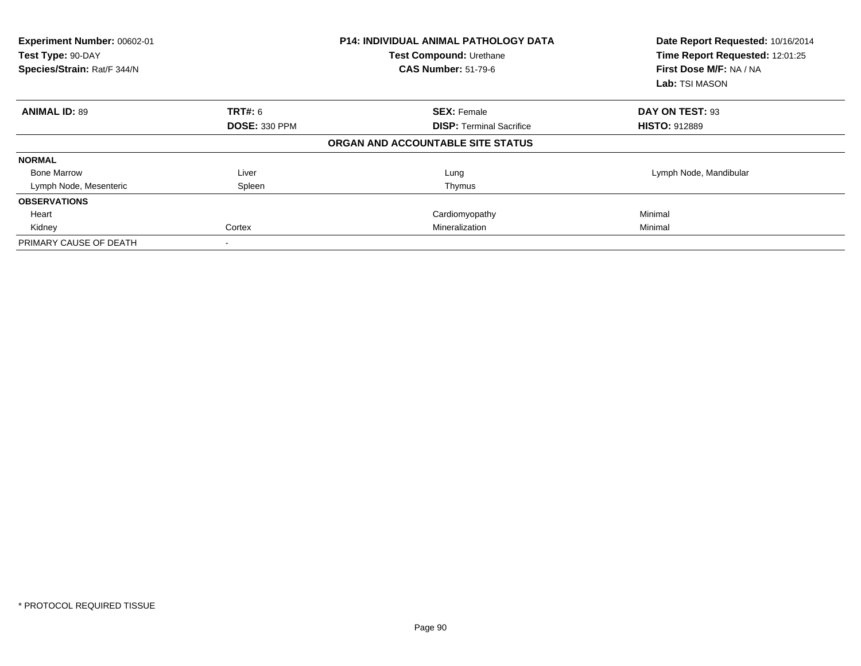| Experiment Number: 00602-01<br>Test Type: 90-DAY<br>Species/Strain: Rat/F 344/N |                      | <b>P14: INDIVIDUAL ANIMAL PATHOLOGY DATA</b><br>Test Compound: Urethane<br><b>CAS Number: 51-79-6</b> | Date Report Requested: 10/16/2014<br>Time Report Requested: 12:01:25<br>First Dose M/F: NA / NA<br>Lab: TSI MASON |
|---------------------------------------------------------------------------------|----------------------|-------------------------------------------------------------------------------------------------------|-------------------------------------------------------------------------------------------------------------------|
| <b>ANIMAL ID: 89</b>                                                            | TRT#: 6              | <b>SEX: Female</b>                                                                                    | DAY ON TEST: 93                                                                                                   |
|                                                                                 | <b>DOSE: 330 PPM</b> | <b>DISP: Terminal Sacrifice</b>                                                                       | <b>HISTO: 912889</b>                                                                                              |
|                                                                                 |                      | ORGAN AND ACCOUNTABLE SITE STATUS                                                                     |                                                                                                                   |
| <b>NORMAL</b>                                                                   |                      |                                                                                                       |                                                                                                                   |
| <b>Bone Marrow</b>                                                              | Liver                | Lung                                                                                                  | Lymph Node, Mandibular                                                                                            |
| Lymph Node, Mesenteric                                                          | Spleen               | Thymus                                                                                                |                                                                                                                   |
| <b>OBSERVATIONS</b>                                                             |                      |                                                                                                       |                                                                                                                   |
| Heart                                                                           |                      | Cardiomyopathy                                                                                        | Minimal                                                                                                           |
| Kidney                                                                          | Cortex               | Mineralization                                                                                        | Minimal                                                                                                           |
| PRIMARY CAUSE OF DEATH                                                          |                      |                                                                                                       |                                                                                                                   |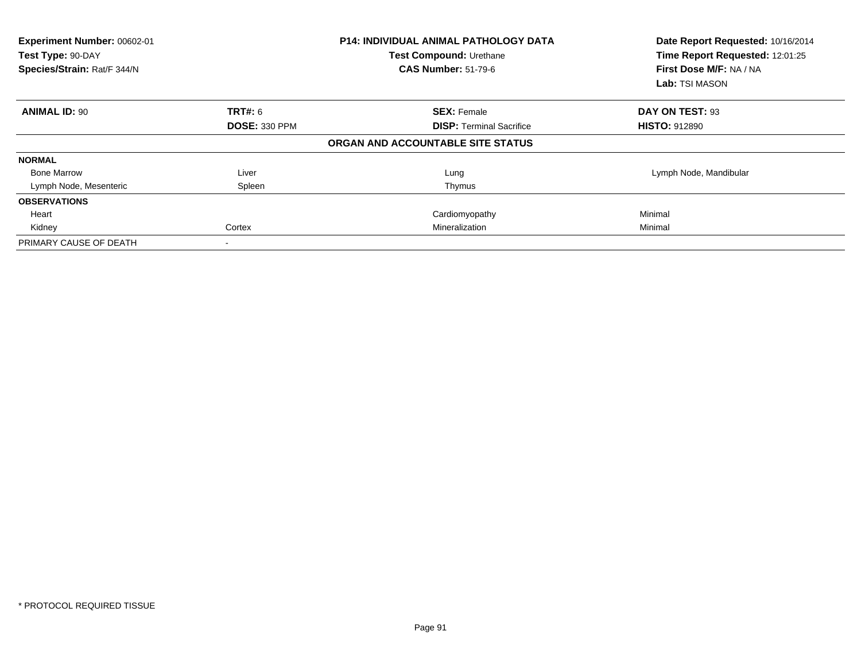| Experiment Number: 00602-01<br>Test Type: 90-DAY<br>Species/Strain: Rat/F 344/N |                      | <b>P14: INDIVIDUAL ANIMAL PATHOLOGY DATA</b><br>Test Compound: Urethane<br><b>CAS Number: 51-79-6</b> | Date Report Requested: 10/16/2014<br>Time Report Requested: 12:01:25<br>First Dose M/F: NA / NA<br>Lab: TSI MASON |
|---------------------------------------------------------------------------------|----------------------|-------------------------------------------------------------------------------------------------------|-------------------------------------------------------------------------------------------------------------------|
| <b>ANIMAL ID: 90</b>                                                            | TRT#: 6              | <b>SEX: Female</b>                                                                                    | DAY ON TEST: 93                                                                                                   |
|                                                                                 | <b>DOSE: 330 PPM</b> | <b>DISP:</b> Terminal Sacrifice                                                                       | <b>HISTO: 912890</b>                                                                                              |
|                                                                                 |                      | ORGAN AND ACCOUNTABLE SITE STATUS                                                                     |                                                                                                                   |
| <b>NORMAL</b>                                                                   |                      |                                                                                                       |                                                                                                                   |
| <b>Bone Marrow</b>                                                              | Liver                | Lung                                                                                                  | Lymph Node, Mandibular                                                                                            |
| Lymph Node, Mesenteric                                                          | Spleen               | Thymus                                                                                                |                                                                                                                   |
| <b>OBSERVATIONS</b>                                                             |                      |                                                                                                       |                                                                                                                   |
| Heart                                                                           |                      | Cardiomyopathy                                                                                        | Minimal                                                                                                           |
| Kidney                                                                          | Cortex               | Mineralization                                                                                        | Minimal                                                                                                           |
| PRIMARY CAUSE OF DEATH                                                          |                      |                                                                                                       |                                                                                                                   |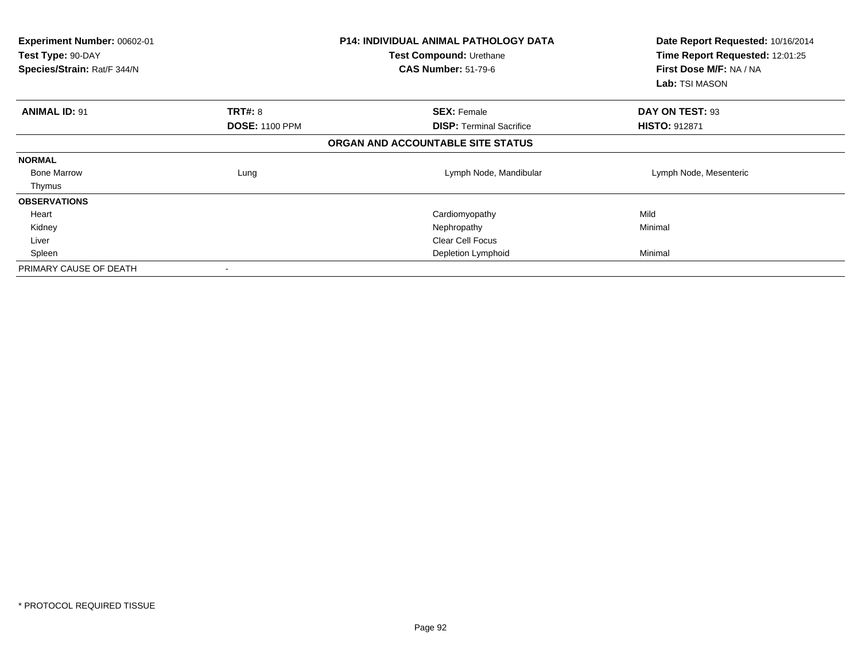| <b>Experiment Number: 00602-01</b><br>Test Type: 90-DAY<br>Species/Strain: Rat/F 344/N |                       | <b>P14: INDIVIDUAL ANIMAL PATHOLOGY DATA</b><br>Test Compound: Urethane<br><b>CAS Number: 51-79-6</b> | Date Report Requested: 10/16/2014<br>Time Report Requested: 12:01:25<br>First Dose M/F: NA / NA<br>Lab: TSI MASON |
|----------------------------------------------------------------------------------------|-----------------------|-------------------------------------------------------------------------------------------------------|-------------------------------------------------------------------------------------------------------------------|
| <b>ANIMAL ID: 91</b>                                                                   | TRT#: 8               | <b>SEX: Female</b>                                                                                    | DAY ON TEST: 93                                                                                                   |
|                                                                                        | <b>DOSE: 1100 PPM</b> | <b>DISP:</b> Terminal Sacrifice                                                                       | <b>HISTO: 912871</b>                                                                                              |
|                                                                                        |                       | ORGAN AND ACCOUNTABLE SITE STATUS                                                                     |                                                                                                                   |
| <b>NORMAL</b>                                                                          |                       |                                                                                                       |                                                                                                                   |
| <b>Bone Marrow</b>                                                                     | Lung                  | Lymph Node, Mandibular                                                                                | Lymph Node, Mesenteric                                                                                            |
| Thymus                                                                                 |                       |                                                                                                       |                                                                                                                   |
| <b>OBSERVATIONS</b>                                                                    |                       |                                                                                                       |                                                                                                                   |
| Heart                                                                                  |                       | Cardiomyopathy                                                                                        | Mild                                                                                                              |
| Kidney                                                                                 |                       | Nephropathy                                                                                           | Minimal                                                                                                           |
| Liver                                                                                  |                       | Clear Cell Focus                                                                                      |                                                                                                                   |
| Spleen                                                                                 |                       | Depletion Lymphoid                                                                                    | Minimal                                                                                                           |
| PRIMARY CAUSE OF DEATH                                                                 |                       |                                                                                                       |                                                                                                                   |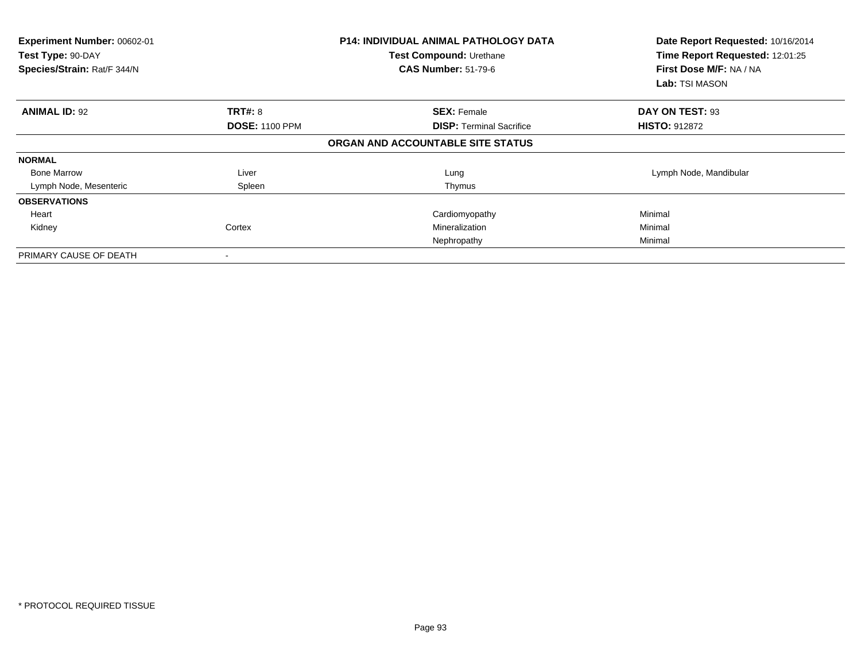| Experiment Number: 00602-01<br>Test Type: 90-DAY<br>Species/Strain: Rat/F 344/N | <b>P14: INDIVIDUAL ANIMAL PATHOLOGY DATA</b><br>Test Compound: Urethane<br><b>CAS Number: 51-79-6</b> |                                   | Date Report Requested: 10/16/2014<br>Time Report Requested: 12:01:25<br>First Dose M/F: NA / NA<br>Lab: TSI MASON |
|---------------------------------------------------------------------------------|-------------------------------------------------------------------------------------------------------|-----------------------------------|-------------------------------------------------------------------------------------------------------------------|
| <b>ANIMAL ID: 92</b>                                                            | <b>TRT#: 8</b>                                                                                        | <b>SEX: Female</b>                | DAY ON TEST: 93                                                                                                   |
|                                                                                 | <b>DOSE: 1100 PPM</b>                                                                                 | <b>DISP:</b> Terminal Sacrifice   | <b>HISTO: 912872</b>                                                                                              |
|                                                                                 |                                                                                                       | ORGAN AND ACCOUNTABLE SITE STATUS |                                                                                                                   |
| <b>NORMAL</b>                                                                   |                                                                                                       |                                   |                                                                                                                   |
| <b>Bone Marrow</b>                                                              | Liver                                                                                                 | Lung                              | Lymph Node, Mandibular                                                                                            |
| Lymph Node, Mesenteric                                                          | Spleen                                                                                                | Thymus                            |                                                                                                                   |
| <b>OBSERVATIONS</b>                                                             |                                                                                                       |                                   |                                                                                                                   |
| Heart                                                                           |                                                                                                       | Cardiomyopathy                    | Minimal                                                                                                           |
| Kidney                                                                          | Cortex                                                                                                | Mineralization                    | Minimal                                                                                                           |
|                                                                                 |                                                                                                       | Nephropathy                       | Minimal                                                                                                           |
| PRIMARY CAUSE OF DEATH                                                          |                                                                                                       |                                   |                                                                                                                   |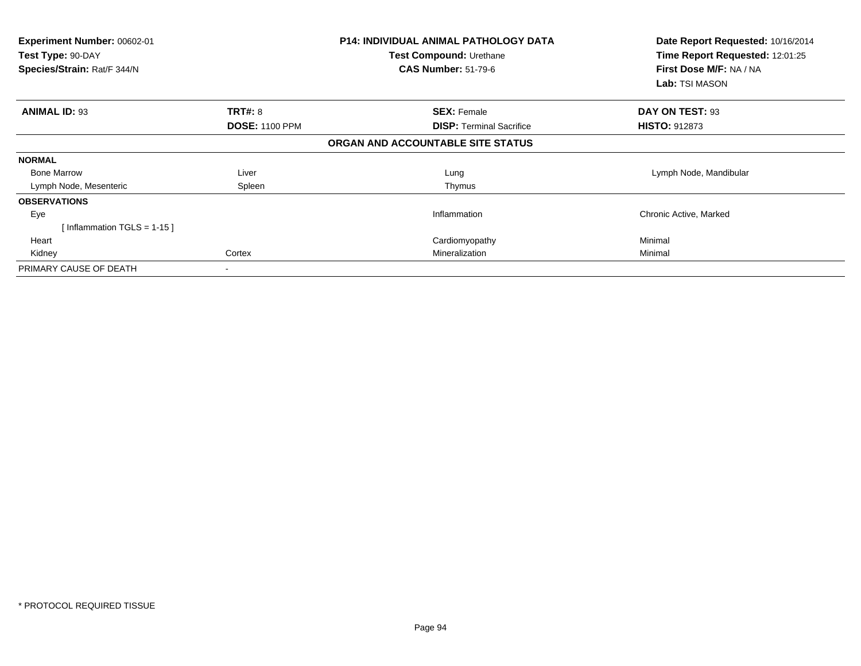| Experiment Number: 00602-01<br>Test Type: 90-DAY<br>Species/Strain: Rat/F 344/N |                       | <b>P14: INDIVIDUAL ANIMAL PATHOLOGY DATA</b><br>Test Compound: Urethane<br><b>CAS Number: 51-79-6</b> | Date Report Requested: 10/16/2014<br>Time Report Requested: 12:01:25<br>First Dose M/F: NA / NA<br>Lab: TSI MASON |
|---------------------------------------------------------------------------------|-----------------------|-------------------------------------------------------------------------------------------------------|-------------------------------------------------------------------------------------------------------------------|
| <b>ANIMAL ID: 93</b>                                                            | <b>TRT#: 8</b>        | <b>SEX: Female</b>                                                                                    | DAY ON TEST: 93                                                                                                   |
|                                                                                 | <b>DOSE: 1100 PPM</b> | <b>DISP:</b> Terminal Sacrifice                                                                       | <b>HISTO: 912873</b>                                                                                              |
|                                                                                 |                       | ORGAN AND ACCOUNTABLE SITE STATUS                                                                     |                                                                                                                   |
| <b>NORMAL</b>                                                                   |                       |                                                                                                       |                                                                                                                   |
| <b>Bone Marrow</b>                                                              | Liver                 | Lung                                                                                                  | Lymph Node, Mandibular                                                                                            |
| Lymph Node, Mesenteric                                                          | Spleen                | Thymus                                                                                                |                                                                                                                   |
| <b>OBSERVATIONS</b>                                                             |                       |                                                                                                       |                                                                                                                   |
| Eye                                                                             |                       | Inflammation                                                                                          | Chronic Active, Marked                                                                                            |
| [Inflammation TGLS = $1-15$ ]                                                   |                       |                                                                                                       |                                                                                                                   |
| Heart                                                                           |                       | Cardiomyopathy                                                                                        | Minimal                                                                                                           |
| Kidney                                                                          | Cortex                | Mineralization                                                                                        | Minimal                                                                                                           |
| PRIMARY CAUSE OF DEATH                                                          |                       |                                                                                                       |                                                                                                                   |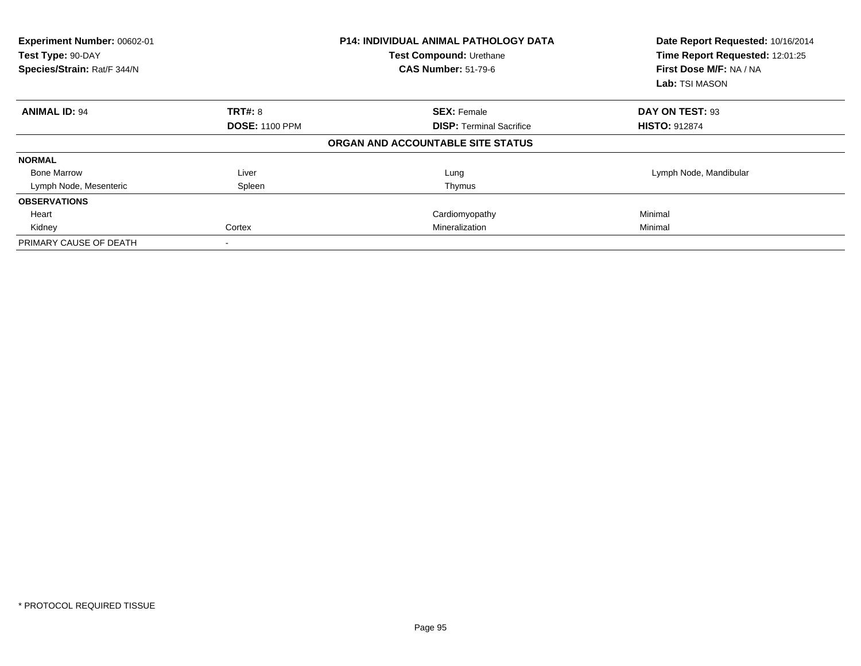| Experiment Number: 00602-01<br>Test Type: 90-DAY<br>Species/Strain: Rat/F 344/N |                       | <b>P14: INDIVIDUAL ANIMAL PATHOLOGY DATA</b><br>Test Compound: Urethane<br><b>CAS Number: 51-79-6</b> | Date Report Requested: 10/16/2014<br>Time Report Requested: 12:01:25<br>First Dose M/F: NA / NA<br>Lab: TSI MASON |
|---------------------------------------------------------------------------------|-----------------------|-------------------------------------------------------------------------------------------------------|-------------------------------------------------------------------------------------------------------------------|
| <b>ANIMAL ID: 94</b>                                                            | TRT#: 8               | <b>SEX: Female</b>                                                                                    | DAY ON TEST: 93                                                                                                   |
|                                                                                 | <b>DOSE: 1100 PPM</b> | <b>DISP:</b> Terminal Sacrifice                                                                       | <b>HISTO: 912874</b>                                                                                              |
|                                                                                 |                       | ORGAN AND ACCOUNTABLE SITE STATUS                                                                     |                                                                                                                   |
| <b>NORMAL</b>                                                                   |                       |                                                                                                       |                                                                                                                   |
| <b>Bone Marrow</b>                                                              | Liver                 | Lung                                                                                                  | Lymph Node, Mandibular                                                                                            |
| Lymph Node, Mesenteric                                                          | Spleen                | Thymus                                                                                                |                                                                                                                   |
| <b>OBSERVATIONS</b>                                                             |                       |                                                                                                       |                                                                                                                   |
| Heart                                                                           |                       | Cardiomyopathy                                                                                        | Minimal                                                                                                           |
| Kidney                                                                          | Cortex                | Mineralization                                                                                        | Minimal                                                                                                           |
| PRIMARY CAUSE OF DEATH                                                          |                       |                                                                                                       |                                                                                                                   |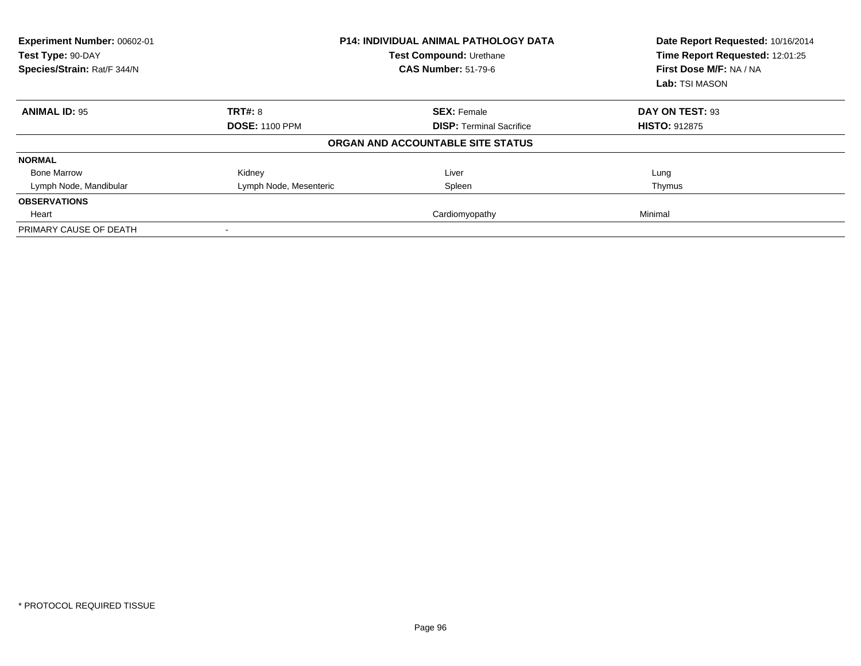| Experiment Number: 00602-01<br>Test Type: 90-DAY<br>Species/Strain: Rat/F 344/N |                        | <b>P14: INDIVIDUAL ANIMAL PATHOLOGY DATA</b><br>Test Compound: Urethane<br><b>CAS Number: 51-79-6</b> | Date Report Requested: 10/16/2014<br>Time Report Requested: 12:01:25<br>First Dose M/F: NA / NA<br>Lab: TSI MASON |
|---------------------------------------------------------------------------------|------------------------|-------------------------------------------------------------------------------------------------------|-------------------------------------------------------------------------------------------------------------------|
| <b>ANIMAL ID: 95</b>                                                            | TRT#: 8                | <b>SEX: Female</b>                                                                                    | DAY ON TEST: 93                                                                                                   |
|                                                                                 | <b>DOSE: 1100 PPM</b>  | <b>DISP:</b> Terminal Sacrifice                                                                       | <b>HISTO: 912875</b>                                                                                              |
|                                                                                 |                        | ORGAN AND ACCOUNTABLE SITE STATUS                                                                     |                                                                                                                   |
| <b>NORMAL</b>                                                                   |                        |                                                                                                       |                                                                                                                   |
| <b>Bone Marrow</b>                                                              | Kidney                 | Liver                                                                                                 | Lung                                                                                                              |
| Lymph Node, Mandibular                                                          | Lymph Node, Mesenteric | Spleen                                                                                                | Thymus                                                                                                            |
| <b>OBSERVATIONS</b>                                                             |                        |                                                                                                       |                                                                                                                   |
| Heart                                                                           |                        | Cardiomyopathy                                                                                        | Minimal                                                                                                           |
| PRIMARY CAUSE OF DEATH                                                          | $\,$                   |                                                                                                       |                                                                                                                   |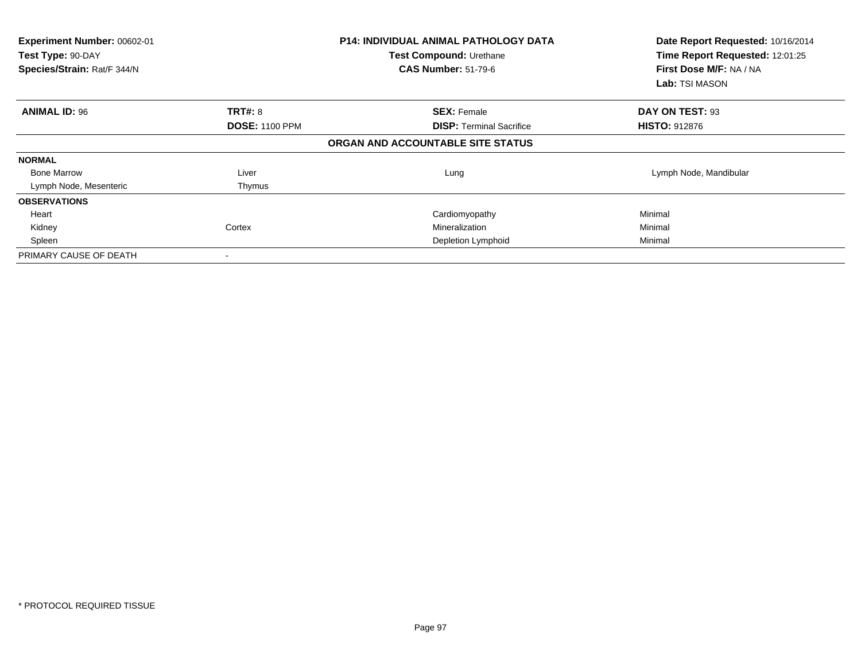| Experiment Number: 00602-01<br>Test Type: 90-DAY<br>Species/Strain: Rat/F 344/N |                       | <b>P14: INDIVIDUAL ANIMAL PATHOLOGY DATA</b><br>Test Compound: Urethane<br><b>CAS Number: 51-79-6</b> | Date Report Requested: 10/16/2014<br>Time Report Requested: 12:01:25<br>First Dose M/F: NA / NA<br>Lab: TSI MASON |
|---------------------------------------------------------------------------------|-----------------------|-------------------------------------------------------------------------------------------------------|-------------------------------------------------------------------------------------------------------------------|
| <b>ANIMAL ID: 96</b>                                                            | <b>TRT#: 8</b>        | <b>SEX: Female</b>                                                                                    | DAY ON TEST: 93                                                                                                   |
|                                                                                 | <b>DOSE: 1100 PPM</b> | <b>DISP: Terminal Sacrifice</b>                                                                       | <b>HISTO: 912876</b>                                                                                              |
|                                                                                 |                       | ORGAN AND ACCOUNTABLE SITE STATUS                                                                     |                                                                                                                   |
| <b>NORMAL</b>                                                                   |                       |                                                                                                       |                                                                                                                   |
| <b>Bone Marrow</b>                                                              | Liver                 | Lung                                                                                                  | Lymph Node, Mandibular                                                                                            |
| Lymph Node, Mesenteric                                                          | Thymus                |                                                                                                       |                                                                                                                   |
| <b>OBSERVATIONS</b>                                                             |                       |                                                                                                       |                                                                                                                   |
| Heart                                                                           |                       | Cardiomyopathy                                                                                        | Minimal                                                                                                           |
| Kidney                                                                          | Cortex                | Mineralization                                                                                        | Minimal                                                                                                           |
| Spleen                                                                          |                       | Depletion Lymphoid                                                                                    | Minimal                                                                                                           |
| PRIMARY CAUSE OF DEATH                                                          |                       |                                                                                                       |                                                                                                                   |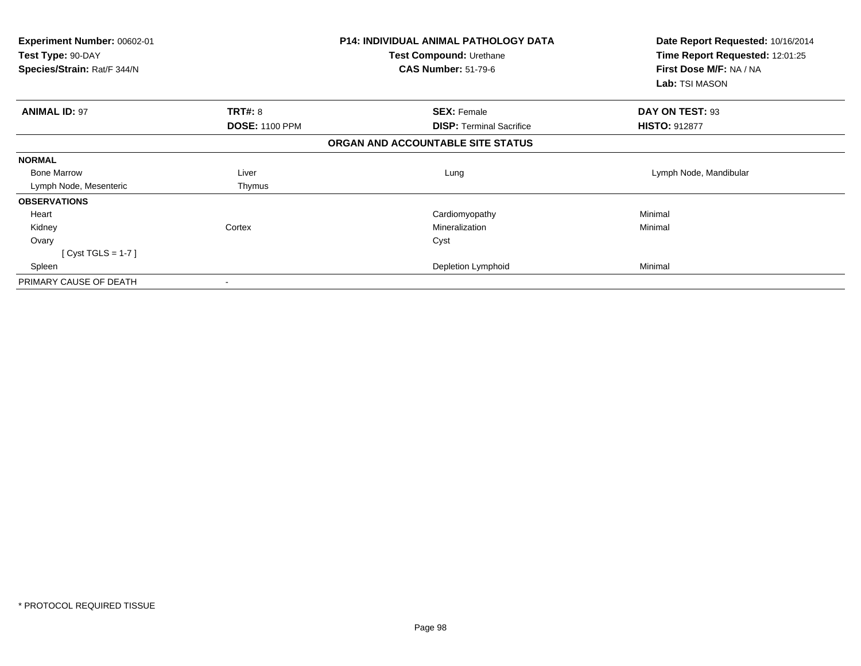| Experiment Number: 00602-01<br>Test Type: 90-DAY<br>Species/Strain: Rat/F 344/N |                       | <b>P14: INDIVIDUAL ANIMAL PATHOLOGY DATA</b><br>Test Compound: Urethane<br><b>CAS Number: 51-79-6</b> | Date Report Requested: 10/16/2014<br>Time Report Requested: 12:01:25<br>First Dose M/F: NA / NA<br>Lab: TSI MASON |
|---------------------------------------------------------------------------------|-----------------------|-------------------------------------------------------------------------------------------------------|-------------------------------------------------------------------------------------------------------------------|
| <b>ANIMAL ID: 97</b>                                                            | TRT#: 8               | <b>SEX: Female</b>                                                                                    | DAY ON TEST: 93                                                                                                   |
|                                                                                 | <b>DOSE: 1100 PPM</b> | <b>DISP: Terminal Sacrifice</b>                                                                       | <b>HISTO: 912877</b>                                                                                              |
|                                                                                 |                       | ORGAN AND ACCOUNTABLE SITE STATUS                                                                     |                                                                                                                   |
| <b>NORMAL</b>                                                                   |                       |                                                                                                       |                                                                                                                   |
| <b>Bone Marrow</b>                                                              | Liver                 | Lung                                                                                                  | Lymph Node, Mandibular                                                                                            |
| Lymph Node, Mesenteric                                                          | Thymus                |                                                                                                       |                                                                                                                   |
| <b>OBSERVATIONS</b>                                                             |                       |                                                                                                       |                                                                                                                   |
| Heart                                                                           |                       | Cardiomyopathy                                                                                        | Minimal                                                                                                           |
| Kidney                                                                          | Cortex                | Mineralization                                                                                        | Minimal                                                                                                           |
| Ovary                                                                           |                       | Cyst                                                                                                  |                                                                                                                   |
| [Cyst TGLS = $1-7$ ]                                                            |                       |                                                                                                       |                                                                                                                   |
| Spleen                                                                          |                       | Depletion Lymphoid                                                                                    | Minimal                                                                                                           |
| PRIMARY CAUSE OF DEATH                                                          |                       |                                                                                                       |                                                                                                                   |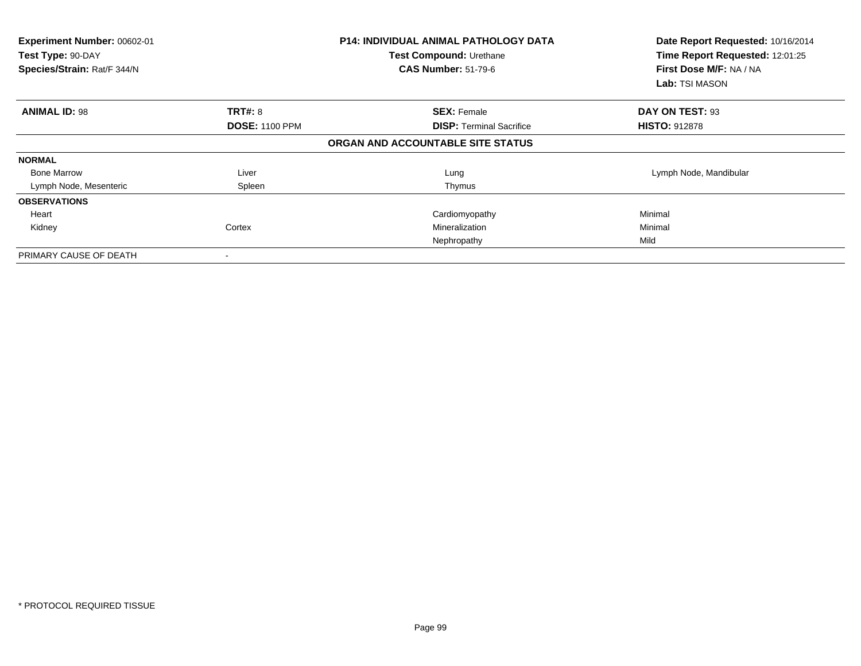| Experiment Number: 00602-01<br>Test Type: 90-DAY<br>Species/Strain: Rat/F 344/N |                       | <b>P14: INDIVIDUAL ANIMAL PATHOLOGY DATA</b><br>Test Compound: Urethane<br><b>CAS Number: 51-79-6</b> | Date Report Requested: 10/16/2014<br>Time Report Requested: 12:01:25<br>First Dose M/F: NA / NA<br>Lab: TSI MASON |
|---------------------------------------------------------------------------------|-----------------------|-------------------------------------------------------------------------------------------------------|-------------------------------------------------------------------------------------------------------------------|
| <b>ANIMAL ID: 98</b>                                                            | <b>TRT#: 8</b>        | <b>SEX: Female</b>                                                                                    | DAY ON TEST: 93                                                                                                   |
|                                                                                 | <b>DOSE: 1100 PPM</b> | <b>DISP:</b> Terminal Sacrifice                                                                       | <b>HISTO: 912878</b>                                                                                              |
|                                                                                 |                       | ORGAN AND ACCOUNTABLE SITE STATUS                                                                     |                                                                                                                   |
| <b>NORMAL</b>                                                                   |                       |                                                                                                       |                                                                                                                   |
| <b>Bone Marrow</b>                                                              | Liver                 | Lung                                                                                                  | Lymph Node, Mandibular                                                                                            |
| Lymph Node, Mesenteric                                                          | Spleen                | Thymus                                                                                                |                                                                                                                   |
| <b>OBSERVATIONS</b>                                                             |                       |                                                                                                       |                                                                                                                   |
| Heart                                                                           |                       | Cardiomyopathy                                                                                        | Minimal                                                                                                           |
| Kidney                                                                          | Cortex                | Mineralization                                                                                        | Minimal                                                                                                           |
|                                                                                 |                       | Nephropathy                                                                                           | Mild                                                                                                              |
| PRIMARY CAUSE OF DEATH                                                          |                       |                                                                                                       |                                                                                                                   |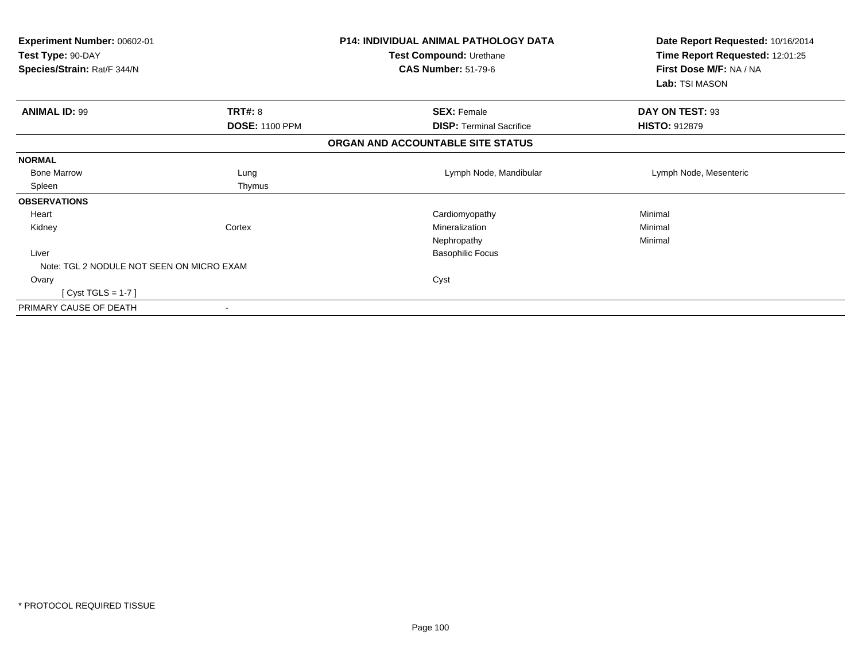| Experiment Number: 00602-01<br>Test Type: 90-DAY<br>Species/Strain: Rat/F 344/N |                       | <b>P14: INDIVIDUAL ANIMAL PATHOLOGY DATA</b><br>Test Compound: Urethane<br><b>CAS Number: 51-79-6</b> | Date Report Requested: 10/16/2014<br>Time Report Requested: 12:01:25<br>First Dose M/F: NA / NA<br>Lab: TSI MASON |
|---------------------------------------------------------------------------------|-----------------------|-------------------------------------------------------------------------------------------------------|-------------------------------------------------------------------------------------------------------------------|
| <b>ANIMAL ID: 99</b>                                                            | <b>TRT#: 8</b>        | <b>SEX: Female</b>                                                                                    | DAY ON TEST: 93                                                                                                   |
|                                                                                 | <b>DOSE: 1100 PPM</b> | <b>DISP: Terminal Sacrifice</b>                                                                       | <b>HISTO: 912879</b>                                                                                              |
|                                                                                 |                       | ORGAN AND ACCOUNTABLE SITE STATUS                                                                     |                                                                                                                   |
| <b>NORMAL</b>                                                                   |                       |                                                                                                       |                                                                                                                   |
| <b>Bone Marrow</b>                                                              | Lung                  | Lymph Node, Mandibular                                                                                | Lymph Node, Mesenteric                                                                                            |
| Spleen                                                                          | Thymus                |                                                                                                       |                                                                                                                   |
| <b>OBSERVATIONS</b>                                                             |                       |                                                                                                       |                                                                                                                   |
| Heart                                                                           |                       | Cardiomyopathy                                                                                        | Minimal                                                                                                           |
| Kidney                                                                          | Cortex                | Mineralization                                                                                        | Minimal                                                                                                           |
|                                                                                 |                       | Nephropathy                                                                                           | Minimal                                                                                                           |
| Liver                                                                           |                       | <b>Basophilic Focus</b>                                                                               |                                                                                                                   |
| Note: TGL 2 NODULE NOT SEEN ON MICRO EXAM                                       |                       |                                                                                                       |                                                                                                                   |
| Ovary                                                                           |                       | Cyst                                                                                                  |                                                                                                                   |
| $[Cyst TGLS = 1-7]$                                                             |                       |                                                                                                       |                                                                                                                   |
| PRIMARY CAUSE OF DEATH                                                          |                       |                                                                                                       |                                                                                                                   |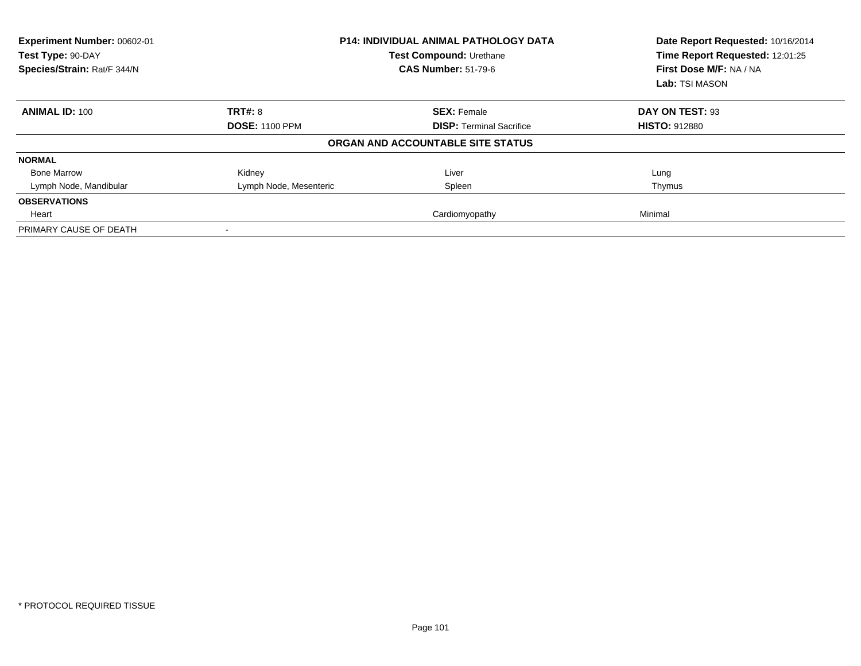| Experiment Number: 00602-01<br>Test Type: 90-DAY<br>Species/Strain: Rat/F 344/N |                        | <b>P14: INDIVIDUAL ANIMAL PATHOLOGY DATA</b><br>Test Compound: Urethane<br><b>CAS Number: 51-79-6</b> | Date Report Requested: 10/16/2014<br>Time Report Requested: 12:01:25<br>First Dose M/F: NA / NA<br>Lab: TSI MASON |
|---------------------------------------------------------------------------------|------------------------|-------------------------------------------------------------------------------------------------------|-------------------------------------------------------------------------------------------------------------------|
| <b>ANIMAL ID: 100</b>                                                           | TRT#: 8                | <b>SEX: Female</b>                                                                                    | DAY ON TEST: 93                                                                                                   |
|                                                                                 | <b>DOSE: 1100 PPM</b>  | <b>DISP:</b> Terminal Sacrifice                                                                       | <b>HISTO: 912880</b>                                                                                              |
|                                                                                 |                        | ORGAN AND ACCOUNTABLE SITE STATUS                                                                     |                                                                                                                   |
| <b>NORMAL</b>                                                                   |                        |                                                                                                       |                                                                                                                   |
| <b>Bone Marrow</b>                                                              | Kidney                 | Liver                                                                                                 | Lung                                                                                                              |
| Lymph Node, Mandibular                                                          | Lymph Node, Mesenteric | Spleen                                                                                                | Thymus                                                                                                            |
| <b>OBSERVATIONS</b>                                                             |                        |                                                                                                       |                                                                                                                   |
| Heart                                                                           |                        | Cardiomyopathy                                                                                        | Minimal                                                                                                           |
| PRIMARY CAUSE OF DEATH                                                          | $\,$                   |                                                                                                       |                                                                                                                   |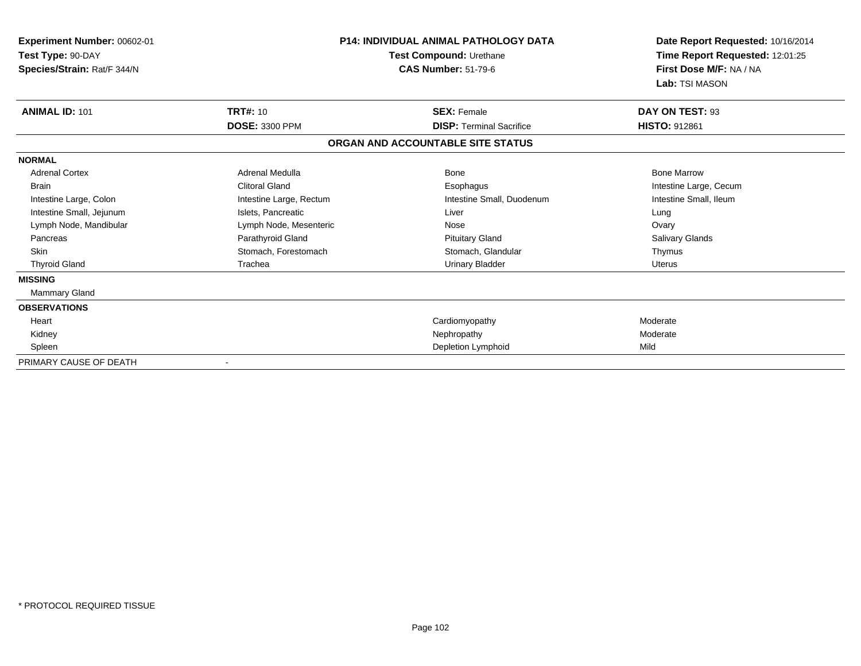| Experiment Number: 00602-01<br>Test Type: 90-DAY<br>Species/Strain: Rat/F 344/N | <b>P14: INDIVIDUAL ANIMAL PATHOLOGY DATA</b><br>Test Compound: Urethane<br><b>CAS Number: 51-79-6</b> |                                   | Date Report Requested: 10/16/2014<br>Time Report Requested: 12:01:25<br>First Dose M/F: NA / NA<br>Lab: TSI MASON |
|---------------------------------------------------------------------------------|-------------------------------------------------------------------------------------------------------|-----------------------------------|-------------------------------------------------------------------------------------------------------------------|
| <b>ANIMAL ID: 101</b>                                                           | <b>TRT#: 10</b>                                                                                       | <b>SEX: Female</b>                | DAY ON TEST: 93                                                                                                   |
|                                                                                 | <b>DOSE: 3300 PPM</b>                                                                                 | <b>DISP: Terminal Sacrifice</b>   | <b>HISTO: 912861</b>                                                                                              |
|                                                                                 |                                                                                                       | ORGAN AND ACCOUNTABLE SITE STATUS |                                                                                                                   |
| <b>NORMAL</b>                                                                   |                                                                                                       |                                   |                                                                                                                   |
| <b>Adrenal Cortex</b>                                                           | Adrenal Medulla                                                                                       | Bone                              | <b>Bone Marrow</b>                                                                                                |
| <b>Brain</b>                                                                    | <b>Clitoral Gland</b>                                                                                 | Esophagus                         | Intestine Large, Cecum                                                                                            |
| Intestine Large, Colon                                                          | Intestine Large, Rectum                                                                               | Intestine Small, Duodenum         | Intestine Small, Ileum                                                                                            |
| Intestine Small, Jejunum                                                        | Islets, Pancreatic                                                                                    | Liver                             | Lung                                                                                                              |
| Lymph Node, Mandibular                                                          | Lymph Node, Mesenteric                                                                                | Nose                              | Ovary                                                                                                             |
| Pancreas                                                                        | Parathyroid Gland                                                                                     | <b>Pituitary Gland</b>            | <b>Salivary Glands</b>                                                                                            |
| <b>Skin</b>                                                                     | Stomach, Forestomach                                                                                  | Stomach, Glandular                | Thymus                                                                                                            |
| <b>Thyroid Gland</b>                                                            | Trachea                                                                                               | <b>Urinary Bladder</b>            | <b>Uterus</b>                                                                                                     |
| <b>MISSING</b>                                                                  |                                                                                                       |                                   |                                                                                                                   |
| <b>Mammary Gland</b>                                                            |                                                                                                       |                                   |                                                                                                                   |
| <b>OBSERVATIONS</b>                                                             |                                                                                                       |                                   |                                                                                                                   |
| Heart                                                                           |                                                                                                       | Cardiomyopathy                    | Moderate                                                                                                          |
| Kidney                                                                          |                                                                                                       | Nephropathy                       | Moderate                                                                                                          |
| Spleen                                                                          |                                                                                                       | Depletion Lymphoid                | Mild                                                                                                              |
| PRIMARY CAUSE OF DEATH                                                          | $\blacksquare$                                                                                        |                                   |                                                                                                                   |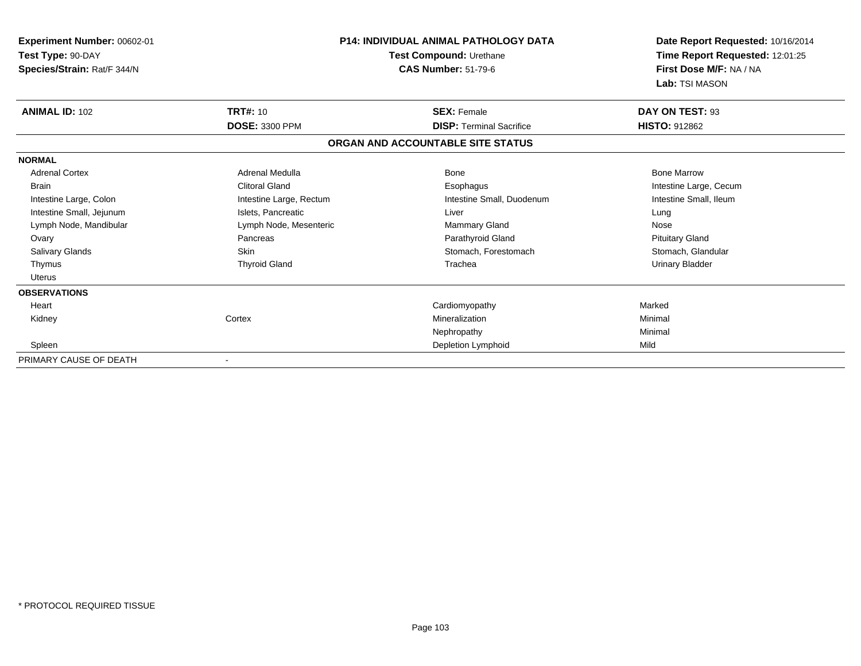| Experiment Number: 00602-01<br>Test Type: 90-DAY |                         | <b>P14: INDIVIDUAL ANIMAL PATHOLOGY DATA</b><br>Test Compound: Urethane | Date Report Requested: 10/16/2014<br>Time Report Requested: 12:01:25<br>First Dose M/F: NA / NA<br>Lab: TSI MASON |
|--------------------------------------------------|-------------------------|-------------------------------------------------------------------------|-------------------------------------------------------------------------------------------------------------------|
| Species/Strain: Rat/F 344/N                      |                         | <b>CAS Number: 51-79-6</b>                                              |                                                                                                                   |
| <b>ANIMAL ID: 102</b>                            | <b>TRT#: 10</b>         | <b>SEX: Female</b>                                                      | DAY ON TEST: 93                                                                                                   |
|                                                  | <b>DOSE: 3300 PPM</b>   | <b>DISP: Terminal Sacrifice</b>                                         | <b>HISTO: 912862</b>                                                                                              |
|                                                  |                         | ORGAN AND ACCOUNTABLE SITE STATUS                                       |                                                                                                                   |
| <b>NORMAL</b>                                    |                         |                                                                         |                                                                                                                   |
| <b>Adrenal Cortex</b>                            | Adrenal Medulla         | Bone                                                                    | <b>Bone Marrow</b>                                                                                                |
| <b>Brain</b>                                     | <b>Clitoral Gland</b>   | Esophagus                                                               | Intestine Large, Cecum                                                                                            |
| Intestine Large, Colon                           | Intestine Large, Rectum | Intestine Small, Duodenum                                               | Intestine Small, Ileum                                                                                            |
| Intestine Small, Jejunum                         | Islets, Pancreatic      | Liver                                                                   | Lung                                                                                                              |
| Lymph Node, Mandibular                           | Lymph Node, Mesenteric  | <b>Mammary Gland</b>                                                    | Nose                                                                                                              |
| Ovary                                            | Pancreas                | Parathyroid Gland                                                       | <b>Pituitary Gland</b>                                                                                            |
| <b>Salivary Glands</b>                           | Skin                    | Stomach, Forestomach                                                    | Stomach, Glandular                                                                                                |
| Thymus                                           | <b>Thyroid Gland</b>    | Trachea                                                                 | <b>Urinary Bladder</b>                                                                                            |
| <b>Uterus</b>                                    |                         |                                                                         |                                                                                                                   |
| <b>OBSERVATIONS</b>                              |                         |                                                                         |                                                                                                                   |
| Heart                                            |                         | Cardiomyopathy                                                          | Marked                                                                                                            |
| Kidney                                           | Cortex                  | Mineralization                                                          | Minimal                                                                                                           |
|                                                  |                         | Nephropathy                                                             | Minimal                                                                                                           |
| Spleen                                           |                         | Depletion Lymphoid                                                      | Mild                                                                                                              |
| PRIMARY CAUSE OF DEATH                           |                         |                                                                         |                                                                                                                   |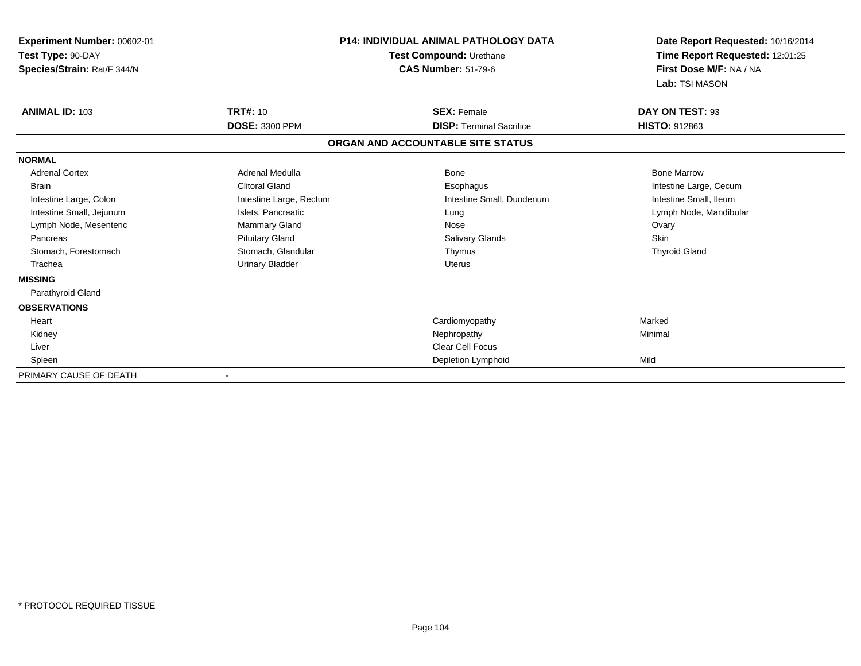| Experiment Number: 00602-01<br>Test Type: 90-DAY<br>Species/Strain: Rat/F 344/N |                         | <b>P14: INDIVIDUAL ANIMAL PATHOLOGY DATA</b><br>Test Compound: Urethane<br><b>CAS Number: 51-79-6</b> |                        |
|---------------------------------------------------------------------------------|-------------------------|-------------------------------------------------------------------------------------------------------|------------------------|
| <b>ANIMAL ID: 103</b>                                                           | <b>TRT#: 10</b>         | <b>SEX: Female</b>                                                                                    | DAY ON TEST: 93        |
|                                                                                 | <b>DOSE: 3300 PPM</b>   | <b>DISP: Terminal Sacrifice</b>                                                                       | <b>HISTO: 912863</b>   |
|                                                                                 |                         | ORGAN AND ACCOUNTABLE SITE STATUS                                                                     |                        |
| <b>NORMAL</b>                                                                   |                         |                                                                                                       |                        |
| <b>Adrenal Cortex</b>                                                           | Adrenal Medulla         | Bone                                                                                                  | <b>Bone Marrow</b>     |
| <b>Brain</b>                                                                    | <b>Clitoral Gland</b>   | Esophagus                                                                                             | Intestine Large, Cecum |
| Intestine Large, Colon                                                          | Intestine Large, Rectum | Intestine Small, Duodenum                                                                             | Intestine Small, Ileum |
| Intestine Small, Jejunum                                                        | Islets, Pancreatic      | Lung                                                                                                  | Lymph Node, Mandibular |
| Lymph Node, Mesenteric                                                          | <b>Mammary Gland</b>    | Nose                                                                                                  | Ovary                  |
| Pancreas                                                                        | <b>Pituitary Gland</b>  | <b>Salivary Glands</b>                                                                                | Skin                   |
| Stomach, Forestomach                                                            | Stomach, Glandular      | Thymus                                                                                                | <b>Thyroid Gland</b>   |
| Trachea                                                                         | <b>Urinary Bladder</b>  | <b>Uterus</b>                                                                                         |                        |
| <b>MISSING</b>                                                                  |                         |                                                                                                       |                        |
| Parathyroid Gland                                                               |                         |                                                                                                       |                        |
| <b>OBSERVATIONS</b>                                                             |                         |                                                                                                       |                        |
| Heart                                                                           |                         | Cardiomyopathy                                                                                        | Marked                 |
| Kidney                                                                          |                         | Nephropathy                                                                                           | Minimal                |
| Liver                                                                           |                         | <b>Clear Cell Focus</b>                                                                               |                        |
| Spleen                                                                          |                         | Depletion Lymphoid                                                                                    | Mild                   |
| PRIMARY CAUSE OF DEATH                                                          |                         |                                                                                                       |                        |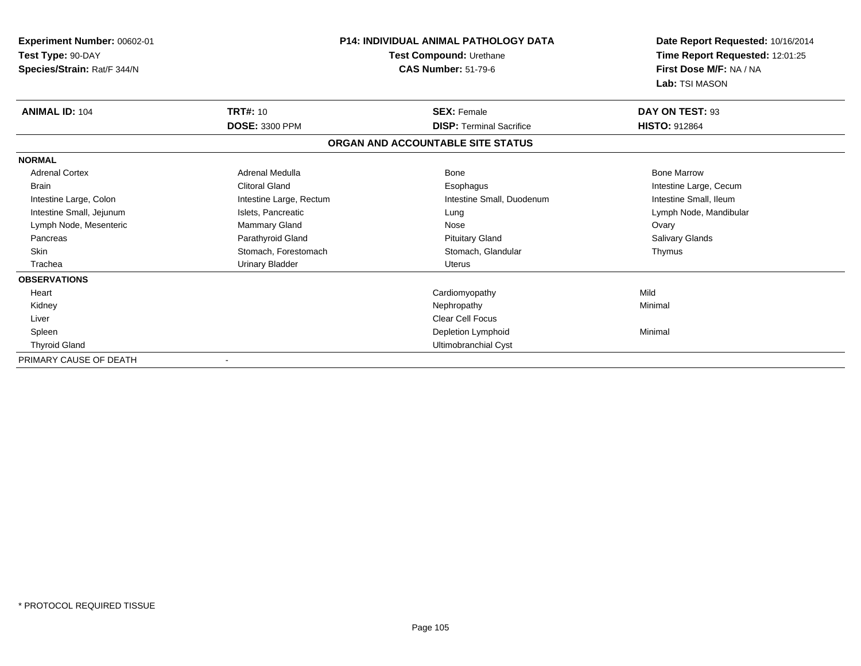| Experiment Number: 00602-01<br>Test Type: 90-DAY<br>Species/Strain: Rat/F 344/N | P14: INDIVIDUAL ANIMAL PATHOLOGY DATA<br>Test Compound: Urethane<br><b>CAS Number: 51-79-6</b> |                                   | Date Report Requested: 10/16/2014<br>Time Report Requested: 12:01:25<br>First Dose M/F: NA / NA |  |
|---------------------------------------------------------------------------------|------------------------------------------------------------------------------------------------|-----------------------------------|-------------------------------------------------------------------------------------------------|--|
|                                                                                 |                                                                                                |                                   | Lab: TSI MASON                                                                                  |  |
| <b>ANIMAL ID: 104</b>                                                           | <b>TRT#: 10</b>                                                                                | <b>SEX: Female</b>                | DAY ON TEST: 93                                                                                 |  |
|                                                                                 | <b>DOSE: 3300 PPM</b>                                                                          | <b>DISP: Terminal Sacrifice</b>   | <b>HISTO: 912864</b>                                                                            |  |
|                                                                                 |                                                                                                | ORGAN AND ACCOUNTABLE SITE STATUS |                                                                                                 |  |
| <b>NORMAL</b>                                                                   |                                                                                                |                                   |                                                                                                 |  |
| <b>Adrenal Cortex</b>                                                           | Adrenal Medulla                                                                                | <b>Bone</b>                       | <b>Bone Marrow</b>                                                                              |  |
| <b>Brain</b>                                                                    | <b>Clitoral Gland</b>                                                                          | Esophagus                         | Intestine Large, Cecum                                                                          |  |
| Intestine Large, Colon                                                          | Intestine Large, Rectum                                                                        | Intestine Small, Duodenum         | Intestine Small, Ileum                                                                          |  |
| Intestine Small, Jejunum                                                        | Islets, Pancreatic                                                                             | Lung                              | Lymph Node, Mandibular                                                                          |  |
| Lymph Node, Mesenteric                                                          | Mammary Gland                                                                                  | Nose                              | Ovary                                                                                           |  |
| Pancreas                                                                        | Parathyroid Gland                                                                              | <b>Pituitary Gland</b>            | Salivary Glands                                                                                 |  |
| <b>Skin</b>                                                                     | Stomach, Forestomach                                                                           | Stomach, Glandular                | Thymus                                                                                          |  |
| Trachea                                                                         | <b>Urinary Bladder</b>                                                                         | <b>Uterus</b>                     |                                                                                                 |  |
| <b>OBSERVATIONS</b>                                                             |                                                                                                |                                   |                                                                                                 |  |
| Heart                                                                           |                                                                                                | Cardiomyopathy                    | Mild                                                                                            |  |
| Kidney                                                                          |                                                                                                | Nephropathy                       | Minimal                                                                                         |  |
| Liver                                                                           |                                                                                                | <b>Clear Cell Focus</b>           |                                                                                                 |  |
| Spleen                                                                          |                                                                                                | <b>Depletion Lymphoid</b>         | Minimal                                                                                         |  |
| <b>Thyroid Gland</b>                                                            |                                                                                                | Ultimobranchial Cyst              |                                                                                                 |  |
| PRIMARY CAUSE OF DEATH                                                          | $\overline{\phantom{a}}$                                                                       |                                   |                                                                                                 |  |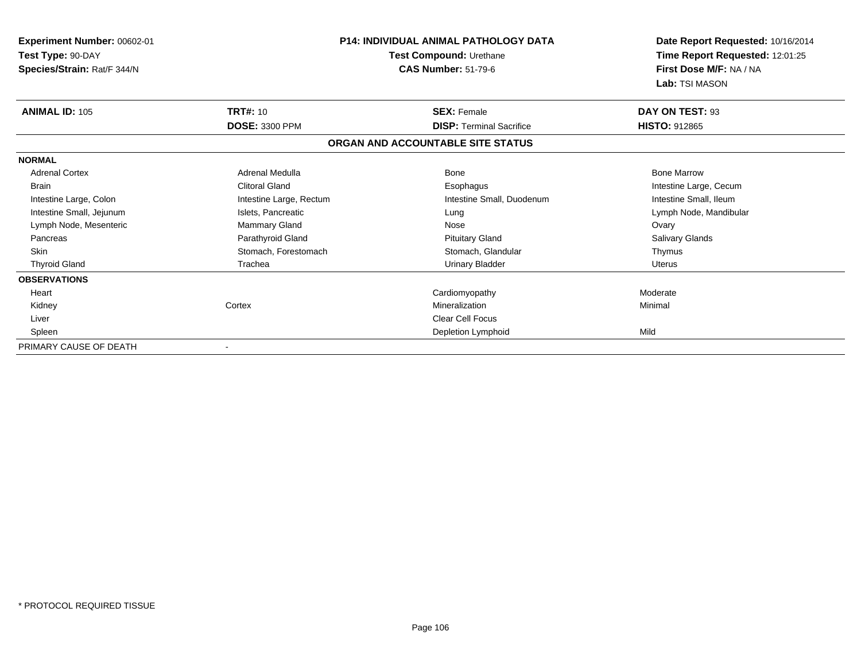| Experiment Number: 00602-01<br>Test Type: 90-DAY<br>Species/Strain: Rat/F 344/N | <b>P14: INDIVIDUAL ANIMAL PATHOLOGY DATA</b><br>Test Compound: Urethane<br><b>CAS Number: 51-79-6</b> |                                   | Date Report Requested: 10/16/2014<br>Time Report Requested: 12:01:25<br>First Dose M/F: NA / NA<br>Lab: TSI MASON |
|---------------------------------------------------------------------------------|-------------------------------------------------------------------------------------------------------|-----------------------------------|-------------------------------------------------------------------------------------------------------------------|
| <b>ANIMAL ID: 105</b>                                                           | <b>TRT#: 10</b>                                                                                       | <b>SEX: Female</b>                | DAY ON TEST: 93                                                                                                   |
|                                                                                 | <b>DOSE: 3300 PPM</b>                                                                                 | <b>DISP: Terminal Sacrifice</b>   | <b>HISTO: 912865</b>                                                                                              |
|                                                                                 |                                                                                                       | ORGAN AND ACCOUNTABLE SITE STATUS |                                                                                                                   |
| <b>NORMAL</b>                                                                   |                                                                                                       |                                   |                                                                                                                   |
| <b>Adrenal Cortex</b>                                                           | Adrenal Medulla                                                                                       | Bone                              | <b>Bone Marrow</b>                                                                                                |
| <b>Brain</b>                                                                    | <b>Clitoral Gland</b>                                                                                 | Esophagus                         | Intestine Large, Cecum                                                                                            |
| Intestine Large, Colon                                                          | Intestine Large, Rectum                                                                               | Intestine Small, Duodenum         | Intestine Small, Ileum                                                                                            |
| Intestine Small, Jejunum                                                        | Islets, Pancreatic                                                                                    | Lung                              | Lymph Node, Mandibular                                                                                            |
| Lymph Node, Mesenteric                                                          | Mammary Gland                                                                                         | Nose                              | Ovary                                                                                                             |
| Pancreas                                                                        | Parathyroid Gland                                                                                     | <b>Pituitary Gland</b>            | <b>Salivary Glands</b>                                                                                            |
| Skin                                                                            | Stomach, Forestomach                                                                                  | Stomach, Glandular                | Thymus                                                                                                            |
| <b>Thyroid Gland</b>                                                            | Trachea                                                                                               | <b>Urinary Bladder</b>            | <b>Uterus</b>                                                                                                     |
| <b>OBSERVATIONS</b>                                                             |                                                                                                       |                                   |                                                                                                                   |
| Heart                                                                           |                                                                                                       | Cardiomyopathy                    | Moderate                                                                                                          |
| Kidney                                                                          | Cortex                                                                                                | Mineralization                    | Minimal                                                                                                           |
| Liver                                                                           |                                                                                                       | <b>Clear Cell Focus</b>           |                                                                                                                   |
| Spleen                                                                          |                                                                                                       | Depletion Lymphoid                | Mild                                                                                                              |
| PRIMARY CAUSE OF DEATH                                                          |                                                                                                       |                                   |                                                                                                                   |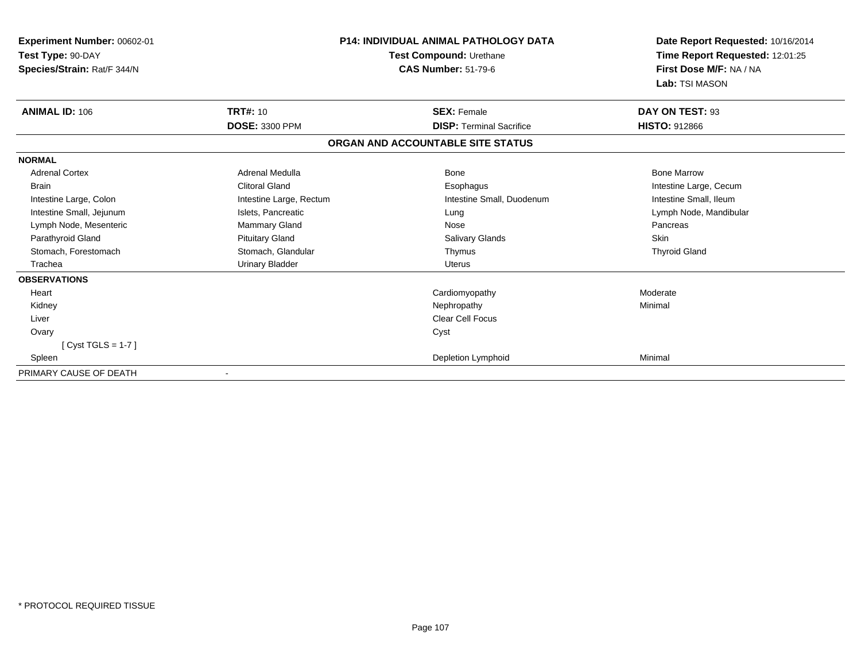| Experiment Number: 00602-01<br>Test Type: 90-DAY<br>Species/Strain: Rat/F 344/N | <b>P14: INDIVIDUAL ANIMAL PATHOLOGY DATA</b><br>Test Compound: Urethane<br><b>CAS Number: 51-79-6</b> |                                   | Date Report Requested: 10/16/2014<br>Time Report Requested: 12:01:25<br>First Dose M/F: NA / NA<br>Lab: TSI MASON |
|---------------------------------------------------------------------------------|-------------------------------------------------------------------------------------------------------|-----------------------------------|-------------------------------------------------------------------------------------------------------------------|
| <b>ANIMAL ID: 106</b>                                                           | <b>TRT#: 10</b>                                                                                       | <b>SEX: Female</b>                | DAY ON TEST: 93                                                                                                   |
|                                                                                 | <b>DOSE: 3300 PPM</b>                                                                                 | <b>DISP: Terminal Sacrifice</b>   | <b>HISTO: 912866</b>                                                                                              |
|                                                                                 |                                                                                                       | ORGAN AND ACCOUNTABLE SITE STATUS |                                                                                                                   |
| <b>NORMAL</b>                                                                   |                                                                                                       |                                   |                                                                                                                   |
| <b>Adrenal Cortex</b>                                                           | Adrenal Medulla                                                                                       | <b>Bone</b>                       | <b>Bone Marrow</b>                                                                                                |
| <b>Brain</b>                                                                    | <b>Clitoral Gland</b>                                                                                 | Esophagus                         | Intestine Large, Cecum                                                                                            |
| Intestine Large, Colon                                                          | Intestine Large, Rectum                                                                               | Intestine Small, Duodenum         | Intestine Small, Ileum                                                                                            |
| Intestine Small, Jejunum                                                        | Islets, Pancreatic                                                                                    | Lung                              | Lymph Node, Mandibular                                                                                            |
| Lymph Node, Mesenteric                                                          | Mammary Gland                                                                                         | Nose                              | Pancreas                                                                                                          |
| Parathyroid Gland                                                               | <b>Pituitary Gland</b>                                                                                | Salivary Glands                   | Skin                                                                                                              |
| Stomach, Forestomach                                                            | Stomach, Glandular                                                                                    | Thymus                            | <b>Thyroid Gland</b>                                                                                              |
| Trachea                                                                         | <b>Urinary Bladder</b>                                                                                | <b>Uterus</b>                     |                                                                                                                   |
| <b>OBSERVATIONS</b>                                                             |                                                                                                       |                                   |                                                                                                                   |
| Heart                                                                           |                                                                                                       | Cardiomyopathy                    | Moderate                                                                                                          |
| Kidney                                                                          |                                                                                                       | Nephropathy                       | Minimal                                                                                                           |
| Liver                                                                           |                                                                                                       | <b>Clear Cell Focus</b>           |                                                                                                                   |
| Ovary                                                                           |                                                                                                       | Cyst                              |                                                                                                                   |
| [Cyst TGLS = $1-7$ ]                                                            |                                                                                                       |                                   |                                                                                                                   |
| Spleen                                                                          |                                                                                                       | <b>Depletion Lymphoid</b>         | Minimal                                                                                                           |
| PRIMARY CAUSE OF DEATH                                                          |                                                                                                       |                                   |                                                                                                                   |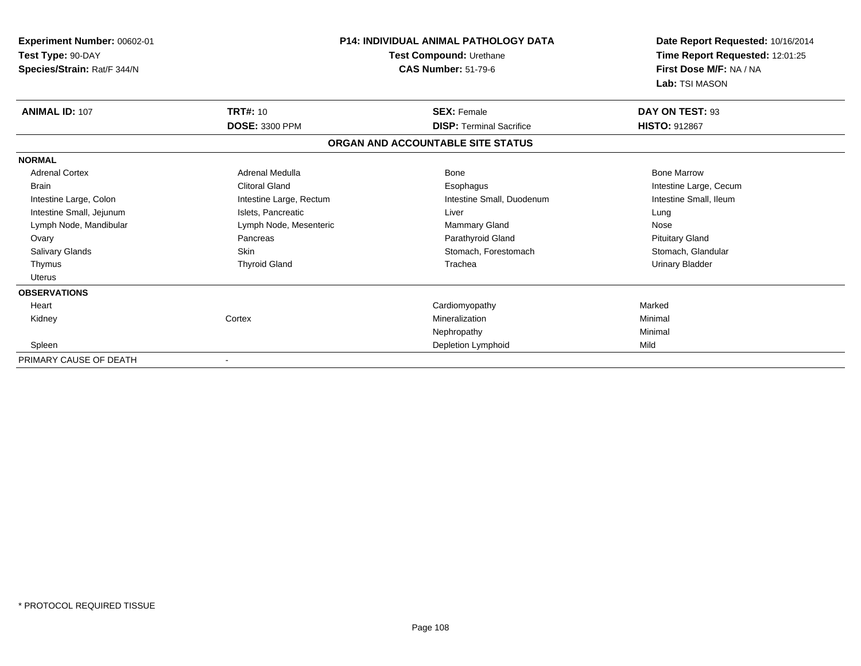| Experiment Number: 00602-01                      |                         | <b>P14: INDIVIDUAL ANIMAL PATHOLOGY DATA</b>          | Date Report Requested: 10/16/2014<br>Time Report Requested: 12:01:25<br>First Dose M/F: NA / NA<br>Lab: TSI MASON |
|--------------------------------------------------|-------------------------|-------------------------------------------------------|-------------------------------------------------------------------------------------------------------------------|
| Test Type: 90-DAY<br>Species/Strain: Rat/F 344/N |                         | Test Compound: Urethane<br><b>CAS Number: 51-79-6</b> |                                                                                                                   |
| <b>ANIMAL ID: 107</b>                            | <b>TRT#: 10</b>         | <b>SEX: Female</b>                                    | DAY ON TEST: 93                                                                                                   |
|                                                  | <b>DOSE: 3300 PPM</b>   | <b>DISP: Terminal Sacrifice</b>                       | <b>HISTO: 912867</b>                                                                                              |
|                                                  |                         | ORGAN AND ACCOUNTABLE SITE STATUS                     |                                                                                                                   |
| <b>NORMAL</b>                                    |                         |                                                       |                                                                                                                   |
| <b>Adrenal Cortex</b>                            | Adrenal Medulla         | Bone                                                  | <b>Bone Marrow</b>                                                                                                |
| <b>Brain</b>                                     | <b>Clitoral Gland</b>   | Esophagus                                             | Intestine Large, Cecum                                                                                            |
| Intestine Large, Colon                           | Intestine Large, Rectum | Intestine Small, Duodenum                             | Intestine Small, Ileum                                                                                            |
| Intestine Small, Jejunum                         | Islets, Pancreatic      | Liver                                                 | Lung                                                                                                              |
| Lymph Node, Mandibular                           | Lymph Node, Mesenteric  | Mammary Gland                                         | Nose                                                                                                              |
| Ovary                                            | Pancreas                | Parathyroid Gland                                     | <b>Pituitary Gland</b>                                                                                            |
| Salivary Glands                                  | <b>Skin</b>             | Stomach, Forestomach                                  | Stomach, Glandular                                                                                                |
| Thymus                                           | <b>Thyroid Gland</b>    | Trachea                                               | <b>Urinary Bladder</b>                                                                                            |
| Uterus                                           |                         |                                                       |                                                                                                                   |
| <b>OBSERVATIONS</b>                              |                         |                                                       |                                                                                                                   |
| Heart                                            |                         | Cardiomyopathy                                        | Marked                                                                                                            |
| Kidney                                           | Cortex                  | Mineralization                                        | Minimal                                                                                                           |
|                                                  |                         | Nephropathy                                           | Minimal                                                                                                           |
| Spleen                                           |                         | Depletion Lymphoid                                    | Mild                                                                                                              |
| PRIMARY CAUSE OF DEATH                           |                         |                                                       |                                                                                                                   |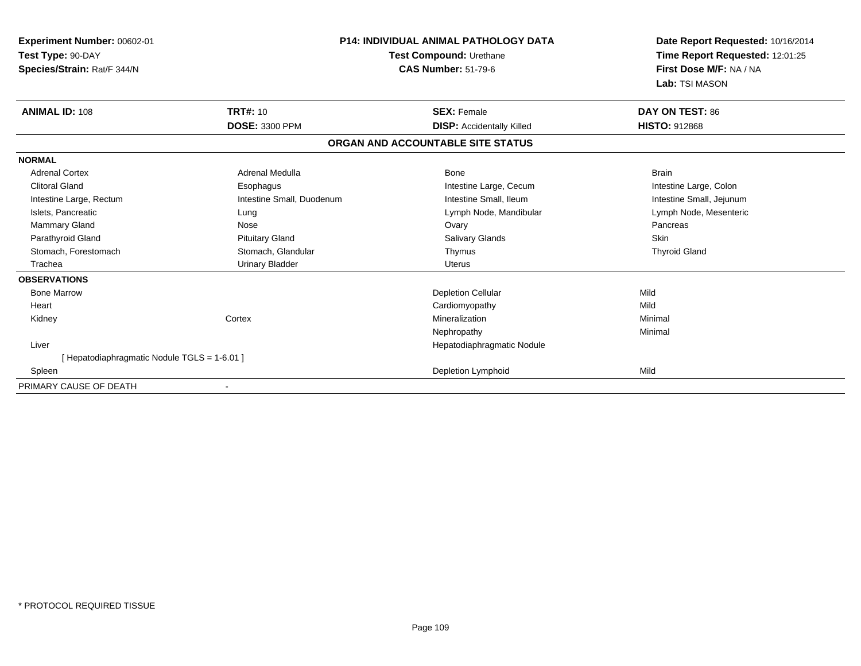| <b>Experiment Number: 00602-01</b><br>Test Type: 90-DAY<br>Species/Strain: Rat/F 344/N |                           | <b>P14: INDIVIDUAL ANIMAL PATHOLOGY DATA</b><br><b>Test Compound: Urethane</b><br><b>CAS Number: 51-79-6</b> | Date Report Requested: 10/16/2014<br>Time Report Requested: 12:01:25<br>First Dose M/F: NA / NA<br>Lab: TSI MASON |
|----------------------------------------------------------------------------------------|---------------------------|--------------------------------------------------------------------------------------------------------------|-------------------------------------------------------------------------------------------------------------------|
| <b>ANIMAL ID: 108</b>                                                                  | <b>TRT#: 10</b>           | <b>SEX: Female</b>                                                                                           | DAY ON TEST: 86                                                                                                   |
|                                                                                        | <b>DOSE: 3300 PPM</b>     | <b>DISP:</b> Accidentally Killed                                                                             | <b>HISTO: 912868</b>                                                                                              |
|                                                                                        |                           | ORGAN AND ACCOUNTABLE SITE STATUS                                                                            |                                                                                                                   |
| <b>NORMAL</b>                                                                          |                           |                                                                                                              |                                                                                                                   |
| <b>Adrenal Cortex</b>                                                                  | Adrenal Medulla           | Bone                                                                                                         | <b>Brain</b>                                                                                                      |
| <b>Clitoral Gland</b>                                                                  | Esophagus                 | Intestine Large, Cecum                                                                                       | Intestine Large, Colon                                                                                            |
| Intestine Large, Rectum                                                                | Intestine Small, Duodenum | Intestine Small, Ileum                                                                                       | Intestine Small, Jejunum                                                                                          |
| Islets, Pancreatic                                                                     | Lung                      | Lymph Node, Mandibular                                                                                       | Lymph Node, Mesenteric                                                                                            |
| Mammary Gland                                                                          | Nose                      | Ovary                                                                                                        | Pancreas                                                                                                          |
| Parathyroid Gland                                                                      | <b>Pituitary Gland</b>    | Salivary Glands                                                                                              | Skin                                                                                                              |
| Stomach, Forestomach                                                                   | Stomach, Glandular        | Thymus                                                                                                       | <b>Thyroid Gland</b>                                                                                              |
| Trachea                                                                                | <b>Urinary Bladder</b>    | <b>Uterus</b>                                                                                                |                                                                                                                   |
| <b>OBSERVATIONS</b>                                                                    |                           |                                                                                                              |                                                                                                                   |
| <b>Bone Marrow</b>                                                                     |                           | <b>Depletion Cellular</b>                                                                                    | Mild                                                                                                              |
| Heart                                                                                  |                           | Cardiomyopathy                                                                                               | Mild                                                                                                              |
| Kidney                                                                                 | Cortex                    | Mineralization                                                                                               | Minimal                                                                                                           |
|                                                                                        |                           | Nephropathy                                                                                                  | Minimal                                                                                                           |
| Liver                                                                                  |                           | Hepatodiaphragmatic Nodule                                                                                   |                                                                                                                   |
| [Hepatodiaphragmatic Nodule TGLS = 1-6.01]                                             |                           |                                                                                                              |                                                                                                                   |
| Spleen                                                                                 |                           | Depletion Lymphoid                                                                                           | Mild                                                                                                              |
| PRIMARY CAUSE OF DEATH                                                                 |                           |                                                                                                              |                                                                                                                   |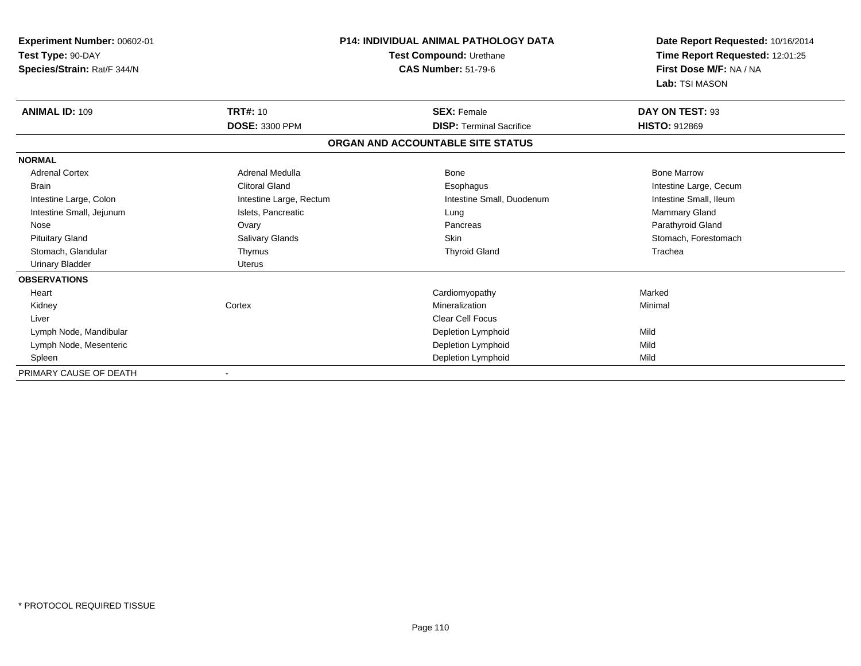| Experiment Number: 00602-01<br>Test Type: 90-DAY<br>Species/Strain: Rat/F 344/N |                         | P14: INDIVIDUAL ANIMAL PATHOLOGY DATA<br>Test Compound: Urethane<br><b>CAS Number: 51-79-6</b> | Date Report Requested: 10/16/2014<br>Time Report Requested: 12:01:25<br>First Dose M/F: NA / NA |
|---------------------------------------------------------------------------------|-------------------------|------------------------------------------------------------------------------------------------|-------------------------------------------------------------------------------------------------|
|                                                                                 |                         |                                                                                                | Lab: TSI MASON                                                                                  |
| <b>ANIMAL ID: 109</b>                                                           | <b>TRT#: 10</b>         | <b>SEX: Female</b>                                                                             | DAY ON TEST: 93                                                                                 |
|                                                                                 | <b>DOSE: 3300 PPM</b>   | <b>DISP:</b> Terminal Sacrifice                                                                | <b>HISTO: 912869</b>                                                                            |
|                                                                                 |                         | ORGAN AND ACCOUNTABLE SITE STATUS                                                              |                                                                                                 |
| <b>NORMAL</b>                                                                   |                         |                                                                                                |                                                                                                 |
| <b>Adrenal Cortex</b>                                                           | Adrenal Medulla         | <b>Bone</b>                                                                                    | <b>Bone Marrow</b>                                                                              |
| <b>Brain</b>                                                                    | <b>Clitoral Gland</b>   | Esophagus                                                                                      | Intestine Large, Cecum                                                                          |
| Intestine Large, Colon                                                          | Intestine Large, Rectum | Intestine Small, Duodenum                                                                      | Intestine Small, Ileum                                                                          |
| Intestine Small, Jejunum                                                        | Islets, Pancreatic      | Lung                                                                                           | Mammary Gland                                                                                   |
| Nose                                                                            | Ovary                   | Pancreas                                                                                       | Parathyroid Gland                                                                               |
| <b>Pituitary Gland</b>                                                          | Salivary Glands         | <b>Skin</b>                                                                                    | Stomach, Forestomach                                                                            |
| Stomach, Glandular                                                              | Thymus                  | <b>Thyroid Gland</b>                                                                           | Trachea                                                                                         |
| <b>Urinary Bladder</b>                                                          | <b>Uterus</b>           |                                                                                                |                                                                                                 |
| <b>OBSERVATIONS</b>                                                             |                         |                                                                                                |                                                                                                 |
| Heart                                                                           |                         | Cardiomyopathy                                                                                 | Marked                                                                                          |
| Kidney                                                                          | Cortex                  | Mineralization                                                                                 | Minimal                                                                                         |
| Liver                                                                           |                         | <b>Clear Cell Focus</b>                                                                        |                                                                                                 |
| Lymph Node, Mandibular                                                          |                         | Depletion Lymphoid                                                                             | Mild                                                                                            |
| Lymph Node, Mesenteric                                                          |                         | Depletion Lymphoid                                                                             | Mild                                                                                            |
| Spleen                                                                          |                         | Depletion Lymphoid                                                                             | Mild                                                                                            |
| PRIMARY CAUSE OF DEATH                                                          | $\blacksquare$          |                                                                                                |                                                                                                 |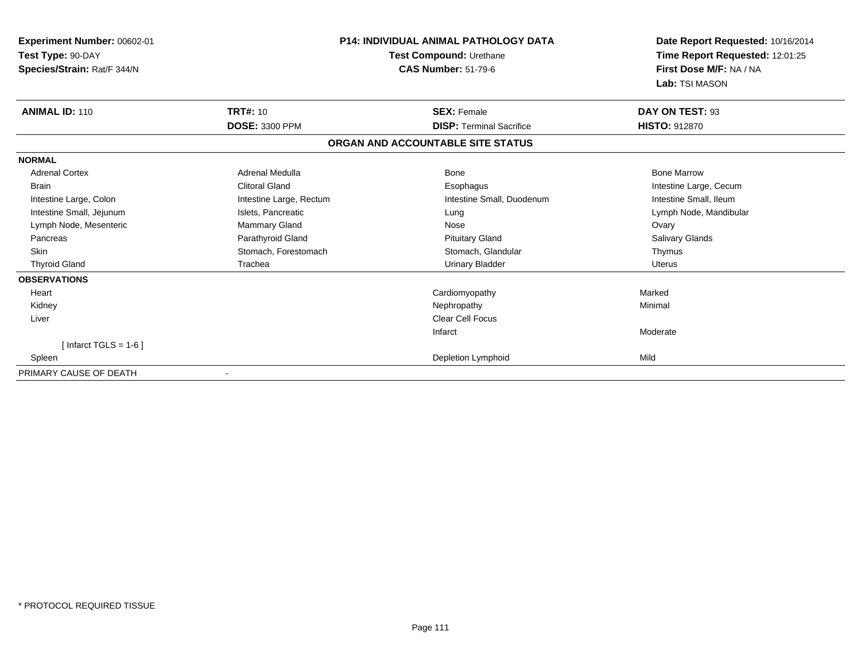| Experiment Number: 00602-01<br>Test Type: 90-DAY<br>Species/Strain: Rat/F 344/N |                         | <b>P14: INDIVIDUAL ANIMAL PATHOLOGY DATA</b><br>Test Compound: Urethane<br><b>CAS Number: 51-79-6</b> | Date Report Requested: 10/16/2014<br>Time Report Requested: 12:01:25<br>First Dose M/F: NA / NA<br>Lab: TSI MASON |
|---------------------------------------------------------------------------------|-------------------------|-------------------------------------------------------------------------------------------------------|-------------------------------------------------------------------------------------------------------------------|
| <b>ANIMAL ID: 110</b>                                                           | <b>TRT#: 10</b>         | <b>SEX: Female</b>                                                                                    | DAY ON TEST: 93                                                                                                   |
|                                                                                 | <b>DOSE: 3300 PPM</b>   | <b>DISP: Terminal Sacrifice</b>                                                                       | <b>HISTO: 912870</b>                                                                                              |
|                                                                                 |                         | ORGAN AND ACCOUNTABLE SITE STATUS                                                                     |                                                                                                                   |
| <b>NORMAL</b>                                                                   |                         |                                                                                                       |                                                                                                                   |
| <b>Adrenal Cortex</b>                                                           | Adrenal Medulla         | Bone                                                                                                  | <b>Bone Marrow</b>                                                                                                |
| <b>Brain</b>                                                                    | <b>Clitoral Gland</b>   | Esophagus                                                                                             | Intestine Large, Cecum                                                                                            |
| Intestine Large, Colon                                                          | Intestine Large, Rectum | Intestine Small, Duodenum                                                                             | Intestine Small, Ileum                                                                                            |
| Intestine Small, Jejunum                                                        | Islets, Pancreatic      | Lung                                                                                                  | Lymph Node, Mandibular                                                                                            |
| Lymph Node, Mesenteric                                                          | Mammary Gland           | Nose                                                                                                  | Ovary                                                                                                             |
| Pancreas                                                                        | Parathyroid Gland       | <b>Pituitary Gland</b>                                                                                | <b>Salivary Glands</b>                                                                                            |
| <b>Skin</b>                                                                     | Stomach, Forestomach    | Stomach, Glandular                                                                                    | Thymus                                                                                                            |
| <b>Thyroid Gland</b>                                                            | Trachea                 | <b>Urinary Bladder</b>                                                                                | <b>Uterus</b>                                                                                                     |
| <b>OBSERVATIONS</b>                                                             |                         |                                                                                                       |                                                                                                                   |
| Heart                                                                           |                         | Cardiomyopathy                                                                                        | Marked                                                                                                            |
| Kidney                                                                          |                         | Nephropathy                                                                                           | Minimal                                                                                                           |
| Liver                                                                           |                         | <b>Clear Cell Focus</b>                                                                               |                                                                                                                   |
|                                                                                 |                         | Infarct                                                                                               | Moderate                                                                                                          |
| [Infarct TGLS = $1-6$ ]                                                         |                         |                                                                                                       |                                                                                                                   |
| Spleen                                                                          |                         | <b>Depletion Lymphoid</b>                                                                             | Mild                                                                                                              |
| PRIMARY CAUSE OF DEATH                                                          |                         |                                                                                                       |                                                                                                                   |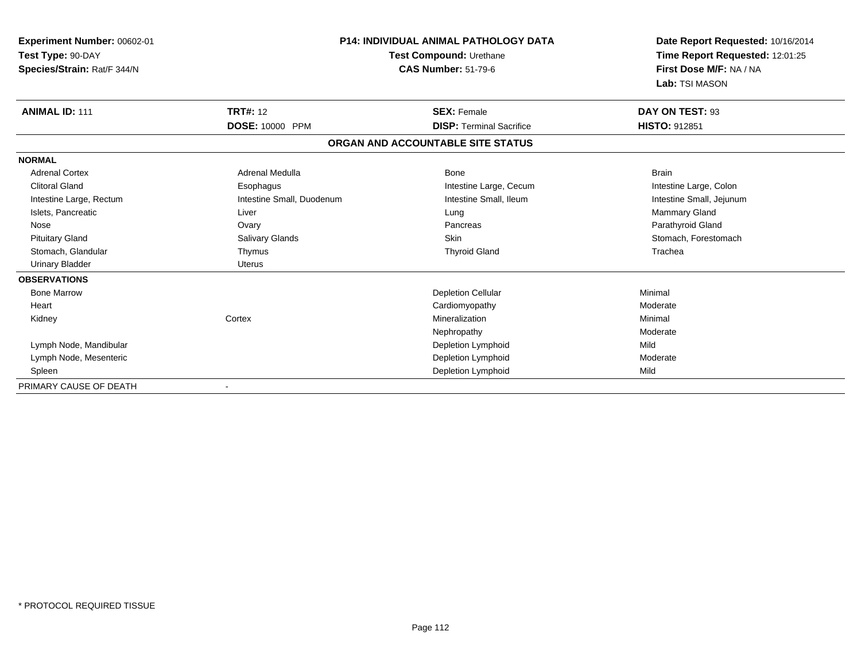| Experiment Number: 00602-01<br>Test Type: 90-DAY<br>Species/Strain: Rat/F 344/N |                           | <b>P14: INDIVIDUAL ANIMAL PATHOLOGY DATA</b><br>Test Compound: Urethane<br><b>CAS Number: 51-79-6</b> | Date Report Requested: 10/16/2014<br>Time Report Requested: 12:01:25<br>First Dose M/F: NA / NA<br>Lab: TSI MASON |
|---------------------------------------------------------------------------------|---------------------------|-------------------------------------------------------------------------------------------------------|-------------------------------------------------------------------------------------------------------------------|
| <b>ANIMAL ID: 111</b>                                                           | <b>TRT#: 12</b>           | <b>SEX: Female</b>                                                                                    | DAY ON TEST: 93                                                                                                   |
|                                                                                 | DOSE: 10000 PPM           | <b>DISP: Terminal Sacrifice</b>                                                                       | <b>HISTO: 912851</b>                                                                                              |
|                                                                                 |                           | ORGAN AND ACCOUNTABLE SITE STATUS                                                                     |                                                                                                                   |
| <b>NORMAL</b>                                                                   |                           |                                                                                                       |                                                                                                                   |
| <b>Adrenal Cortex</b>                                                           | Adrenal Medulla           | Bone                                                                                                  | <b>Brain</b>                                                                                                      |
| <b>Clitoral Gland</b>                                                           | Esophagus                 | Intestine Large, Cecum                                                                                | Intestine Large, Colon                                                                                            |
| Intestine Large, Rectum                                                         | Intestine Small, Duodenum | Intestine Small, Ileum                                                                                | Intestine Small, Jejunum                                                                                          |
| Islets, Pancreatic                                                              | Liver                     | Lung                                                                                                  | Mammary Gland                                                                                                     |
| Nose                                                                            | Ovary                     | Pancreas                                                                                              | Parathyroid Gland                                                                                                 |
| <b>Pituitary Gland</b>                                                          | Salivary Glands           | Skin                                                                                                  | Stomach, Forestomach                                                                                              |
| Stomach, Glandular                                                              | Thymus                    | <b>Thyroid Gland</b>                                                                                  | Trachea                                                                                                           |
| <b>Urinary Bladder</b>                                                          | <b>Uterus</b>             |                                                                                                       |                                                                                                                   |
| <b>OBSERVATIONS</b>                                                             |                           |                                                                                                       |                                                                                                                   |
| <b>Bone Marrow</b>                                                              |                           | <b>Depletion Cellular</b>                                                                             | Minimal                                                                                                           |
| Heart                                                                           |                           | Cardiomyopathy                                                                                        | Moderate                                                                                                          |
| Kidney                                                                          | Cortex                    | Mineralization                                                                                        | Minimal                                                                                                           |
|                                                                                 |                           | Nephropathy                                                                                           | Moderate                                                                                                          |
| Lymph Node, Mandibular                                                          |                           | Depletion Lymphoid                                                                                    | Mild                                                                                                              |
| Lymph Node, Mesenteric                                                          |                           | Depletion Lymphoid                                                                                    | Moderate                                                                                                          |
| Spleen                                                                          |                           | Depletion Lymphoid                                                                                    | Mild                                                                                                              |
| PRIMARY CAUSE OF DEATH                                                          |                           |                                                                                                       |                                                                                                                   |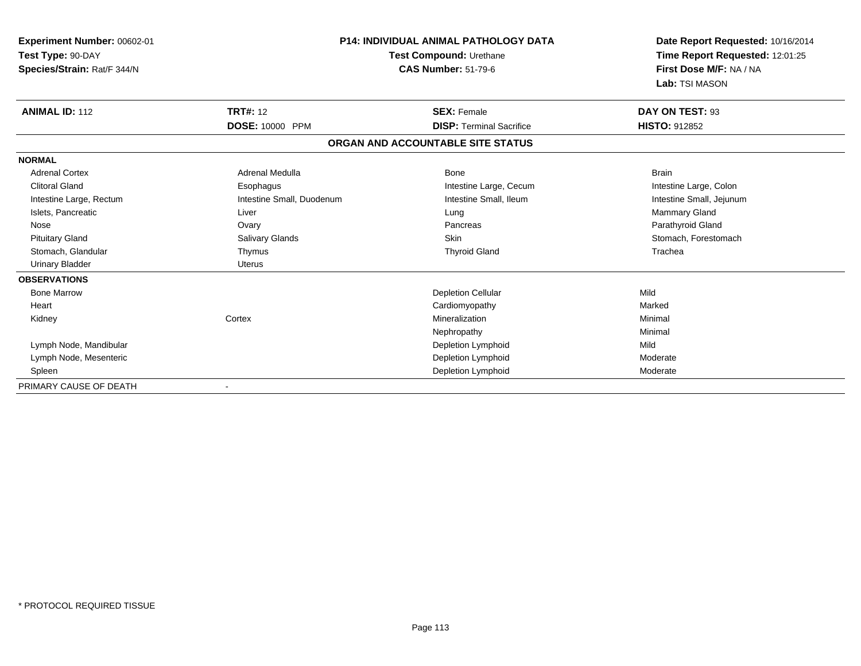| Experiment Number: 00602-01<br>Test Type: 90-DAY<br>Species/Strain: Rat/F 344/N |                           | <b>P14: INDIVIDUAL ANIMAL PATHOLOGY DATA</b><br>Test Compound: Urethane<br><b>CAS Number: 51-79-6</b> | Date Report Requested: 10/16/2014<br>Time Report Requested: 12:01:25<br>First Dose M/F: NA / NA<br>Lab: TSI MASON |
|---------------------------------------------------------------------------------|---------------------------|-------------------------------------------------------------------------------------------------------|-------------------------------------------------------------------------------------------------------------------|
| <b>ANIMAL ID: 112</b>                                                           | <b>TRT#: 12</b>           | <b>SEX: Female</b>                                                                                    | DAY ON TEST: 93                                                                                                   |
|                                                                                 | DOSE: 10000 PPM           | <b>DISP: Terminal Sacrifice</b>                                                                       | <b>HISTO: 912852</b>                                                                                              |
|                                                                                 |                           | ORGAN AND ACCOUNTABLE SITE STATUS                                                                     |                                                                                                                   |
| <b>NORMAL</b>                                                                   |                           |                                                                                                       |                                                                                                                   |
| <b>Adrenal Cortex</b>                                                           | Adrenal Medulla           | Bone                                                                                                  | <b>Brain</b>                                                                                                      |
| <b>Clitoral Gland</b>                                                           | Esophagus                 | Intestine Large, Cecum                                                                                | Intestine Large, Colon                                                                                            |
| Intestine Large, Rectum                                                         | Intestine Small, Duodenum | Intestine Small, Ileum                                                                                | Intestine Small, Jejunum                                                                                          |
| Islets, Pancreatic                                                              | Liver                     | Lung                                                                                                  | Mammary Gland                                                                                                     |
| Nose                                                                            | Ovary                     | Pancreas                                                                                              | Parathyroid Gland                                                                                                 |
| <b>Pituitary Gland</b>                                                          | Salivary Glands           | Skin                                                                                                  | Stomach, Forestomach                                                                                              |
| Stomach, Glandular                                                              | Thymus                    | <b>Thyroid Gland</b>                                                                                  | Trachea                                                                                                           |
| <b>Urinary Bladder</b>                                                          | <b>Uterus</b>             |                                                                                                       |                                                                                                                   |
| <b>OBSERVATIONS</b>                                                             |                           |                                                                                                       |                                                                                                                   |
| <b>Bone Marrow</b>                                                              |                           | <b>Depletion Cellular</b>                                                                             | Mild                                                                                                              |
| Heart                                                                           |                           | Cardiomyopathy                                                                                        | Marked                                                                                                            |
| Kidney                                                                          | Cortex                    | Mineralization                                                                                        | Minimal                                                                                                           |
|                                                                                 |                           | Nephropathy                                                                                           | Minimal                                                                                                           |
| Lymph Node, Mandibular                                                          |                           | Depletion Lymphoid                                                                                    | Mild                                                                                                              |
| Lymph Node, Mesenteric                                                          |                           | Depletion Lymphoid                                                                                    | Moderate                                                                                                          |
| Spleen                                                                          |                           | Depletion Lymphoid                                                                                    | Moderate                                                                                                          |
| PRIMARY CAUSE OF DEATH                                                          |                           |                                                                                                       |                                                                                                                   |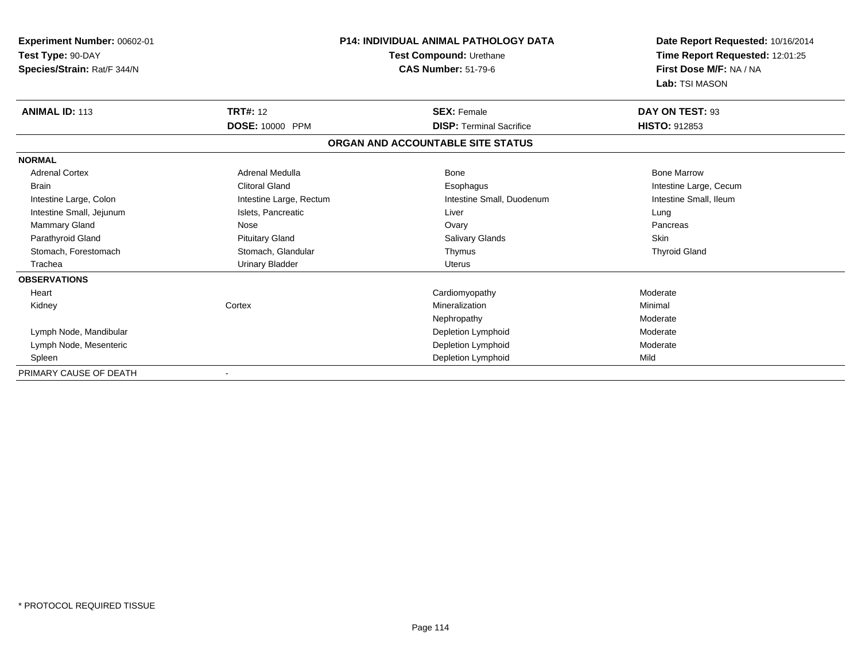| Experiment Number: 00602-01<br>Test Type: 90-DAY<br>Species/Strain: Rat/F 344/N |                         | <b>P14: INDIVIDUAL ANIMAL PATHOLOGY DATA</b><br>Test Compound: Urethane<br><b>CAS Number: 51-79-6</b> | Date Report Requested: 10/16/2014<br>Time Report Requested: 12:01:25<br>First Dose M/F: NA / NA<br>Lab: TSI MASON |
|---------------------------------------------------------------------------------|-------------------------|-------------------------------------------------------------------------------------------------------|-------------------------------------------------------------------------------------------------------------------|
| <b>ANIMAL ID: 113</b>                                                           | <b>TRT#: 12</b>         | <b>SEX: Female</b>                                                                                    | DAY ON TEST: 93                                                                                                   |
|                                                                                 | DOSE: 10000 PPM         | <b>DISP: Terminal Sacrifice</b>                                                                       | <b>HISTO: 912853</b>                                                                                              |
|                                                                                 |                         | ORGAN AND ACCOUNTABLE SITE STATUS                                                                     |                                                                                                                   |
| <b>NORMAL</b>                                                                   |                         |                                                                                                       |                                                                                                                   |
| <b>Adrenal Cortex</b>                                                           | Adrenal Medulla         | <b>Bone</b>                                                                                           | <b>Bone Marrow</b>                                                                                                |
| <b>Brain</b>                                                                    | <b>Clitoral Gland</b>   | Esophagus                                                                                             | Intestine Large, Cecum                                                                                            |
| Intestine Large, Colon                                                          | Intestine Large, Rectum | Intestine Small, Duodenum                                                                             | Intestine Small, Ileum                                                                                            |
| Intestine Small, Jejunum                                                        | Islets, Pancreatic      | Liver                                                                                                 | Lung                                                                                                              |
| <b>Mammary Gland</b>                                                            | Nose                    | Ovary                                                                                                 | Pancreas                                                                                                          |
| Parathyroid Gland                                                               | <b>Pituitary Gland</b>  | <b>Salivary Glands</b>                                                                                | Skin                                                                                                              |
| Stomach, Forestomach                                                            | Stomach, Glandular      | Thymus                                                                                                | <b>Thyroid Gland</b>                                                                                              |
| Trachea                                                                         | <b>Urinary Bladder</b>  | <b>Uterus</b>                                                                                         |                                                                                                                   |
| <b>OBSERVATIONS</b>                                                             |                         |                                                                                                       |                                                                                                                   |
| Heart                                                                           |                         | Cardiomyopathy                                                                                        | Moderate                                                                                                          |
| Kidney                                                                          | Cortex                  | Mineralization                                                                                        | Minimal                                                                                                           |
|                                                                                 |                         | Nephropathy                                                                                           | Moderate                                                                                                          |
| Lymph Node, Mandibular                                                          |                         | Depletion Lymphoid                                                                                    | Moderate                                                                                                          |
| Lymph Node, Mesenteric                                                          |                         | Depletion Lymphoid                                                                                    | Moderate                                                                                                          |
| Spleen                                                                          |                         | Depletion Lymphoid                                                                                    | Mild                                                                                                              |
| PRIMARY CAUSE OF DEATH                                                          | $\blacksquare$          |                                                                                                       |                                                                                                                   |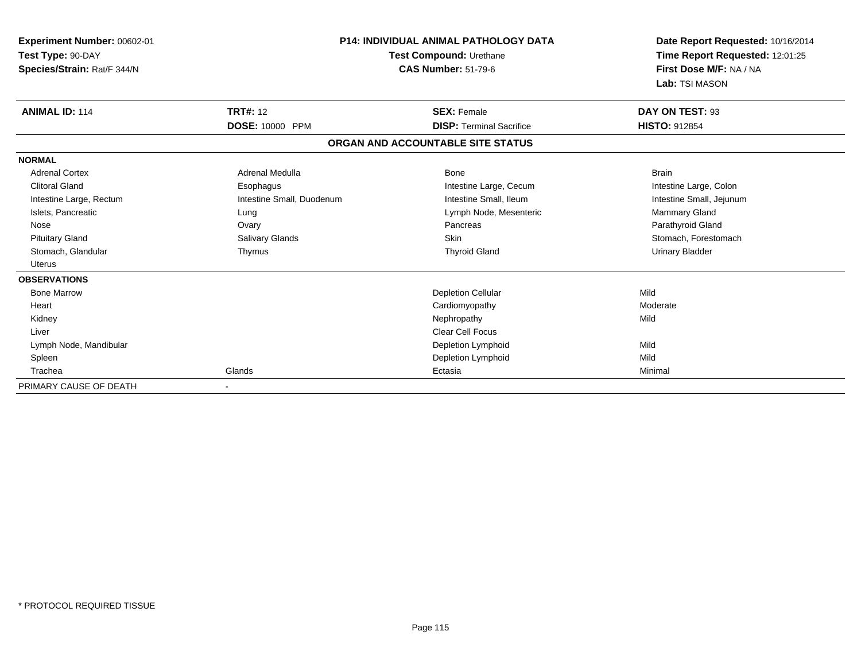| Experiment Number: 00602-01<br>Test Type: 90-DAY<br>Species/Strain: Rat/F 344/N |                           | <b>P14: INDIVIDUAL ANIMAL PATHOLOGY DATA</b><br><b>Test Compound: Urethane</b><br><b>CAS Number: 51-79-6</b> |                          |
|---------------------------------------------------------------------------------|---------------------------|--------------------------------------------------------------------------------------------------------------|--------------------------|
| <b>ANIMAL ID: 114</b>                                                           | <b>TRT#: 12</b>           | <b>SEX: Female</b>                                                                                           | DAY ON TEST: 93          |
|                                                                                 | DOSE: 10000 PPM           | <b>DISP: Terminal Sacrifice</b>                                                                              | <b>HISTO: 912854</b>     |
|                                                                                 |                           | ORGAN AND ACCOUNTABLE SITE STATUS                                                                            |                          |
| <b>NORMAL</b>                                                                   |                           |                                                                                                              |                          |
| <b>Adrenal Cortex</b>                                                           | Adrenal Medulla           | <b>Bone</b>                                                                                                  | <b>Brain</b>             |
| <b>Clitoral Gland</b>                                                           | Esophagus                 | Intestine Large, Cecum                                                                                       | Intestine Large, Colon   |
| Intestine Large, Rectum                                                         | Intestine Small, Duodenum | Intestine Small, Ileum                                                                                       | Intestine Small, Jejunum |
| Islets, Pancreatic                                                              | Lung                      | Lymph Node, Mesenteric                                                                                       | <b>Mammary Gland</b>     |
| Nose                                                                            | Ovary                     | Pancreas                                                                                                     | Parathyroid Gland        |
| <b>Pituitary Gland</b>                                                          | Salivary Glands           | Skin                                                                                                         | Stomach, Forestomach     |
| Stomach, Glandular                                                              | Thymus                    | <b>Thyroid Gland</b>                                                                                         | <b>Urinary Bladder</b>   |
| Uterus                                                                          |                           |                                                                                                              |                          |
| <b>OBSERVATIONS</b>                                                             |                           |                                                                                                              |                          |
| <b>Bone Marrow</b>                                                              |                           | <b>Depletion Cellular</b>                                                                                    | Mild                     |
| Heart                                                                           |                           | Cardiomyopathy                                                                                               | Moderate                 |
| Kidney                                                                          |                           | Nephropathy                                                                                                  | Mild                     |
| Liver                                                                           |                           | <b>Clear Cell Focus</b>                                                                                      |                          |
| Lymph Node, Mandibular                                                          |                           | Depletion Lymphoid                                                                                           | Mild                     |
| Spleen                                                                          |                           | Depletion Lymphoid                                                                                           | Mild                     |
| Trachea                                                                         | Glands                    | Ectasia                                                                                                      | Minimal                  |
| PRIMARY CAUSE OF DEATH                                                          |                           |                                                                                                              |                          |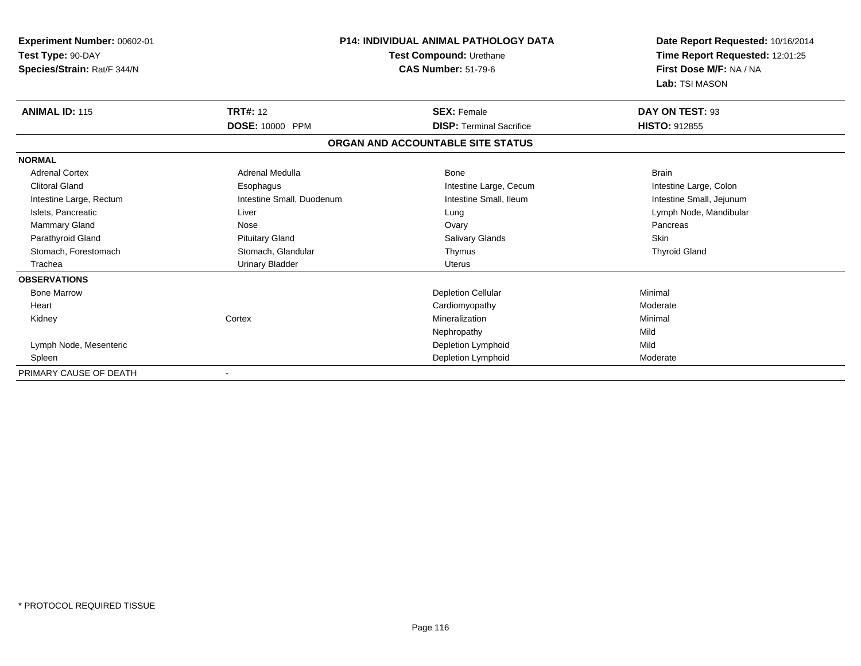| <b>Experiment Number: 00602-01</b><br>Test Type: 90-DAY<br>Species/Strain: Rat/F 344/N |                           | <b>P14: INDIVIDUAL ANIMAL PATHOLOGY DATA</b><br>Test Compound: Urethane<br><b>CAS Number: 51-79-6</b> |                          |
|----------------------------------------------------------------------------------------|---------------------------|-------------------------------------------------------------------------------------------------------|--------------------------|
| <b>ANIMAL ID: 115</b>                                                                  | <b>TRT#: 12</b>           | <b>SEX: Female</b>                                                                                    | DAY ON TEST: 93          |
|                                                                                        | DOSE: 10000 PPM           | <b>DISP: Terminal Sacrifice</b>                                                                       | <b>HISTO: 912855</b>     |
|                                                                                        |                           | ORGAN AND ACCOUNTABLE SITE STATUS                                                                     |                          |
| <b>NORMAL</b>                                                                          |                           |                                                                                                       |                          |
| <b>Adrenal Cortex</b>                                                                  | Adrenal Medulla           | <b>Bone</b>                                                                                           | <b>Brain</b>             |
| <b>Clitoral Gland</b>                                                                  | Esophagus                 | Intestine Large, Cecum                                                                                | Intestine Large, Colon   |
| Intestine Large, Rectum                                                                | Intestine Small, Duodenum | Intestine Small, Ileum                                                                                | Intestine Small, Jejunum |
| Islets, Pancreatic                                                                     | Liver                     | Lung                                                                                                  | Lymph Node, Mandibular   |
| Mammary Gland                                                                          | Nose                      | Ovary                                                                                                 | Pancreas                 |
| Parathyroid Gland                                                                      | <b>Pituitary Gland</b>    | Salivary Glands                                                                                       | Skin                     |
| Stomach, Forestomach                                                                   | Stomach, Glandular        | Thymus                                                                                                | <b>Thyroid Gland</b>     |
| Trachea                                                                                | <b>Urinary Bladder</b>    | <b>Uterus</b>                                                                                         |                          |
| <b>OBSERVATIONS</b>                                                                    |                           |                                                                                                       |                          |
| <b>Bone Marrow</b>                                                                     |                           | <b>Depletion Cellular</b>                                                                             | Minimal                  |
| Heart                                                                                  |                           | Cardiomyopathy                                                                                        | Moderate                 |
| Kidney                                                                                 | Cortex                    | Mineralization                                                                                        | Minimal                  |
|                                                                                        |                           | Nephropathy                                                                                           | Mild                     |
| Lymph Node, Mesenteric                                                                 |                           | Depletion Lymphoid                                                                                    | Mild                     |
| Spleen                                                                                 |                           | Depletion Lymphoid                                                                                    | Moderate                 |
| PRIMARY CAUSE OF DEATH                                                                 |                           |                                                                                                       |                          |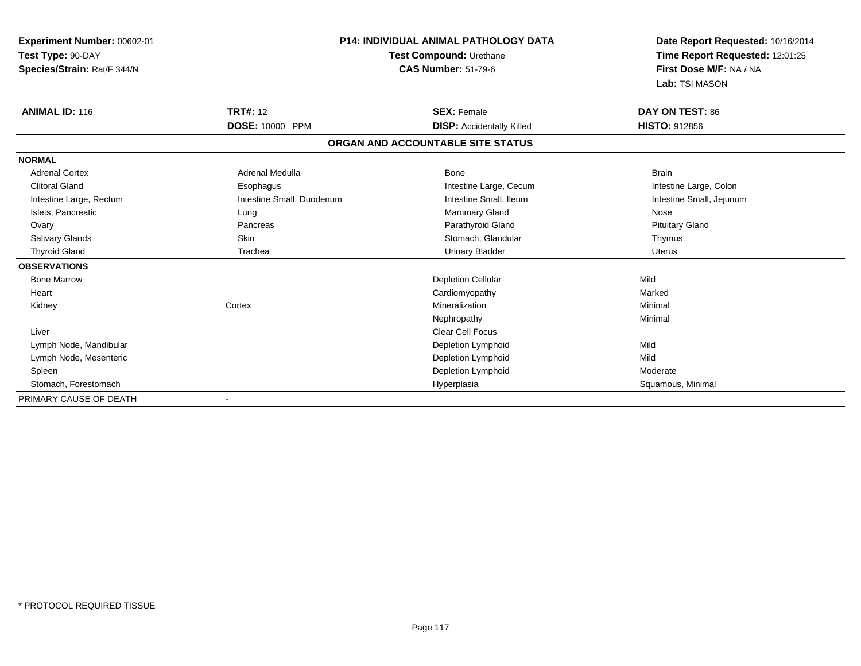| <b>P14: INDIVIDUAL ANIMAL PATHOLOGY DATA</b><br>Experiment Number: 00602-01<br>Test Type: 90-DAY<br>Test Compound: Urethane |                           |                                   | Date Report Requested: 10/16/2014<br>Time Report Requested: 12:01:25 |
|-----------------------------------------------------------------------------------------------------------------------------|---------------------------|-----------------------------------|----------------------------------------------------------------------|
| Species/Strain: Rat/F 344/N                                                                                                 |                           | <b>CAS Number: 51-79-6</b>        | First Dose M/F: NA / NA                                              |
|                                                                                                                             |                           |                                   | Lab: TSI MASON                                                       |
| <b>ANIMAL ID: 116</b>                                                                                                       | <b>TRT#: 12</b>           | <b>SEX: Female</b>                | DAY ON TEST: 86                                                      |
|                                                                                                                             | DOSE: 10000 PPM           | <b>DISP:</b> Accidentally Killed  | <b>HISTO: 912856</b>                                                 |
|                                                                                                                             |                           | ORGAN AND ACCOUNTABLE SITE STATUS |                                                                      |
| <b>NORMAL</b>                                                                                                               |                           |                                   |                                                                      |
| <b>Adrenal Cortex</b>                                                                                                       | Adrenal Medulla           | <b>Bone</b>                       | <b>Brain</b>                                                         |
| <b>Clitoral Gland</b>                                                                                                       | Esophagus                 | Intestine Large, Cecum            | Intestine Large, Colon                                               |
| Intestine Large, Rectum                                                                                                     | Intestine Small, Duodenum | Intestine Small, Ileum            | Intestine Small, Jejunum                                             |
| Islets, Pancreatic                                                                                                          | Lung                      | <b>Mammary Gland</b>              | Nose                                                                 |
| Ovary                                                                                                                       | Pancreas                  | Parathyroid Gland                 | <b>Pituitary Gland</b>                                               |
| <b>Salivary Glands</b>                                                                                                      | <b>Skin</b>               | Stomach, Glandular                | Thymus                                                               |
| <b>Thyroid Gland</b>                                                                                                        | Trachea                   | <b>Urinary Bladder</b>            | <b>Uterus</b>                                                        |
| <b>OBSERVATIONS</b>                                                                                                         |                           |                                   |                                                                      |
| <b>Bone Marrow</b>                                                                                                          |                           | <b>Depletion Cellular</b>         | Mild                                                                 |
| Heart                                                                                                                       |                           | Cardiomyopathy                    | Marked                                                               |
| Kidney                                                                                                                      | Cortex                    | Mineralization                    | Minimal                                                              |
|                                                                                                                             |                           | Nephropathy                       | Minimal                                                              |
| Liver                                                                                                                       |                           | <b>Clear Cell Focus</b>           |                                                                      |
| Lymph Node, Mandibular                                                                                                      |                           | Depletion Lymphoid                | Mild                                                                 |
| Lymph Node, Mesenteric                                                                                                      |                           | Depletion Lymphoid                | Mild                                                                 |
| Spleen                                                                                                                      |                           | Depletion Lymphoid                | Moderate                                                             |
| Stomach, Forestomach                                                                                                        |                           | Hyperplasia                       | Squamous, Minimal                                                    |
| PRIMARY CAUSE OF DEATH                                                                                                      |                           |                                   |                                                                      |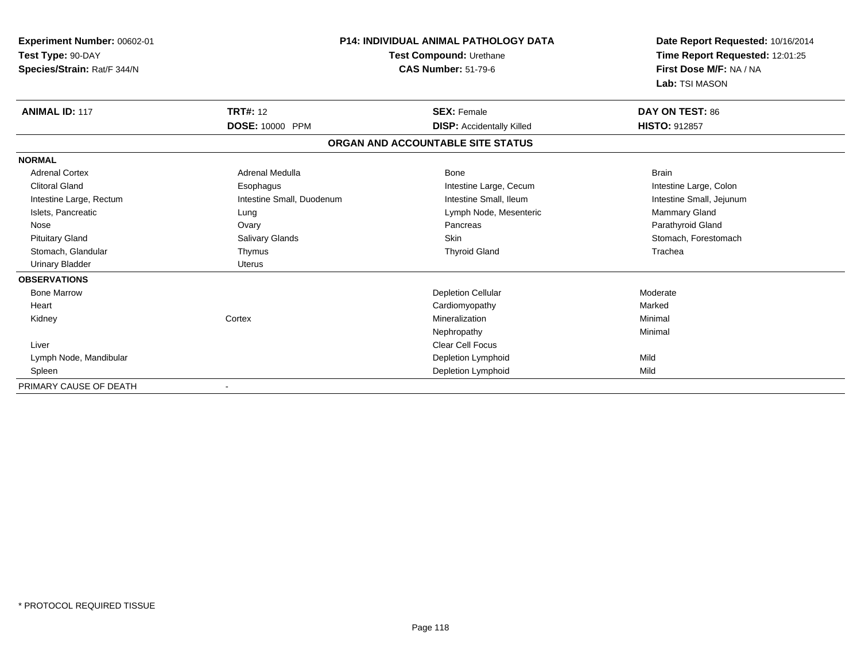| Experiment Number: 00602-01 | <b>P14: INDIVIDUAL ANIMAL PATHOLOGY DATA</b> |                                   | Date Report Requested: 10/16/2014                          |
|-----------------------------|----------------------------------------------|-----------------------------------|------------------------------------------------------------|
| Test Type: 90-DAY           |                                              | Test Compound: Urethane           |                                                            |
| Species/Strain: Rat/F 344/N |                                              | <b>CAS Number: 51-79-6</b>        | Time Report Requested: 12:01:25<br>First Dose M/F: NA / NA |
|                             |                                              |                                   | Lab: TSI MASON                                             |
| <b>ANIMAL ID: 117</b>       | <b>TRT#: 12</b>                              | <b>SEX: Female</b>                | DAY ON TEST: 86                                            |
|                             | DOSE: 10000 PPM                              | <b>DISP:</b> Accidentally Killed  | <b>HISTO: 912857</b>                                       |
|                             |                                              | ORGAN AND ACCOUNTABLE SITE STATUS |                                                            |
| <b>NORMAL</b>               |                                              |                                   |                                                            |
| <b>Adrenal Cortex</b>       | <b>Adrenal Medulla</b>                       | Bone                              | <b>Brain</b>                                               |
| <b>Clitoral Gland</b>       | Esophagus                                    | Intestine Large, Cecum            | Intestine Large, Colon                                     |
| Intestine Large, Rectum     | Intestine Small, Duodenum                    | Intestine Small, Ileum            | Intestine Small, Jejunum                                   |
| Islets, Pancreatic          | Lung                                         | Lymph Node, Mesenteric            | <b>Mammary Gland</b>                                       |
| Nose                        | Ovary                                        | Pancreas                          | Parathyroid Gland                                          |
| <b>Pituitary Gland</b>      | Salivary Glands                              | <b>Skin</b>                       | Stomach, Forestomach                                       |
| Stomach, Glandular          | Thymus                                       | <b>Thyroid Gland</b>              | Trachea                                                    |
| <b>Urinary Bladder</b>      | <b>Uterus</b>                                |                                   |                                                            |
| <b>OBSERVATIONS</b>         |                                              |                                   |                                                            |
| <b>Bone Marrow</b>          |                                              | <b>Depletion Cellular</b>         | Moderate                                                   |
| Heart                       |                                              | Cardiomyopathy                    | Marked                                                     |
| Kidney                      | Cortex                                       | Mineralization                    | Minimal                                                    |
|                             |                                              | Nephropathy                       | Minimal                                                    |
| Liver                       |                                              | <b>Clear Cell Focus</b>           |                                                            |
| Lymph Node, Mandibular      |                                              | Depletion Lymphoid                | Mild                                                       |
| Spleen                      |                                              | Depletion Lymphoid                | Mild                                                       |
| PRIMARY CAUSE OF DEATH      |                                              |                                   |                                                            |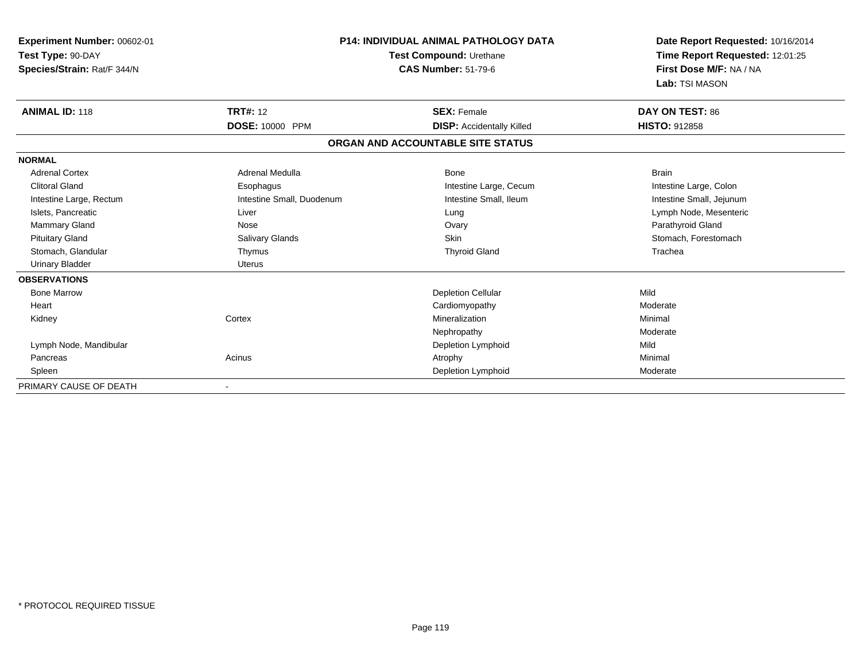| Experiment Number: 00602-01<br>Test Type: 90-DAY<br>Species/Strain: Rat/F 344/N |                           | <b>P14: INDIVIDUAL ANIMAL PATHOLOGY DATA</b><br>Test Compound: Urethane<br><b>CAS Number: 51-79-6</b> | Date Report Requested: 10/16/2014<br>Time Report Requested: 12:01:25<br>First Dose M/F: NA / NA<br>Lab: TSI MASON |
|---------------------------------------------------------------------------------|---------------------------|-------------------------------------------------------------------------------------------------------|-------------------------------------------------------------------------------------------------------------------|
| <b>ANIMAL ID: 118</b>                                                           | <b>TRT#: 12</b>           | <b>SEX: Female</b>                                                                                    | DAY ON TEST: 86                                                                                                   |
|                                                                                 | DOSE: 10000 PPM           | <b>DISP: Accidentally Killed</b>                                                                      | HISTO: 912858                                                                                                     |
|                                                                                 |                           | ORGAN AND ACCOUNTABLE SITE STATUS                                                                     |                                                                                                                   |
| <b>NORMAL</b>                                                                   |                           |                                                                                                       |                                                                                                                   |
| <b>Adrenal Cortex</b>                                                           | Adrenal Medulla           | Bone                                                                                                  | <b>Brain</b>                                                                                                      |
| <b>Clitoral Gland</b>                                                           | Esophagus                 | Intestine Large, Cecum                                                                                | Intestine Large, Colon                                                                                            |
| Intestine Large, Rectum                                                         | Intestine Small, Duodenum | Intestine Small, Ileum                                                                                | Intestine Small, Jejunum                                                                                          |
| Islets, Pancreatic                                                              | Liver                     | Lung                                                                                                  | Lymph Node, Mesenteric                                                                                            |
| Mammary Gland                                                                   | Nose                      | Ovary                                                                                                 | Parathyroid Gland                                                                                                 |
| <b>Pituitary Gland</b>                                                          | Salivary Glands           | <b>Skin</b>                                                                                           | Stomach, Forestomach                                                                                              |
| Stomach, Glandular                                                              | Thymus                    | <b>Thyroid Gland</b>                                                                                  | Trachea                                                                                                           |
| <b>Urinary Bladder</b>                                                          | <b>Uterus</b>             |                                                                                                       |                                                                                                                   |
| <b>OBSERVATIONS</b>                                                             |                           |                                                                                                       |                                                                                                                   |
| <b>Bone Marrow</b>                                                              |                           | <b>Depletion Cellular</b>                                                                             | Mild                                                                                                              |
| Heart                                                                           |                           | Cardiomyopathy                                                                                        | Moderate                                                                                                          |
| Kidney                                                                          | Cortex                    | Mineralization                                                                                        | Minimal                                                                                                           |
|                                                                                 |                           | Nephropathy                                                                                           | Moderate                                                                                                          |
| Lymph Node, Mandibular                                                          |                           | Depletion Lymphoid                                                                                    | Mild                                                                                                              |
| Pancreas                                                                        | Acinus                    | Atrophy                                                                                               | Minimal                                                                                                           |
| Spleen                                                                          |                           | Depletion Lymphoid                                                                                    | Moderate                                                                                                          |
| PRIMARY CAUSE OF DEATH                                                          |                           |                                                                                                       |                                                                                                                   |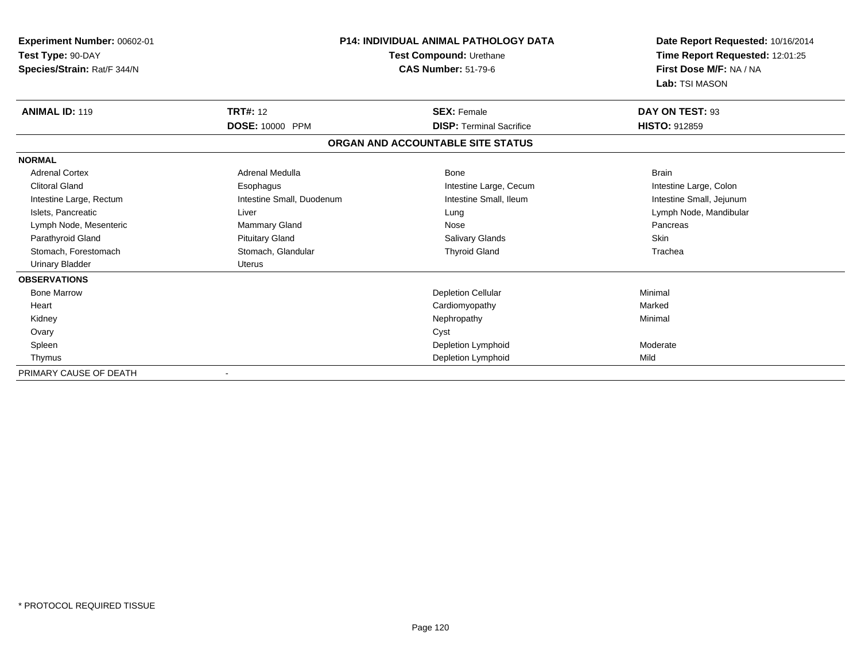| <b>Experiment Number: 00602-01</b><br>Test Type: 90-DAY<br>Species/Strain: Rat/F 344/N |                           | <b>P14: INDIVIDUAL ANIMAL PATHOLOGY DATA</b><br>Test Compound: Urethane<br><b>CAS Number: 51-79-6</b> | Date Report Requested: 10/16/2014<br>Time Report Requested: 12:01:25<br>First Dose M/F: NA / NA<br>Lab: TSI MASON |
|----------------------------------------------------------------------------------------|---------------------------|-------------------------------------------------------------------------------------------------------|-------------------------------------------------------------------------------------------------------------------|
| <b>ANIMAL ID: 119</b>                                                                  | <b>TRT#: 12</b>           | <b>SEX: Female</b>                                                                                    | DAY ON TEST: 93                                                                                                   |
|                                                                                        | DOSE: 10000 PPM           | <b>DISP: Terminal Sacrifice</b>                                                                       | <b>HISTO: 912859</b>                                                                                              |
|                                                                                        |                           | ORGAN AND ACCOUNTABLE SITE STATUS                                                                     |                                                                                                                   |
| <b>NORMAL</b>                                                                          |                           |                                                                                                       |                                                                                                                   |
| <b>Adrenal Cortex</b>                                                                  | Adrenal Medulla           | Bone                                                                                                  | <b>Brain</b>                                                                                                      |
| <b>Clitoral Gland</b>                                                                  | Esophagus                 | Intestine Large, Cecum                                                                                | Intestine Large, Colon                                                                                            |
| Intestine Large, Rectum                                                                | Intestine Small, Duodenum | Intestine Small, Ileum                                                                                | Intestine Small, Jejunum                                                                                          |
| Islets, Pancreatic                                                                     | Liver                     | Lung                                                                                                  | Lymph Node, Mandibular                                                                                            |
| Lymph Node, Mesenteric                                                                 | <b>Mammary Gland</b>      | Nose                                                                                                  | Pancreas                                                                                                          |
| Parathyroid Gland                                                                      | <b>Pituitary Gland</b>    | <b>Salivary Glands</b>                                                                                | Skin                                                                                                              |
| Stomach, Forestomach                                                                   | Stomach, Glandular        | <b>Thyroid Gland</b>                                                                                  | Trachea                                                                                                           |
| <b>Urinary Bladder</b>                                                                 | Uterus                    |                                                                                                       |                                                                                                                   |
| <b>OBSERVATIONS</b>                                                                    |                           |                                                                                                       |                                                                                                                   |
| <b>Bone Marrow</b>                                                                     |                           | <b>Depletion Cellular</b>                                                                             | Minimal                                                                                                           |
| Heart                                                                                  |                           | Cardiomyopathy                                                                                        | Marked                                                                                                            |
| Kidney                                                                                 |                           | Nephropathy                                                                                           | Minimal                                                                                                           |
| Ovary                                                                                  |                           | Cyst                                                                                                  |                                                                                                                   |
| Spleen                                                                                 |                           | Depletion Lymphoid                                                                                    | Moderate                                                                                                          |
| Thymus                                                                                 |                           | Depletion Lymphoid                                                                                    | Mild                                                                                                              |
| PRIMARY CAUSE OF DEATH                                                                 |                           |                                                                                                       |                                                                                                                   |